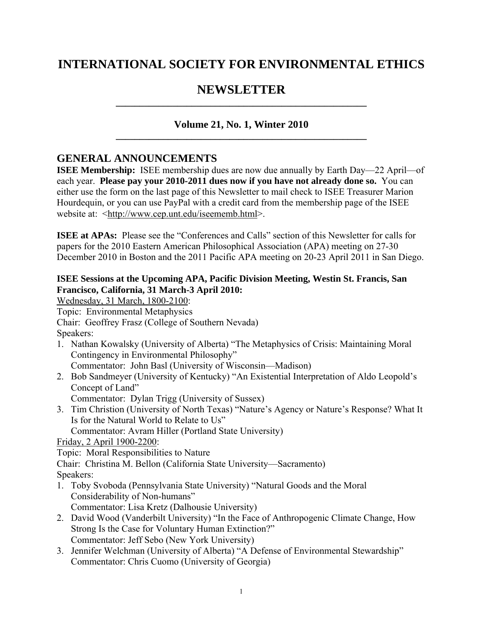# **INTERNATIONAL SOCIETY FOR ENVIRONMENTAL ETHICS**

# NEWSLETTER

## **Volume 21, No. 1, Winter 2010 \_\_\_\_\_\_\_\_\_\_\_\_\_\_\_\_\_\_\_\_\_\_\_\_\_\_\_\_\_\_\_\_\_\_\_\_\_\_\_\_\_\_\_\_\_\_\_\_\_\_\_\_\_**

## **GENERAL ANNOUNCEMENTS**

**ISEE Membership:** ISEE membership dues are now due annually by Earth Day—22 April—of each year. **Please pay your 2010-2011 dues now if you have not already done so.** You can either use the form on the last page of this Newsletter to mail check to ISEE Treasurer Marion Hourdequin, or you can use PayPal with a credit card from the membership page of the ISEE website at: <http://www.cep.unt.edu/iseememb.html>.

**ISEE at APAs:** Please see the "Conferences and Calls" section of this Newsletter for calls for papers for the 2010 Eastern American Philosophical Association (APA) meeting on 27-30 December 2010 in Boston and the 2011 Pacific APA meeting on 20-23 April 2011 in San Diego.

## **ISEE Sessions at the Upcoming APA, Pacific Division Meeting, Westin St. Francis, San Francisco, California, 31 March-3 April 2010:**

Wednesday, 31 March, 1800-2100:

Topic: Environmental Metaphysics

Chair: Geoffrey Frasz (College of Southern Nevada)

Speakers:

- 1. Nathan Kowalsky (University of Alberta) "The Metaphysics of Crisis: Maintaining Moral Contingency in Environmental Philosophy"
	- Commentator: John Basl (University of Wisconsin—Madison)
- 2. Bob Sandmeyer (University of Kentucky) "An Existential Interpretation of Aldo Leopold's Concept of Land"

Commentator: Dylan Trigg (University of Sussex)

3. Tim Christion (University of North Texas) "Nature's Agency or Nature's Response? What It Is for the Natural World to Relate to Us"

Commentator: Avram Hiller (Portland State University)

Friday, 2 April 1900-2200:

Topic: Moral Responsibilities to Nature

Chair: Christina M. Bellon (California State University—Sacramento)

Speakers:

- 1. Toby Svoboda (Pennsylvania State University) "Natural Goods and the Moral Considerability of Non-humans"
	- Commentator: Lisa Kretz (Dalhousie University)
- 2. David Wood (Vanderbilt University) "In the Face of Anthropogenic Climate Change, How Strong Is the Case for Voluntary Human Extinction?" Commentator: Jeff Sebo (New York University)
- 3. Jennifer Welchman (University of Alberta) "A Defense of Environmental Stewardship" Commentator: Chris Cuomo (University of Georgia)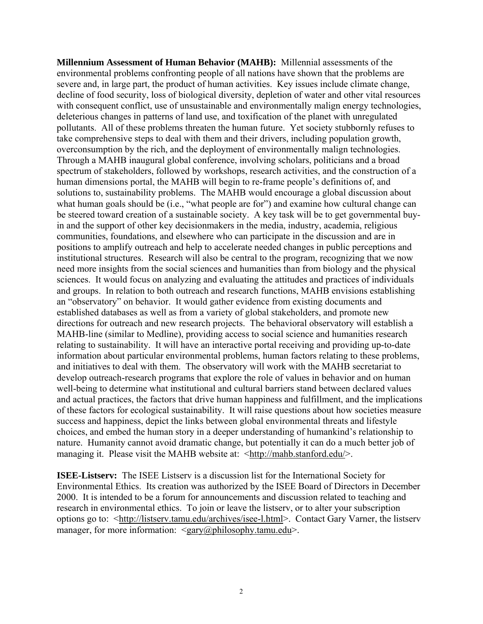**Millennium Assessment of Human Behavior (MAHB):** Millennial assessments of the environmental problems confronting people of all nations have shown that the problems are severe and, in large part, the product of human activities. Key issues include climate change, decline of food security, loss of biological diversity, depletion of water and other vital resources with consequent conflict, use of unsustainable and environmentally malign energy technologies, deleterious changes in patterns of land use, and toxification of the planet with unregulated pollutants. All of these problems threaten the human future. Yet society stubbornly refuses to take comprehensive steps to deal with them and their drivers, including population growth, overconsumption by the rich, and the deployment of environmentally malign technologies. Through a MAHB inaugural global conference, involving scholars, politicians and a broad spectrum of stakeholders, followed by workshops, research activities, and the construction of a human dimensions portal, the MAHB will begin to re-frame people's definitions of, and solutions to, sustainability problems. The MAHB would encourage a global discussion about what human goals should be (i.e., "what people are for") and examine how cultural change can be steered toward creation of a sustainable society. A key task will be to get governmental buyin and the support of other key decisionmakers in the media, industry, academia, religious communities, foundations, and elsewhere who can participate in the discussion and are in positions to amplify outreach and help to accelerate needed changes in public perceptions and institutional structures. Research will also be central to the program, recognizing that we now need more insights from the social sciences and humanities than from biology and the physical sciences. It would focus on analyzing and evaluating the attitudes and practices of individuals and groups. In relation to both outreach and research functions, MAHB envisions establishing an "observatory" on behavior. It would gather evidence from existing documents and established databases as well as from a variety of global stakeholders, and promote new directions for outreach and new research projects. The behavioral observatory will establish a MAHB-line (similar to Medline), providing access to social science and humanities research relating to sustainability. It will have an interactive portal receiving and providing up-to-date information about particular environmental problems, human factors relating to these problems, and initiatives to deal with them. The observatory will work with the MAHB secretariat to develop outreach-research programs that explore the role of values in behavior and on human well-being to determine what institutional and cultural barriers stand between declared values and actual practices, the factors that drive human happiness and fulfillment, and the implications of these factors for ecological sustainability. It will raise questions about how societies measure success and happiness, depict the links between global environmental threats and lifestyle choices, and embed the human story in a deeper understanding of humankind's relationship to nature. Humanity cannot avoid dramatic change, but potentially it can do a much better job of managing it. Please visit the MAHB website at: <http://mahb.stanford.edu/>.

**ISEE-Listserv:** The ISEE Listserv is a discussion list for the International Society for Environmental Ethics. Its creation was authorized by the ISEE Board of Directors in December 2000. It is intended to be a forum for announcements and discussion related to teaching and research in environmental ethics. To join or leave the listserv, or to alter your subscription options go to: <http://listserv.tamu.edu/archives/isee-l.html>. Contact Gary Varner, the listserv manager, for more information: <gary@philosophy.tamu.edu>.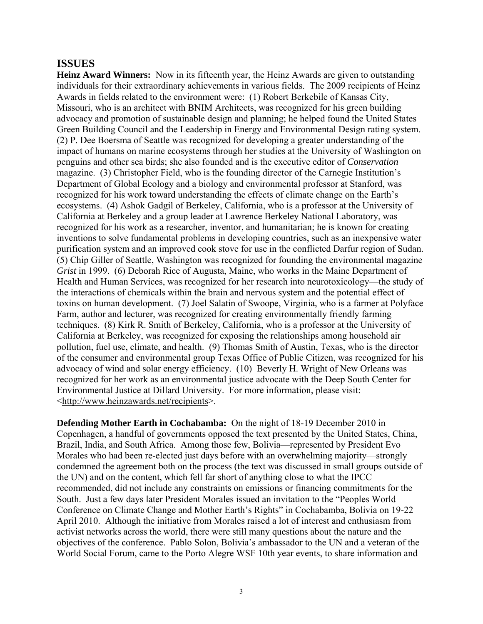## **ISSUES**

**Heinz Award Winners:** Now in its fifteenth year, the Heinz Awards are given to outstanding individuals for their extraordinary achievements in various fields. The 2009 recipients of Heinz Awards in fields related to the environment were: (1) Robert Berkebile of Kansas City, Missouri, who is an architect with BNIM Architects, was recognized for his green building advocacy and promotion of sustainable design and planning; he helped found the United States Green Building Council and the Leadership in Energy and Environmental Design rating system. (2) P. Dee Boersma of Seattle was recognized for developing a greater understanding of the impact of humans on marine ecosystems through her studies at the University of Washington on penguins and other sea birds; she also founded and is the executive editor of *Conservation* magazine. (3) Christopher Field, who is the founding director of the Carnegie Institution's Department of Global Ecology and a biology and environmental professor at Stanford, was recognized for his work toward understanding the effects of climate change on the Earth's ecosystems. (4) Ashok Gadgil of Berkeley, California, who is a professor at the University of California at Berkeley and a group leader at Lawrence Berkeley National Laboratory, was recognized for his work as a researcher, inventor, and humanitarian; he is known for creating inventions to solve fundamental problems in developing countries, such as an inexpensive water purification system and an improved cook stove for use in the conflicted Darfur region of Sudan. (5) Chip Giller of Seattle, Washington was recognized for founding the environmental magazine *Grist* in 1999. (6) Deborah Rice of Augusta, Maine, who works in the Maine Department of Health and Human Services, was recognized for her research into neurotoxicology—the study of the interactions of chemicals within the brain and nervous system and the potential effect of toxins on human development. (7) Joel Salatin of Swoope, Virginia, who is a farmer at Polyface Farm, author and lecturer, was recognized for creating environmentally friendly farming techniques. (8) Kirk R. Smith of Berkeley, California, who is a professor at the University of California at Berkeley, was recognized for exposing the relationships among household air pollution, fuel use, climate, and health. (9) Thomas Smith of Austin, Texas, who is the director of the consumer and environmental group Texas Office of Public Citizen, was recognized for his advocacy of wind and solar energy efficiency. (10) Beverly H. Wright of New Orleans was recognized for her work as an environmental justice advocate with the Deep South Center for Environmental Justice at Dillard University. For more information, please visit: <http://www.heinzawards.net/recipients>.

**Defending Mother Earth in Cochabamba:** On the night of 18-19 December 2010 in Copenhagen, a handful of governments opposed the text presented by the United States, China, Brazil, India, and South Africa. Among those few, Bolivia—represented by President Evo Morales who had been re-elected just days before with an overwhelming majority—strongly condemned the agreement both on the process (the text was discussed in small groups outside of the UN) and on the content, which fell far short of anything close to what the IPCC recommended, did not include any constraints on emissions or financing commitments for the South. Just a few days later President Morales issued an invitation to the "Peoples World Conference on Climate Change and Mother Earth's Rights" in Cochabamba, Bolivia on 19-22 April 2010. Although the initiative from Morales raised a lot of interest and enthusiasm from activist networks across the world, there were still many questions about the nature and the objectives of the conference. Pablo Solon, Bolivia's ambassador to the UN and a veteran of the World Social Forum, came to the Porto Alegre WSF 10th year events, to share information and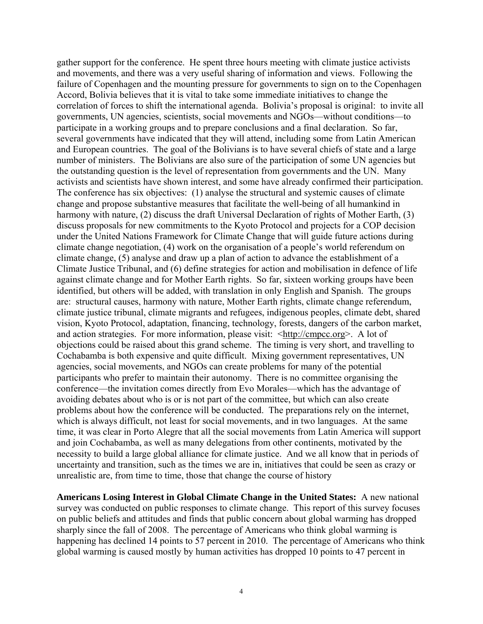gather support for the conference. He spent three hours meeting with climate justice activists and movements, and there was a very useful sharing of information and views. Following the failure of Copenhagen and the mounting pressure for governments to sign on to the Copenhagen Accord, Bolivia believes that it is vital to take some immediate initiatives to change the correlation of forces to shift the international agenda. Bolivia's proposal is original: to invite all governments, UN agencies, scientists, social movements and NGOs—without conditions—to participate in a working groups and to prepare conclusions and a final declaration. So far, several governments have indicated that they will attend, including some from Latin American and European countries. The goal of the Bolivians is to have several chiefs of state and a large number of ministers. The Bolivians are also sure of the participation of some UN agencies but the outstanding question is the level of representation from governments and the UN. Many activists and scientists have shown interest, and some have already confirmed their participation. The conference has six objectives: (1) analyse the structural and systemic causes of climate change and propose substantive measures that facilitate the well-being of all humankind in harmony with nature, (2) discuss the draft Universal Declaration of rights of Mother Earth, (3) discuss proposals for new commitments to the Kyoto Protocol and projects for a COP decision under the United Nations Framework for Climate Change that will guide future actions during climate change negotiation, (4) work on the organisation of a people's world referendum on climate change, (5) analyse and draw up a plan of action to advance the establishment of a Climate Justice Tribunal, and (6) define strategies for action and mobilisation in defence of life against climate change and for Mother Earth rights. So far, sixteen working groups have been identified, but others will be added, with translation in only English and Spanish. The groups are: structural causes, harmony with nature, Mother Earth rights, climate change referendum, climate justice tribunal, climate migrants and refugees, indigenous peoples, climate debt, shared vision, Kyoto Protocol, adaptation, financing, technology, forests, dangers of the carbon market, and action strategies. For more information, please visit: <http://cmpcc.org>. A lot of objections could be raised about this grand scheme. The timing is very short, and travelling to Cochabamba is both expensive and quite difficult. Mixing government representatives, UN agencies, social movements, and NGOs can create problems for many of the potential participants who prefer to maintain their autonomy. There is no committee organising the conference—the invitation comes directly from Evo Morales—which has the advantage of avoiding debates about who is or is not part of the committee, but which can also create problems about how the conference will be conducted. The preparations rely on the internet, which is always difficult, not least for social movements, and in two languages. At the same time, it was clear in Porto Alegre that all the social movements from Latin America will support and join Cochabamba, as well as many delegations from other continents, motivated by the necessity to build a large global alliance for climate justice. And we all know that in periods of uncertainty and transition, such as the times we are in, initiatives that could be seen as crazy or unrealistic are, from time to time, those that change the course of history

**Americans Losing Interest in Global Climate Change in the United States:** A new national survey was conducted on public responses to climate change. This report of this survey focuses on public beliefs and attitudes and finds that public concern about global warming has dropped sharply since the fall of 2008. The percentage of Americans who think global warming is happening has declined 14 points to 57 percent in 2010. The percentage of Americans who think global warming is caused mostly by human activities has dropped 10 points to 47 percent in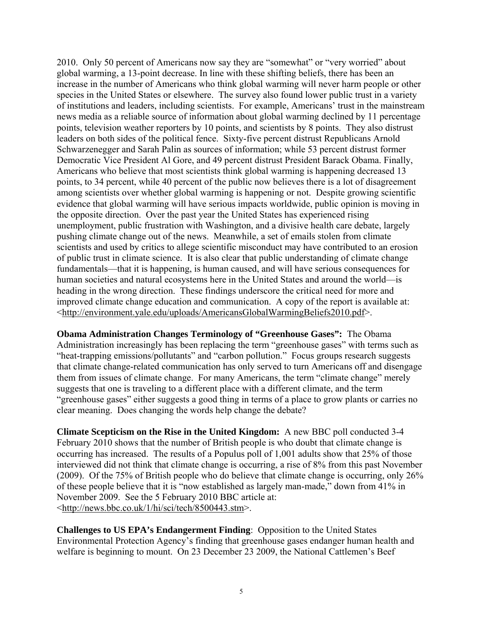2010. Only 50 percent of Americans now say they are "somewhat" or "very worried" about global warming, a 13-point decrease. In line with these shifting beliefs, there has been an increase in the number of Americans who think global warming will never harm people or other species in the United States or elsewhere. The survey also found lower public trust in a variety of institutions and leaders, including scientists. For example, Americans' trust in the mainstream news media as a reliable source of information about global warming declined by 11 percentage points, television weather reporters by 10 points, and scientists by 8 points. They also distrust leaders on both sides of the political fence. Sixty-five percent distrust Republicans Arnold Schwarzenegger and Sarah Palin as sources of information; while 53 percent distrust former Democratic Vice President Al Gore, and 49 percent distrust President Barack Obama. Finally, Americans who believe that most scientists think global warming is happening decreased 13 points, to 34 percent, while 40 percent of the public now believes there is a lot of disagreement among scientists over whether global warming is happening or not. Despite growing scientific evidence that global warming will have serious impacts worldwide, public opinion is moving in the opposite direction. Over the past year the United States has experienced rising unemployment, public frustration with Washington, and a divisive health care debate, largely pushing climate change out of the news. Meanwhile, a set of emails stolen from climate scientists and used by critics to allege scientific misconduct may have contributed to an erosion of public trust in climate science. It is also clear that public understanding of climate change fundamentals—that it is happening, is human caused, and will have serious consequences for human societies and natural ecosystems here in the United States and around the world—is heading in the wrong direction. These findings underscore the critical need for more and improved climate change education and communication. A copy of the report is available at: <http://environment.yale.edu/uploads/AmericansGlobalWarmingBeliefs2010.pdf>.

**Obama Administration Changes Terminology of "Greenhouse Gases":** The Obama Administration increasingly has been replacing the term "greenhouse gases" with terms such as "heat-trapping emissions/pollutants" and "carbon pollution." Focus groups research suggests that climate change-related communication has only served to turn Americans off and disengage them from issues of climate change. For many Americans, the term "climate change" merely suggests that one is traveling to a different place with a different climate, and the term "greenhouse gases" either suggests a good thing in terms of a place to grow plants or carries no clear meaning. Does changing the words help change the debate?

**Climate Scepticism on the Rise in the United Kingdom:** A new BBC poll conducted 3-4 February 2010 shows that the number of British people is who doubt that climate change is occurring has increased. The results of a Populus poll of 1,001 adults show that 25% of those interviewed did not think that climate change is occurring, a rise of 8% from this past November (2009). Of the 75% of British people who do believe that climate change is occurring, only 26% of these people believe that it is "now established as largely man-made," down from 41% in November 2009. See the 5 February 2010 BBC article at: <http://news.bbc.co.uk/1/hi/sci/tech/8500443.stm>.

**Challenges to US EPA's Endangerment Finding**:Opposition to the United States Environmental Protection Agency's finding that greenhouse gases endanger human health and welfare is beginning to mount. On 23 December 23 2009, the National Cattlemen's Beef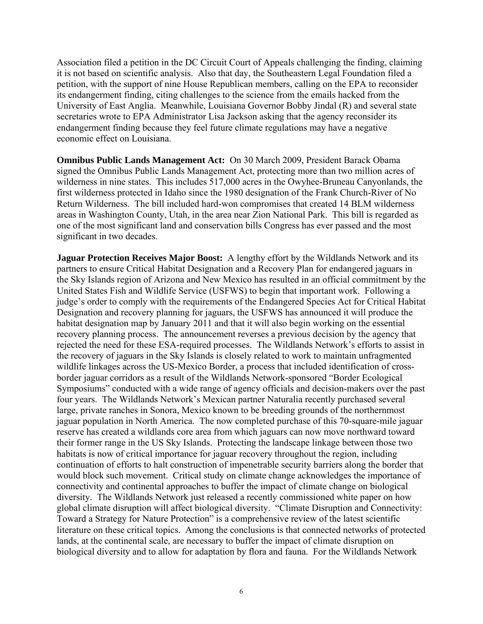Association filed a petition in the DC Circuit Court of Appeals challenging the finding, claiming it is not based on scientific analysis. Also that day, the Southeastern Legal Foundation filed a petition, with the support of nine House Republican members, calling on the EPA to reconsider its endangerment finding, citing challenges to the science from the emails hacked from the University of East Anglia. Meanwhile, Louisiana Governor Bobby Jindal (R) and several state secretaries wrote to EPA Administrator Lisa Jackson asking that the agency reconsider its endangerment finding because they feel future climate regulations may have a negative economic effect on Louisiana.

**Omnibus Public Lands Management Act:** On 30 March 2009, President Barack Obama signed the Omnibus Public Lands Management Act, protecting more than two million acres of wilderness in nine states. This includes 517,000 acres in the Owyhee-Bruneau Canyonlands, the first wilderness protected in Idaho since the 1980 designation of the Frank Church-River of No Return Wilderness. The bill included hard-won compromises that created 14 BLM wilderness areas in Washington County, Utah, in the area near Zion National Park. This bill is regarded as one of the most significant land and conservation bills Congress has ever passed and the most significant in two decades.

**Jaguar Protection Receives Major Boost:** A lengthy effort by the Wildlands Network and its partners to ensure Critical Habitat Designation and a Recovery Plan for endangered jaguars in the Sky Islands region of Arizona and New Mexico has resulted in an official commitment by the United States Fish and Wildlife Service (USFWS) to begin that important work. Following a judge's order to comply with the requirements of the Endangered Species Act for Critical Habitat Designation and recovery planning for jaguars, the USFWS has announced it will produce the habitat designation map by January 2011 and that it will also begin working on the essential recovery planning process. The announcement reverses a previous decision by the agency that rejected the need for these ESA-required processes. The Wildlands Network's efforts to assist in the recovery of jaguars in the Sky Islands is closely related to work to maintain unfragmented wildlife linkages across the US-Mexico Border, a process that included identification of crossborder jaguar corridors as a result of the Wildlands Network-sponsored "Border Ecological Symposiums" conducted with a wide range of agency officials and decision-makers over the past four years. The Wildlands Network's Mexican partner Naturalia recently purchased several large, private ranches in Sonora, Mexico known to be breeding grounds of the northernmost jaguar population in North America. The now completed purchase of this 70-square-mile jaguar reserve has created a wildlands core area from which jaguars can now move northward toward their former range in the US Sky Islands. Protecting the landscape linkage between those two habitats is now of critical importance for jaguar recovery throughout the region, including continuation of efforts to halt construction of impenetrable security barriers along the border that would block such movement. Critical study on climate change acknowledges the importance of connectivity and continental approaches to buffer the impact of climate change on biological diversity. The Wildlands Network just released a recently commissioned white paper on how global climate disruption will affect biological diversity. "Climate Disruption and Connectivity: Toward a Strategy for Nature Protection" is a comprehensive review of the latest scientific literature on these critical topics. Among the conclusions is that connected networks of protected lands, at the continental scale, are necessary to buffer the impact of climate disruption on biological diversity and to allow for adaptation by flora and fauna. For the Wildlands Network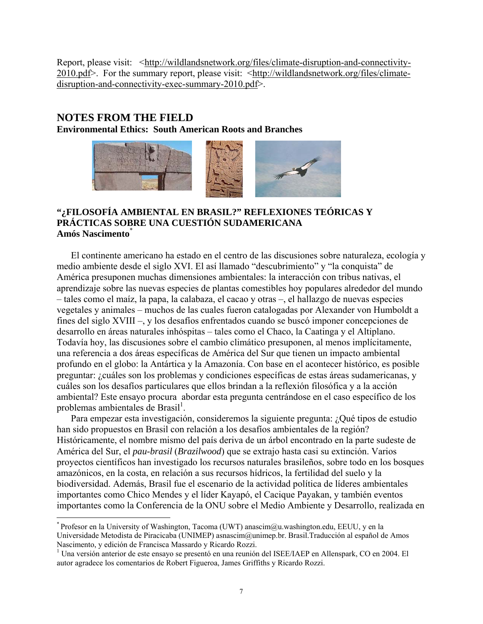Report, please visit: <http://wildlandsnetwork.org/files/climate-disruption-and-connectivity-2010.pdf>. For the summary report, please visit: <http://wildlandsnetwork.org/files/climatedisruption-and-connectivity-exec-summary-2010.pdf>.

## **NOTES FROM THE FIELD**

 $\overline{a}$ 

**Environmental Ethics: South American Roots and Branches** 



## **"¿FILOSOFÍA AMBIENTAL EN BRASIL?" REFLEXIONES TEÓRICAS Y PRÁCTICAS SOBRE UNA CUESTIÓN SUDAMERICANA Amós Nascimento**\*

El continente americano ha estado en el centro de las discusiones sobre naturaleza, ecología y medio ambiente desde el siglo XVI. El así llamado "descubrimiento" y "la conquista" de América presuponen muchas dimensiones ambientales: la interacción con tribus nativas, el aprendizaje sobre las nuevas especies de plantas comestibles hoy populares alrededor del mundo – tales como el maíz, la papa, la calabaza, el cacao y otras –, el hallazgo de nuevas especies vegetales y animales – muchos de las cuales fueron catalogadas por Alexander von Humboldt a fines del siglo XVIII –, y los desafíos enfrentados cuando se buscó imponer concepciones de desarrollo en áreas naturales inhóspitas – tales como el Chaco, la Caatinga y el Altiplano. Todavía hoy, las discusiones sobre el cambio climático presuponen, al menos implícitamente, una referencia a dos áreas específicas de América del Sur que tienen un impacto ambiental profundo en el globo: la Antártica y la Amazonía. Con base en el acontecer histórico, es posible preguntar: ¿cuáles son los problemas y condiciones específicas de estas áreas sudamericanas, y cuáles son los desafíos particulares que ellos brindan a la reflexión filosófica y a la acción ambiental? Este ensayo procura abordar esta pregunta centrándose en el caso específico de los problemas ambientales de Brasil<sup>1</sup>.

Para empezar esta investigación, consideremos la siguiente pregunta: ¿Qué tipos de estudio han sido propuestos en Brasil con relación a los desafíos ambientales de la región? Históricamente, el nombre mismo del país deriva de un árbol encontrado en la parte sudeste de América del Sur, el *pau-brasil* (*Brazilwood*) que se extrajo hasta casi su extinción. Varios proyectos científicos han investigado los recursos naturales brasileños, sobre todo en los bosques amazónicos, en la costa, en relación a sus recursos hídricos, la fertilidad del suelo y la biodiversidad. Además, Brasil fue el escenario de la actividad política de líderes ambientales importantes como Chico Mendes y el líder Kayapó, el Cacique Payakan, y también eventos importantes como la Conferencia de la ONU sobre el Medio Ambiente y Desarrollo, realizada en

<sup>\*</sup> Profesor en la University of Washington, Tacoma (UWT) anascim@u.washington.edu, EEUU, y en la Universidade Metodista de Piracicaba (UNIMEP) asnascim@unimep.br. Brasil.Traducción al español de Amos Nascimento, y edición de Francisca Massardo y Ricardo Rozzi.

<sup>&</sup>lt;sup>1</sup> Una versión anterior de este ensayo se presentó en una reunión del ISEE/IAEP en Allenspark, CO en 2004. El autor agradece los comentarios de Robert Figueroa, James Griffiths y Ricardo Rozzi.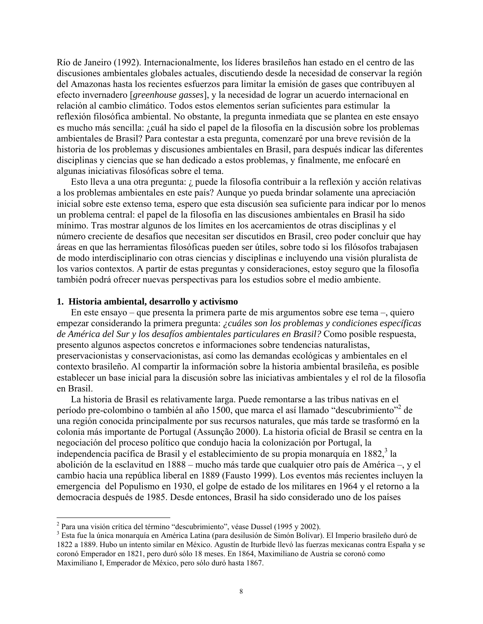Río de Janeiro (1992). Internacionalmente, los líderes brasileños han estado en el centro de las discusiones ambientales globales actuales, discutiendo desde la necesidad de conservar la región del Amazonas hasta los recientes esfuerzos para limitar la emisión de gases que contribuyen al efecto invernadero [*greenhouse gasses*], y la necesidad de lograr un acuerdo internacional en relación al cambio climático. Todos estos elementos serían suficientes para estimular la reflexión filosófica ambiental. No obstante, la pregunta inmediata que se plantea en este ensayo es mucho más sencilla: ¿cuál ha sido el papel de la filosofía en la discusión sobre los problemas ambientales de Brasil? Para contestar a esta pregunta, comenzaré por una breve revisión de la historia de los problemas y discusiones ambientales en Brasil, para después indicar las diferentes disciplinas y ciencias que se han dedicado a estos problemas, y finalmente, me enfocaré en algunas iniciativas filosóficas sobre el tema.

Esto lleva a una otra pregunta: ¿ puede la filosofía contribuir a la reflexión y acción relativas a los problemas ambientales en este país? Aunque yo pueda brindar solamente una apreciación inicial sobre este extenso tema, espero que esta discusión sea suficiente para indicar por lo menos un problema central: el papel de la filosofía en las discusiones ambientales en Brasil ha sido mínimo. Tras mostrar algunos de los límites en los acercamientos de otras disciplinas y el número creciente de desafíos que necesitan ser discutidos en Brasil, creo poder concluir que hay áreas en que las herramientas filosóficas pueden ser útiles, sobre todo si los filósofos trabajasen de modo interdisciplinario con otras ciencias y disciplinas e incluyendo una visión pluralista de los varios contextos. A partir de estas preguntas y consideraciones, estoy seguro que la filosofía también podrá ofrecer nuevas perspectivas para los estudios sobre el medio ambiente.

#### **1. Historia ambiental, desarrollo y activismo**

1

En este ensayo – que presenta la primera parte de mis argumentos sobre ese tema –, quiero empezar considerando la primera pregunta: *¿cuáles son los problemas y condiciones específicas de América del Sur y los desafíos ambientales particulares en Brasil?* Como posible respuesta, presento algunos aspectos concretos e informaciones sobre tendencias naturalistas, preservacionistas y conservacionistas, así como las demandas ecológicas y ambientales en el contexto brasileño. Al compartir la información sobre la historia ambiental brasileña, es posible establecer un base inicial para la discusión sobre las iniciativas ambientales y el rol de la filosofía en Brasil.

La historia de Brasil es relativamente larga. Puede remontarse a las tribus nativas en el período pre-colombino o también al año 1500, que marca el así llamado "descubrimiento"<sup>2</sup> de una región conocida principalmente por sus recursos naturales, que más tarde se trasformó en la colonia más importante de Portugal (Assunção 2000). La historia oficial de Brasil se centra en la negociación del proceso político que condujo hacia la colonización por Portugal, la independencia pacífica de Brasil y el establecimiento de su propia monarquía en 1882,<sup>3</sup> la abolición de la esclavitud en 1888 – mucho más tarde que cualquier otro país de América –, y el cambio hacia una república liberal en 1889 (Fausto 1999). Los eventos más recientes incluyen la emergencia del Populismo en 1930, el golpe de estado de los militares en 1964 y el retorno a la democracia después de 1985. Desde entonces, Brasil ha sido considerado uno de los países

<sup>&</sup>lt;sup>2</sup> Para una visión crítica del término "descubrimiento", véase Dussel (1995 y 2002).

<sup>&</sup>lt;sup>3</sup> Esta fue la única monarquía en América Latina (para desilusión de Simón Bolívar). El Imperio brasileño duró de 1822 a 1889. Hubo un intento similar en México. Agustín de Iturbide llevó las fuerzas mexicanas contra España y se coronó Emperador en 1821, pero duró sólo 18 meses. En 1864, Maximiliano de Austria se coronó como Maximiliano I, Emperador de México, pero sólo duró hasta 1867.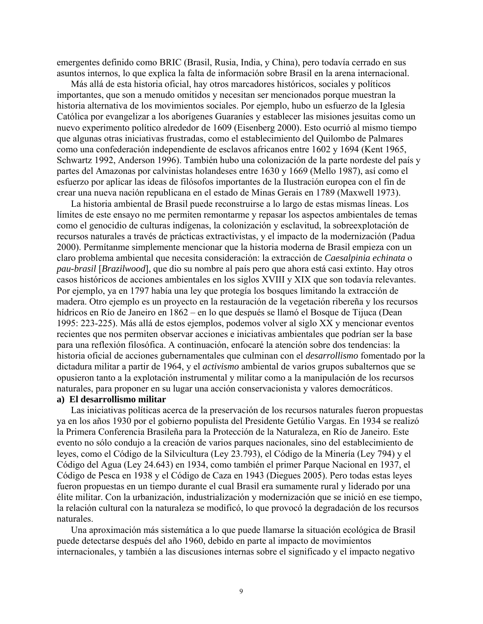emergentes definido como BRIC (Brasil, Rusia, India, y China), pero todavía cerrado en sus asuntos internos, lo que explica la falta de información sobre Brasil en la arena internacional.

Más allá de esta historia oficial, hay otros marcadores históricos, sociales y políticos importantes, que son a menudo omitidos y necesitan ser mencionados porque muestran la historia alternativa de los movimientos sociales. Por ejemplo, hubo un esfuerzo de la Iglesia Católica por evangelizar a los aborígenes Guaraníes y establecer las misiones jesuitas como un nuevo experimento político alrededor de 1609 (Eisenberg 2000). Esto ocurrió al mismo tiempo que algunas otras iniciativas frustradas, como el establecimiento del Quilombo de Palmares como una confederación independiente de esclavos africanos entre 1602 y 1694 (Kent 1965, Schwartz 1992, Anderson 1996). También hubo una colonización de la parte nordeste del país y partes del Amazonas por calvinistas holandeses entre 1630 y 1669 (Mello 1987), así como el esfuerzo por aplicar las ideas de filósofos importantes de la Ilustración europea con el fin de crear una nueva nación republicana en el estado de Minas Gerais en 1789 (Maxwell 1973).

La historia ambiental de Brasil puede reconstruirse a lo largo de estas mismas líneas. Los límites de este ensayo no me permiten remontarme y repasar los aspectos ambientales de temas como el genocidio de culturas indígenas, la colonización y esclavitud, la sobreexplotación de recursos naturales a través de prácticas extractivistas, y el impacto de la modernización (Padua 2000). Permítanme simplemente mencionar que la historia moderna de Brasil empieza con un claro problema ambiental que necesita consideración: la extracción de *Caesalpinia echinata* o *pau-brasil* [*Brazilwood*], que dio su nombre al país pero que ahora está casi extinto. Hay otros casos históricos de acciones ambientales en los siglos XVIII y XIX que son todavía relevantes. Por ejemplo, ya en 1797 había una ley que protegía los bosques limitando la extracción de madera. Otro ejemplo es un proyecto en la restauración de la vegetación ribereña y los recursos hídricos en Río de Janeiro en 1862 – en lo que después se llamó el Bosque de Tijuca (Dean 1995: 223-225). Más allá de estos ejemplos, podemos volver al siglo XX y mencionar eventos recientes que nos permiten observar acciones e iniciativas ambientales que podrían ser la base para una reflexión filosófica. A continuación, enfocaré la atención sobre dos tendencias: la historia oficial de acciones gubernamentales que culminan con el *desarrollismo* fomentado por la dictadura militar a partir de 1964, y el *activismo* ambiental de varios grupos subalternos que se opusieron tanto a la explotación instrumental y militar como a la manipulación de los recursos naturales, para proponer en su lugar una acción conservacionista y valores democráticos. **a) El desarrollismo militar** 

Las iniciativas políticas acerca de la preservación de los recursos naturales fueron propuestas ya en los años 1930 por el gobierno populista del Presidente Getúlio Vargas. En 1934 se realizó la Primera Conferencia Brasileña para la Protección de la Naturaleza, en Río de Janeiro. Este evento no sólo condujo a la creación de varios parques nacionales, sino del establecimiento de leyes, como el Código de la Silvicultura (Ley 23.793), el Código de la Minería (Ley 794) y el Código del Agua (Ley 24.643) en 1934, como también el primer Parque Nacional en 1937, el Código de Pesca en 1938 y el Código de Caza en 1943 (Diegues 2005). Pero todas estas leyes fueron propuestas en un tiempo durante el cual Brasil era sumamente rural y liderado por una élite militar. Con la urbanización, industrialización y modernización que se inició en ese tiempo, la relación cultural con la naturaleza se modificó, lo que provocó la degradación de los recursos naturales.

Una aproximación más sistemática a lo que puede llamarse la situación ecológica de Brasil puede detectarse después del año 1960, debido en parte al impacto de movimientos internacionales, y también a las discusiones internas sobre el significado y el impacto negativo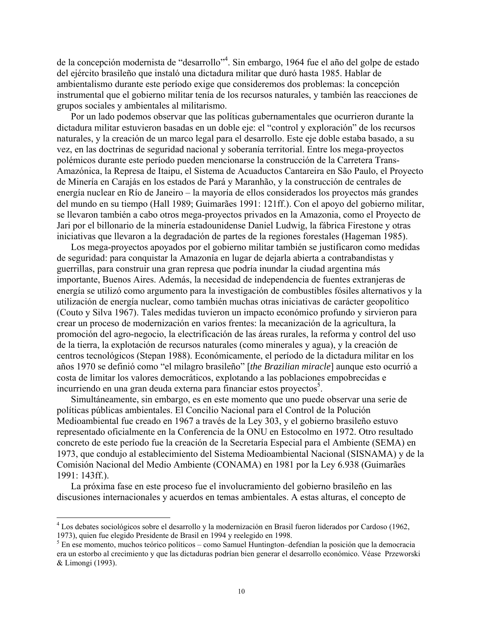de la concepción modernista de "desarrollo"<sup>4</sup>. Sin embargo, 1964 fue el año del golpe de estado del ejército brasileño que instaló una dictadura militar que duró hasta 1985. Hablar de ambientalismo durante este período exige que consideremos dos problemas: la concepción instrumental que el gobierno militar tenía de los recursos naturales, y también las reacciones de grupos sociales y ambientales al militarismo.

Por un lado podemos observar que las políticas gubernamentales que ocurrieron durante la dictadura militar estuvieron basadas en un doble eje: el "control y exploración" de los recursos naturales, y la creación de un marco legal para el desarrollo. Este eje doble estaba basado, a su vez, en las doctrinas de seguridad nacional y soberanía territorial. Entre los mega-proyectos polémicos durante este período pueden mencionarse la construcción de la Carretera Trans-Amazónica, la Represa de Itaipu, el Sistema de Acuaductos Cantareira en São Paulo, el Proyecto de Minería en Carajás en los estados de Pará y Maranhão, y la construcción de centrales de energía nuclear en Río de Janeiro – la mayoría de ellos considerados los proyectos más grandes del mundo en su tiempo (Hall 1989; Guimarães 1991: 121ff.). Con el apoyo del gobierno militar, se llevaron también a cabo otros mega-proyectos privados en la Amazonia, como el Proyecto de Jari por el billonario de la minería estadounidense Daniel Ludwig, la fábrica Firestone y otras iniciativas que llevaron a la degradación de partes de la regiones forestales (Hageman 1985).

Los mega-proyectos apoyados por el gobierno militar también se justificaron como medidas de seguridad: para conquistar la Amazonía en lugar de dejarla abierta a contrabandistas y guerrillas, para construir una gran represa que podría inundar la ciudad argentina más importante, Buenos Aires. Además, la necesidad de independencia de fuentes extranjeras de energía se utilizó como argumento para la investigación de combustibles fósiles alternativos y la utilización de energía nuclear, como también muchas otras iniciativas de carácter geopolítico (Couto y Silva 1967). Tales medidas tuvieron un impacto económico profundo y sirvieron para crear un proceso de modernización en varios frentes: la mecanización de la agricultura, la promoción del agro-negocio, la electrificación de las áreas rurales, la reforma y control del uso de la tierra, la explotación de recursos naturales (como minerales y agua), y la creación de centros tecnológicos (Stepan 1988). Económicamente, el período de la dictadura militar en los años 1970 se definió como "el milagro brasileño" [*the Brazilian miracle*] aunque esto ocurrió a costa de limitar los valores democráticos, explotando a las poblaciones empobrecidas e incurriendo en una gran deuda externa para financiar estos proyectos<sup>5</sup>.

Simultáneamente, sin embargo, es en este momento que uno puede observar una serie de políticas públicas ambientales. El Concilio Nacional para el Control de la Polución Medioambiental fue creado en 1967 a través de la Ley 303, y el gobierno brasileño estuvo representado oficialmente en la Conferencia de la ONU en Estocolmo en 1972. Otro resultado concreto de este período fue la creación de la Secretaría Especial para el Ambiente (SEMA) en 1973, que condujo al establecimiento del Sistema Medioambiental Nacional (SISNAMA) y de la Comisión Nacional del Medio Ambiente (CONAMA) en 1981 por la Ley 6.938 (Guimarães 1991: 143ff.).

La próxima fase en este proceso fue el involucramiento del gobierno brasileño en las discusiones internacionales y acuerdos en temas ambientales. A estas alturas, el concepto de

 $\overline{a}$ 

<sup>&</sup>lt;sup>4</sup> Los debates sociológicos sobre el desarrollo y la modernización en Brasil fueron liderados por Cardoso (1962, 1973), quien fue elegido Presidente de Brasil en 1994 y reelegido en 1998.

<sup>&</sup>lt;sup>5</sup> En ese momento, muchos teórico políticos – como Samuel Huntington–defendían la posición que la democracia era un estorbo al crecimiento y que las dictaduras podrían bien generar el desarrollo económico. Véase Przeworski & Limongi (1993).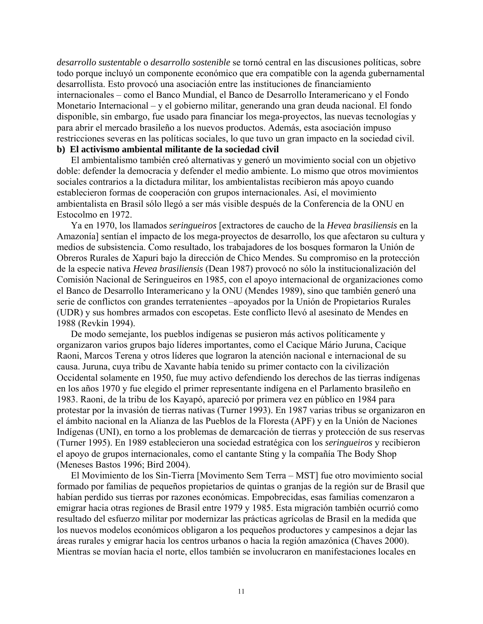*desarrollo sustentable* o *desarrollo sostenible* se tornó central en las discusiones políticas, sobre todo porque incluyó un componente económico que era compatible con la agenda gubernamental desarrollista. Esto provocó una asociación entre las instituciones de financiamiento internacionales – como el Banco Mundial, el Banco de Desarrollo Interamericano y el Fondo Monetario Internacional – y el gobierno militar, generando una gran deuda nacional. El fondo disponible, sin embargo, fue usado para financiar los mega-proyectos, las nuevas tecnologías y para abrir el mercado brasileño a los nuevos productos. Además, esta asociación impuso restricciones severas en las políticas sociales, lo que tuvo un gran impacto en la sociedad civil.

## **b) El activismo ambiental militante de la sociedad civil**

El ambientalismo también creó alternativas y generó un movimiento social con un objetivo doble: defender la democracia y defender el medio ambiente. Lo mismo que otros movimientos sociales contrarios a la dictadura militar, los ambientalistas recibieron más apoyo cuando establecieron formas de cooperación con grupos internacionales. Así, el movimiento ambientalista en Brasil sólo llegó a ser más visible después de la Conferencia de la ONU en Estocolmo en 1972.

Ya en 1970, los llamados *seringueiros* [extractores de caucho de la *Hevea brasiliensis* en la Amazonía] sentían el impacto de los mega-proyectos de desarrollo, los que afectaron su cultura y medios de subsistencia. Como resultado, los trabajadores de los bosques formaron la Unión de Obreros Rurales de Xapuri bajo la dirección de Chico Mendes. Su compromiso en la protección de la especie nativa *Hevea brasiliensis* (Dean 1987) provocó no sólo la institucionalización del Comisión Nacional de Seringueiros en 1985, con el apoyo internacional de organizaciones como el Banco de Desarrollo Interamericano y la ONU (Mendes 1989), sino que también generó una serie de conflictos con grandes terratenientes –apoyados por la Unión de Propietarios Rurales (UDR) y sus hombres armados con escopetas. Este conflicto llevó al asesinato de Mendes en 1988 (Revkin 1994).

De modo semejante, los pueblos indígenas se pusieron más activos políticamente y organizaron varios grupos bajo líderes importantes, como el Cacique Mário Juruna, Cacique Raoni, Marcos Terena y otros líderes que lograron la atención nacional e internacional de su causa. Juruna, cuya tribu de Xavante había tenido su primer contacto con la civilización Occidental solamente en 1950, fue muy activo defendiendo los derechos de las tierras indígenas en los años 1970 y fue elegido el primer representante indígena en el Parlamento brasileño en 1983. Raoni, de la tribu de los Kayapó, apareció por primera vez en público en 1984 para protestar por la invasión de tierras nativas (Turner 1993). En 1987 varias tribus se organizaron en el ámbito nacional en la Alianza de las Pueblos de la Floresta (APF) y en la Unión de Naciones Indígenas (UNI), en torno a los problemas de demarcación de tierras y protección de sus reservas (Turner 1995). En 1989 establecieron una sociedad estratégica con los *seringueiros* y recibieron el apoyo de grupos internacionales, como el cantante Sting y la compañía The Body Shop (Meneses Bastos 1996; Bird 2004).

El Movimiento de los Sin-Tierra [Movimento Sem Terra – MST] fue otro movimiento social formado por familias de pequeños propietarios de quintas o granjas de la región sur de Brasil que habían perdido sus tierras por razones económicas. Empobrecidas, esas familias comenzaron a emigrar hacia otras regiones de Brasil entre 1979 y 1985. Esta migración también ocurrió como resultado del esfuerzo militar por modernizar las prácticas agrícolas de Brasil en la medida que los nuevos modelos económicos obligaron a los pequeños productores y campesinos a dejar las áreas rurales y emigrar hacia los centros urbanos o hacia la región amazónica (Chaves 2000). Mientras se movían hacia el norte, ellos también se involucraron en manifestaciones locales en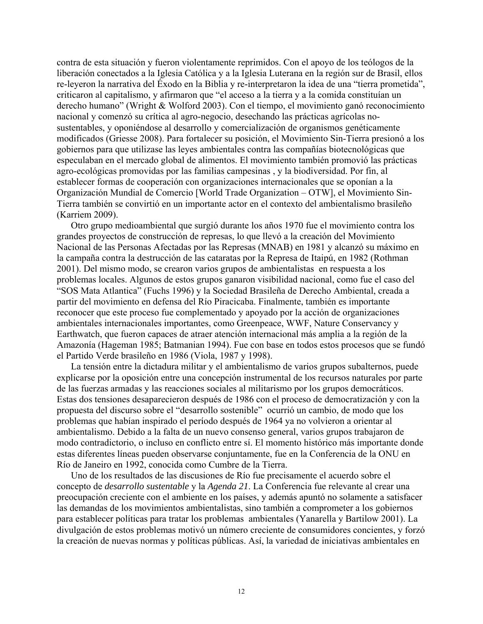contra de esta situación y fueron violentamente reprimidos. Con el apoyo de los teólogos de la liberación conectados a la Iglesia Católica y a la Iglesia Luterana en la región sur de Brasil, ellos re-leyeron la narrativa del Éxodo en la Biblia y re-interpretaron la idea de una "tierra prometida", criticaron al capitalismo, y afirmaron que "el acceso a la tierra y a la comida constituían un derecho humano" (Wright & Wolford 2003). Con el tiempo, el movimiento ganó reconocimiento nacional y comenzó su crítica al agro-negocio, desechando las prácticas agrícolas nosustentables, y oponiéndose al desarrollo y comercialización de organismos genéticamente modificados (Griesse 2008). Para fortalecer su posición, el Movimiento Sin-Tierra presionó a los gobiernos para que utilizase las leyes ambientales contra las compañías biotecnológicas que especulaban en el mercado global de alimentos. El movimiento también promovió las prácticas agro-ecológicas promovidas por las familias campesinas , y la biodiversidad. Por fin, al establecer formas de cooperación con organizaciones internacionales que se oponían a la Organización Mundial de Comercio [World Trade Organization – OTW], el Movimiento Sin-Tierra también se convirtió en un importante actor en el contexto del ambientalismo brasileño (Karriem 2009).

Otro grupo medioambiental que surgió durante los años 1970 fue el movimiento contra los grandes proyectos de construcción de represas, lo que llevó a la creación del Movimiento Nacional de las Personas Afectadas por las Represas (MNAB) en 1981 y alcanzó su máximo en la campaña contra la destrucción de las cataratas por la Represa de Itaipú, en 1982 (Rothman 2001). Del mismo modo, se crearon varios grupos de ambientalistas en respuesta a los problemas locales. Algunos de estos grupos ganaron visibilidad nacional, como fue el caso del "SOS Mata Atlantica" (Fuchs 1996) y la Sociedad Brasileña de Derecho Ambiental, creada a partir del movimiento en defensa del Río Piracicaba. Finalmente, también es importante reconocer que este proceso fue complementado y apoyado por la acción de organizaciones ambientales internacionales importantes, como Greenpeace, WWF, Nature Conservancy y Earthwatch, que fueron capaces de atraer atención internacional más amplia a la región de la Amazonía (Hageman 1985; Batmanian 1994). Fue con base en todos estos procesos que se fundó el Partido Verde brasileño en 1986 (Viola, 1987 y 1998).

La tensión entre la dictadura militar y el ambientalismo de varios grupos subalternos, puede explicarse por la oposición entre una concepción instrumental de los recursos naturales por parte de las fuerzas armadas y las reacciones sociales al militarismo por los grupos democráticos. Estas dos tensiones desaparecieron después de 1986 con el proceso de democratización y con la propuesta del discurso sobre el "desarrollo sostenible" ocurrió un cambio, de modo que los problemas que habían inspirado el período después de 1964 ya no volvieron a orientar al ambientalismo. Debido a la falta de un nuevo consenso general, varios grupos trabajaron de modo contradictorio, o incluso en conflicto entre sí. El momento histórico más importante donde estas diferentes líneas pueden observarse conjuntamente, fue en la Conferencia de la ONU en Río de Janeiro en 1992, conocida como Cumbre de la Tierra.

Uno de los resultados de las discusiones de Río fue precisamente el acuerdo sobre el concepto de *desarrollo sustentable* y la *Agenda 21*. La Conferencia fue relevante al crear una preocupación creciente con el ambiente en los países, y además apuntó no solamente a satisfacer las demandas de los movimientos ambientalistas, sino también a comprometer a los gobiernos para establecer políticas para tratar los problemas ambientales (Yanarella y Bartilow 2001). La divulgación de estos problemas motivó un número creciente de consumidores concientes, y forzó la creación de nuevas normas y políticas públicas. Así, la variedad de iniciativas ambientales en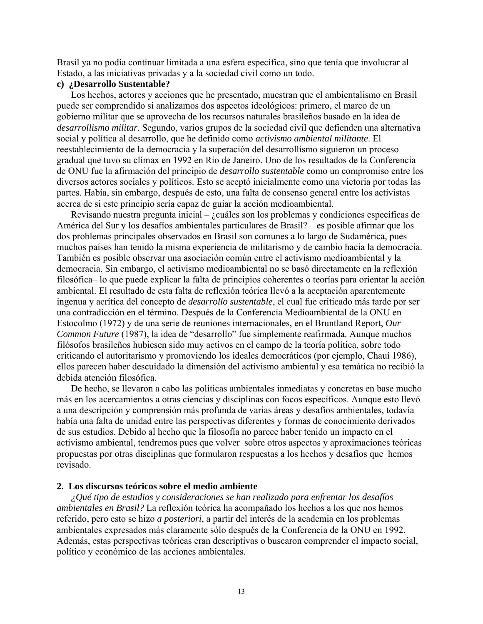Brasil ya no podía continuar limitada a una esfera específica, sino que tenía que involucrar al Estado, a las iniciativas privadas y a la sociedad civil como un todo.

## **c) ¿Desarrollo Sustentable?**

Los hechos, actores y acciones que he presentado, muestran que el ambientalismo en Brasil puede ser comprendido si analizamos dos aspectos ideológicos: primero, el marco de un gobierno militar que se aprovecha de los recursos naturales brasileños basado en la idea de *desarrollismo militar*. Segundo, varios grupos de la sociedad civil que defienden una alternativa social y política al desarrollo, que he definido como *activismo ambiental militante*. El reestablecimiento de la democracia y la superación del desarrollismo siguieron un proceso gradual que tuvo su clímax en 1992 en Río de Janeiro. Uno de los resultados de la Conferencia de ONU fue la afirmación del principio de *desarrollo sustentable* como un compromiso entre los diversos actores sociales y políticos. Esto se aceptó inicialmente como una victoria por todas las partes. Había, sin embargo, después de esto, una falta de consenso general entre los activistas acerca de si este principio sería capaz de guiar la acción medioambiental.

Revisando nuestra pregunta inicial – ¿cuáles son los problemas y condiciones específicas de América del Sur y los desafíos ambientales particulares de Brasil? – es posible afirmar que los dos problemas principales observados en Brasil son comunes a lo largo de Sudamérica, pues muchos países han tenido la misma experiencia de militarismo y de cambio hacia la democracia. También es posible observar una asociación común entre el activismo medioambiental y la democracia. Sin embargo, el activismo medioambiental no se basó directamente en la reflexión filosófica– lo que puede explicar la falta de principios coherentes o teorías para orientar la acción ambiental. El resultado de esta falta de reflexión teórica llevó a la aceptación aparentemente ingenua y acrítica del concepto de *desarrollo sustentable*, el cual fue criticado más tarde por ser una contradicción en el término. Después de la Conferencia Medioambiental de la ONU en Estocolmo (1972) y de una serie de reuniones internacionales, en el Bruntland Report, *Our Common Future* (1987), la idea de "desarrollo" fue simplemente reafirmada. Aunque muchos filósofos brasileños hubiesen sido muy activos en el campo de la teoría política, sobre todo criticando el autoritarismo y promoviendo los ideales democráticos (por ejemplo, Chauí 1986), ellos parecen haber descuidado la dimensión del activismo ambiental y esa temática no recibió la debida atención filosófica.

De hecho, se llevaron a cabo las políticas ambientales inmediatas y concretas en base mucho más en los acercamientos a otras ciencias y disciplinas con focos específicos. Aunque esto llevó a una descripción y comprensión más profunda de varias áreas y desafíos ambientales, todavía había una falta de unidad entre las perspectivas diferentes y formas de conocimiento derivados de sus estudios. Debido al hecho que la filosofía no parece haber tenido un impacto en el activismo ambiental, tendremos pues que volver sobre otros aspectos y aproximaciones teóricas propuestas por otras disciplinas que formularon respuestas a los hechos y desafíos que hemos revisado.

## **2. Los discursos teóricos sobre el medio ambiente**

*¿Qué tipo de estudios y consideraciones se han realizado para enfrentar los desafíos ambientales en Brasil?* La reflexión teórica ha acompañado los hechos a los que nos hemos referido, pero esto se hizo *a posteriori*, a partir del interés de la academia en los problemas ambientales expresados más claramente sólo después de la Conferencia de la ONU en 1992. Además, estas perspectivas teóricas eran descriptivas o buscaron comprender el impacto social, político y económico de las acciones ambientales.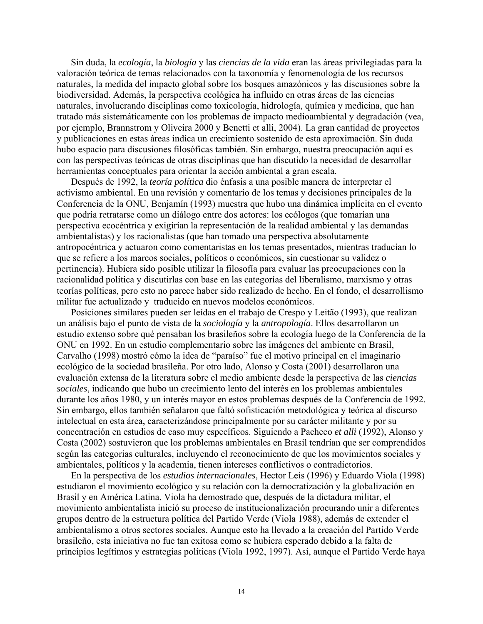Sin duda, la *ecología*, la *biología* y las *ciencias de la vida* eran las áreas privilegiadas para la valoración teórica de temas relacionados con la taxonomía y fenomenología de los recursos naturales, la medida del impacto global sobre los bosques amazónicos y las discusiones sobre la biodiversidad. Además, la perspectiva ecológica ha influido en otras áreas de las ciencias naturales, involucrando disciplinas como toxicología, hidrología, química y medicina, que han tratado más sistemáticamente con los problemas de impacto medioambiental y degradación (vea, por ejemplo, Brannstrom y Oliveira 2000 y Benetti et alli, 2004). La gran cantidad de proyectos y publicaciones en estas áreas indica un crecimiento sostenido de esta aproximación. Sin duda hubo espacio para discusiones filosóficas también. Sin embargo, nuestra preocupación aquí es con las perspectivas teóricas de otras disciplinas que han discutido la necesidad de desarrollar herramientas conceptuales para orientar la acción ambiental a gran escala.

Después de 1992, la *teoría política* dio énfasis a una posible manera de interpretar el activismo ambiental. En una revisión y comentario de los temas y decisiones principales de la Conferencia de la ONU, Benjamín (1993) muestra que hubo una dinámica implícita en el evento que podría retratarse como un diálogo entre dos actores: los ecólogos (que tomarían una perspectiva ecocéntrica y exigirían la representación de la realidad ambiental y las demandas ambientalistas) y los racionalistas (que han tomado una perspectiva absolutamente antropocéntrica y actuaron como comentaristas en los temas presentados, mientras traducían lo que se refiere a los marcos sociales, políticos o económicos, sin cuestionar su validez o pertinencia). Hubiera sido posible utilizar la filosofía para evaluar las preocupaciones con la racionalidad política y discutirlas con base en las categorías del liberalismo, marxismo y otras teorías políticas, pero esto no parece haber sido realizado de hecho. En el fondo, el desarrollismo militar fue actualizado y traducido en nuevos modelos económicos.

Posiciones similares pueden ser leídas en el trabajo de Crespo y Leitão (1993), que realizan un análisis bajo el punto de vista de la *sociología* y la *antropología*. Ellos desarrollaron un estudio extenso sobre qué pensaban los brasileños sobre la ecología luego de la Conferencia de la ONU en 1992. En un estudio complementario sobre las imágenes del ambiente en Brasil, Carvalho (1998) mostró cómo la idea de "paraíso" fue el motivo principal en el imaginario ecológico de la sociedad brasileña. Por otro lado, Alonso y Costa (2001) desarrollaron una evaluación extensa de la literatura sobre el medio ambiente desde la perspectiva de las *ciencias sociales*, indicando que hubo un crecimiento lento del interés en los problemas ambientales durante los años 1980, y un interés mayor en estos problemas después de la Conferencia de 1992. Sin embargo, ellos también señalaron que faltó sofisticación metodológica y teórica al discurso intelectual en esta área, caracterizándose principalmente por su carácter militante y por su concentración en estudios de caso muy específicos. Siguiendo a Pacheco *et alli* (1992), Alonso y Costa (2002) sostuvieron que los problemas ambientales en Brasil tendrían que ser comprendidos según las categorías culturales, incluyendo el reconocimiento de que los movimientos sociales y ambientales, políticos y la academia, tienen intereses conflictivos o contradictorios.

En la perspectiva de los *estudios internacionales*, Hector Leis (1996) y Eduardo Viola (1998) estudiaron el movimiento ecológico y su relación con la democratización y la globalización en Brasil y en América Latina. Viola ha demostrado que, después de la dictadura militar, el movimiento ambientalista inició su proceso de institucionalización procurando unir a diferentes grupos dentro de la estructura política del Partido Verde (Viola 1988), además de extender el ambientalismo a otros sectores sociales. Aunque esto ha llevado a la creación del Partido Verde brasileño, esta iniciativa no fue tan exitosa como se hubiera esperado debido a la falta de principios legítimos y estrategias políticas (Viola 1992, 1997). Así, aunque el Partido Verde haya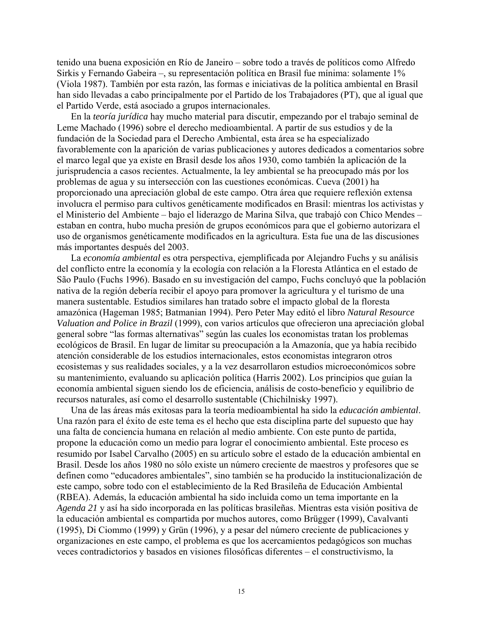tenido una buena exposición en Río de Janeiro – sobre todo a través de políticos como Alfredo Sirkis y Fernando Gabeira –, su representación política en Brasil fue mínima: solamente 1% (Viola 1987). También por esta razón, las formas e iniciativas de la política ambiental en Brasil han sido llevadas a cabo principalmente por el Partido de los Trabajadores (PT), que al igual que el Partido Verde, está asociado a grupos internacionales.

En la *teoría jurídica* hay mucho material para discutir, empezando por el trabajo seminal de Leme Machado (1996) sobre el derecho medioambiental. A partir de sus estudios y de la fundación de la Sociedad para el Derecho Ambiental, esta área se ha especializado favorablemente con la aparición de varias publicaciones y autores dedicados a comentarios sobre el marco legal que ya existe en Brasil desde los años 1930, como también la aplicación de la jurisprudencia a casos recientes. Actualmente, la ley ambiental se ha preocupado más por los problemas de agua y su intersección con las cuestiones económicas. Cueva (2001) ha proporcionado una apreciación global de este campo. Otra área que requiere reflexión extensa involucra el permiso para cultivos genéticamente modificados en Brasil: mientras los activistas y el Ministerio del Ambiente – bajo el liderazgo de Marina Silva, que trabajó con Chico Mendes – estaban en contra, hubo mucha presión de grupos económicos para que el gobierno autorizara el uso de organismos genéticamente modificados en la agricultura. Esta fue una de las discusiones más importantes después del 2003.

La *economía ambiental* es otra perspectiva, ejemplificada por Alejandro Fuchs y su análisis del conflicto entre la economía y la ecología con relación a la Floresta Atlántica en el estado de São Paulo (Fuchs 1996). Basado en su investigación del campo, Fuchs concluyó que la población nativa de la región debería recibir el apoyo para promover la agricultura y el turismo de una manera sustentable. Estudios similares han tratado sobre el impacto global de la floresta amazónica (Hageman 1985; Batmanian 1994). Pero Peter May editó el libro *Natural Resource Valuation and Police in Brazil* (1999), con varios artículos que ofrecieron una apreciación global general sobre "las formas alternativas" según las cuales los economistas tratan los problemas ecológicos de Brasil. En lugar de limitar su preocupación a la Amazonía, que ya había recibido atención considerable de los estudios internacionales, estos economistas integraron otros ecosistemas y sus realidades sociales, y a la vez desarrollaron estudios microeconómicos sobre su mantenimiento, evaluando su aplicación política (Harris 2002). Los principios que guían la economía ambiental siguen siendo los de eficiencia, análisis de costo-beneficio y equilibrio de recursos naturales, así como el desarrollo sustentable (Chichilnisky 1997).

Una de las áreas más exitosas para la teoría medioambiental ha sido la *educación ambiental*. Una razón para el éxito de este tema es el hecho que esta disciplina parte del supuesto que hay una falta de conciencia humana en relación al medio ambiente. Con este punto de partida, propone la educación como un medio para lograr el conocimiento ambiental. Este proceso es resumido por Isabel Carvalho (2005) en su artículo sobre el estado de la educación ambiental en Brasil. Desde los años 1980 no sólo existe un número creciente de maestros y profesores que se definen como "educadores ambientales", sino también se ha producido la institucionalización de este campo, sobre todo con el establecimiento de la Red Brasileña de Educación Ambiental (RBEA). Además, la educación ambiental ha sido incluida como un tema importante en la *Agenda 21* y así ha sido incorporada en las políticas brasileñas. Mientras esta visión positiva de la educación ambiental es compartida por muchos autores, como Brügger (1999), Cavalvanti (1995), Di Ciommo (1999) y Grün (1996), y a pesar del número creciente de publicaciones y organizaciones en este campo, el problema es que los acercamientos pedagógicos son muchas veces contradictorios y basados en visiones filosóficas diferentes – el constructivismo, la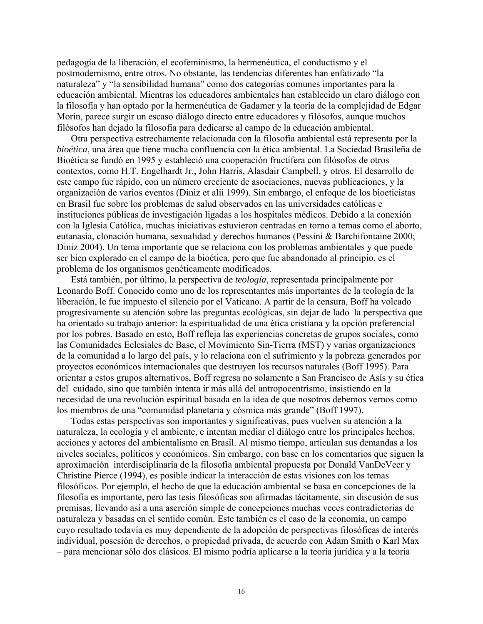pedagogía de la liberación, el ecofeminismo, la hermenéutica, el conductismo y el postmodernismo, entre otros. No obstante, las tendencias diferentes han enfatizado "la naturaleza" y "la sensibilidad humana" como dos categorías comunes importantes para la educación ambiental. Mientras los educadores ambientales han establecido un claro diálogo con la filosofía y han optado por la hermenéutica de Gadamer y la teoría de la complejidad de Edgar Morin, parece surgir un escaso diálogo directo entre educadores y filósofos, aunque muchos filósofos han dejado la filosofía para dedicarse al campo de la educación ambiental.

Otra perspectiva estrechamente relacionada con la filosofía ambiental está representa por la *bioética*, una área que tiene mucha confluencia con la ética ambiental. La Sociedad Brasileña de Bioética se fundó en 1995 y estableció una cooperación fructífera con filósofos de otros contextos, como H.T. Engelhardt Jr., John Harris, Alasdair Campbell, y otros. El desarrollo de este campo fue rápido, con un número creciente de asociaciones, nuevas publicaciones, y la organización de varios eventos (Diniz et alii 1999). Sin embargo, el enfoque de los bioeticistas en Brasil fue sobre los problemas de salud observados en las universidades católicas e instituciones públicas de investigación ligadas a los hospitales médicos. Debido a la conexión con la Iglesia Católica, muchas iniciativas estuvieron centradas en torno a temas como el aborto, eutanasia, clonación humana, sexualidad y derechos humanos (Pessini & Barchifontaine 2000; Diniz 2004). Un tema importante que se relaciona con los problemas ambientales y que puede ser bien explorado en el campo de la bioética, pero que fue abandonado al principio, es el problema de los organismos genéticamente modificados.

Está también, por último, la perspectiva de *teología*, representada principalmente por Leonardo Boff. Conocido como uno de los representantes más importantes de la teología de la liberación, le fue impuesto el silencio por el Vaticano. A partir de la censura, Boff ha volcado progresivamente su atención sobre las preguntas ecológicas, sin dejar de lado la perspectiva que ha orientado su trabajo anterior: la espiritualidad de una ética cristiana y la opción preferencial por los pobres. Basado en esto, Boff refleja las experiencias concretas de grupos sociales, como las Comunidades Eclesiales de Base, el Movimiento Sin-Tierra (MST) y varias organizaciones de la comunidad a lo largo del país, y lo relaciona con el sufrimiento y la pobreza generados por proyectos económicos internacionales que destruyen los recursos naturales (Boff 1995). Para orientar a estos grupos alternativos, Boff regresa no solamente a San Francisco de Asís y su ética del cuidado, sino que también intenta ir más allá del antropocentrismo, insistiendo en la necesidad de una revolución espiritual basada en la idea de que nosotros debemos vernos como los miembros de una "comunidad planetaria y cósmica más grande" (Boff 1997).

Todas estas perspectivas son importantes y significativas, pues vuelven su atención a la naturaleza, la ecología y el ambiente, e intentan mediar el diálogo entre los principales hechos, acciones y actores del ambientalismo en Brasil. Al mismo tiempo, articulan sus demandas a los niveles sociales, políticos y económicos. Sin embargo, con base en los comentarios que siguen la aproximación interdisciplinaria de la filosofía ambiental propuesta por Donald VanDeVeer y Christine Pierce (1994), es posible indicar la interacción de estas visiones con los temas filosóficos. Por ejemplo, el hecho de que la educación ambiental se basa en concepciones de la filosofía es importante, pero las tesis filosóficas son afirmadas tácitamente, sin discusión de sus premisas, llevando así a una aserción simple de concepciones muchas veces contradictorias de naturaleza y basadas en el sentido común. Este también es el caso de la economía, un campo cuyo resultado todavía es muy dependiente de la adopción de perspectivas filosóficas de interés individual, posesión de derechos, o propiedad privada, de acuerdo con Adam Smith o Karl Max – para mencionar sólo dos clásicos. El mismo podría aplicarse a la teoría jurídica y a la teoría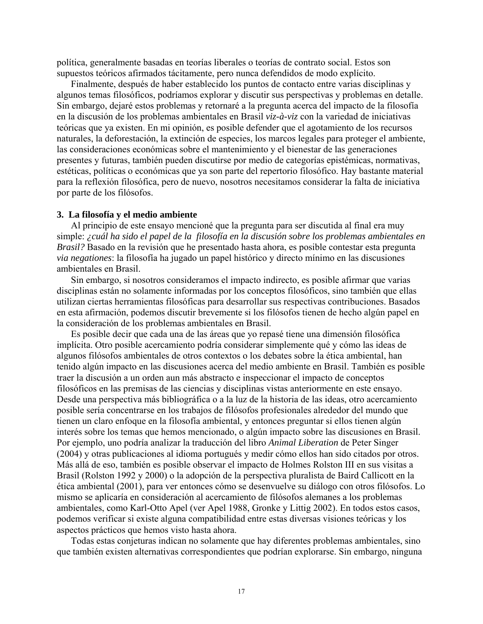política, generalmente basadas en teorías liberales o teorías de contrato social. Estos son supuestos teóricos afirmados tácitamente, pero nunca defendidos de modo explícito.

Finalmente, después de haber establecido los puntos de contacto entre varias disciplinas y algunos temas filosóficos, podríamos explorar y discutir sus perspectivas y problemas en detalle. Sin embargo, dejaré estos problemas y retornaré a la pregunta acerca del impacto de la filosofía en la discusión de los problemas ambientales en Brasil *viz-à-viz* con la variedad de iniciativas teóricas que ya existen. En mi opinión, es posible defender que el agotamiento de los recursos naturales, la deforestación, la extinción de especies, los marcos legales para proteger el ambiente, las consideraciones económicas sobre el mantenimiento y el bienestar de las generaciones presentes y futuras, también pueden discutirse por medio de categorías epistémicas, normativas, estéticas, políticas o económicas que ya son parte del repertorio filosófico. Hay bastante material para la reflexión filosófica, pero de nuevo, nosotros necesitamos considerar la falta de iniciativa por parte de los filósofos.

#### **3. La filosofía y el medio ambiente**

Al principio de este ensayo mencioné que la pregunta para ser discutida al final era muy simple: *¿cuál ha sido el papel de la filosofía en la discusión sobre los problemas ambientales en Brasil?* Basado en la revisión que he presentado hasta ahora, es posible contestar esta pregunta *via negationes*: la filosofía ha jugado un papel histórico y directo mínimo en las discusiones ambientales en Brasil.

Sin embargo, si nosotros consideramos el impacto indirecto, es posible afirmar que varias disciplinas están no solamente informadas por los conceptos filosóficos, sino también que ellas utilizan ciertas herramientas filosóficas para desarrollar sus respectivas contribuciones. Basados en esta afirmación, podemos discutir brevemente si los filósofos tienen de hecho algún papel en la consideración de los problemas ambientales en Brasil.

Es posible decir que cada una de las áreas que yo repasé tiene una dimensión filosófica implícita. Otro posible acercamiento podría considerar simplemente qué y cómo las ideas de algunos filósofos ambientales de otros contextos o los debates sobre la ética ambiental, han tenido algún impacto en las discusiones acerca del medio ambiente en Brasil. También es posible traer la discusión a un orden aun más abstracto e inspeccionar el impacto de conceptos filosóficos en las premisas de las ciencias y disciplinas vistas anteriormente en este ensayo. Desde una perspectiva más bibliográfica o a la luz de la historia de las ideas, otro acercamiento posible sería concentrarse en los trabajos de filósofos profesionales alrededor del mundo que tienen un claro enfoque en la filosofía ambiental, y entonces preguntar si ellos tienen algún interés sobre los temas que hemos mencionado, o algún impacto sobre las discusiones en Brasil. Por ejemplo, uno podría analizar la traducción del libro *Animal Liberation* de Peter Singer (2004) y otras publicaciones al idioma portugués y medir cómo ellos han sido citados por otros. Más allá de eso, también es posible observar el impacto de Holmes Rolston III en sus visitas a Brasil (Rolston 1992 y 2000) o la adopción de la perspectiva pluralista de Baird Callicott en la ética ambiental (2001), para ver entonces cómo se desenvuelve su diálogo con otros filósofos. Lo mismo se aplicaría en consideración al acercamiento de filósofos alemanes a los problemas ambientales, como Karl-Otto Apel (ver Apel 1988, Gronke y Littig 2002). En todos estos casos, podemos verificar si existe alguna compatibilidad entre estas diversas visiones teóricas y los aspectos prácticos que hemos visto hasta ahora.

Todas estas conjeturas indican no solamente que hay diferentes problemas ambientales, sino que también existen alternativas correspondientes que podrían explorarse. Sin embargo, ninguna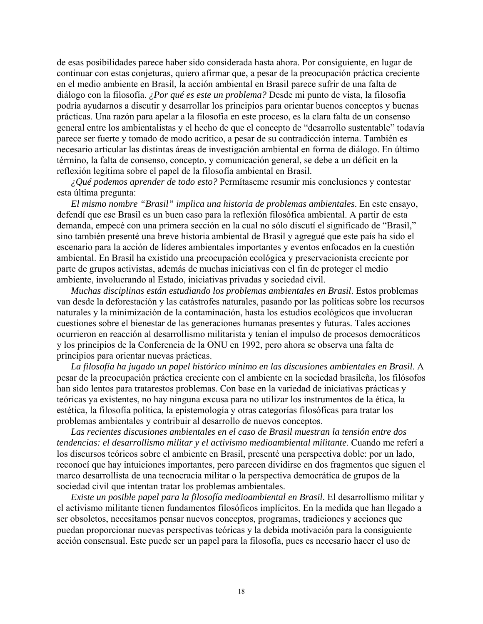de esas posibilidades parece haber sido considerada hasta ahora. Por consiguiente, en lugar de continuar con estas conjeturas, quiero afirmar que, a pesar de la preocupación práctica creciente en el medio ambiente en Brasil, la acción ambiental en Brasil parece sufrir de una falta de diálogo con la filosofía. *¿Por qué es este un problema?* Desde mi punto de vista, la filosofía podría ayudarnos a discutir y desarrollar los principios para orientar buenos conceptos y buenas prácticas. Una razón para apelar a la filosofía en este proceso, es la clara falta de un consenso general entre los ambientalistas y el hecho de que el concepto de "desarrollo sustentable" todavía parece ser fuerte y tomado de modo acrítico, a pesar de su contradicción interna. También es necesario articular las distintas áreas de investigación ambiental en forma de diálogo. En último término, la falta de consenso, concepto, y comunicación general, se debe a un déficit en la reflexión legítima sobre el papel de la filosofía ambiental en Brasil.

*¿Qué podemos aprender de todo esto?* Permítaseme resumir mis conclusiones y contestar esta última pregunta:

*El mismo nombre "Brasil" implica una historia de problemas ambientales*. En este ensayo, defendí que ese Brasil es un buen caso para la reflexión filosófica ambiental. A partir de esta demanda, empecé con una primera sección en la cual no sólo discutí el significado de "Brasil," sino también presenté una breve historia ambiental de Brasil y agregué que este país ha sido el escenario para la acción de líderes ambientales importantes y eventos enfocados en la cuestión ambiental. En Brasil ha existido una preocupación ecológica y preservacionista creciente por parte de grupos activistas, además de muchas iniciativas con el fin de proteger el medio ambiente, involucrando al Estado, iniciativas privadas y sociedad civil.

*Muchas disciplinas están estudiando los problemas ambientales en Brasil*. Estos problemas van desde la deforestación y las catástrofes naturales, pasando por las políticas sobre los recursos naturales y la minimización de la contaminación, hasta los estudios ecológicos que involucran cuestiones sobre el bienestar de las generaciones humanas presentes y futuras. Tales acciones ocurrieron en reacción al desarrollismo militarista y tenían el impulso de procesos democráticos y los principios de la Conferencia de la ONU en 1992, pero ahora se observa una falta de principios para orientar nuevas prácticas.

*La filosofía ha jugado un papel histórico mínimo en las discusiones ambientales en Brasil*. A pesar de la preocupación práctica creciente con el ambiente en la sociedad brasileña, los filósofos han sido lentos para tratarestos problemas. Con base en la variedad de iniciativas prácticas y teóricas ya existentes, no hay ninguna excusa para no utilizar los instrumentos de la ética, la estética, la filosofía política, la epistemología y otras categorías filosóficas para tratar los problemas ambientales y contribuir al desarrollo de nuevos conceptos.

*Las recientes discusiones ambientales en el caso de Brasil muestran la tensión entre dos tendencias: el desarrollismo militar y el activismo medioambiental militante*. Cuando me referí a los discursos teóricos sobre el ambiente en Brasil, presenté una perspectiva doble: por un lado, reconocí que hay intuiciones importantes, pero parecen dividirse en dos fragmentos que siguen el marco desarrollista de una tecnocracia militar o la perspectiva democrática de grupos de la sociedad civil que intentan tratar los problemas ambientales.

*Existe un posible papel para la filosofía medioambiental en Brasil*. El desarrollismo militar y el activismo militante tienen fundamentos filosóficos implícitos. En la medida que han llegado a ser obsoletos, necesitamos pensar nuevos conceptos, programas, tradiciones y acciones que puedan proporcionar nuevas perspectivas teóricas y la debida motivación para la consiguiente acción consensual. Este puede ser un papel para la filosofía, pues es necesario hacer el uso de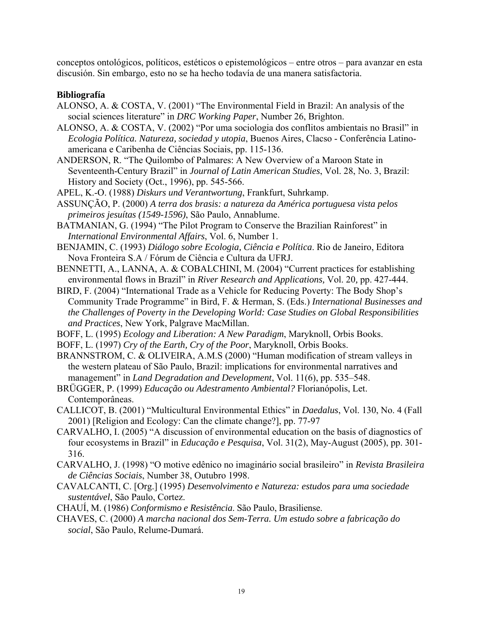conceptos ontológicos, políticos, estéticos o epistemológicos – entre otros – para avanzar en esta discusión. Sin embargo, esto no se ha hecho todavía de una manera satisfactoria.

### **Bibliografía**

- ALONSO, A. & COSTA, V. (2001) "The Environmental Field in Brazil: An analysis of the social sciences literature" in *DRC Working Paper*, Number 26, Brighton.
- ALONSO, A. & COSTA, V. (2002) "Por uma sociologia dos conflitos ambientais no Brasil" in *Ecologia Política. Natureza, sociedad y utopia*, Buenos Aires, Clacso - Conferência Latinoamericana e Caribenha de Ciências Sociais, pp. 115-136.
- ANDERSON, R. "The Quilombo of Palmares: A New Overview of a Maroon State in Seventeenth-Century Brazil" in *Journal of Latin American Studies*, Vol. 28, No. 3, Brazil: History and Society (Oct., 1996), pp. 545-566.
- APEL, K.-O. (1988) *Diskurs und Verantwortung*, Frankfurt, Suhrkamp.
- ASSUNÇÃO, P. (2000) *A terra dos brasis: a natureza da América portuguesa vista pelos primeiros jesuítas (1549-1596)*, São Paulo, Annablume.
- BATMANIAN, G. (1994) "The Pilot Program to Conserve the Brazilian Rainforest" in *International Environmental Affairs*, Vol. 6, Number 1.

BENJAMIN, C. (1993) *Diálogo sobre Ecologia, Ciência e Política*. Rio de Janeiro, Editora Nova Fronteira S.A / Fórum de Ciência e Cultura da UFRJ.

BENNETTI, A., LANNA, A. & COBALCHINI, M. (2004) "Current practices for establishing environmental flows in Brazil" in *River Research and Applications,* Vol. 20*,* pp. 427-444.

- BIRD, F. (2004) "International Trade as a Vehicle for Reducing Poverty: The Body Shop's Community Trade Programme" in Bird, F. & Herman, S. (Eds.) *International Businesses and the Challenges of Poverty in the Developing World: Case Studies on Global Responsibilities and Practices*, New York, Palgrave MacMillan.
- BOFF, L. (1995) *Ecology and Liberation: A New Paradigm*, Maryknoll, Orbis Books.

BOFF, L. (1997) *Cry of the Earth, Cry of the Poor*, Maryknoll, Orbis Books.

- BRANNSTROM, C. & OLIVEIRA, A.M.S (2000) "Human modification of stream valleys in the western plateau of São Paulo, Brazil: implications for environmental narratives and management" in *Land Degradation and Development*, Vol. 11(6), pp. 535–548.
- BRÜGGER, P. (1999) *Educação ou Adestramento Ambiental?* Florianópolis, Let. Contemporâneas.
- CALLICOT, B. (2001) "Multicultural Environmental Ethics" in *Daedalus*, Vol. 130, No. 4 (Fall 2001) [Religion and Ecology: Can the climate change?], pp. 77-97
- CARVALHO, I. (2005) "A discussion of environmental education on the basis of diagnostics of four ecosystems in Brazil" in *Educação e Pesquisa*, Vol. 31(2), May-August (2005), pp. 301- 316.
- CARVALHO, J. (1998) "O motive edênico no imaginário social brasileiro" in *Revista Brasileira de Ciências Sociais*, Number 38, Outubro 1998.
- CAVALCANTI, C. [Org.] (1995) *Desenvolvimento e Natureza: estudos para uma sociedade sustentável*, São Paulo, Cortez.
- CHAUÍ, M. (1986) *Conformismo e Resistência*. São Paulo, Brasiliense.
- CHAVES, C. (2000) *A marcha nacional dos Sem-Terra. Um estudo sobre a fabricação do social*, São Paulo, Relume-Dumará.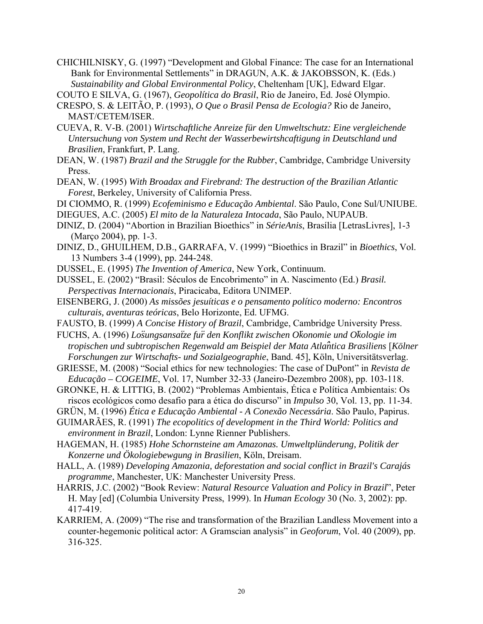CHICHILNISKY, G. (1997) "Development and Global Finance: The case for an International Bank for Environmental Settlements" in DRAGUN, A.K. & JAKOBSSON, K. (Eds.) *Sustainability and Global Environmental Policy*, Cheltenham [UK], Edward Elgar.

COUTO E SILVA, G. (1967), *Geopolítica do Brasil*, Rio de Janeiro, Ed. José Olympio.

- CRESPO, S. & LEITÃO, P. (1993), *O Que o Brasil Pensa de Ecologia?* Rio de Janeiro, MAST/CETEM/ISER.
- CUEVA, R. V-B. (2001) *Wirtschaftliche Anreize für den Umweltschutz: Eine vergleichende Untersuchung von System und Recht der Wasserbewirtshcaftigung in Deutschland und Brasilien*, Frankfurt, P. Lang.
- DEAN, W. (1987) *Brazil and the Struggle for the Rubber*, Cambridge, Cambridge University Press.
- DEAN, W. (1995) *With Broadax and Firebrand: The destruction of the Brazilian Atlantic Forest*, Berkeley, University of California Press.
- DI CIOMMO, R. (1999) *Ecofeminismo e Educação Ambiental*. São Paulo, Cone Sul/UNIUBE.
- DIEGUES, A.C. (2005) *El mito de la Naturaleza Intocada*, São Paulo, NUPAUB.
- DINIZ, D. (2004) "Abortion in Brazilian Bioethics" in *SérieAnis*, Brasília [LetrasLivres], 1-3 (Março 2004), pp. 1-3.
- DINIZ, D., GHUILHEM, D.B., GARRAFA, V. (1999) "Bioethics in Brazil" in *Bioethics*, Vol. 13 Numbers 3-4 (1999), pp. 244-248.
- DUSSEL, E. (1995) *The Invention of America*, New York, Continuum.
- DUSSEL, E. (2002) "Brasil: Séculos de Encobrimento" in A. Nascimento (Ed.) *Brasil. Perspectivas Internacionais*, Piracicaba, Editora UNIMEP.
- EISENBERG, J. (2000) *As missões jesuíticas e o pensamento político moderno: Encontros culturais, aventuras teóricas*, Belo Horizonte, Ed. UFMG.
- FAUSTO, B. (1999) *A Concise History of Brazil*, Cambridge, Cambridge University Press.
- FUCHS, A. (1996) *Lo*̈*sungsansa*̈*tze fu*̈*r den Konflikt zwischen O*̈*konomie und O*̈*kologie im tropischen und subtropischen Regenwald am Beispiel der Mata Atla*̂*ntica Brasiliens* [*Kölner Forschungen zur Wirtschafts- und Sozialgeographie*, Band. 45], Köln, Universitätsverlag.
- GRIESSE, M. (2008) "Social ethics for new technologies: The case of DuPont" in *Revista de Educação – COGEIME*, Vol. 17, Number 32-33 (Janeiro-Dezembro 2008), pp. 103-118.
- GRONKE, H. & LITTIG, B. (2002) "Problemas Ambientais, Ética e Política Ambientais: Os riscos ecológicos como desafio para a ética do discurso" in *Impulso* 30, Vol. 13, pp. 11-34.
- GRÜN, M. (1996) *Ética e Educação Ambiental A Conexão Necessária*. São Paulo, Papirus.
- GUIMARÃES, R. (1991) *The ecopolitics of development in the Third World: Politics and environment in Brazil*, London: Lynne Rienner Publishers.
- HAGEMAN, H. (1985) *Hohe Schornsteine am Amazonas. Umweltplünderung, Politik der Konzerne und Ökologiebewgung in Brasilien*, Köln, Dreisam.
- HALL, A. (1989) *Developing Amazonia, deforestation and social conflict in Brazil's Carajás programme*, Manchester, UK: Manchester University Press.
- HARRIS, J.C. (2002) "Book Review: *Natural Resource Valuation and Policy in Brazil*", Peter H. May [ed] (Columbia University Press, 1999). In *Human Ecology* 30 (No. 3, 2002): pp. 417-419.
- KARRIEM, A. (2009) "The rise and transformation of the Brazilian Landless Movement into a counter-hegemonic political actor: A Gramscian analysis" in *Geoforum*, Vol. 40 (2009), pp. 316-325.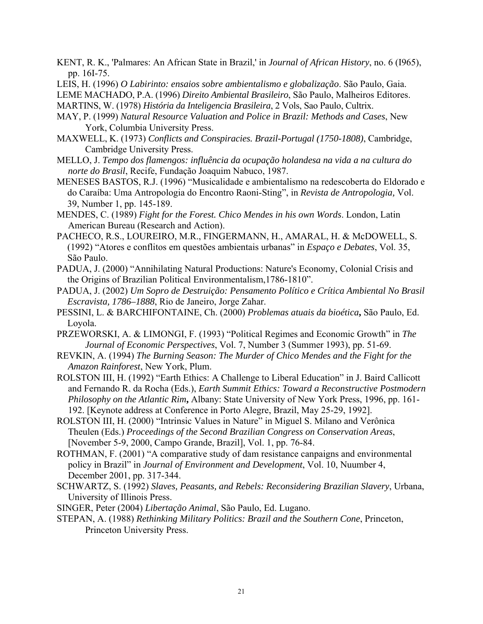- KENT, R. K., 'Palmares: An African State in Brazil,' in *Journal of African History*, no. 6 (I965), pp. 16I-75.
- LEIS, H. (1996) *O Labirinto: ensaios sobre ambientalismo e globalização*. São Paulo, Gaia.

LEME MACHADO, P.A. (1996) *Direito Ambiental Brasileiro*, São Paulo, Malheiros Editores. MARTINS, W. (1978) *História da Inteligencia Brasileira*, 2 Vols, Sao Paulo, Cultrix.

- MAY, P. (1999) *Natural Resource Valuation and Police in Brazil: Methods and Cases*, New York, Columbia University Press.
- MAXWELL, K. (1973) *Conflicts and Conspiracies. Brazil-Portugal (1750-1808)*, Cambridge, Cambridge University Press.
- MELLO, J. *Tempo dos flamengos: influência da ocupação holandesa na vida a na cultura do norte do Brasil*, Recife, Fundação Joaquim Nabuco, 1987.
- MENESES BASTOS, R.J. (1996) "Musicalidade e ambientalismo na redescoberta do Eldorado e do Caraíba: Uma Antropologia do Encontro Raoni-Sting", in *Revista de Antropologia,* Vol. 39, Number 1, pp. 145-189.
- MENDES, C. (1989) *Fight for the Forest. Chico Mendes in his own Words*. London, Latin American Bureau (Research and Action).
- PACHECO, R.S., LOUREIRO, M.R., FINGERMANN, H., AMARAL, H. & McDOWELL, S. (1992) "Atores e conflitos em questões ambientais urbanas" in *Espaço e Debates*, Vol. 35, São Paulo.
- PADUA, J. (2000) "Annihilating Natural Productions: Nature's Economy, Colonial Crisis and the Origins of Brazilian Political Environmentalism,1786-1810".
- PADUA, J. (2002) *Um Sopro de Destruição: Pensamento Político e Crítica Ambiental No Brasil Escravista, 1786–1888*, Rio de Janeiro, Jorge Zahar.
- PESSINI, L. & BARCHIFONTAINE, Ch. (2000) *Problemas atuais da bioética***,** São Paulo, Ed. Loyola.
- PRZEWORSKI, A. & LIMONGI, F. (1993) "Political Regimes and Economic Growth" in *The Journal of Economic Perspectives*, Vol. 7, Number 3 (Summer 1993), pp. 51-69.
- REVKIN, A. (1994) *The Burning Season: The Murder of Chico Mendes and the Fight for the Amazon Rainforest*, New York, Plum.
- ROLSTON III, H. (1992) "Earth Ethics: A Challenge to Liberal Education" in J. Baird Callicott and Fernando R. da Rocha (Eds.), *Earth Summit Ethics: Toward a Reconstructive Postmodern Philosophy on the Atlantic Rim*, Albany: State University of New York Press, 1996, pp. 161-192. [Keynote address at Conference in Porto Alegre, Brazil, May 25-29, 1992].
- ROLSTON III, H. (2000) "Intrinsic Values in Nature" in Miguel S. Milano and Verônica Theulen (Eds.) *Proceedings of the Second Brazilian Congress on Conservation Areas*, [November 5-9, 2000, Campo Grande, Brazil], Vol. 1, pp. 76-84.
- ROTHMAN, F. (2001) "A comparative study of dam resistance canpaigns and environmental policy in Brazil" in *Journal of Environment and Development*, Vol. 10, Nuumber 4, December 2001, pp. 317-344.
- SCHWARTZ, S. (1992) *Slaves, Peasants, and Rebels: Reconsidering Brazilian Slavery*, Urbana, University of Illinois Press.
- SINGER, Peter (2004) *Libertação Animal*, São Paulo, Ed. Lugano.
- STEPAN, A. (1988) *Rethinking Military Politics: Brazil and the Southern Cone*, Princeton, Princeton University Press.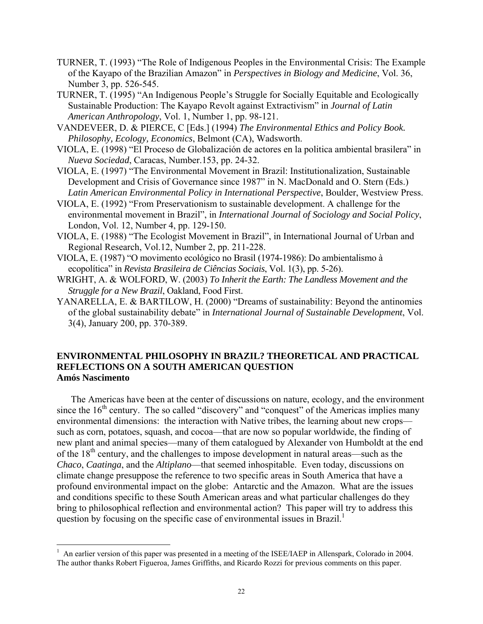- TURNER, T. (1993) "The Role of Indigenous Peoples in the Environmental Crisis: The Example of the Kayapo of the Brazilian Amazon" in *Perspectives in Biology and Medicine*, Vol. 36, Number 3, pp. 526-545.
- TURNER, T. (1995) "An Indigenous People's Struggle for Socially Equitable and Ecologically Sustainable Production: The Kayapo Revolt against Extractivism" in *Journal of Latin American Anthropology*, Vol. 1, Number 1, pp. 98-121.
- VANDEVEER, D. & PIERCE, C [Eds.] (1994) *The Environmental Ethics and Policy Book. Philosophy, Ecology, Economics*, Belmont (CA), Wadsworth.
- VIOLA, E. (1998) "El Proceso de Globalización de actores en la politica ambiental brasilera" in *Nueva Sociedad*, Caracas, Number.153, pp. 24-32.
- VIOLA, E. (1997) "The Environmental Movement in Brazil: Institutionalization, Sustainable Development and Crisis of Governance since 1987" in N. MacDonald and O. Stern (Eds.) *Latin American Environmental Policy in International Perspective*, Boulder, Westview Press.
- VIOLA, E. (1992) "From Preservationism to sustainable development. A challenge for the environmental movement in Brazil", in *International Journal of Sociology and Social Policy*, London, Vol. 12, Number 4, pp. 129-150.
- VIOLA, E. (1988) "The Ecologist Movement in Brazil", in International Journal of Urban and Regional Research, Vol.12, Number 2, pp. 211-228.
- VIOLA, E. (1987) "O movimento ecológico no Brasil (1974-1986): Do ambientalismo à ecopolítica" in *Revista Brasileira de Ciências Sociais*, Vol. 1(3), pp. 5-26).
- WRIGHT, A. & WOLFORD, W. (2003) *To Inherit the Earth: The Landless Movement and the Struggle for a New Brazil*, Oakland, Food First.
- YANARELLA, E. & BARTILOW, H. (2000) "Dreams of sustainability: Beyond the antinomies of the global sustainability debate" in *International Journal of Sustainable Development*, Vol. 3(4), January 200, pp. 370-389.

## **ENVIRONMENTAL PHILOSOPHY IN BRAZIL? THEORETICAL AND PRACTICAL REFLECTIONS ON A SOUTH AMERICAN QUESTION Amós Nascimento**

The Americas have been at the center of discussions on nature, ecology, and the environment since the  $16<sup>th</sup>$  century. The so called "discovery" and "conquest" of the Americas implies many environmental dimensions: the interaction with Native tribes, the learning about new crops such as corn, potatoes, squash, and cocoa—that are now so popular worldwide, the finding of new plant and animal species—many of them catalogued by Alexander von Humboldt at the end of the  $18<sup>th</sup>$  century, and the challenges to impose development in natural areas—such as the *Chaco*, *Caatinga*, and the *Altiplano*—that seemed inhospitable. Even today, discussions on climate change presuppose the reference to two specific areas in South America that have a profound environmental impact on the globe: Antarctic and the Amazon. What are the issues and conditions specific to these South American areas and what particular challenges do they bring to philosophical reflection and environmental action? This paper will try to address this question by focusing on the specific case of environmental issues in Brazil.<sup>1</sup>

 $\overline{a}$ 

<sup>&</sup>lt;sup>1</sup> An earlier version of this paper was presented in a meeting of the ISEE/IAEP in Allenspark, Colorado in 2004. The author thanks Robert Figueroa, James Griffiths, and Ricardo Rozzi for previous comments on this paper.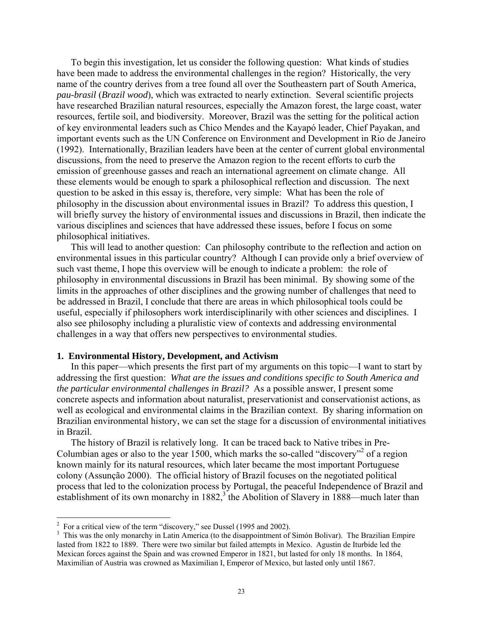To begin this investigation, let us consider the following question: What kinds of studies have been made to address the environmental challenges in the region? Historically, the very name of the country derives from a tree found all over the Southeastern part of South America, *pau-brasil* (*Brazil wood*), which was extracted to nearly extinction. Several scientific projects have researched Brazilian natural resources, especially the Amazon forest, the large coast, water resources, fertile soil, and biodiversity. Moreover, Brazil was the setting for the political action of key environmental leaders such as Chico Mendes and the Kayapó leader, Chief Payakan, and important events such as the UN Conference on Environment and Development in Rio de Janeiro (1992). Internationally, Brazilian leaders have been at the center of current global environmental discussions, from the need to preserve the Amazon region to the recent efforts to curb the emission of greenhouse gasses and reach an international agreement on climate change. All these elements would be enough to spark a philosophical reflection and discussion. The next question to be asked in this essay is, therefore, very simple: What has been the role of philosophy in the discussion about environmental issues in Brazil? To address this question, I will briefly survey the history of environmental issues and discussions in Brazil, then indicate the various disciplines and sciences that have addressed these issues, before I focus on some philosophical initiatives.

This will lead to another question: Can philosophy contribute to the reflection and action on environmental issues in this particular country? Although I can provide only a brief overview of such vast theme, I hope this overview will be enough to indicate a problem: the role of philosophy in environmental discussions in Brazil has been minimal. By showing some of the limits in the approaches of other disciplines and the growing number of challenges that need to be addressed in Brazil, I conclude that there are areas in which philosophical tools could be useful, especially if philosophers work interdisciplinarily with other sciences and disciplines. I also see philosophy including a pluralistic view of contexts and addressing environmental challenges in a way that offers new perspectives to environmental studies.

#### **1. Environmental History, Development, and Activism**

In this paper—which presents the first part of my arguments on this topic—I want to start by addressing the first question: *What are the issues and conditions specific to South America and the particular environmental challenges in Brazil?* As a possible answer, I present some concrete aspects and information about naturalist, preservationist and conservationist actions, as well as ecological and environmental claims in the Brazilian context. By sharing information on Brazilian environmental history, we can set the stage for a discussion of environmental initiatives in Brazil.

The history of Brazil is relatively long. It can be traced back to Native tribes in Pre-Columbian ages or also to the year  $1500$ , which marks the so-called "discovery"<sup>2</sup> of a region known mainly for its natural resources, which later became the most important Portuguese colony (Assunção 2000). The official history of Brazil focuses on the negotiated political process that led to the colonization process by Portugal, the peaceful Independence of Brazil and establishment of its own monarchy in  $1882$ ,<sup>3</sup> the Abolition of Slavery in  $1888$ —much later than

 $\overline{a}$ 

<sup>&</sup>lt;sup>2</sup> For a critical view of the term "discovery," see Dussel (1995 and 2002).

<sup>&</sup>lt;sup>3</sup> This was the only monarchy in Latin America (to the disappointment of Simón Bolivar). The Brazilian Empire lasted from 1822 to 1889. There were two similar but failed attempts in Mexico. Agustin de Iturbide led the Mexican forces against the Spain and was crowned Emperor in 1821, but lasted for only 18 months. In 1864, Maximilian of Austria was crowned as Maximilian I, Emperor of Mexico, but lasted only until 1867.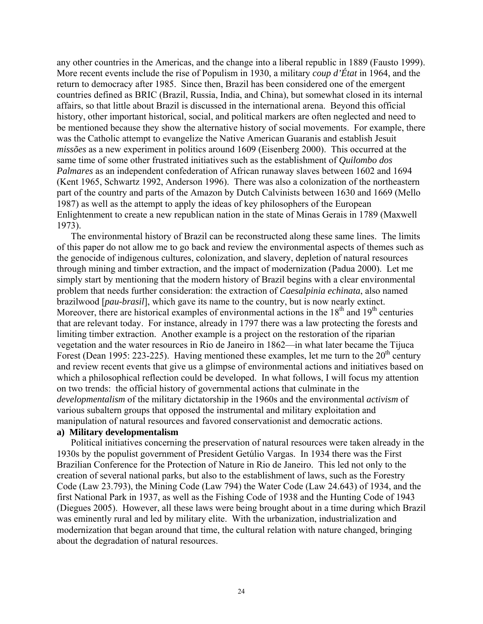any other countries in the Americas, and the change into a liberal republic in 1889 (Fausto 1999). More recent events include the rise of Populism in 1930, a military *coup d'État* in 1964, and the return to democracy after 1985. Since then, Brazil has been considered one of the emergent countries defined as BRIC (Brazil, Russia, India, and China), but somewhat closed in its internal affairs, so that little about Brazil is discussed in the international arena. Beyond this official history, other important historical, social, and political markers are often neglected and need to be mentioned because they show the alternative history of social movements. For example, there was the Catholic attempt to evangelize the Native American Guaranis and establish Jesuit *missões* as a new experiment in politics around 1609 (Eisenberg 2000). This occurred at the same time of some other frustrated initiatives such as the establishment of *Quilombo dos Palmares* as an independent confederation of African runaway slaves between 1602 and 1694 (Kent 1965, Schwartz 1992, Anderson 1996). There was also a colonization of the northeastern part of the country and parts of the Amazon by Dutch Calvinists between 1630 and 1669 (Mello 1987) as well as the attempt to apply the ideas of key philosophers of the European Enlightenment to create a new republican nation in the state of Minas Gerais in 1789 (Maxwell 1973).

The environmental history of Brazil can be reconstructed along these same lines. The limits of this paper do not allow me to go back and review the environmental aspects of themes such as the genocide of indigenous cultures, colonization, and slavery, depletion of natural resources through mining and timber extraction, and the impact of modernization (Padua 2000). Let me simply start by mentioning that the modern history of Brazil begins with a clear environmental problem that needs further consideration: the extraction of *Caesalpinia echinata*, also named brazilwood [*pau-brasil*], which gave its name to the country, but is now nearly extinct. Moreover, there are historical examples of environmental actions in the  $18<sup>th</sup>$  and  $19<sup>th</sup>$  centuries that are relevant today. For instance, already in 1797 there was a law protecting the forests and limiting timber extraction. Another example is a project on the restoration of the riparian vegetation and the water resources in Rio de Janeiro in 1862—in what later became the Tijuca Forest (Dean 1995: 223-225). Having mentioned these examples, let me turn to the  $20<sup>th</sup>$  century and review recent events that give us a glimpse of environmental actions and initiatives based on which a philosophical reflection could be developed. In what follows, I will focus my attention on two trends: the official history of governmental actions that culminate in the *developmentalism* of the military dictatorship in the 1960s and the environmental *activism* of various subaltern groups that opposed the instrumental and military exploitation and manipulation of natural resources and favored conservationist and democratic actions.

#### **a) Military developmentalism**

Political initiatives concerning the preservation of natural resources were taken already in the 1930s by the populist government of President Getúlio Vargas. In 1934 there was the First Brazilian Conference for the Protection of Nature in Rio de Janeiro. This led not only to the creation of several national parks, but also to the establishment of laws, such as the Forestry Code (Law 23.793), the Mining Code (Law 794) the Water Code (Law 24.643) of 1934, and the first National Park in 1937, as well as the Fishing Code of 1938 and the Hunting Code of 1943 (Diegues 2005). However, all these laws were being brought about in a time during which Brazil was eminently rural and led by military elite. With the urbanization, industrialization and modernization that began around that time, the cultural relation with nature changed, bringing about the degradation of natural resources.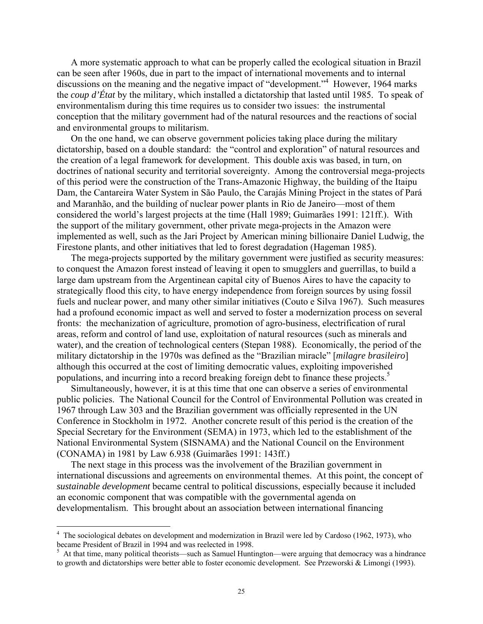A more systematic approach to what can be properly called the ecological situation in Brazil can be seen after 1960s, due in part to the impact of international movements and to internal discussions on the meaning and the negative impact of "development."<sup>4</sup> However, 1964 marks the *coup d'État* by the military, which installed a dictatorship that lasted until 1985. To speak of environmentalism during this time requires us to consider two issues: the instrumental conception that the military government had of the natural resources and the reactions of social and environmental groups to militarism.

On the one hand, we can observe government policies taking place during the military dictatorship, based on a double standard: the "control and exploration" of natural resources and the creation of a legal framework for development. This double axis was based, in turn, on doctrines of national security and territorial sovereignty. Among the controversial mega-projects of this period were the construction of the Trans-Amazonic Highway, the building of the Itaipu Dam, the Cantareira Water System in São Paulo, the Carajás Mining Project in the states of Pará and Maranhão, and the building of nuclear power plants in Rio de Janeiro—most of them considered the world's largest projects at the time (Hall 1989; Guimarães 1991: 121ff.). With the support of the military government, other private mega-projects in the Amazon were implemented as well, such as the Jari Project by American mining billionaire Daniel Ludwig, the Firestone plants, and other initiatives that led to forest degradation (Hageman 1985).

The mega-projects supported by the military government were justified as security measures: to conquest the Amazon forest instead of leaving it open to smugglers and guerrillas, to build a large dam upstream from the Argentinean capital city of Buenos Aires to have the capacity to strategically flood this city, to have energy independence from foreign sources by using fossil fuels and nuclear power, and many other similar initiatives (Couto e Silva 1967). Such measures had a profound economic impact as well and served to foster a modernization process on several fronts: the mechanization of agriculture, promotion of agro-business, electrification of rural areas, reform and control of land use, exploitation of natural resources (such as minerals and water), and the creation of technological centers (Stepan 1988). Economically, the period of the military dictatorship in the 1970s was defined as the "Brazilian miracle" [*milagre brasileiro*] although this occurred at the cost of limiting democratic values, exploiting impoverished populations, and incurring into a record breaking foreign debt to finance these projects.<sup>5</sup>

Simultaneously, however, it is at this time that one can observe a series of environmental public policies. The National Council for the Control of Environmental Pollution was created in 1967 through Law 303 and the Brazilian government was officially represented in the UN Conference in Stockholm in 1972. Another concrete result of this period is the creation of the Special Secretary for the Environment (SEMA) in 1973, which led to the establishment of the National Environmental System (SISNAMA) and the National Council on the Environment (CONAMA) in 1981 by Law 6.938 (Guimarães 1991: 143ff.)

The next stage in this process was the involvement of the Brazilian government in international discussions and agreements on environmental themes. At this point, the concept of *sustainable development* became central to political discussions, especially because it included an economic component that was compatible with the governmental agenda on developmentalism. This brought about an association between international financing

 $\overline{a}$ 

<sup>&</sup>lt;sup>4</sup> The sociological debates on development and modernization in Brazil were led by Cardoso (1962, 1973), who became President of Brazil in 1994 and was reelected in 1998.

<sup>&</sup>lt;sup>5</sup> At that time, many political theorists—such as Samuel Huntington—were arguing that democracy was a hindrance to growth and dictatorships were better able to foster economic development. See Przeworski & Limongi (1993).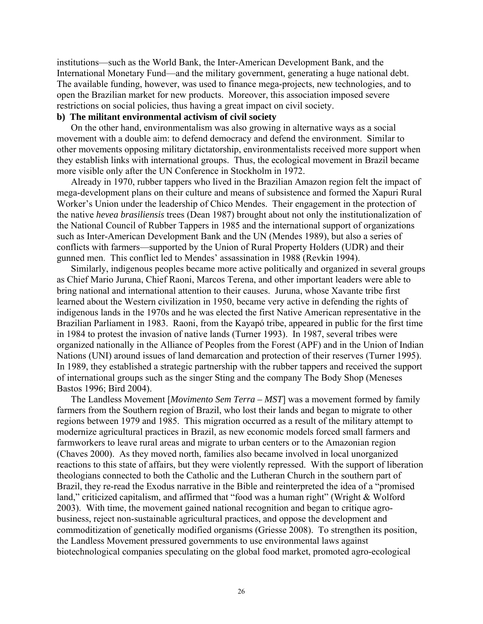institutions—such as the World Bank, the Inter-American Development Bank, and the International Monetary Fund—and the military government, generating a huge national debt. The available funding, however, was used to finance mega-projects, new technologies, and to open the Brazilian market for new products. Moreover, this association imposed severe restrictions on social policies, thus having a great impact on civil society.

## **b) The militant environmental activism of civil society**

On the other hand, environmentalism was also growing in alternative ways as a social movement with a double aim: to defend democracy and defend the environment. Similar to other movements opposing military dictatorship, environmentalists received more support when they establish links with international groups. Thus, the ecological movement in Brazil became more visible only after the UN Conference in Stockholm in 1972.

Already in 1970, rubber tappers who lived in the Brazilian Amazon region felt the impact of mega-development plans on their culture and means of subsistence and formed the Xapuri Rural Worker's Union under the leadership of Chico Mendes. Their engagement in the protection of the native *hevea brasiliensis* trees (Dean 1987) brought about not only the institutionalization of the National Council of Rubber Tappers in 1985 and the international support of organizations such as Inter-American Development Bank and the UN (Mendes 1989), but also a series of conflicts with farmers—supported by the Union of Rural Property Holders (UDR) and their gunned men. This conflict led to Mendes' assassination in 1988 (Revkin 1994).

Similarly, indigenous peoples became more active politically and organized in several groups as Chief Mario Juruna, Chief Raoni, Marcos Terena, and other important leaders were able to bring national and international attention to their causes. Juruna, whose Xavante tribe first learned about the Western civilization in 1950, became very active in defending the rights of indigenous lands in the 1970s and he was elected the first Native American representative in the Brazilian Parliament in 1983. Raoni, from the Kayapó tribe, appeared in public for the first time in 1984 to protest the invasion of native lands (Turner 1993). In 1987, several tribes were organized nationally in the Alliance of Peoples from the Forest (APF) and in the Union of Indian Nations (UNI) around issues of land demarcation and protection of their reserves (Turner 1995). In 1989, they established a strategic partnership with the rubber tappers and received the support of international groups such as the singer Sting and the company The Body Shop (Meneses Bastos 1996; Bird 2004).

The Landless Movement [*Movimento Sem Terra – MST*] was a movement formed by family farmers from the Southern region of Brazil, who lost their lands and began to migrate to other regions between 1979 and 1985. This migration occurred as a result of the military attempt to modernize agricultural practices in Brazil, as new economic models forced small farmers and farmworkers to leave rural areas and migrate to urban centers or to the Amazonian region (Chaves 2000). As they moved north, families also became involved in local unorganized reactions to this state of affairs, but they were violently repressed. With the support of liberation theologians connected to both the Catholic and the Lutheran Church in the southern part of Brazil, they re-read the Exodus narrative in the Bible and reinterpreted the idea of a "promised land," criticized capitalism, and affirmed that "food was a human right" (Wright & Wolford 2003). With time, the movement gained national recognition and began to critique agrobusiness, reject non-sustainable agricultural practices, and oppose the development and commoditization of genetically modified organisms (Griesse 2008). To strengthen its position, the Landless Movement pressured governments to use environmental laws against biotechnological companies speculating on the global food market, promoted agro-ecological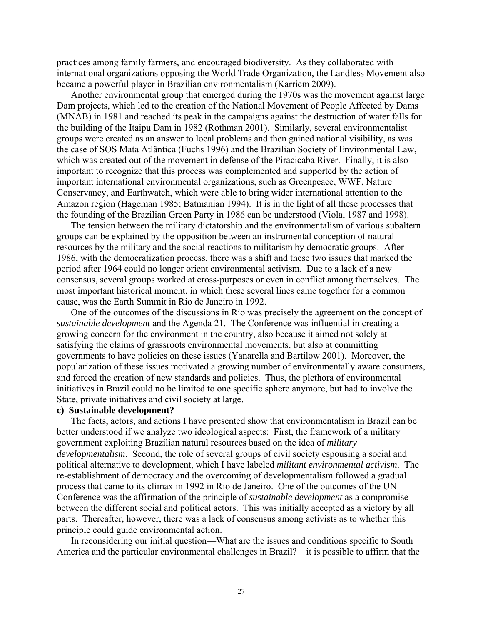practices among family farmers, and encouraged biodiversity. As they collaborated with international organizations opposing the World Trade Organization, the Landless Movement also became a powerful player in Brazilian environmentalism (Karriem 2009).

Another environmental group that emerged during the 1970s was the movement against large Dam projects, which led to the creation of the National Movement of People Affected by Dams (MNAB) in 1981 and reached its peak in the campaigns against the destruction of water falls for the building of the Itaipu Dam in 1982 (Rothman 2001). Similarly, several environmentalist groups were created as an answer to local problems and then gained national visibility, as was the case of SOS Mata Atlântica (Fuchs 1996) and the Brazilian Society of Environmental Law, which was created out of the movement in defense of the Piracicaba River. Finally, it is also important to recognize that this process was complemented and supported by the action of important international environmental organizations, such as Greenpeace, WWF, Nature Conservancy, and Earthwatch, which were able to bring wider international attention to the Amazon region (Hageman 1985; Batmanian 1994). It is in the light of all these processes that the founding of the Brazilian Green Party in 1986 can be understood (Viola, 1987 and 1998).

The tension between the military dictatorship and the environmentalism of various subaltern groups can be explained by the opposition between an instrumental conception of natural resources by the military and the social reactions to militarism by democratic groups. After 1986, with the democratization process, there was a shift and these two issues that marked the period after 1964 could no longer orient environmental activism. Due to a lack of a new consensus, several groups worked at cross-purposes or even in conflict among themselves. The most important historical moment, in which these several lines came together for a common cause, was the Earth Summit in Rio de Janeiro in 1992.

One of the outcomes of the discussions in Rio was precisely the agreement on the concept of *sustainable development* and the Agenda 21. The Conference was influential in creating a growing concern for the environment in the country, also because it aimed not solely at satisfying the claims of grassroots environmental movements, but also at committing governments to have policies on these issues (Yanarella and Bartilow 2001). Moreover, the popularization of these issues motivated a growing number of environmentally aware consumers, and forced the creation of new standards and policies. Thus, the plethora of environmental initiatives in Brazil could no be limited to one specific sphere anymore, but had to involve the State, private initiatives and civil society at large.

#### **c) Sustainable development?**

The facts, actors, and actions I have presented show that environmentalism in Brazil can be better understood if we analyze two ideological aspects: First, the framework of a military government exploiting Brazilian natural resources based on the idea of *military developmentalism*. Second, the role of several groups of civil society espousing a social and political alternative to development, which I have labeled *militant environmental activism*. The re-establishment of democracy and the overcoming of developmentalism followed a gradual process that came to its climax in 1992 in Rio de Janeiro. One of the outcomes of the UN Conference was the affirmation of the principle of *sustainable development* as a compromise between the different social and political actors. This was initially accepted as a victory by all parts. Thereafter, however, there was a lack of consensus among activists as to whether this principle could guide environmental action.

In reconsidering our initial question—What are the issues and conditions specific to South America and the particular environmental challenges in Brazil?—it is possible to affirm that the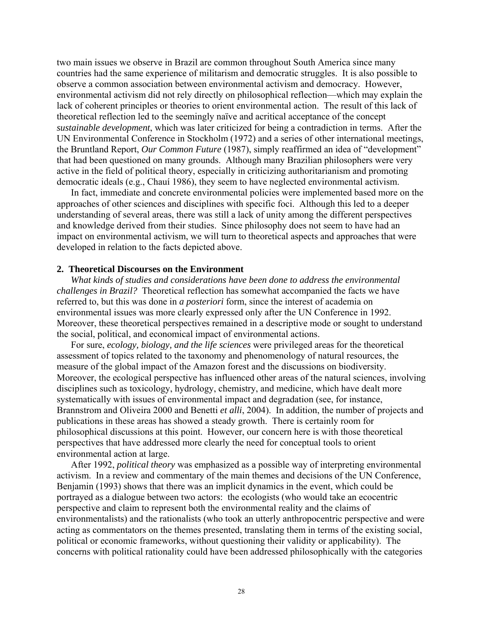two main issues we observe in Brazil are common throughout South America since many countries had the same experience of militarism and democratic struggles. It is also possible to observe a common association between environmental activism and democracy. However, environmental activism did not rely directly on philosophical reflection—which may explain the lack of coherent principles or theories to orient environmental action. The result of this lack of theoretical reflection led to the seemingly naïve and acritical acceptance of the concept *sustainable development*, which was later criticized for being a contradiction in terms. After the UN Environmental Conference in Stockholm (1972) and a series of other international meetings, the Bruntland Report, *Our Common Future* (1987), simply reaffirmed an idea of "development" that had been questioned on many grounds. Although many Brazilian philosophers were very active in the field of political theory, especially in criticizing authoritarianism and promoting democratic ideals (e.g., Chauí 1986), they seem to have neglected environmental activism.

In fact, immediate and concrete environmental policies were implemented based more on the approaches of other sciences and disciplines with specific foci. Although this led to a deeper understanding of several areas, there was still a lack of unity among the different perspectives and knowledge derived from their studies. Since philosophy does not seem to have had an impact on environmental activism, we will turn to theoretical aspects and approaches that were developed in relation to the facts depicted above.

### **2. Theoretical Discourses on the Environment**

*What kinds of studies and considerations have been done to address the environmental challenges in Brazil?* Theoretical reflection has somewhat accompanied the facts we have referred to, but this was done in *a posteriori* form, since the interest of academia on environmental issues was more clearly expressed only after the UN Conference in 1992. Moreover, these theoretical perspectives remained in a descriptive mode or sought to understand the social, political, and economical impact of environmental actions.

For sure, *ecology, biology, and the life sciences* were privileged areas for the theoretical assessment of topics related to the taxonomy and phenomenology of natural resources, the measure of the global impact of the Amazon forest and the discussions on biodiversity. Moreover, the ecological perspective has influenced other areas of the natural sciences, involving disciplines such as toxicology, hydrology, chemistry, and medicine, which have dealt more systematically with issues of environmental impact and degradation (see, for instance, Brannstrom and Oliveira 2000 and Benetti *et alli*, 2004). In addition, the number of projects and publications in these areas has showed a steady growth. There is certainly room for philosophical discussions at this point. However, our concern here is with those theoretical perspectives that have addressed more clearly the need for conceptual tools to orient environmental action at large.

After 1992, *political theory* was emphasized as a possible way of interpreting environmental activism. In a review and commentary of the main themes and decisions of the UN Conference, Benjamin (1993) shows that there was an implicit dynamics in the event, which could be portrayed as a dialogue between two actors: the ecologists (who would take an ecocentric perspective and claim to represent both the environmental reality and the claims of environmentalists) and the rationalists (who took an utterly anthropocentric perspective and were acting as commentators on the themes presented, translating them in terms of the existing social, political or economic frameworks, without questioning their validity or applicability). The concerns with political rationality could have been addressed philosophically with the categories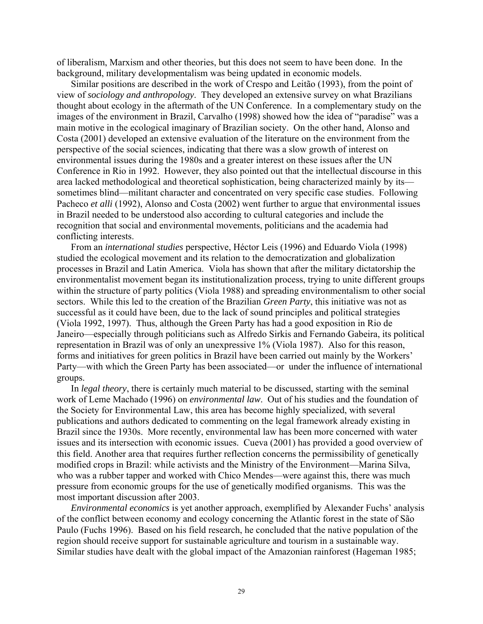of liberalism, Marxism and other theories, but this does not seem to have been done. In the background, military developmentalism was being updated in economic models.

Similar positions are described in the work of Crespo and Leitão (1993), from the point of view of *sociology and anthropology*. They developed an extensive survey on what Brazilians thought about ecology in the aftermath of the UN Conference. In a complementary study on the images of the environment in Brazil, Carvalho (1998) showed how the idea of "paradise" was a main motive in the ecological imaginary of Brazilian society. On the other hand, Alonso and Costa (2001) developed an extensive evaluation of the literature on the environment from the perspective of the social sciences, indicating that there was a slow growth of interest on environmental issues during the 1980s and a greater interest on these issues after the UN Conference in Rio in 1992. However, they also pointed out that the intellectual discourse in this area lacked methodological and theoretical sophistication, being characterized mainly by its sometimes blind—militant character and concentrated on very specific case studies. Following Pacheco *et alli* (1992), Alonso and Costa (2002) went further to argue that environmental issues in Brazil needed to be understood also according to cultural categories and include the recognition that social and environmental movements, politicians and the academia had conflicting interests.

From an *international studies* perspective, Héctor Leis (1996) and Eduardo Viola (1998) studied the ecological movement and its relation to the democratization and globalization processes in Brazil and Latin America. Viola has shown that after the military dictatorship the environmentalist movement began its institutionalization process, trying to unite different groups within the structure of party politics (Viola 1988) and spreading environmentalism to other social sectors. While this led to the creation of the Brazilian *Green Party*, this initiative was not as successful as it could have been, due to the lack of sound principles and political strategies (Viola 1992, 1997). Thus, although the Green Party has had a good exposition in Rio de Janeiro—especially through politicians such as Alfredo Sirkis and Fernando Gabeira, its political representation in Brazil was of only an unexpressive 1% (Viola 1987). Also for this reason, forms and initiatives for green politics in Brazil have been carried out mainly by the Workers' Party—with which the Green Party has been associated—or under the influence of international groups.

In *legal theory*, there is certainly much material to be discussed, starting with the seminal work of Leme Machado (1996) on *environmental law*. Out of his studies and the foundation of the Society for Environmental Law, this area has become highly specialized, with several publications and authors dedicated to commenting on the legal framework already existing in Brazil since the 1930s. More recently, environmental law has been more concerned with water issues and its intersection with economic issues. Cueva (2001) has provided a good overview of this field. Another area that requires further reflection concerns the permissibility of genetically modified crops in Brazil: while activists and the Ministry of the Environment—Marina Silva, who was a rubber tapper and worked with Chico Mendes—were against this, there was much pressure from economic groups for the use of genetically modified organisms. This was the most important discussion after 2003.

*Environmental economics* is yet another approach, exemplified by Alexander Fuchs' analysis of the conflict between economy and ecology concerning the Atlantic forest in the state of São Paulo (Fuchs 1996). Based on his field research, he concluded that the native population of the region should receive support for sustainable agriculture and tourism in a sustainable way. Similar studies have dealt with the global impact of the Amazonian rainforest (Hageman 1985;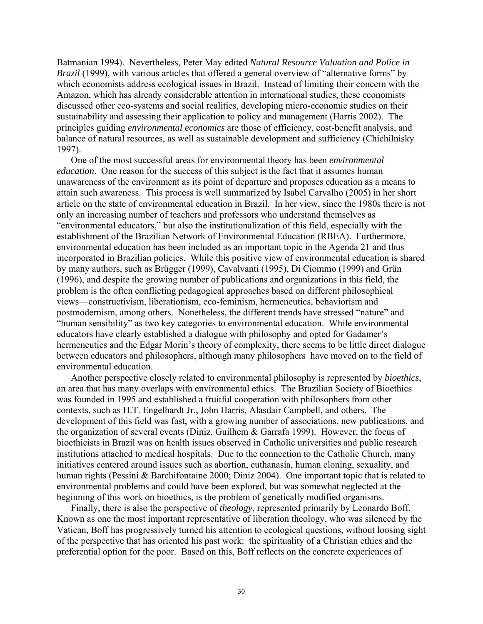Batmanian 1994). Nevertheless, Peter May edited *Natural Resource Valuation and Police in Brazil* (1999), with various articles that offered a general overview of "alternative forms" by which economists address ecological issues in Brazil. Instead of limiting their concern with the Amazon, which has already considerable attention in international studies, these economists discussed other eco-systems and social realities, developing micro-economic studies on their sustainability and assessing their application to policy and management (Harris 2002). The principles guiding *environmental economics* are those of efficiency, cost-benefit analysis, and balance of natural resources, as well as sustainable development and sufficiency (Chichilnisky 1997).

One of the most successful areas for environmental theory has been *environmental education*. One reason for the success of this subject is the fact that it assumes human unawareness of the environment as its point of departure and proposes education as a means to attain such awareness. This process is well summarized by Isabel Carvalho (2005) in her short article on the state of environmental education in Brazil. In her view, since the 1980s there is not only an increasing number of teachers and professors who understand themselves as "environmental educators," but also the institutionalization of this field, especially with the establishment of the Brazilian Network of Environmental Education (RBEA). Furthermore, environmental education has been included as an important topic in the Agenda 21 and thus incorporated in Brazilian policies. While this positive view of environmental education is shared by many authors, such as Brügger (1999), Cavalvanti (1995), Di Ciommo (1999) and Grün (1996), and despite the growing number of publications and organizations in this field, the problem is the often conflicting pedagogical approaches based on different philosophical views—constructivism, liberationism, eco-feminism, hermeneutics, behaviorism and postmodernism, among others. Nonetheless, the different trends have stressed "nature" and "human sensibility" as two key categories to environmental education. While environmental educators have clearly established a dialogue with philosophy and opted for Gadamer's hermeneutics and the Edgar Morin's theory of complexity, there seems to be little direct dialogue between educators and philosophers, although many philosophers have moved on to the field of environmental education.

Another perspective closely related to environmental philosophy is represented by *bioethics*, an area that has many overlaps with environmental ethics. The Brazilian Society of Bioethics was founded in 1995 and established a fruitful cooperation with philosophers from other contexts, such as H.T. Engelhardt Jr., John Harris, Alasdair Campbell, and others. The development of this field was fast, with a growing number of associations, new publications, and the organization of several events (Diniz, Guilhem & Garrafa 1999). However, the focus of bioethicists in Brazil was on health issues observed in Catholic universities and public research institutions attached to medical hospitals. Due to the connection to the Catholic Church, many initiatives centered around issues such as abortion, euthanasia, human cloning, sexuality, and human rights (Pessini & Barchifontaine 2000; Diniz 2004). One important topic that is related to environmental problems and could have been explored, but was somewhat neglected at the beginning of this work on bioethics, is the problem of genetically modified organisms.

Finally, there is also the perspective of *theology*, represented primarily by Leonardo Boff. Known as one the most important representative of liberation theology, who was silenced by the Vatican, Boff has progressively turned his attention to ecological questions, without loosing sight of the perspective that has oriented his past work: the spirituality of a Christian ethics and the preferential option for the poor. Based on this, Boff reflects on the concrete experiences of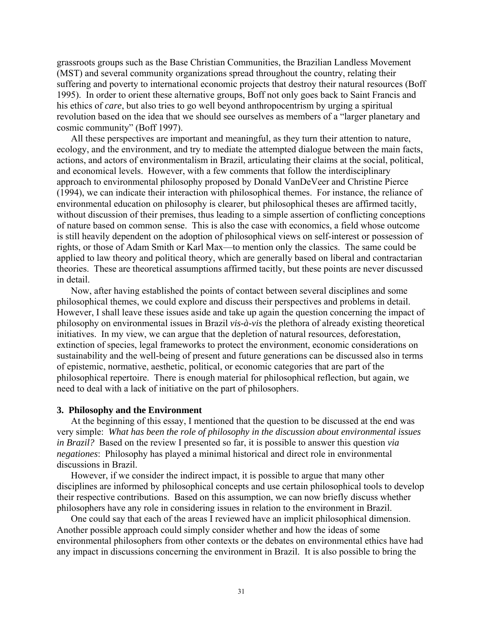grassroots groups such as the Base Christian Communities, the Brazilian Landless Movement (MST) and several community organizations spread throughout the country, relating their suffering and poverty to international economic projects that destroy their natural resources (Boff 1995). In order to orient these alternative groups, Boff not only goes back to Saint Francis and his ethics of *care*, but also tries to go well beyond anthropocentrism by urging a spiritual revolution based on the idea that we should see ourselves as members of a "larger planetary and cosmic community" (Boff 1997).

All these perspectives are important and meaningful, as they turn their attention to nature, ecology, and the environment, and try to mediate the attempted dialogue between the main facts, actions, and actors of environmentalism in Brazil, articulating their claims at the social, political, and economical levels. However, with a few comments that follow the interdisciplinary approach to environmental philosophy proposed by Donald VanDeVeer and Christine Pierce (1994), we can indicate their interaction with philosophical themes. For instance, the reliance of environmental education on philosophy is clearer, but philosophical theses are affirmed tacitly, without discussion of their premises, thus leading to a simple assertion of conflicting conceptions of nature based on common sense. This is also the case with economics, a field whose outcome is still heavily dependent on the adoption of philosophical views on self-interest or possession of rights, or those of Adam Smith or Karl Max—to mention only the classics. The same could be applied to law theory and political theory, which are generally based on liberal and contractarian theories. These are theoretical assumptions affirmed tacitly, but these points are never discussed in detail.

Now, after having established the points of contact between several disciplines and some philosophical themes, we could explore and discuss their perspectives and problems in detail. However, I shall leave these issues aside and take up again the question concerning the impact of philosophy on environmental issues in Brazil *vis-à-vis* the plethora of already existing theoretical initiatives. In my view, we can argue that the depletion of natural resources, deforestation, extinction of species, legal frameworks to protect the environment, economic considerations on sustainability and the well-being of present and future generations can be discussed also in terms of epistemic, normative, aesthetic, political, or economic categories that are part of the philosophical repertoire. There is enough material for philosophical reflection, but again, we need to deal with a lack of initiative on the part of philosophers.

#### **3. Philosophy and the Environment**

At the beginning of this essay, I mentioned that the question to be discussed at the end was very simple: *What has been the role of philosophy in the discussion about environmental issues in Brazil?* Based on the review I presented so far, it is possible to answer this question *via negationes*: Philosophy has played a minimal historical and direct role in environmental discussions in Brazil.

However, if we consider the indirect impact, it is possible to argue that many other disciplines are informed by philosophical concepts and use certain philosophical tools to develop their respective contributions. Based on this assumption, we can now briefly discuss whether philosophers have any role in considering issues in relation to the environment in Brazil.

One could say that each of the areas I reviewed have an implicit philosophical dimension. Another possible approach could simply consider whether and how the ideas of some environmental philosophers from other contexts or the debates on environmental ethics have had any impact in discussions concerning the environment in Brazil. It is also possible to bring the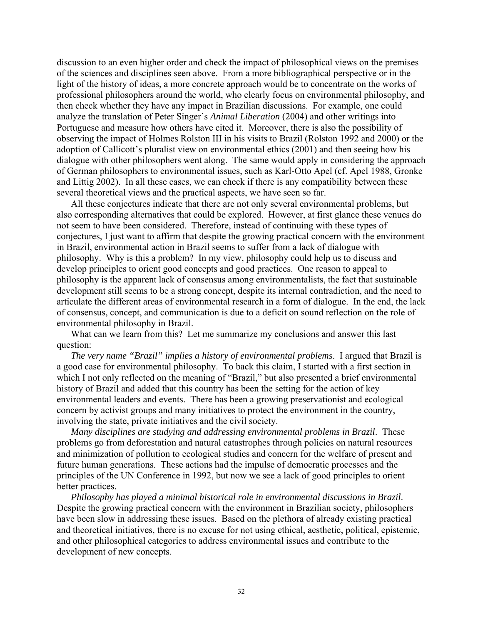discussion to an even higher order and check the impact of philosophical views on the premises of the sciences and disciplines seen above. From a more bibliographical perspective or in the light of the history of ideas, a more concrete approach would be to concentrate on the works of professional philosophers around the world, who clearly focus on environmental philosophy, and then check whether they have any impact in Brazilian discussions. For example, one could analyze the translation of Peter Singer's *Animal Liberation* (2004) and other writings into Portuguese and measure how others have cited it. Moreover, there is also the possibility of observing the impact of Holmes Rolston III in his visits to Brazil (Rolston 1992 and 2000) or the adoption of Callicott's pluralist view on environmental ethics (2001) and then seeing how his dialogue with other philosophers went along. The same would apply in considering the approach of German philosophers to environmental issues, such as Karl-Otto Apel (cf. Apel 1988, Gronke and Littig 2002). In all these cases, we can check if there is any compatibility between these several theoretical views and the practical aspects, we have seen so far.

All these conjectures indicate that there are not only several environmental problems, but also corresponding alternatives that could be explored. However, at first glance these venues do not seem to have been considered. Therefore, instead of continuing with these types of conjectures, I just want to affirm that despite the growing practical concern with the environment in Brazil, environmental action in Brazil seems to suffer from a lack of dialogue with philosophy. Why is this a problem? In my view, philosophy could help us to discuss and develop principles to orient good concepts and good practices. One reason to appeal to philosophy is the apparent lack of consensus among environmentalists, the fact that sustainable development still seems to be a strong concept, despite its internal contradiction, and the need to articulate the different areas of environmental research in a form of dialogue. In the end, the lack of consensus, concept, and communication is due to a deficit on sound reflection on the role of environmental philosophy in Brazil.

What can we learn from this? Let me summarize my conclusions and answer this last question:

*The very name "Brazil" implies a history of environmental problems*. I argued that Brazil is a good case for environmental philosophy. To back this claim, I started with a first section in which I not only reflected on the meaning of "Brazil," but also presented a brief environmental history of Brazil and added that this country has been the setting for the action of key environmental leaders and events. There has been a growing preservationist and ecological concern by activist groups and many initiatives to protect the environment in the country, involving the state, private initiatives and the civil society.

*Many disciplines are studying and addressing environmental problems in Brazil*. These problems go from deforestation and natural catastrophes through policies on natural resources and minimization of pollution to ecological studies and concern for the welfare of present and future human generations. These actions had the impulse of democratic processes and the principles of the UN Conference in 1992, but now we see a lack of good principles to orient better practices.

*Philosophy has played a minimal historical role in environmental discussions in Brazil*. Despite the growing practical concern with the environment in Brazilian society, philosophers have been slow in addressing these issues. Based on the plethora of already existing practical and theoretical initiatives, there is no excuse for not using ethical, aesthetic, political, epistemic, and other philosophical categories to address environmental issues and contribute to the development of new concepts.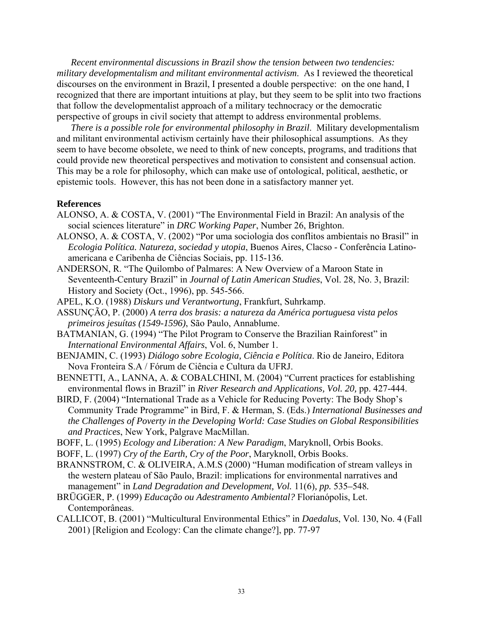*Recent environmental discussions in Brazil show the tension between two tendencies: military developmentalism and militant environmental activism*. As I reviewed the theoretical discourses on the environment in Brazil, I presented a double perspective: on the one hand, I recognized that there are important intuitions at play, but they seem to be split into two fractions that follow the developmentalist approach of a military technocracy or the democratic perspective of groups in civil society that attempt to address environmental problems.

*There is a possible role for environmental philosophy in Brazil*. Military developmentalism and militant environmental activism certainly have their philosophical assumptions. As they seem to have become obsolete, we need to think of new concepts, programs, and traditions that could provide new theoretical perspectives and motivation to consistent and consensual action. This may be a role for philosophy, which can make use of ontological, political, aesthetic, or epistemic tools. However, this has not been done in a satisfactory manner yet.

#### **References**

- ALONSO, A. & COSTA, V. (2001) "The Environmental Field in Brazil: An analysis of the social sciences literature" in *DRC Working Paper*, Number 26, Brighton.
- ALONSO, A. & COSTA, V. (2002) "Por uma sociologia dos conflitos ambientais no Brasil" in *Ecologia Política. Natureza, sociedad y utopia*, Buenos Aires, Clacso - Conferência Latinoamericana e Caribenha de Ciências Sociais, pp. 115-136.
- ANDERSON, R. "The Quilombo of Palmares: A New Overview of a Maroon State in Seventeenth-Century Brazil" in *Journal of Latin American Studies*, Vol. 28, No. 3, Brazil: History and Society (Oct., 1996), pp. 545-566.
- APEL, K.O. (1988) *Diskurs und Verantwortung*, Frankfurt, Suhrkamp.

ASSUNÇÃO, P. (2000) *A terra dos brasis: a natureza da América portuguesa vista pelos primeiros jesuítas (1549-1596)*, São Paulo, Annablume.

- BATMANIAN, G. (1994) "The Pilot Program to Conserve the Brazilian Rainforest" in *International Environmental Affairs*, Vol. 6, Number 1.
- BENJAMIN, C. (1993) *Diálogo sobre Ecologia, Ciência e Política*. Rio de Janeiro, Editora Nova Fronteira S.A / Fórum de Ciência e Cultura da UFRJ.
- BENNETTI, A., LANNA, A. & COBALCHINI, M. (2004) "Current practices for establishing environmental flows in Brazil" in *River Research and Applications, Vol. 20,* pp. 427-444.
- BIRD, F. (2004) "International Trade as a Vehicle for Reducing Poverty: The Body Shop's Community Trade Programme" in Bird, F. & Herman, S. (Eds.) *International Businesses and the Challenges of Poverty in the Developing World: Case Studies on Global Responsibilities and Practices*, New York, Palgrave MacMillan.
- BOFF, L. (1995) *Ecology and Liberation: A New Paradigm*, Maryknoll, Orbis Books.
- BOFF, L. (1997) *Cry of the Earth, Cry of the Poor*, Maryknoll, Orbis Books.
- BRANNSTROM, C. & OLIVEIRA, A.M.S (2000) "Human modification of stream valleys in the western plateau of São Paulo, Brazil: implications for environmental narratives and management" in *Land Degradation and Development, Vol.* 11(6)*, pp.* 535–548*.*
- BRÜGGER, P. (1999) *Educação ou Adestramento Ambiental?* Florianópolis, Let. Contemporâneas.
- CALLICOT, B. (2001) "Multicultural Environmental Ethics" in *Daedalus*, Vol. 130, No. 4 (Fall 2001) [Religion and Ecology: Can the climate change?], pp. 77-97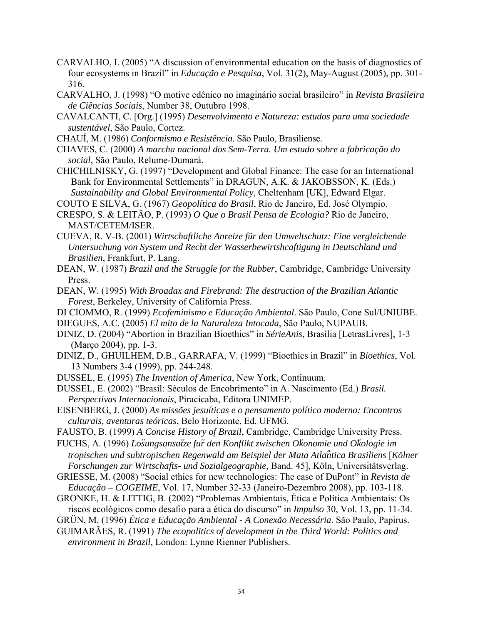- CARVALHO, I. (2005) "A discussion of environmental education on the basis of diagnostics of four ecosystems in Brazil" in *Educação e Pesquisa*, Vol. 31(2), May-August (2005), pp. 301- 316.
- CARVALHO, J. (1998) "O motive edênico no imaginário social brasileiro" in *Revista Brasileira de Ciências Sociais*, Number 38, Outubro 1998.
- CAVALCANTI, C. [Org.] (1995) *Desenvolvimento e Natureza: estudos para uma sociedade sustentável*, São Paulo, Cortez.
- CHAUÍ, M. (1986) *Conformismo e Resistência*. São Paulo, Brasiliense.
- CHAVES, C. (2000) *A marcha nacional dos Sem-Terra. Um estudo sobre a fabricação do social*, São Paulo, Relume-Dumará.
- CHICHILNISKY, G. (1997) "Development and Global Finance: The case for an International Bank for Environmental Settlements" in DRAGUN, A.K. & JAKOBSSON, K. (Eds.) *Sustainability and Global Environmental Policy*, Cheltenham [UK], Edward Elgar.

COUTO E SILVA, G. (1967) *Geopolítica do Brasil*, Rio de Janeiro, Ed. José Olympio.

- CUEVA, R. V-B. (2001) *Wirtschaftliche Anreize für den Umweltschutz: Eine vergleichende Untersuchung von System und Recht der Wasserbewirtshcaftigung in Deutschland und Brasilien*, Frankfurt, P. Lang.
- DEAN, W. (1987) *Brazil and the Struggle for the Rubber*, Cambridge, Cambridge University Press.
- DEAN, W. (1995) *With Broadax and Firebrand: The destruction of the Brazilian Atlantic Forest*, Berkeley, University of California Press.

DI CIOMMO, R. (1999) *Ecofeminismo e Educação Ambiental*. São Paulo, Cone Sul/UNIUBE.

- DIEGUES, A.C. (2005) *El mito de la Naturaleza Intocada*, São Paulo, NUPAUB.
- DINIZ, D. (2004) "Abortion in Brazilian Bioethics" in *SérieAnis*, Brasília [LetrasLivres], 1-3 (Março 2004), pp. 1-3.
- DINIZ, D., GHUILHEM, D.B., GARRAFA, V. (1999) "Bioethics in Brazil" in *Bioethics*, Vol. 13 Numbers 3-4 (1999), pp. 244-248.

DUSSEL, E. (1995) *The Invention of America*, New York, Continuum.

- DUSSEL, E. (2002) "Brasil: Séculos de Encobrimento" in A. Nascimento (Ed.) *Brasil. Perspectivas Internacionais*, Piracicaba, Editora UNIMEP.
- EISENBERG, J. (2000) *As missões jesuíticas e o pensamento político moderno: Encontros culturais, aventuras teóricas*, Belo Horizonte, Ed. UFMG.
- FAUSTO, B. (1999) *A Concise History of Brazil*, Cambridge, Cambridge University Press.
- FUCHS, A. (1996) *Lo*̈*sungsansa*̈*tze fu*̈*r den Konflikt zwischen O*̈*konomie und O*̈*kologie im tropischen und subtropischen Regenwald am Beispiel der Mata Atla*̂*ntica Brasiliens* [*Kölner Forschungen zur Wirtschafts- und Sozialgeographie*, Band. 45], Köln, Universitätsverlag.

GRIESSE, M. (2008) "Social ethics for new technologies: The case of DuPont" in *Revista de Educação – COGEIME*, Vol. 17, Number 32-33 (Janeiro-Dezembro 2008), pp. 103-118.

- GRONKE, H. & LITTIG, B. (2002) "Problemas Ambientais, Ética e Política Ambientais: Os riscos ecológicos como desafio para a ética do discurso" in *Impulso* 30, Vol. 13, pp. 11-34.
- GRÜN, M. (1996) *Ética e Educação Ambiental A Conexão Necessária*. São Paulo, Papirus.
- GUIMARÃES, R. (1991) *The ecopolitics of development in the Third World: Politics and environment in Brazil*, London: Lynne Rienner Publishers.

CRESPO, S. & LEITÃO, P. (1993) *O Que o Brasil Pensa de Ecologia?* Rio de Janeiro, MAST/CETEM/ISER.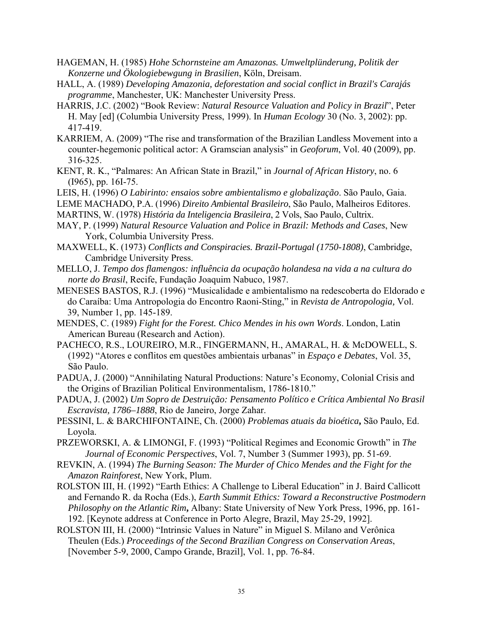- HAGEMAN, H. (1985) *Hohe Schornsteine am Amazonas. Umweltplünderung, Politik der Konzerne und Ökologiebewgung in Brasilien*, Köln, Dreisam.
- HALL, A. (1989) *Developing Amazonia, deforestation and social conflict in Brazil's Carajás programme*, Manchester, UK: Manchester University Press.
- HARRIS, J.C. (2002) "Book Review: *Natural Resource Valuation and Policy in Brazil*", Peter H. May [ed] (Columbia University Press, 1999). In *Human Ecology* 30 (No. 3, 2002): pp. 417-419.
- KARRIEM, A. (2009) "The rise and transformation of the Brazilian Landless Movement into a counter-hegemonic political actor: A Gramscian analysis" in *Geoforum*, Vol. 40 (2009), pp. 316-325.
- KENT, R. K., "Palmares: An African State in Brazil," in *Journal of African History*, no. 6 (I965), pp. 16I-75.
- LEIS, H. (1996) *O Labirinto: ensaios sobre ambientalismo e globalização*. São Paulo, Gaia.
- LEME MACHADO, P.A. (1996) *Direito Ambiental Brasileiro*, São Paulo, Malheiros Editores.
- MARTINS, W. (1978) *História da Inteligencia Brasileira*, 2 Vols, Sao Paulo, Cultrix.
- MAY, P. (1999) *Natural Resource Valuation and Police in Brazil: Methods and Cases*, New York, Columbia University Press.
- MAXWELL, K. (1973) *Conflicts and Conspiracies. Brazil-Portugal (1750-1808)*, Cambridge, Cambridge University Press.
- MELLO, J. *Tempo dos flamengos: influência da ocupação holandesa na vida a na cultura do norte do Brasil*, Recife, Fundação Joaquim Nabuco, 1987.
- MENESES BASTOS, R.J. (1996) "Musicalidade e ambientalismo na redescoberta do Eldorado e do Caraíba: Uma Antropologia do Encontro Raoni-Sting," in *Revista de Antropologia,* Vol. 39, Number 1, pp. 145-189.
- MENDES, C. (1989) *Fight for the Forest. Chico Mendes in his own Words*. London, Latin American Bureau (Research and Action).
- PACHECO, R.S., LOUREIRO, M.R., FINGERMANN, H., AMARAL, H. & McDOWELL, S. (1992) "Atores e conflitos em questões ambientais urbanas" in *Espaço e Debates*, Vol. 35, São Paulo.
- PADUA, J. (2000) "Annihilating Natural Productions: Nature's Economy, Colonial Crisis and the Origins of Brazilian Political Environmentalism, 1786-1810."
- PADUA, J. (2002) *Um Sopro de Destruição: Pensamento Político e Crítica Ambiental No Brasil Escravista, 1786–1888*, Rio de Janeiro, Jorge Zahar.
- PESSINI, L. & BARCHIFONTAINE, Ch. (2000) *Problemas atuais da bioética***,** São Paulo, Ed. Loyola.
- PRZEWORSKI, A. & LIMONGI, F. (1993) "Political Regimes and Economic Growth" in *The Journal of Economic Perspectives*, Vol. 7, Number 3 (Summer 1993), pp. 51-69.
- REVKIN, A. (1994) *The Burning Season: The Murder of Chico Mendes and the Fight for the Amazon Rainforest*, New York, Plum.
- ROLSTON III, H. (1992) "Earth Ethics: A Challenge to Liberal Education" in J. Baird Callicott and Fernando R. da Rocha (Eds.), *Earth Summit Ethics: Toward a Reconstructive Postmodern Philosophy on the Atlantic Rim*, Albany: State University of New York Press, 1996, pp. 161-192. [Keynote address at Conference in Porto Alegre, Brazil, May 25-29, 1992].
- ROLSTON III, H. (2000) "Intrinsic Values in Nature" in Miguel S. Milano and Verônica Theulen (Eds.) *Proceedings of the Second Brazilian Congress on Conservation Areas*, [November 5-9, 2000, Campo Grande, Brazil], Vol. 1, pp. 76-84.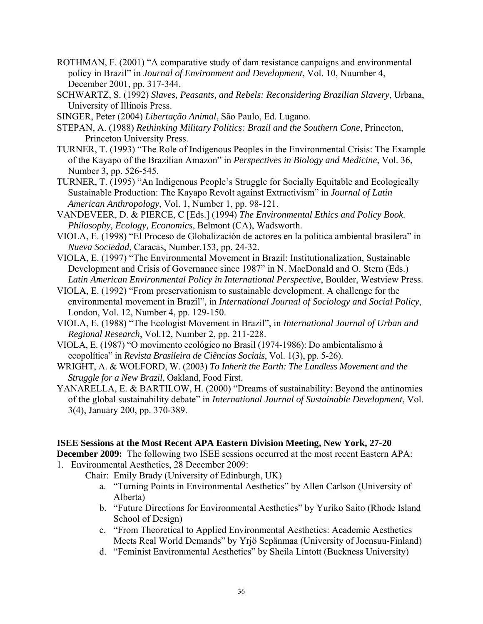- ROTHMAN, F. (2001) "A comparative study of dam resistance canpaigns and environmental policy in Brazil" in *Journal of Environment and Development*, Vol. 10, Nuumber 4, December 2001, pp. 317-344.
- SCHWARTZ, S. (1992) *Slaves, Peasants, and Rebels: Reconsidering Brazilian Slavery*, Urbana, University of Illinois Press.
- SINGER, Peter (2004) *Libertação Animal*, São Paulo, Ed. Lugano.
- STEPAN, A. (1988) *Rethinking Military Politics: Brazil and the Southern Cone*, Princeton, Princeton University Press.
- TURNER, T. (1993) "The Role of Indigenous Peoples in the Environmental Crisis: The Example of the Kayapo of the Brazilian Amazon" in *Perspectives in Biology and Medicine*, Vol. 36, Number 3, pp. 526-545.
- TURNER, T. (1995) "An Indigenous People's Struggle for Socially Equitable and Ecologically Sustainable Production: The Kayapo Revolt against Extractivism" in *Journal of Latin American Anthropology*, Vol. 1, Number 1, pp. 98-121.
- VANDEVEER, D. & PIERCE, C [Eds.] (1994) *The Environmental Ethics and Policy Book. Philosophy, Ecology, Economics*, Belmont (CA), Wadsworth.
- VIOLA, E. (1998) "El Proceso de Globalización de actores en la politica ambiental brasilera" in *Nueva Sociedad*, Caracas, Number.153, pp. 24-32.
- VIOLA, E. (1997) "The Environmental Movement in Brazil: Institutionalization, Sustainable Development and Crisis of Governance since 1987" in N. MacDonald and O. Stern (Eds.) *Latin American Environmental Policy in International Perspective*, Boulder, Westview Press.
- VIOLA, E. (1992) "From preservationism to sustainable development. A challenge for the environmental movement in Brazil", in *International Journal of Sociology and Social Policy*, London, Vol. 12, Number 4, pp. 129-150.
- VIOLA, E. (1988) "The Ecologist Movement in Brazil", in *International Journal of Urban and Regional Research*, Vol.12, Number 2, pp. 211-228.
- VIOLA, E. (1987) "O movimento ecológico no Brasil (1974-1986): Do ambientalismo à ecopolítica" in *Revista Brasileira de Ciências Sociais*, Vol. 1(3), pp. 5-26).
- WRIGHT, A. & WOLFORD, W. (2003) *To Inherit the Earth: The Landless Movement and the Struggle for a New Brazil*, Oakland, Food First.
- YANARELLA, E. & BARTILOW, H. (2000) "Dreams of sustainability: Beyond the antinomies of the global sustainability debate" in *International Journal of Sustainable Development*, Vol. 3(4), January 200, pp. 370-389.

## **ISEE Sessions at the Most Recent APA Eastern Division Meeting, New York, 27-20**

**December 2009:** The following two ISEE sessions occurred at the most recent Eastern APA: 1. Environmental Aesthetics, 28 December 2009:

- Chair: Emily Brady (University of Edinburgh, UK)
	- a. "Turning Points in Environmental Aesthetics" by Allen Carlson (University of Alberta)
	- b. "Future Directions for Environmental Aesthetics" by Yuriko Saito (Rhode Island School of Design)
	- c. "From Theoretical to Applied Environmental Aesthetics: Academic Aesthetics Meets Real World Demands" by Yrjö Sepänmaa (University of Joensuu-Finland)
	- d. "Feminist Environmental Aesthetics" by Sheila Lintott (Buckness University)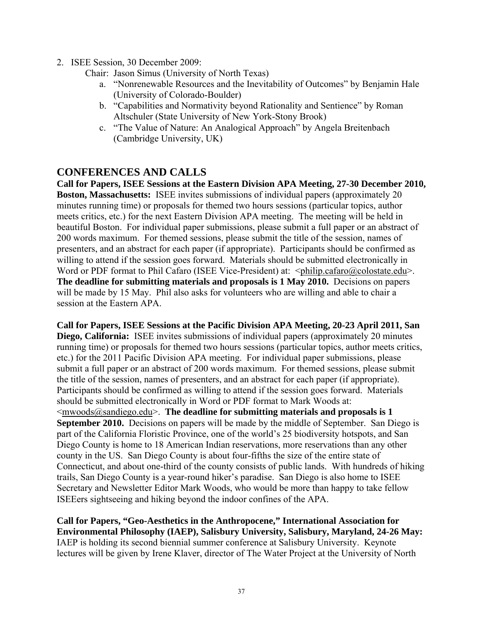- 2. ISEE Session, 30 December 2009:
	- Chair: Jason Simus (University of North Texas)
		- a. "Nonrenewable Resources and the Inevitability of Outcomes" by Benjamin Hale (University of Colorado-Boulder)
		- b. "Capabilities and Normativity beyond Rationality and Sentience" by Roman Altschuler (State University of New York-Stony Brook)
		- c. "The Value of Nature: An Analogical Approach" by Angela Breitenbach (Cambridge University, UK)

### **CONFERENCES AND CALLS**

**Call for Papers, ISEE Sessions at the Eastern Division APA Meeting, 27-30 December 2010, Boston, Massachusetts:** ISEE invites submissions of individual papers (approximately 20 minutes running time) or proposals for themed two hours sessions (particular topics, author meets critics, etc.) for the next Eastern Division APA meeting. The meeting will be held in beautiful Boston. For individual paper submissions, please submit a full paper or an abstract of 200 words maximum. For themed sessions, please submit the title of the session, names of presenters, and an abstract for each paper (if appropriate). Participants should be confirmed as willing to attend if the session goes forward. Materials should be submitted electronically in Word or PDF format to Phil Cafaro (ISEE Vice-President) at:  $\langle$ philip.cafaro@colostate.edu>. **The deadline for submitting materials and proposals is 1 May 2010.** Decisions on papers will be made by 15 May. Phil also asks for volunteers who are willing and able to chair a session at the Eastern APA.

**Call for Papers, ISEE Sessions at the Pacific Division APA Meeting, 20-23 April 2011, San Diego, California:** ISEE invites submissions of individual papers (approximately 20 minutes running time) or proposals for themed two hours sessions (particular topics, author meets critics, etc.) for the 2011 Pacific Division APA meeting. For individual paper submissions, please submit a full paper or an abstract of 200 words maximum. For themed sessions, please submit the title of the session, names of presenters, and an abstract for each paper (if appropriate). Participants should be confirmed as willing to attend if the session goes forward. Materials should be submitted electronically in Word or PDF format to Mark Woods at: <mwoods@sandiego.edu>. **The deadline for submitting materials and proposals is 1 September 2010.** Decisions on papers will be made by the middle of September. San Diego is part of the California Floristic Province, one of the world's 25 biodiversity hotspots, and San Diego County is home to 18 American Indian reservations, more reservations than any other county in the US. San Diego County is about four-fifths the size of the entire state of Connecticut, and about one-third of the county consists of public lands. With hundreds of hiking trails, San Diego County is a year-round hiker's paradise. San Diego is also home to ISEE Secretary and Newsletter Editor Mark Woods, who would be more than happy to take fellow ISEEers sightseeing and hiking beyond the indoor confines of the APA.

**Call for Papers, "Geo-Aesthetics in the Anthropocene," International Association for Environmental Philosophy (IAEP), Salisbury University, Salisbury, Maryland, 24-26 May:** IAEP is holding its second biennial summer conference at Salisbury University. Keynote lectures will be given by Irene Klaver, director of The Water Project at the University of North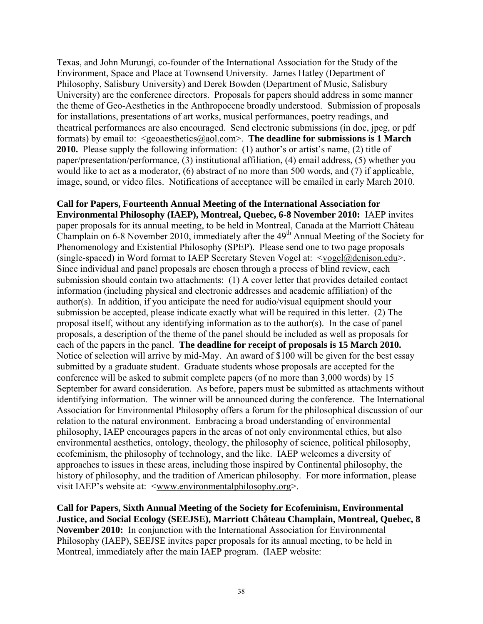Texas, and John Murungi, co-founder of the International Association for the Study of the Environment, Space and Place at Townsend University. James Hatley (Department of Philosophy, Salisbury University) and Derek Bowden (Department of Music, Salisbury University) are the conference directors. Proposals for papers should address in some manner the theme of Geo-Aesthetics in the Anthropocene broadly understood. Submission of proposals for installations, presentations of art works, musical performances, poetry readings, and theatrical performances are also encouraged. Send electronic submissions (in doc, jpeg, or pdf formats) by email to: <geoaesthetics@aol.com>. **The deadline for submissions is 1 March 2010.** Please supply the following information: (1) author's or artist's name, (2) title of paper/presentation/performance, (3) institutional affiliation, (4) email address, (5) whether you would like to act as a moderator, (6) abstract of no more than 500 words, and (7) if applicable, image, sound, or video files. Notifications of acceptance will be emailed in early March 2010.

**Call for Papers, Fourteenth Annual Meeting of the International Association for Environmental Philosophy (IAEP), Montreal, Quebec, 6-8 November 2010:** IAEP invites paper proposals for its annual meeting, to be held in Montreal, Canada at the Marriott Château Champlain on  $6-8$  November 2010, immediately after the  $49<sup>th</sup>$  Annual Meeting of the Society for Phenomenology and Existential Philosophy (SPEP). Please send one to two page proposals (single-spaced) in Word format to IAEP Secretary Steven Vogel at: <vogel@denison.edu>. Since individual and panel proposals are chosen through a process of blind review, each submission should contain two attachments: (1) A cover letter that provides detailed contact information (including physical and electronic addresses and academic affiliation) of the author(s). In addition, if you anticipate the need for audio/visual equipment should your submission be accepted, please indicate exactly what will be required in this letter. (2) The proposal itself, without any identifying information as to the author(s). In the case of panel proposals, a description of the theme of the panel should be included as well as proposals for each of the papers in the panel. **The deadline for receipt of proposals is 15 March 2010.** Notice of selection will arrive by mid-May. An award of \$100 will be given for the best essay submitted by a graduate student. Graduate students whose proposals are accepted for the conference will be asked to submit complete papers (of no more than 3,000 words) by 15 September for award consideration. As before, papers must be submitted as attachments without identifying information. The winner will be announced during the conference. The International Association for Environmental Philosophy offers a forum for the philosophical discussion of our relation to the natural environment. Embracing a broad understanding of environmental philosophy, IAEP encourages papers in the areas of not only environmental ethics, but also environmental aesthetics, ontology, theology, the philosophy of science, political philosophy, ecofeminism, the philosophy of technology, and the like. IAEP welcomes a diversity of approaches to issues in these areas, including those inspired by Continental philosophy, the history of philosophy, and the tradition of American philosophy. For more information, please visit IAEP's website at: <www.environmentalphilosophy.org>.

**Call for Papers, Sixth Annual Meeting of the Society for Ecofeminism, Environmental Justice, and Social Ecology (SEEJSE), Marriott Château Champlain, Montreal, Quebec, 8 November 2010:** In conjunction with the International Association for Environmental Philosophy (IAEP), SEEJSE invites paper proposals for its annual meeting, to be held in Montreal, immediately after the main IAEP program. (IAEP website: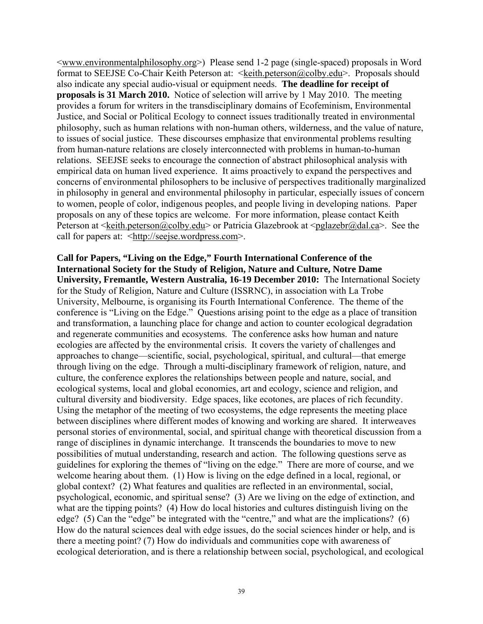<www.environmentalphilosophy.org>) Please send 1-2 page (single-spaced) proposals in Word format to SEEJSE Co-Chair Keith Peterson at: <keith.peterson@colby.edu>. Proposals should also indicate any special audio-visual or equipment needs. **The deadline for receipt of proposals is 31 March 2010.** Notice of selection will arrive by 1 May 2010. The meeting provides a forum for writers in the transdisciplinary domains of Ecofeminism, Environmental Justice, and Social or Political Ecology to connect issues traditionally treated in environmental philosophy, such as human relations with non-human others, wilderness, and the value of nature, to issues of social justice. These discourses emphasize that environmental problems resulting from human-nature relations are closely interconnected with problems in human-to-human relations. SEEJSE seeks to encourage the connection of abstract philosophical analysis with empirical data on human lived experience. It aims proactively to expand the perspectives and concerns of environmental philosophers to be inclusive of perspectives traditionally marginalized in philosophy in general and environmental philosophy in particular, especially issues of concern to women, people of color, indigenous peoples, and people living in developing nations. Paper proposals on any of these topics are welcome. For more information, please contact Keith Peterson at  $\leq k$ eith.peterson@colby.edu> or Patricia Glazebrook at  $\leq$ pglazebr@dal.ca>. See the call for papers at: <http://seejse.wordpress.com>.

**Call for Papers, "Living on the Edge," Fourth International Conference of the International Society for the Study of Religion, Nature and Culture, Notre Dame University, Fremantle, Western Australia, 16-19 December 2010:** The International Society for the Study of Religion, Nature and Culture (ISSRNC), in association with La Trobe University, Melbourne, is organising its Fourth International Conference. The theme of the conference is "Living on the Edge." Questions arising point to the edge as a place of transition and transformation, a launching place for change and action to counter ecological degradation and regenerate communities and ecosystems. The conference asks how human and nature ecologies are affected by the environmental crisis. It covers the variety of challenges and approaches to change—scientific, social, psychological, spiritual, and cultural—that emerge through living on the edge. Through a multi-disciplinary framework of religion, nature, and culture, the conference explores the relationships between people and nature, social, and ecological systems, local and global economies, art and ecology, science and religion, and cultural diversity and biodiversity. Edge spaces, like ecotones, are places of rich fecundity. Using the metaphor of the meeting of two ecosystems, the edge represents the meeting place between disciplines where different modes of knowing and working are shared. It interweaves personal stories of environmental, social, and spiritual change with theoretical discussion from a range of disciplines in dynamic interchange. It transcends the boundaries to move to new possibilities of mutual understanding, research and action. The following questions serve as guidelines for exploring the themes of "living on the edge." There are more of course, and we welcome hearing about them. (1) How is living on the edge defined in a local, regional, or global context? (2) What features and qualities are reflected in an environmental, social, psychological, economic, and spiritual sense? (3) Are we living on the edge of extinction, and what are the tipping points? (4) How do local histories and cultures distinguish living on the edge? (5) Can the "edge" be integrated with the "centre," and what are the implications? (6) How do the natural sciences deal with edge issues, do the social sciences hinder or help, and is there a meeting point? (7) How do individuals and communities cope with awareness of ecological deterioration, and is there a relationship between social, psychological, and ecological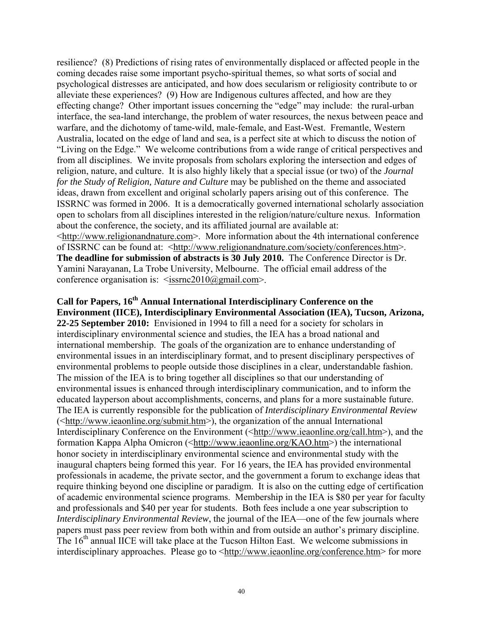resilience? (8) Predictions of rising rates of environmentally displaced or affected people in the coming decades raise some important psycho-spiritual themes, so what sorts of social and psychological distresses are anticipated, and how does secularism or religiosity contribute to or alleviate these experiences? (9) How are Indigenous cultures affected, and how are they effecting change? Other important issues concerning the "edge" may include: the rural-urban interface, the sea-land interchange, the problem of water resources, the nexus between peace and warfare, and the dichotomy of tame-wild, male-female, and East-West. Fremantle, Western Australia, located on the edge of land and sea, is a perfect site at which to discuss the notion of "Living on the Edge." We welcome contributions from a wide range of critical perspectives and from all disciplines. We invite proposals from scholars exploring the intersection and edges of religion, nature, and culture. It is also highly likely that a special issue (or two) of the *Journal for the Study of Religion, Nature and Culture* may be published on the theme and associated ideas, drawn from excellent and original scholarly papers arising out of this conference. The ISSRNC was formed in 2006. It is a democratically governed international scholarly association open to scholars from all disciplines interested in the religion/nature/culture nexus. Information about the conference, the society, and its affiliated journal are available at: <http://www.religionandnature.com>. More information about the 4th international conference of ISSRNC can be found at: <http://www.religionandnature.com/society/conferences.htm>. **The deadline for submission of abstracts is 30 July 2010.** The Conference Director is Dr. Yamini Narayanan, La Trobe University, Melbourne. The official email address of the

conference organisation is:  $\leq$ issrnc2010@gmail.com>.

Call for Papers, 16<sup>th</sup> Annual International Interdisciplinary Conference on the **Environment (IICE), Interdisciplinary Environmental Association (IEA), Tucson, Arizona, 22-25 September 2010:** Envisioned in 1994 to fill a need for a society for scholars in interdisciplinary environmental science and studies, the IEA has a broad national and international membership. The goals of the organization are to enhance understanding of environmental issues in an interdisciplinary format, and to present disciplinary perspectives of environmental problems to people outside those disciplines in a clear, understandable fashion. The mission of the IEA is to bring together all disciplines so that our understanding of environmental issues is enhanced through interdisciplinary communication, and to inform the educated layperson about accomplishments, concerns, and plans for a more sustainable future. The IEA is currently responsible for the publication of *Interdisciplinary Environmental Review* (<http://www.ieaonline.org/submit.htm>), the organization of the annual International Interdisciplinary Conference on the Environment (<http://www.ieaonline.org/call.htm>), and the formation Kappa Alpha Omicron (<http://www.ieaonline.org/KAO.htm>) the international honor society in interdisciplinary environmental science and environmental study with the inaugural chapters being formed this year. For 16 years, the IEA has provided environmental professionals in academe, the private sector, and the government a forum to exchange ideas that require thinking beyond one discipline or paradigm. It is also on the cutting edge of certification of academic environmental science programs. Membership in the IEA is \$80 per year for faculty and professionals and \$40 per year for students. Both fees include a one year subscription to *Interdisciplinary Environmental Review*, the journal of the IEA—one of the few journals where papers must pass peer review from both within and from outside an author's primary discipline. The 16<sup>th</sup> annual IICE will take place at the Tucson Hilton East. We welcome submissions in interdisciplinary approaches. Please go to <http://www.ieaonline.org/conference.htm> for more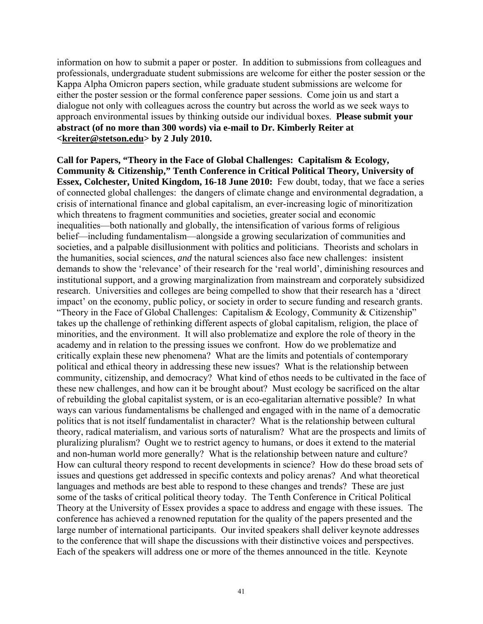information on how to submit a paper or poster. In addition to submissions from colleagues and professionals, undergraduate student submissions are welcome for either the poster session or the Kappa Alpha Omicron papers section, while graduate student submissions are welcome for either the poster session or the formal conference paper sessions. Come join us and start a dialogue not only with colleagues across the country but across the world as we seek ways to approach environmental issues by thinking outside our individual boxes. **Please submit your abstract (of no more than 300 words) via e-mail to Dr. Kimberly Reiter at <kreiter@stetson.edu> by 2 July 2010.**

**Call for Papers, "Theory in the Face of Global Challenges: Capitalism & Ecology, Community & Citizenship," Tenth Conference in Critical Political Theory, University of Essex, Colchester, United Kingdom, 16-18 June 2010:** Few doubt, today, that we face a series of connected global challenges: the dangers of climate change and environmental degradation, a crisis of international finance and global capitalism, an ever-increasing logic of minoritization which threatens to fragment communities and societies, greater social and economic inequalities—both nationally and globally, the intensification of various forms of religious belief—including fundamentalism—alongside a growing secularization of communities and societies, and a palpable disillusionment with politics and politicians. Theorists and scholars in the humanities, social sciences, *and* the natural sciences also face new challenges: insistent demands to show the 'relevance' of their research for the 'real world', diminishing resources and institutional support, and a growing marginalization from mainstream and corporately subsidized research. Universities and colleges are being compelled to show that their research has a 'direct impact' on the economy, public policy, or society in order to secure funding and research grants. "Theory in the Face of Global Challenges: Capitalism  $\&$  Ecology, Community  $\&$  Citizenship" takes up the challenge of rethinking different aspects of global capitalism, religion, the place of minorities, and the environment. It will also problematize and explore the role of theory in the academy and in relation to the pressing issues we confront. How do we problematize and critically explain these new phenomena? What are the limits and potentials of contemporary political and ethical theory in addressing these new issues? What is the relationship between community, citizenship, and democracy? What kind of ethos needs to be cultivated in the face of these new challenges, and how can it be brought about? Must ecology be sacrificed on the altar of rebuilding the global capitalist system, or is an eco-egalitarian alternative possible? In what ways can various fundamentalisms be challenged and engaged with in the name of a democratic politics that is not itself fundamentalist in character? What is the relationship between cultural theory, radical materialism, and various sorts of naturalism? What are the prospects and limits of pluralizing pluralism? Ought we to restrict agency to humans, or does it extend to the material and non-human world more generally? What is the relationship between nature and culture? How can cultural theory respond to recent developments in science? How do these broad sets of issues and questions get addressed in specific contexts and policy arenas? And what theoretical languages and methods are best able to respond to these changes and trends? These are just some of the tasks of critical political theory today. The Tenth Conference in Critical Political Theory at the University of Essex provides a space to address and engage with these issues. The conference has achieved a renowned reputation for the quality of the papers presented and the large number of international participants. Our invited speakers shall deliver keynote addresses to the conference that will shape the discussions with their distinctive voices and perspectives. Each of the speakers will address one or more of the themes announced in the title. Keynote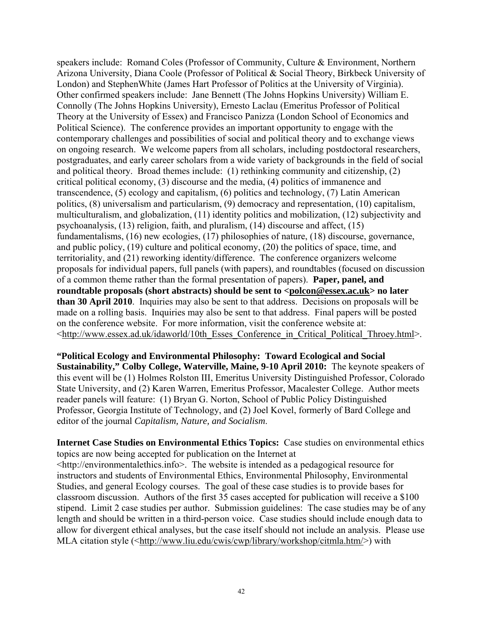speakers include: Romand Coles (Professor of Community, Culture & Environment, Northern Arizona University, Diana Coole (Professor of Political & Social Theory, Birkbeck University of London) and StephenWhite (James Hart Professor of Politics at the University of Virginia). Other confirmed speakers include: Jane Bennett (The Johns Hopkins University) William E. Connolly (The Johns Hopkins University), Ernesto Laclau (Emeritus Professor of Political Theory at the University of Essex) and Francisco Panizza (London School of Economics and Political Science). The conference provides an important opportunity to engage with the contemporary challenges and possibilities of social and political theory and to exchange views on ongoing research. We welcome papers from all scholars, including postdoctoral researchers, postgraduates, and early career scholars from a wide variety of backgrounds in the field of social and political theory. Broad themes include: (1) rethinking community and citizenship, (2) critical political economy, (3) discourse and the media, (4) politics of immanence and transcendence, (5) ecology and capitalism, (6) politics and technology, (7) Latin American politics, (8) universalism and particularism, (9) democracy and representation, (10) capitalism, multiculturalism, and globalization, (11) identity politics and mobilization, (12) subjectivity and psychoanalysis, (13) religion, faith, and pluralism, (14) discourse and affect, (15) fundamentalisms, (16) new ecologies, (17) philosophies of nature, (18) discourse, governance, and public policy, (19) culture and political economy, (20) the politics of space, time, and territoriality, and (21) reworking identity/difference. The conference organizers welcome proposals for individual papers, full panels (with papers), and roundtables (focused on discussion of a common theme rather than the formal presentation of papers). **Paper, panel, and roundtable proposals (short abstracts) should be sent to <polcon@essex.ac.uk> no later than 30 April 2010**. Inquiries may also be sent to that address. Decisions on proposals will be made on a rolling basis. Inquiries may also be sent to that address. Final papers will be posted on the conference website. For more information, visit the conference website at: <http://www.essex.ad.uk/idaworld/10th\_Esses\_Conference\_in\_Critical\_Political\_Throey.html>.

**"Political Ecology and Environmental Philosophy: Toward Ecological and Social Sustainability," Colby College, Waterville, Maine, 9-10 April 2010:** The keynote speakers of this event will be (1) Holmes Rolston III, Emeritus University Distinguished Professor, Colorado State University, and (2) Karen Warren, Emeritus Professor, Macalester College. Author meets reader panels will feature: (1) Bryan G. Norton, School of Public Policy Distinguished Professor, Georgia Institute of Technology, and (2) Joel Kovel, formerly of Bard College and editor of the journal *Capitalism, Nature, and Socialism*.

**Internet Case Studies on Environmental Ethics Topics:** Case studies on environmental ethics topics are now being accepted for publication on the Internet at <http://environmentalethics.info>. The website is intended as a pedagogical resource for instructors and students of Environmental Ethics, Environmental Philosophy, Environmental Studies, and general Ecology courses. The goal of these case studies is to provide bases for classroom discussion. Authors of the first 35 cases accepted for publication will receive a \$100 stipend. Limit 2 case studies per author. Submission guidelines: The case studies may be of any length and should be written in a third-person voice. Case studies should include enough data to allow for divergent ethical analyses, but the case itself should not include an analysis. Please use MLA citation style (<http://www.liu.edu/cwis/cwp/library/workshop/citmla.htm/>) with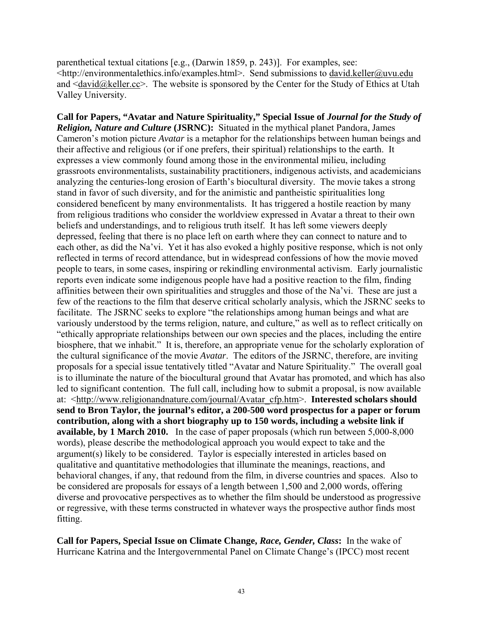parenthetical textual citations [e.g., (Darwin 1859, p. 243)]. For examples, see: <http://environmentalethics.info/examples.html>. Send submissions to david.keller@uvu.edu and  $\langle \text{david}(\hat{\omega})\rangle$ keller.cc $\geq$ . The website is sponsored by the Center for the Study of Ethics at Utah Valley University.

**Call for Papers, "Avatar and Nature Spirituality," Special Issue of** *Journal for the Study of Religion, Nature and Culture* **(JSRNC):** Situated in the mythical planet Pandora, James Cameron's motion picture *Avatar* is a metaphor for the relationships between human beings and their affective and religious (or if one prefers, their spiritual) relationships to the earth. It expresses a view commonly found among those in the environmental milieu, including grassroots environmentalists, sustainability practitioners, indigenous activists, and academicians analyzing the centuries-long erosion of Earth's biocultural diversity. The movie takes a strong stand in favor of such diversity, and for the animistic and pantheistic spiritualities long considered beneficent by many environmentalists. It has triggered a hostile reaction by many from religious traditions who consider the worldview expressed in Avatar a threat to their own beliefs and understandings, and to religious truth itself. It has left some viewers deeply depressed, feeling that there is no place left on earth where they can connect to nature and to each other, as did the Na'vi. Yet it has also evoked a highly positive response, which is not only reflected in terms of record attendance, but in widespread confessions of how the movie moved people to tears, in some cases, inspiring or rekindling environmental activism. Early journalistic reports even indicate some indigenous people have had a positive reaction to the film, finding affinities between their own spiritualities and struggles and those of the Na'vi. These are just a few of the reactions to the film that deserve critical scholarly analysis, which the JSRNC seeks to facilitate. The JSRNC seeks to explore "the relationships among human beings and what are variously understood by the terms religion, nature, and culture," as well as to reflect critically on "ethically appropriate relationships between our own species and the places, including the entire biosphere, that we inhabit." It is, therefore, an appropriate venue for the scholarly exploration of the cultural significance of the movie *Avatar*. The editors of the JSRNC, therefore, are inviting proposals for a special issue tentatively titled "Avatar and Nature Spirituality." The overall goal is to illuminate the nature of the biocultural ground that Avatar has promoted, and which has also led to significant contention. The full call, including how to submit a proposal, is now available at: <http://www.religionandnature.com/journal/Avatar\_cfp.htm>. **Interested scholars should send to Bron Taylor, the journal's editor, a 200-500 word prospectus for a paper or forum contribution, along with a short biography up to 150 words, including a website link if available, by 1 March 2010.** In the case of paper proposals (which run between 5,000-8,000 words), please describe the methodological approach you would expect to take and the argument(s) likely to be considered. Taylor is especially interested in articles based on qualitative and quantitative methodologies that illuminate the meanings, reactions, and behavioral changes, if any, that redound from the film, in diverse countries and spaces. Also to be considered are proposals for essays of a length between 1,500 and 2,000 words, offering diverse and provocative perspectives as to whether the film should be understood as progressive or regressive, with these terms constructed in whatever ways the prospective author finds most fitting.

**Call for Papers, Special Issue on Climate Change,** *Race, Gender, Class***:** In the wake of Hurricane Katrina and the Intergovernmental Panel on Climate Change's (IPCC) most recent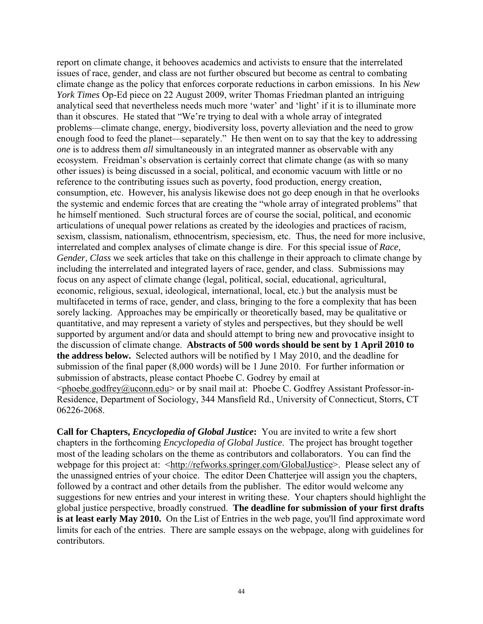report on climate change, it behooves academics and activists to ensure that the interrelated issues of race, gender, and class are not further obscured but become as central to combating climate change as the policy that enforces corporate reductions in carbon emissions. In his *New York Times* Op-Ed piece on 22 August 2009, writer Thomas Friedman planted an intriguing analytical seed that nevertheless needs much more 'water' and 'light' if it is to illuminate more than it obscures. He stated that "We're trying to deal with a whole array of integrated problems—climate change, energy, biodiversity loss, poverty alleviation and the need to grow enough food to feed the planet—separately." He then went on to say that the key to addressing *one* is to address them *all* simultaneously in an integrated manner as observable with any ecosystem. Freidman's observation is certainly correct that climate change (as with so many other issues) is being discussed in a social, political, and economic vacuum with little or no reference to the contributing issues such as poverty, food production, energy creation, consumption, etc. However, his analysis likewise does not go deep enough in that he overlooks the systemic and endemic forces that are creating the "whole array of integrated problems" that he himself mentioned. Such structural forces are of course the social, political, and economic articulations of unequal power relations as created by the ideologies and practices of racism, sexism, classism, nationalism, ethnocentrism, speciesism, etc. Thus, the need for more inclusive, interrelated and complex analyses of climate change is dire. For this special issue of *Race, Gender, Class* we seek articles that take on this challenge in their approach to climate change by including the interrelated and integrated layers of race, gender, and class. Submissions may focus on any aspect of climate change (legal, political, social, educational, agricultural, economic, religious, sexual, ideological, international, local, etc.) but the analysis must be multifaceted in terms of race, gender, and class, bringing to the fore a complexity that has been sorely lacking. Approaches may be empirically or theoretically based, may be qualitative or quantitative, and may represent a variety of styles and perspectives, but they should be well supported by argument and/or data and should attempt to bring new and provocative insight to the discussion of climate change. **Abstracts of 500 words should be sent by 1 April 2010 to the address below.** Selected authors will be notified by 1 May 2010, and the deadline for submission of the final paper (8,000 words) will be 1 June 2010. For further information or submission of abstracts, please contact Phoebe C. Godrey by email at  $\leq$ phoebe.godfrey@uconn.edu> or by snail mail at: Phoebe C. Godfrey Assistant Professor-in-Residence, Department of Sociology, 344 Mansfield Rd., University of Connecticut, Storrs, CT 06226-2068.

**Call for Chapters,** *Encyclopedia of Global Justice***:** You are invited to write a few short chapters in the forthcoming *Encyclopedia of Global Justice*. The project has brought together most of the leading scholars on the theme as contributors and collaborators. You can find the webpage for this project at: <http://refworks.springer.com/GlobalJustice>. Please select any of the unassigned entries of your choice. The editor Deen Chatterjee will assign you the chapters, followed by a contract and other details from the publisher. The editor would welcome any suggestions for new entries and your interest in writing these. Your chapters should highlight the global justice perspective, broadly construed. **The deadline for submission of your first drafts is at least early May 2010.** On the List of Entries in the web page, you'll find approximate word limits for each of the entries. There are sample essays on the webpage, along with guidelines for contributors.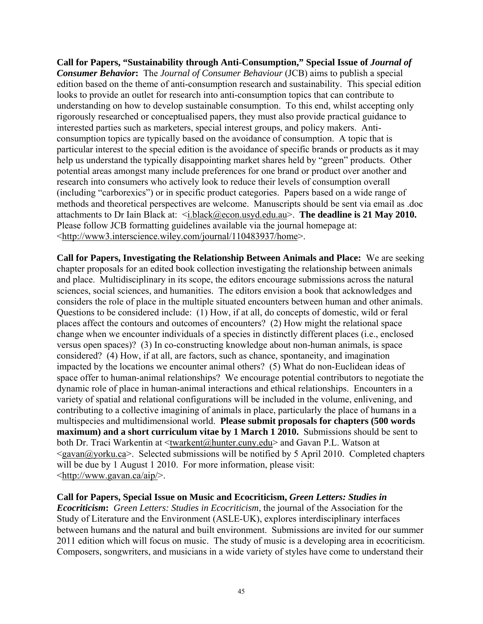**Call for Papers, "Sustainability through Anti-Consumption," Special Issue of** *Journal of Consumer Behavior***:** The *Journal of Consumer Behaviour* (JCB) aims to publish a special edition based on the theme of anti-consumption research and sustainability. This special edition looks to provide an outlet for research into anti-consumption topics that can contribute to understanding on how to develop sustainable consumption. To this end, whilst accepting only rigorously researched or conceptualised papers, they must also provide practical guidance to interested parties such as marketers, special interest groups, and policy makers. Anticonsumption topics are typically based on the avoidance of consumption. A topic that is particular interest to the special edition is the avoidance of specific brands or products as it may help us understand the typically disappointing market shares held by "green" products. Other potential areas amongst many include preferences for one brand or product over another and research into consumers who actively look to reduce their levels of consumption overall (including "carborexics") or in specific product categories. Papers based on a wide range of methods and theoretical perspectives are welcome. Manuscripts should be sent via email as .doc attachments to Dr Iain Black at: <i.black@econ.usyd.edu.au>. **The deadline is 21 May 2010.** Please follow JCB formatting guidelines available via the journal homepage at: <http://www3.interscience.wiley.com/journal/110483937/home>.

**Call for Papers, Investigating the Relationship Between Animals and Place:** We are seeking chapter proposals for an edited book collection investigating the relationship between animals and place. Multidisciplinary in its scope, the editors encourage submissions across the natural sciences, social sciences, and humanities. The editors envision a book that acknowledges and considers the role of place in the multiple situated encounters between human and other animals. Questions to be considered include: (1) How, if at all, do concepts of domestic, wild or feral places affect the contours and outcomes of encounters? (2) How might the relational space change when we encounter individuals of a species in distinctly different places (i.e., enclosed versus open spaces)? (3) In co-constructing knowledge about non-human animals, is space considered? (4) How, if at all, are factors, such as chance, spontaneity, and imagination impacted by the locations we encounter animal others? (5) What do non-Euclidean ideas of space offer to human-animal relationships? We encourage potential contributors to negotiate the dynamic role of place in human-animal interactions and ethical relationships. Encounters in a variety of spatial and relational configurations will be included in the volume, enlivening, and contributing to a collective imagining of animals in place, particularly the place of humans in a multispecies and multidimensional world. **Please submit proposals for chapters (500 words maximum) and a short curriculum vitae by 1 March 1 2010.** Submissions should be sent to both Dr. Traci Warkentin at <twarkent@hunter.cuny.edu> and Gavan P.L. Watson at  $\langle$ gavan $\langle \hat{\alpha} \rangle$ yorku.ca $\rangle$ . Selected submissions will be notified by 5 April 2010. Completed chapters will be due by 1 August 1 2010. For more information, please visit: <http://www.gavan.ca/aip/>.

**Call for Papers, Special Issue on Music and Ecocriticism,** *Green Letters: Studies in* 

*Ecocriticism***:** *Green Letters: Studies in Ecocriticism*, the journal of the Association for the Study of Literature and the Environment (ASLE-UK), explores interdisciplinary interfaces between humans and the natural and built environment. Submissions are invited for our summer 2011 edition which will focus on music. The study of music is a developing area in ecocriticism. Composers, songwriters, and musicians in a wide variety of styles have come to understand their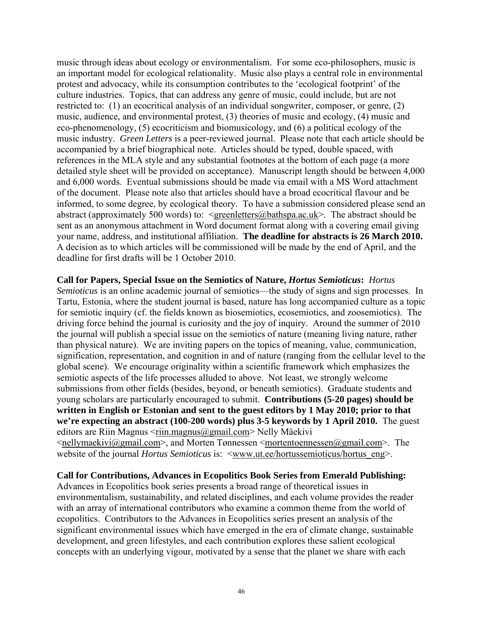music through ideas about ecology or environmentalism. For some eco-philosophers, music is an important model for ecological relationality. Music also plays a central role in environmental protest and advocacy, while its consumption contributes to the 'ecological footprint' of the culture industries. Topics, that can address any genre of music, could include, but are not restricted to: (1) an ecocritical analysis of an individual songwriter, composer, or genre, (2) music, audience, and environmental protest, (3) theories of music and ecology, (4) music and eco-phenomenology, (5) ecocriticism and biomusicology, and (6) a political ecology of the music industry. *Green Letters* is a peer-reviewed journal. Please note that each article should be accompanied by a brief biographical note. Articles should be typed, double spaced, with references in the MLA style and any substantial footnotes at the bottom of each page (a more detailed style sheet will be provided on acceptance). Manuscript length should be between 4,000 and 6,000 words. Eventual submissions should be made via email with a MS Word attachment of the document. Please note also that articles should have a broad ecocritical flavour and be informed, to some degree, by ecological theory. To have a submission considered please send an abstract (approximately 500 words) to:  $\leq$ greenletters@bathspa.ac.uk>. The abstract should be sent as an anonymous attachment in Word document format along with a covering email giving your name, address, and institutional affiliation. **The deadline for abstracts is 26 March 2010.** A decision as to which articles will be commissioned will be made by the end of April, and the deadline for first drafts will be 1 October 2010.

**Call for Papers, Special Issue on the Semiotics of Nature,** *Hortus Semioticus***:** *Hortus Semioticus* is an online academic journal of semiotics—the study of signs and sign processes. In Tartu, Estonia, where the student journal is based, nature has long accompanied culture as a topic for semiotic inquiry (cf. the fields known as biosemiotics, ecosemiotics, and zoosemiotics). The driving force behind the journal is curiosity and the joy of inquiry. Around the summer of 2010 the journal will publish a special issue on the semiotics of nature (meaning living nature, rather than physical nature). We are inviting papers on the topics of meaning, value, communication, signification, representation, and cognition in and of nature (ranging from the cellular level to the global scene). We encourage originality within a scientific framework which emphasizes the semiotic aspects of the life processes alluded to above. Not least, we strongly welcome submissions from other fields (besides, beyond, or beneath semiotics). Graduate students and young scholars are particularly encouraged to submit. **Contributions (5-20 pages) should be written in English or Estonian and sent to the guest editors by 1 May 2010; prior to that we're expecting an abstract (100-200 words) plus 3-5 keywords by 1 April 2010.** The guest editors are Riin Magnus <riin.magnus@gmail.com> Nelly Mäekivi  $\leq$ nellymaekivi@gmail.com>, and Morten Tønnessen  $\leq$ mortentoennessen@gmail.com>. The

website of the journal *Hortus Semioticus* is: <www.ut.ee/hortussemioticus/hortus\_eng>.

#### **Call for Contributions, Advances in Ecopolitics Book Series from Emerald Publishing:**

Advances in Ecopolitics book series presents a broad range of theoretical issues in environmentalism, sustainability, and related disciplines, and each volume provides the reader with an array of international contributors who examine a common theme from the world of ecopolitics. Contributors to the Advances in Ecopolitics series present an analysis of the significant environmental issues which have emerged in the era of climate change, sustainable development, and green lifestyles, and each contribution explores these salient ecological concepts with an underlying vigour, motivated by a sense that the planet we share with each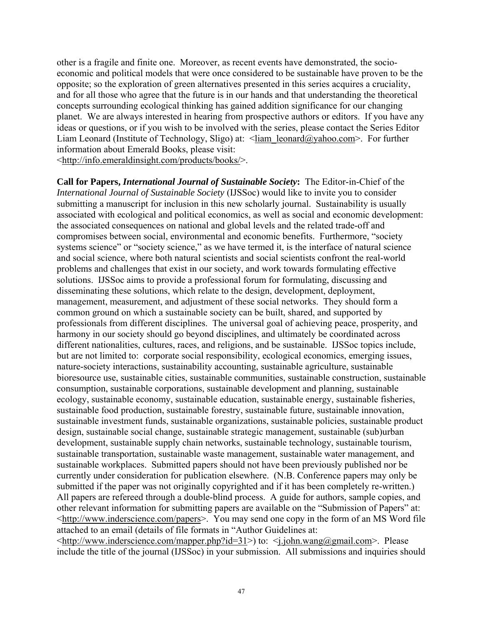other is a fragile and finite one. Moreover, as recent events have demonstrated, the socioeconomic and political models that were once considered to be sustainable have proven to be the opposite; so the exploration of green alternatives presented in this series acquires a cruciality, and for all those who agree that the future is in our hands and that understanding the theoretical concepts surrounding ecological thinking has gained addition significance for our changing planet. We are always interested in hearing from prospective authors or editors. If you have any ideas or questions, or if you wish to be involved with the series, please contact the Series Editor Liam Leonard (Institute of Technology, Sligo) at:  $\langle$ liam leonard@yahoo.com>. For further information about Emerald Books, please visit:

<http://info.emeraldinsight.com/products/books/>.

**Call for Papers,** *International Journal of Sustainable Society***:** The Editor-in-Chief of the *International Journal of Sustainable Society* (IJSSoc) would like to invite you to consider submitting a manuscript for inclusion in this new scholarly journal. Sustainability is usually associated with ecological and political economics, as well as social and economic development: the associated consequences on national and global levels and the related trade-off and compromises between social, environmental and economic benefits. Furthermore, "society systems science" or "society science," as we have termed it, is the interface of natural science and social science, where both natural scientists and social scientists confront the real-world problems and challenges that exist in our society, and work towards formulating effective solutions. IJSSoc aims to provide a professional forum for formulating, discussing and disseminating these solutions, which relate to the design, development, deployment, management, measurement, and adjustment of these social networks. They should form a common ground on which a sustainable society can be built, shared, and supported by professionals from different disciplines. The universal goal of achieving peace, prosperity, and harmony in our society should go beyond disciplines, and ultimately be coordinated across different nationalities, cultures, races, and religions, and be sustainable. IJSSoc topics include, but are not limited to: corporate social responsibility, ecological economics, emerging issues, nature-society interactions, sustainability accounting, sustainable agriculture, sustainable bioresource use, sustainable cities, sustainable communities, sustainable construction, sustainable consumption, sustainable corporations, sustainable development and planning, sustainable ecology, sustainable economy, sustainable education, sustainable energy, sustainable fisheries, sustainable food production, sustainable forestry, sustainable future, sustainable innovation, sustainable investment funds, sustainable organizations, sustainable policies, sustainable product design, sustainable social change, sustainable strategic management, sustainable (sub)urban development, sustainable supply chain networks, sustainable technology, sustainable tourism, sustainable transportation, sustainable waste management, sustainable water management, and sustainable workplaces. Submitted papers should not have been previously published nor be currently under consideration for publication elsewhere. (N.B. Conference papers may only be submitted if the paper was not originally copyrighted and if it has been completely re-written.) All papers are refereed through a double-blind process. A guide for authors, sample copies, and other relevant information for submitting papers are available on the "Submission of Papers" at: <http://www.inderscience.com/papers>. You may send one copy in the form of an MS Word file attached to an email (details of file formats in "Author Guidelines at:

<http://www.inderscience.com/mapper.php?id=31>) to: <j.john.wang@gmail.com>. Please include the title of the journal (IJSSoc) in your submission. All submissions and inquiries should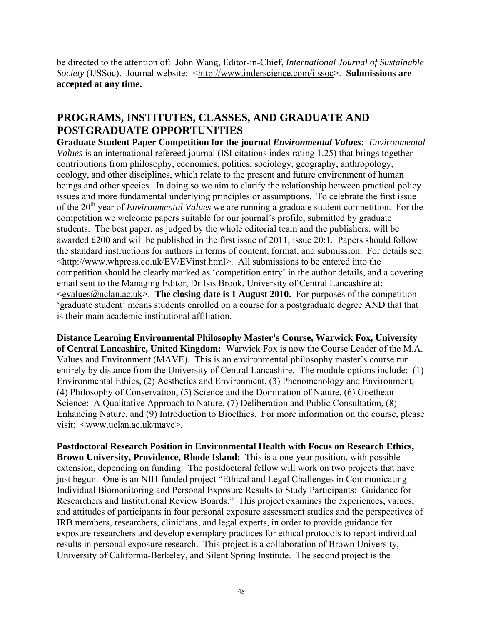be directed to the attention of: John Wang, Editor-in-Chief, *International Journal of Sustainable Society* (IJSSoc). Journal website: <http://www.inderscience.com/ijssoc>. **Submissions are accepted at any time.** 

# **PROGRAMS, INSTITUTES, CLASSES, AND GRADUATE AND POSTGRADUATE OPPORTUNITIES**

**Graduate Student Paper Competition for the journal** *Environmental Values***:** *Environmental Values* is an international refereed journal (ISI citations index rating 1.25) that brings together contributions from philosophy, economics, politics, sociology, geography, anthropology, ecology, and other disciplines, which relate to the present and future environment of human beings and other species. In doing so we aim to clarify the relationship between practical policy issues and more fundamental underlying principles or assumptions. To celebrate the first issue of the 20<sup>th</sup> year of *Environmental Values* we are running a graduate student competition. For the competition we welcome papers suitable for our journal's profile, submitted by graduate students. The best paper, as judged by the whole editorial team and the publishers, will be awarded £200 and will be published in the first issue of 2011, issue 20:1. Papers should follow the standard instructions for authors in terms of content, format, and submission. For details see: <http://www.whpress.co.uk/EV/EVinst.html>. All submissions to be entered into the competition should be clearly marked as 'competition entry' in the author details, and a covering email sent to the Managing Editor, Dr Isis Brook, University of Central Lancashire at:  $\leq$ evalues@uclan.ac.uk>. **The closing date is 1 August 2010.** For purposes of the competition 'graduate student' means students enrolled on a course for a postgraduate degree AND that that is their main academic institutional affiliation.

**Distance Learning Environmental Philosophy Master's Course, Warwick Fox, University of Central Lancashire, United Kingdom:** Warwick Fox is now the Course Leader of the M.A. Values and Environment (MAVE). This is an environmental philosophy master's course run entirely by distance from the University of Central Lancashire. The module options include: (1) Environmental Ethics, (2) Aesthetics and Environment, (3) Phenomenology and Environment, (4) Philosophy of Conservation, (5) Science and the Domination of Nature, (6) Goethean Science: A Qualitative Approach to Nature, (7) Deliberation and Public Consultation, (8) Enhancing Nature, and (9) Introduction to Bioethics. For more information on the course, please visit:  $\langle$ www.uclan.ac.uk/mave>.

**Postdoctoral Research Position in Environmental Health with Focus on Research Ethics, Brown University, Providence, Rhode Island:** This is a one-year position, with possible extension, depending on funding. The postdoctoral fellow will work on two projects that have just begun. One is an NIH-funded project "Ethical and Legal Challenges in Communicating Individual Biomonitoring and Personal Exposure Results to Study Participants: Guidance for Researchers and Institutional Review Boards." This project examines the experiences, values, and attitudes of participants in four personal exposure assessment studies and the perspectives of IRB members, researchers, clinicians, and legal experts, in order to provide guidance for exposure researchers and develop exemplary practices for ethical protocols to report individual results in personal exposure research. This project is a collaboration of Brown University, University of California-Berkeley, and Silent Spring Institute. The second project is the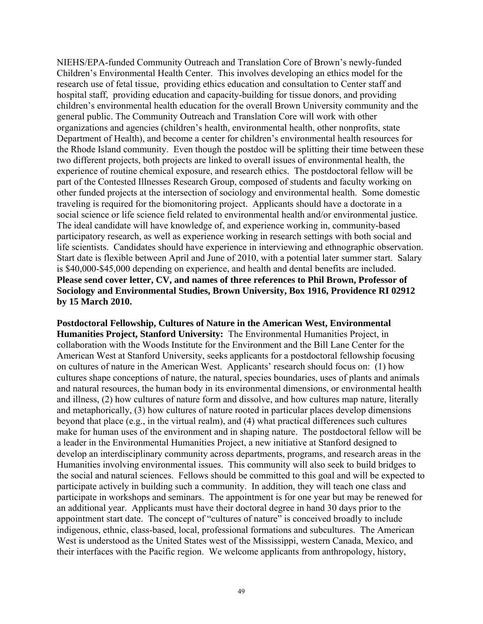NIEHS/EPA-funded Community Outreach and Translation Core of Brown's newly-funded Children's Environmental Health Center. This involves developing an ethics model for the research use of fetal tissue, providing ethics education and consultation to Center staff and hospital staff, providing education and capacity-building for tissue donors, and providing children's environmental health education for the overall Brown University community and the general public. The Community Outreach and Translation Core will work with other organizations and agencies (children's health, environmental health, other nonprofits, state Department of Health), and become a center for children's environmental health resources for the Rhode Island community. Even though the postdoc will be splitting their time between these two different projects, both projects are linked to overall issues of environmental health, the experience of routine chemical exposure, and research ethics. The postdoctoral fellow will be part of the Contested Illnesses Research Group, composed of students and faculty working on other funded projects at the intersection of sociology and environmental health. Some domestic traveling is required for the biomonitoring project. Applicants should have a doctorate in a social science or life science field related to environmental health and/or environmental justice. The ideal candidate will have knowledge of, and experience working in, community-based participatory research, as well as experience working in research settings with both social and life scientists. Candidates should have experience in interviewing and ethnographic observation. Start date is flexible between April and June of 2010, with a potential later summer start. Salary is \$40,000-\$45,000 depending on experience, and health and dental benefits are included. **Please send cover letter, CV, and names of three references to Phil Brown, Professor of Sociology and Environmental Studies, Brown University, Box 1916, Providence RI 02912 by 15 March 2010.**

**Postdoctoral Fellowship, Cultures of Nature in the American West, Environmental Humanities Project, Stanford University:** The Environmental Humanities Project, in collaboration with the Woods Institute for the Environment and the Bill Lane Center for the American West at Stanford University, seeks applicants for a postdoctoral fellowship focusing on cultures of nature in the American West. Applicants' research should focus on: (1) how cultures shape conceptions of nature, the natural, species boundaries, uses of plants and animals and natural resources, the human body in its environmental dimensions, or environmental health and illness, (2) how cultures of nature form and dissolve, and how cultures map nature, literally and metaphorically, (3) how cultures of nature rooted in particular places develop dimensions beyond that place (e.g., in the virtual realm), and (4) what practical differences such cultures make for human uses of the environment and in shaping nature. The postdoctoral fellow will be a leader in the Environmental Humanities Project, a new initiative at Stanford designed to develop an interdisciplinary community across departments, programs, and research areas in the Humanities involving environmental issues. This community will also seek to build bridges to the social and natural sciences. Fellows should be committed to this goal and will be expected to participate actively in building such a community. In addition, they will teach one class and participate in workshops and seminars. The appointment is for one year but may be renewed for an additional year. Applicants must have their doctoral degree in hand 30 days prior to the appointment start date. The concept of "cultures of nature" is conceived broadly to include indigenous, ethnic, class-based, local, professional formations and subcultures. The American West is understood as the United States west of the Mississippi, western Canada, Mexico, and their interfaces with the Pacific region. We welcome applicants from anthropology, history,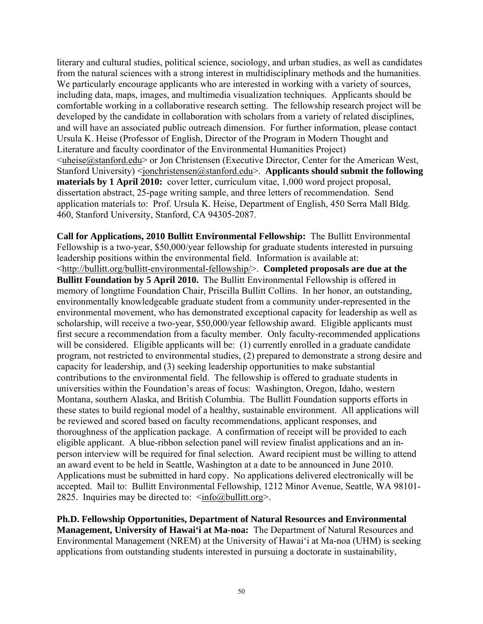literary and cultural studies, political science, sociology, and urban studies, as well as candidates from the natural sciences with a strong interest in multidisciplinary methods and the humanities. We particularly encourage applicants who are interested in working with a variety of sources, including data, maps, images, and multimedia visualization techniques. Applicants should be comfortable working in a collaborative research setting. The fellowship research project will be developed by the candidate in collaboration with scholars from a variety of related disciplines, and will have an associated public outreach dimension. For further information, please contact Ursula K. Heise (Professor of English, Director of the Program in Modern Thought and Literature and faculty coordinator of the Environmental Humanities Project)  $\leq$ uheise@stanford.edu> or Jon Christensen (Executive Director, Center for the American West, Stanford University) <jonchristensen@stanford.edu>. **Applicants should submit the following materials by 1 April 2010:** cover letter, curriculum vitae, 1,000 word project proposal, dissertation abstract, 25-page writing sample, and three letters of recommendation. Send application materials to: Prof. Ursula K. Heise, Department of English, 450 Serra Mall Bldg. 460, Stanford University, Stanford, CA 94305-2087.

**Call for Applications, 2010 Bullitt Environmental Fellowship:** The Bullitt Environmental Fellowship is a two-year, \$50,000/year fellowship for graduate students interested in pursuing leadership positions within the environmental field. Information is available at: <http://bullitt.org/bullitt-environmental-fellowship/>. **Completed proposals are due at the Bullitt Foundation by 5 April 2010.** The Bullitt Environmental Fellowship is offered in memory of longtime Foundation Chair, Priscilla Bullitt Collins. In her honor, an outstanding, environmentally knowledgeable graduate student from a community under-represented in the environmental movement, who has demonstrated exceptional capacity for leadership as well as scholarship, will receive a two-year, \$50,000/year fellowship award. Eligible applicants must first secure a recommendation from a faculty member. Only faculty-recommended applications will be considered. Eligible applicants will be: (1) currently enrolled in a graduate candidate program, not restricted to environmental studies, (2) prepared to demonstrate a strong desire and capacity for leadership, and (3) seeking leadership opportunities to make substantial contributions to the environmental field. The fellowship is offered to graduate students in universities within the Foundation's areas of focus: Washington, Oregon, Idaho, western Montana, southern Alaska, and British Columbia. The Bullitt Foundation supports efforts in these states to build regional model of a healthy, sustainable environment. All applications will be reviewed and scored based on faculty recommendations, applicant responses, and thoroughness of the application package. A confirmation of receipt will be provided to each eligible applicant. A blue-ribbon selection panel will review finalist applications and an inperson interview will be required for final selection. Award recipient must be willing to attend an award event to be held in Seattle, Washington at a date to be announced in June 2010. Applications must be submitted in hard copy. No applications delivered electronically will be accepted. Mail to: Bullitt Environmental Fellowship, 1212 Minor Avenue, Seattle, WA 98101- 2825. Inquiries may be directed to:  $\langle \sin f$ <sup>o</sup> $\langle \sin f$ <sup>o</sup> $\langle \sin f$ <sup>o</sup> $\langle \sin f$ <sup>o</sup> $\langle \sin f$ <sup>o</sup> $\langle \sin f$ <sup>o</sup> $\langle \sin f$ <sup>o</sup> $\langle \sin f$ <sup>o</sup> $\langle \sin f$ <sup>o</sup> $\langle \sin f$ <sup>o</sup> $\langle \sin f$ <sup>o</sup> $\langle \sin f$ <sup>o</sup> $\langle \sin f$ <sup>o</sup> $\langle \sin f$ <sup>o</sup> $\langle \sin f$ <sup>o</sup> $\langle \sin f \rangle$ <sup>o</sup> $\langle \sin f$ <sup>o</sup> $\langle \sin f \rangle$ <sup>o</sup>

**Ph.D. Fellowship Opportunities, Department of Natural Resources and Environmental Management, University of Hawai'i at Ma-noa:** The Department of Natural Resources and Environmental Management (NREM) at the University of Hawai'i at Ma-noa (UHM) is seeking applications from outstanding students interested in pursuing a doctorate in sustainability,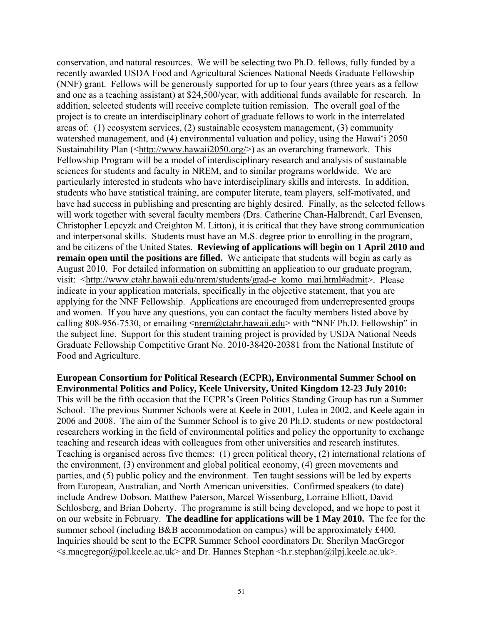conservation, and natural resources. We will be selecting two Ph.D. fellows, fully funded by a recently awarded USDA Food and Agricultural Sciences National Needs Graduate Fellowship (NNF) grant. Fellows will be generously supported for up to four years (three years as a fellow and one as a teaching assistant) at \$24,500/year, with additional funds available for research. In addition, selected students will receive complete tuition remission. The overall goal of the project is to create an interdisciplinary cohort of graduate fellows to work in the interrelated areas of: (1) ecosystem services, (2) sustainable ecosystem management, (3) community watershed management, and (4) environmental valuation and policy, using the Hawai'i 2050 Sustainability Plan (<http://www.hawaii2050.org/>) as an overarching framework. This Fellowship Program will be a model of interdisciplinary research and analysis of sustainable sciences for students and faculty in NREM, and to similar programs worldwide. We are particularly interested in students who have interdisciplinary skills and interests. In addition, students who have statistical training, are computer literate, team players, self-motivated, and have had success in publishing and presenting are highly desired. Finally, as the selected fellows will work together with several faculty members (Drs. Catherine Chan-Halbrendt, Carl Evensen, Christopher Lepcyzk and Creighton M. Litton), it is critical that they have strong communication and interpersonal skills. Students must have an M.S. degree prior to enrolling in the program, and be citizens of the United States. **Reviewing of applications will begin on 1 April 2010 and remain open until the positions are filled.** We anticipate that students will begin as early as August 2010. For detailed information on submitting an application to our graduate program, visit: <http://www.ctahr.hawaii.edu/nrem/students/grad-e\_komo\_mai.html#admit>. Please indicate in your application materials, specifically in the objective statement, that you are applying for the NNF Fellowship. Applications are encouraged from underrepresented groups and women. If you have any questions, you can contact the faculty members listed above by calling 808-956-7530, or emailing  $\langle \text{nrem}(\vec{a}) \rangle$  ctahr.hawaii.edu> with "NNF Ph.D. Fellowship" in the subject line. Support for this student training project is provided by USDA National Needs Graduate Fellowship Competitive Grant No. 2010-38420-20381 from the National Institute of Food and Agriculture.

**European Consortium for Political Research (ECPR), Environmental Summer School on Environmental Politics and Policy, Keele University, United Kingdom 12-23 July 2010:** This will be the fifth occasion that the ECPR's Green Politics Standing Group has run a Summer School. The previous Summer Schools were at Keele in 2001, Lulea in 2002, and Keele again in 2006 and 2008. The aim of the Summer School is to give 20 Ph.D. students or new postdoctoral researchers working in the field of environmental politics and policy the opportunity to exchange teaching and research ideas with colleagues from other universities and research institutes. Teaching is organised across five themes: (1) green political theory, (2) international relations of the environment, (3) environment and global political economy, (4) green movements and parties, and (5) public policy and the environment. Ten taught sessions will be led by experts from European, Australian, and North American universities. Confirmed speakers (to date) include Andrew Dobson, Matthew Paterson, Marcel Wissenburg, Lorraine Elliott, David Schlosberg, and Brian Doherty. The programme is still being developed, and we hope to post it on our website in February. **The deadline for applications will be 1 May 2010.** The fee for the summer school (including B&B accommodation on campus) will be approximately £400. Inquiries should be sent to the ECPR Summer School coordinators Dr. Sherilyn MacGregor  $\leq$ s.macgregor@pol.keele.ac.uk> and Dr. Hannes Stephan  $\leq$ h.r.stephan@ilpj.keele.ac.uk>.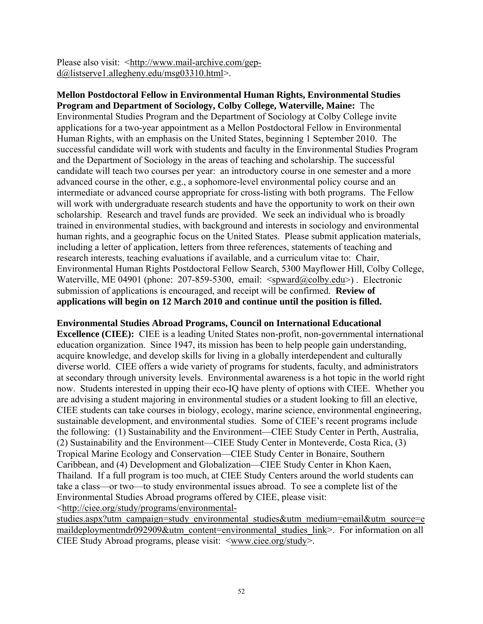Please also visit: <http://www.mail-archive.com/gepd@listserve1.allegheny.edu/msg03310.html>.

**Mellon Postdoctoral Fellow in Environmental Human Rights, Environmental Studies Program and Department of Sociology, Colby College, Waterville, Maine:** The Environmental Studies Program and the Department of Sociology at Colby College invite applications for a two-year appointment as a Mellon Postdoctoral Fellow in Environmental Human Rights, with an emphasis on the United States, beginning 1 September 2010. The successful candidate will work with students and faculty in the Environmental Studies Program and the Department of Sociology in the areas of teaching and scholarship. The successful candidate will teach two courses per year: an introductory course in one semester and a more advanced course in the other, e.g., a sophomore-level environmental policy course and an intermediate or advanced course appropriate for cross-listing with both programs. The Fellow will work with undergraduate research students and have the opportunity to work on their own scholarship. Research and travel funds are provided. We seek an individual who is broadly trained in environmental studies, with background and interests in sociology and environmental human rights, and a geographic focus on the United States. Please submit application materials, including a letter of application, letters from three references, statements of teaching and research interests, teaching evaluations if available, and a curriculum vitae to: Chair, Environmental Human Rights Postdoctoral Fellow Search, 5300 Mayflower Hill, Colby College, Waterville, ME 04901 (phone: 207-859-5300, email:  $\langle$ spward@colby.edu>). Electronic submission of applications is encouraged, and receipt will be confirmed. **Review of applications will begin on 12 March 2010 and continue until the position is filled.**

#### **Environmental Studies Abroad Programs, Council on International Educational**

**Excellence (CIEE):** CIEE is a leading United States non-profit, non-governmental international education organization. Since 1947, its mission has been to help people gain understanding, acquire knowledge, and develop skills for living in a globally interdependent and culturally diverse world. CIEE offers a wide variety of programs for students, faculty, and administrators at secondary through university levels. Environmental awareness is a hot topic in the world right now. Students interested in upping their eco-IQ have plenty of options with CIEE. Whether you are advising a student majoring in environmental studies or a student looking to fill an elective, CIEE students can take courses in biology, ecology, marine science, environmental engineering, sustainable development, and environmental studies. Some of CIEE's recent programs include the following: (1) Sustainability and the Environment—CIEE Study Center in Perth, Australia, (2) Sustainability and the Environment—CIEE Study Center in Monteverde, Costa Rica, (3) Tropical Marine Ecology and Conservation—CIEE Study Center in Bonaire, Southern Caribbean, and (4) Development and Globalization—CIEE Study Center in Khon Kaen, Thailand. If a full program is too much, at CIEE Study Centers around the world students can take a class—or two—to study environmental issues abroad. To see a complete list of the Environmental Studies Abroad programs offered by CIEE, please visit:

<http://ciee.org/study/programs/environmental-

studies.aspx?utm\_campaign=study\_environmental\_studies&utm\_medium=email&utm\_source=e maildeploymentmdr092909&utm\_content=environmental\_studies\_link>. For information on all CIEE Study Abroad programs, please visit: <www.ciee.org/study>.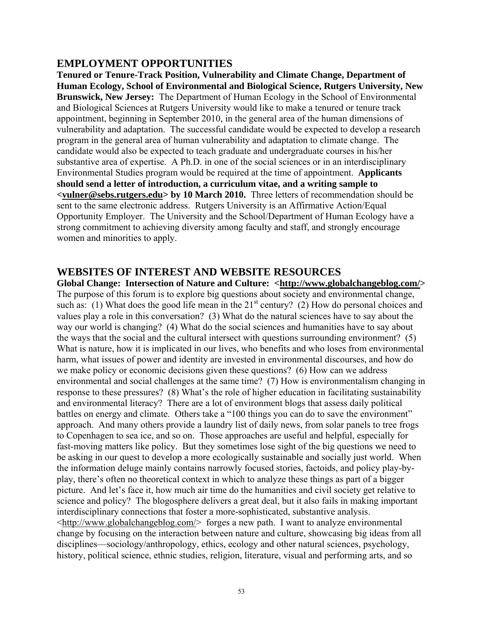## **EMPLOYMENT OPPORTUNITIES**

**Tenured or Tenure-Track Position, Vulnerability and Climate Change, Department of Human Ecology, School of Environmental and Biological Science, Rutgers University, New Brunswick, New Jersey:** The Department of Human Ecology in the School of Environmental and Biological Sciences at Rutgers University would like to make a tenured or tenure track appointment, beginning in September 2010, in the general area of the human dimensions of vulnerability and adaptation. The successful candidate would be expected to develop a research program in the general area of human vulnerability and adaptation to climate change. The candidate would also be expected to teach graduate and undergraduate courses in his/her substantive area of expertise. A Ph.D. in one of the social sciences or in an interdisciplinary Environmental Studies program would be required at the time of appointment. **Applicants should send a letter of introduction, a curriculum vitae, and a writing sample to <vulner@sebs.rutgers.edu> by 10 March 2010.** Three letters of recommendation should be sent to the same electronic address. Rutgers University is an Affirmative Action/Equal Opportunity Employer. The University and the School/Department of Human Ecology have a strong commitment to achieving diversity among faculty and staff, and strongly encourage women and minorities to apply.

#### **WEBSITES OF INTEREST AND WEBSITE RESOURCES**

**Global Change: Intersection of Nature and Culture: <http://www.globalchangeblog.com/>** The purpose of this forum is to explore big questions about society and environmental change, such as: (1) What does the good life mean in the  $21<sup>st</sup>$  century? (2) How do personal choices and values play a role in this conversation? (3) What do the natural sciences have to say about the way our world is changing? (4) What do the social sciences and humanities have to say about the ways that the social and the cultural intersect with questions surrounding environment? (5) What is nature, how it is implicated in our lives, who benefits and who loses from environmental harm, what issues of power and identity are invested in environmental discourses, and how do we make policy or economic decisions given these questions? (6) How can we address environmental and social challenges at the same time? (7) How is environmentalism changing in response to these pressures? (8) What's the role of higher education in facilitating sustainability and environmental literacy? There are a lot of environment blogs that assess daily political battles on energy and climate. Others take a "100 things you can do to save the environment" approach. And many others provide a laundry list of daily news, from solar panels to tree frogs to Copenhagen to sea ice, and so on. Those approaches are useful and helpful, especially for fast-moving matters like policy. But they sometimes lose sight of the big questions we need to be asking in our quest to develop a more ecologically sustainable and socially just world. When the information deluge mainly contains narrowly focused stories, factoids, and policy play-byplay, there's often no theoretical context in which to analyze these things as part of a bigger picture. And let's face it, how much air time do the humanities and civil society get relative to science and policy? The blogosphere delivers a great deal, but it also fails in making important interdisciplinary connections that foster a more-sophisticated, substantive analysis. <http://www.globalchangeblog.com/> forges a new path. I want to analyze environmental change by focusing on the interaction between nature and culture, showcasing big ideas from all disciplines—sociology/anthropology, ethics, ecology and other natural sciences, psychology, history, political science, ethnic studies, religion, literature, visual and performing arts, and so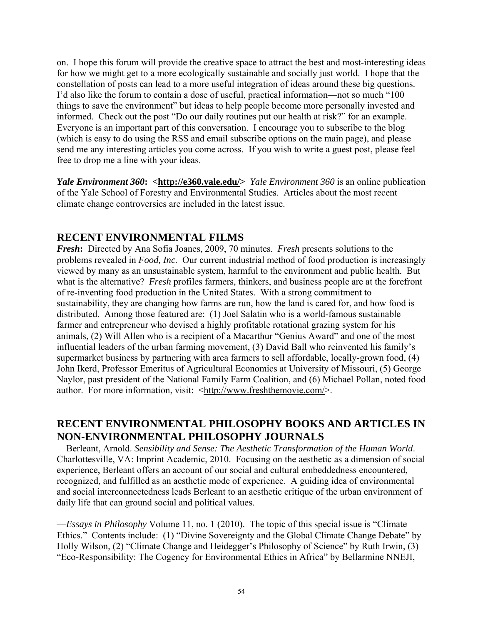on. I hope this forum will provide the creative space to attract the best and most-interesting ideas for how we might get to a more ecologically sustainable and socially just world. I hope that the constellation of posts can lead to a more useful integration of ideas around these big questions. I'd also like the forum to contain a dose of useful, practical information—not so much "100 things to save the environment" but ideas to help people become more personally invested and informed. Check out the post "Do our daily routines put our health at risk?" for an example. Everyone is an important part of this conversation. I encourage you to subscribe to the blog (which is easy to do using the RSS and email subscribe options on the main page), and please send me any interesting articles you come across. If you wish to write a guest post, please feel free to drop me a line with your ideas.

*Yale Environment 360*: <**http://e360.yale.edu/>** *Yale Environment 360* is an online publication of the Yale School of Forestry and Environmental Studies. Articles about the most recent climate change controversies are included in the latest issue.

## **RECENT ENVIRONMENTAL FILMS**

*Fresh***:** Directed by Ana Sofia Joanes, 2009, 70 minutes. *Fresh* presents solutions to the problems revealed in *Food, Inc.* Our current industrial method of food production is increasingly viewed by many as an unsustainable system, harmful to the environment and public health. But what is the alternative? *Fresh* profiles farmers, thinkers, and business people are at the forefront of re-inventing food production in the United States. With a strong commitment to sustainability, they are changing how farms are run, how the land is cared for, and how food is distributed. Among those featured are: (1) Joel Salatin who is a world-famous sustainable farmer and entrepreneur who devised a highly profitable rotational grazing system for his animals, (2) Will Allen who is a recipient of a Macarthur "Genius Award" and one of the most influential leaders of the urban farming movement, (3) David Ball who reinvented his family's supermarket business by partnering with area farmers to sell affordable, locally-grown food, (4) John Ikerd, Professor Emeritus of Agricultural Economics at University of Missouri, (5) George Naylor, past president of the National Family Farm Coalition, and (6) Michael Pollan, noted food author. For more information, visit: <http://www.freshthemovie.com/>.

# **RECENT ENVIRONMENTAL PHILOSOPHY BOOKS AND ARTICLES IN NON-ENVIRONMENTAL PHILOSOPHY JOURNALS**

—Berleant, Arnold. *Sensibility and Sense: The Aesthetic Transformation of the Human World*. Charlottesville, VA: Imprint Academic, 2010. Focusing on the aesthetic as a dimension of social experience, Berleant offers an account of our social and cultural embeddedness encountered, recognized, and fulfilled as an aesthetic mode of experience. A guiding idea of environmental and social interconnectedness leads Berleant to an aesthetic critique of the urban environment of daily life that can ground social and political values.

—*Essays in Philosophy* Volume 11, no. 1 (2010). The topic of this special issue is "Climate Ethics." Contents include: (1) "Divine Sovereignty and the Global Climate Change Debate" by Holly Wilson, (2) "Climate Change and Heidegger's Philosophy of Science" by Ruth Irwin, (3) "Eco-Responsibility: The Cogency for Environmental Ethics in Africa" by Bellarmine NNEJI,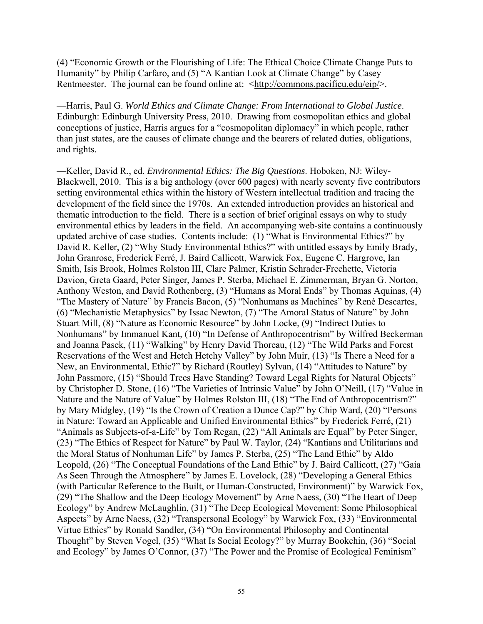(4) "Economic Growth or the Flourishing of Life: The Ethical Choice Climate Change Puts to Humanity" by Philip Carfaro, and (5) "A Kantian Look at Climate Change" by Casey Rentmeester. The journal can be found online at: <http://commons.pacificu.edu/eip/>.

—Harris, Paul G. *World Ethics and Climate Change: From International to Global Justice*. Edinburgh: Edinburgh University Press, 2010. Drawing from cosmopolitan ethics and global conceptions of justice, Harris argues for a "cosmopolitan diplomacy" in which people, rather than just states, are the causes of climate change and the bearers of related duties, obligations, and rights.

—Keller, David R., ed. *Environmental Ethics: The Big Questions*. Hoboken, NJ: Wiley-Blackwell, 2010. This is a big anthology (over 600 pages) with nearly seventy five contributors setting environmental ethics within the history of Western intellectual tradition and tracing the development of the field since the 1970s. An extended introduction provides an historical and thematic introduction to the field. There is a section of brief original essays on why to study environmental ethics by leaders in the field. An accompanying web-site contains a continuously updated archive of case studies. Contents include: (1) "What is Environmental Ethics?" by David R. Keller, (2) "Why Study Environmental Ethics?" with untitled essays by Emily Brady, John Granrose, Frederick Ferré, J. Baird Callicott, Warwick Fox, Eugene C. Hargrove, Ian Smith, Isis Brook, Holmes Rolston III, Clare Palmer, Kristin Schrader-Frechette, Victoria Davion, Greta Gaard, Peter Singer, James P. Sterba, Michael E. Zimmerman, Bryan G. Norton, Anthony Weston, and David Rothenberg, (3) "Humans as Moral Ends" by Thomas Aquinas, (4) "The Mastery of Nature" by Francis Bacon, (5) "Nonhumans as Machines" by René Descartes, (6) "Mechanistic Metaphysics" by Issac Newton, (7) "The Amoral Status of Nature" by John Stuart Mill, (8) "Nature as Economic Resource" by John Locke, (9) "Indirect Duties to Nonhumans" by Immanuel Kant, (10) "In Defense of Anthropocentrism" by Wilfred Beckerman and Joanna Pasek, (11) "Walking" by Henry David Thoreau, (12) "The Wild Parks and Forest Reservations of the West and Hetch Hetchy Valley" by John Muir, (13) "Is There a Need for a New, an Environmental, Ethic?" by Richard (Routley) Sylvan, (14) "Attitudes to Nature" by John Passmore, (15) "Should Trees Have Standing? Toward Legal Rights for Natural Objects" by Christopher D. Stone, (16) "The Varieties of Intrinsic Value" by John O'Neill, (17) "Value in Nature and the Nature of Value" by Holmes Rolston III, (18) "The End of Anthropocentrism?" by Mary Midgley, (19) "Is the Crown of Creation a Dunce Cap?" by Chip Ward, (20) "Persons in Nature: Toward an Applicable and Unified Environmental Ethics" by Frederick Ferré, (21) "Animals as Subjects-of-a-Life" by Tom Regan, (22) "All Animals are Equal" by Peter Singer, (23) "The Ethics of Respect for Nature" by Paul W. Taylor, (24) "Kantians and Utilitarians and the Moral Status of Nonhuman Life" by James P. Sterba, (25) "The Land Ethic" by Aldo Leopold, (26) "The Conceptual Foundations of the Land Ethic" by J. Baird Callicott, (27) "Gaia As Seen Through the Atmosphere" by James E. Lovelock, (28) "Developing a General Ethics (with Particular Reference to the Built, or Human-Constructed, Environment)" by Warwick Fox, (29) "The Shallow and the Deep Ecology Movement" by Arne Naess, (30) "The Heart of Deep Ecology" by Andrew McLaughlin, (31) "The Deep Ecological Movement: Some Philosophical Aspects" by Arne Naess, (32) "Transpersonal Ecology" by Warwick Fox, (33) "Environmental Virtue Ethics" by Ronald Sandler, (34) "On Environmental Philosophy and Continental Thought" by Steven Vogel, (35) "What Is Social Ecology?" by Murray Bookchin, (36) "Social and Ecology" by James O'Connor, (37) "The Power and the Promise of Ecological Feminism"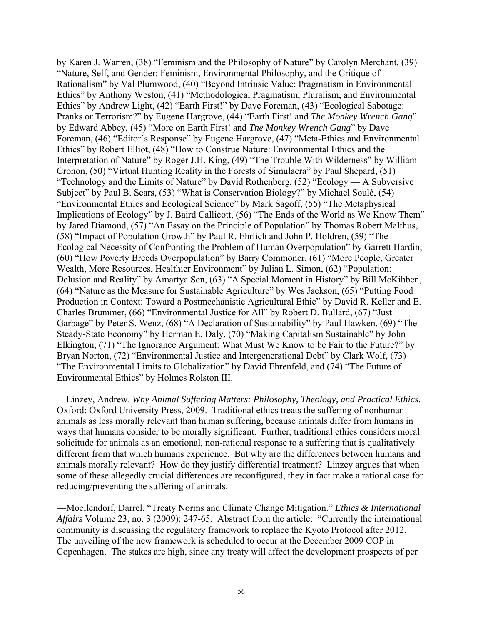by Karen J. Warren, (38) "Feminism and the Philosophy of Nature" by Carolyn Merchant, (39) "Nature, Self, and Gender: Feminism, Environmental Philosophy, and the Critique of Rationalism" by Val Plumwood, (40) "Beyond Intrinsic Value: Pragmatism in Environmental Ethics" by Anthony Weston, (41) "Methodological Pragmatism, Pluralism, and Environmental Ethics" by Andrew Light, (42) "Earth First!" by Dave Foreman, (43) "Ecological Sabotage: Pranks or Terrorism?" by Eugene Hargrove, (44) "Earth First! and *The Monkey Wrench Gang*" by Edward Abbey, (45) "More on Earth First! and *The Monkey Wrench Gang*" by Dave Foreman, (46) "Editor's Response" by Eugene Hargrove, (47) "Meta-Ethics and Environmental Ethics" by Robert Elliot, (48) "How to Construe Nature: Environmental Ethics and the Interpretation of Nature" by Roger J.H. King, (49) "The Trouble With Wilderness" by William Cronon, (50) "Virtual Hunting Reality in the Forests of Simulacra" by Paul Shepard, (51) "Technology and the Limits of Nature" by David Rothenberg, (52) "Ecology — A Subversive Subject" by Paul B. Sears, (53) "What is Conservation Biology?" by Michael Soulé, (54) "Environmental Ethics and Ecological Science" by Mark Sagoff, (55) "The Metaphysical Implications of Ecology" by J. Baird Callicott, (56) "The Ends of the World as We Know Them" by Jared Diamond, (57) "An Essay on the Principle of Population" by Thomas Robert Malthus, (58) "Impact of Population Growth" by Paul R. Ehrlich and John P. Holdren, (59) "The Ecological Necessity of Confronting the Problem of Human Overpopulation" by Garrett Hardin, (60) "How Poverty Breeds Overpopulation" by Barry Commoner, (61) "More People, Greater Wealth, More Resources, Healthier Environment" by Julian L. Simon, (62) "Population: Delusion and Reality" by Amartya Sen, (63) "A Special Moment in History" by Bill McKibben, (64) "Nature as the Measure for Sustainable Agriculture" by Wes Jackson, (65) "Putting Food Production in Context: Toward a Postmechanistic Agricultural Ethic" by David R. Keller and E. Charles Brummer, (66) "Environmental Justice for All" by Robert D. Bullard, (67) "Just Garbage" by Peter S. Wenz, (68) "A Declaration of Sustainability" by Paul Hawken, (69) "The Steady-State Economy" by Herman E. Daly, (70) "Making Capitalism Sustainable" by John Elkington, (71) "The Ignorance Argument: What Must We Know to be Fair to the Future?" by Bryan Norton, (72) "Environmental Justice and Intergenerational Debt" by Clark Wolf, (73) "The Environmental Limits to Globalization" by David Ehrenfeld, and (74) "The Future of Environmental Ethics" by Holmes Rolston III.

—Linzey, Andrew. *Why Animal Suffering Matters: Philosophy, Theology, and Practical Ethics*. Oxford: Oxford University Press, 2009. Traditional ethics treats the suffering of nonhuman animals as less morally relevant than human suffering, because animals differ from humans in ways that humans consider to be morally significant. Further, traditional ethics considers moral solicitude for animals as an emotional, non-rational response to a suffering that is qualitatively different from that which humans experience. But why are the differences between humans and animals morally relevant? How do they justify differential treatment? Linzey argues that when some of these allegedly crucial differences are reconfigured, they in fact make a rational case for reducing/preventing the suffering of animals.

—Moellendorf, Darrel. "Treaty Norms and Climate Change Mitigation." *Ethics & International Affairs* Volume 23, no. 3 (2009): 247-65. Abstract from the article: "Currently the international community is discussing the regulatory framework to replace the Kyoto Protocol after 2012. The unveiling of the new framework is scheduled to occur at the December 2009 COP in Copenhagen. The stakes are high, since any treaty will affect the development prospects of per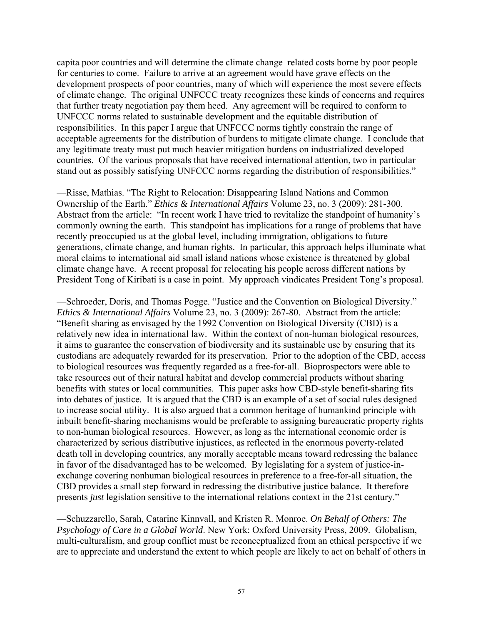capita poor countries and will determine the climate change–related costs borne by poor people for centuries to come. Failure to arrive at an agreement would have grave effects on the development prospects of poor countries, many of which will experience the most severe effects of climate change. The original UNFCCC treaty recognizes these kinds of concerns and requires that further treaty negotiation pay them heed. Any agreement will be required to conform to UNFCCC norms related to sustainable development and the equitable distribution of responsibilities. In this paper I argue that UNFCCC norms tightly constrain the range of acceptable agreements for the distribution of burdens to mitigate climate change. I conclude that any legitimate treaty must put much heavier mitigation burdens on industrialized developed countries. Of the various proposals that have received international attention, two in particular stand out as possibly satisfying UNFCCC norms regarding the distribution of responsibilities."

—Risse, Mathias. "The Right to Relocation: Disappearing Island Nations and Common Ownership of the Earth." *Ethics & International Affairs* Volume 23, no. 3 (2009): 281-300. Abstract from the article: "In recent work I have tried to revitalize the standpoint of humanity's commonly owning the earth. This standpoint has implications for a range of problems that have recently preoccupied us at the global level, including immigration, obligations to future generations, climate change, and human rights. In particular, this approach helps illuminate what moral claims to international aid small island nations whose existence is threatened by global climate change have. A recent proposal for relocating his people across different nations by President Tong of Kiribati is a case in point. My approach vindicates President Tong's proposal.

—Schroeder, Doris, and Thomas Pogge. "Justice and the Convention on Biological Diversity." *Ethics & International Affairs* Volume 23, no. 3 (2009): 267-80. Abstract from the article: "Benefit sharing as envisaged by the 1992 Convention on Biological Diversity (CBD) is a relatively new idea in international law. Within the context of non-human biological resources, it aims to guarantee the conservation of biodiversity and its sustainable use by ensuring that its custodians are adequately rewarded for its preservation. Prior to the adoption of the CBD, access to biological resources was frequently regarded as a free-for-all. Bioprospectors were able to take resources out of their natural habitat and develop commercial products without sharing benefits with states or local communities. This paper asks how CBD-style benefit-sharing fits into debates of justice. It is argued that the CBD is an example of a set of social rules designed to increase social utility. It is also argued that a common heritage of humankind principle with inbuilt benefit-sharing mechanisms would be preferable to assigning bureaucratic property rights to non-human biological resources. However, as long as the international economic order is characterized by serious distributive injustices, as reflected in the enormous poverty-related death toll in developing countries, any morally acceptable means toward redressing the balance in favor of the disadvantaged has to be welcomed. By legislating for a system of justice-inexchange covering nonhuman biological resources in preference to a free-for-all situation, the CBD provides a small step forward in redressing the distributive justice balance. It therefore presents *just* legislation sensitive to the international relations context in the 21st century."

—Schuzzarello, Sarah, Catarine Kinnvall, and Kristen R. Monroe. *On Behalf of Others: The Psychology of Care in a Global World*. New York: Oxford University Press, 2009. Globalism, multi-culturalism, and group conflict must be reconceptualized from an ethical perspective if we are to appreciate and understand the extent to which people are likely to act on behalf of others in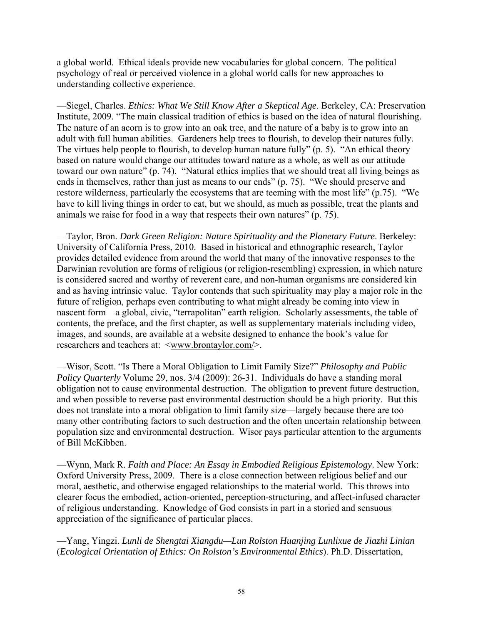a global world. Ethical ideals provide new vocabularies for global concern. The political psychology of real or perceived violence in a global world calls for new approaches to understanding collective experience.

—Siegel, Charles. *Ethics: What We Still Know After a Skeptical Age*. Berkeley, CA: Preservation Institute, 2009. "The main classical tradition of ethics is based on the idea of natural flourishing. The nature of an acorn is to grow into an oak tree, and the nature of a baby is to grow into an adult with full human abilities. Gardeners help trees to flourish, to develop their natures fully. The virtues help people to flourish, to develop human nature fully" (p. 5). "An ethical theory based on nature would change our attitudes toward nature as a whole, as well as our attitude toward our own nature" (p. 74). "Natural ethics implies that we should treat all living beings as ends in themselves, rather than just as means to our ends" (p. 75). "We should preserve and restore wilderness, particularly the ecosystems that are teeming with the most life" (p.75). "We have to kill living things in order to eat, but we should, as much as possible, treat the plants and animals we raise for food in a way that respects their own natures" (p. 75).

—Taylor, Bron. *Dark Green Religion: Nature Spirituality and the Planetary Future*. Berkeley: University of California Press, 2010. Based in historical and ethnographic research, Taylor provides detailed evidence from around the world that many of the innovative responses to the Darwinian revolution are forms of religious (or religion-resembling) expression, in which nature is considered sacred and worthy of reverent care, and non-human organisms are considered kin and as having intrinsic value. Taylor contends that such spirituality may play a major role in the future of religion, perhaps even contributing to what might already be coming into view in nascent form—a global, civic, "terrapolitan" earth religion. Scholarly assessments, the table of contents, the preface, and the first chapter, as well as supplementary materials including video, images, and sounds, are available at a website designed to enhance the book's value for researchers and teachers at:  $\langle$ www.brontaylor.com/>.

—Wisor, Scott. "Is There a Moral Obligation to Limit Family Size?" *Philosophy and Public Policy Quarterly* Volume 29, nos.  $3/4$  (2009): 26-31. Individuals do have a standing moral obligation not to cause environmental destruction. The obligation to prevent future destruction, and when possible to reverse past environmental destruction should be a high priority. But this does not translate into a moral obligation to limit family size—largely because there are too many other contributing factors to such destruction and the often uncertain relationship between population size and environmental destruction. Wisor pays particular attention to the arguments of Bill McKibben.

—Wynn, Mark R. *Faith and Place: An Essay in Embodied Religious Epistemology*. New York: Oxford University Press, 2009. There is a close connection between religious belief and our moral, aesthetic, and otherwise engaged relationships to the material world. This throws into clearer focus the embodied, action-oriented, perception-structuring, and affect-infused character of religious understanding. Knowledge of God consists in part in a storied and sensuous appreciation of the significance of particular places.

—Yang, Yingzi. *Lunli de Shengtai Xiangdu—Lun Rolston Huanjing Lunlixue de Jiazhi Linian*  (*Ecological Orientation of Ethics: On Rolston's Environmental Ethics*). Ph.D. Dissertation,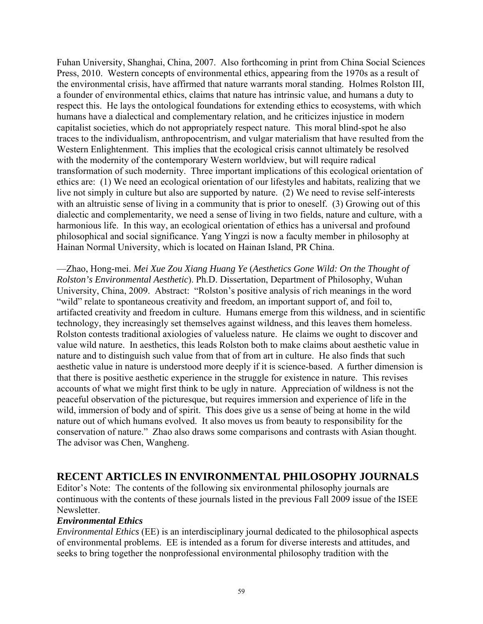Fuhan University, Shanghai, China, 2007. Also forthcoming in print from China Social Sciences Press, 2010. Western concepts of environmental ethics, appearing from the 1970s as a result of the environmental crisis, have affirmed that nature warrants moral standing. Holmes Rolston III, a founder of environmental ethics, claims that nature has intrinsic value, and humans a duty to respect this. He lays the ontological foundations for extending ethics to ecosystems, with which humans have a dialectical and complementary relation, and he criticizes injustice in modern capitalist societies, which do not appropriately respect nature. This moral blind-spot he also traces to the individualism, anthropocentrism, and vulgar materialism that have resulted from the Western Enlightenment. This implies that the ecological crisis cannot ultimately be resolved with the modernity of the contemporary Western worldview, but will require radical transformation of such modernity. Three important implications of this ecological orientation of ethics are: (1) We need an ecological orientation of our lifestyles and habitats, realizing that we live not simply in culture but also are supported by nature. (2) We need to revise self-interests with an altruistic sense of living in a community that is prior to oneself. (3) Growing out of this dialectic and complementarity, we need a sense of living in two fields, nature and culture, with a harmonious life. In this way, an ecological orientation of ethics has a universal and profound philosophical and social significance. Yang Yingzi is now a faculty member in philosophy at Hainan Normal University, which is located on Hainan Island, PR China.

—Zhao, Hong-mei. *Mei Xue Zou Xiang Huang Ye* (*Aesthetics Gone Wild: On the Thought of Rolston's Environmental Aesthetic*). Ph.D. Dissertation, Department of Philosophy, Wuhan University, China, 2009. Abstract: "Rolston's positive analysis of rich meanings in the word "wild" relate to spontaneous creativity and freedom, an important support of, and foil to, artifacted creativity and freedom in culture. Humans emerge from this wildness, and in scientific technology, they increasingly set themselves against wildness, and this leaves them homeless. Rolston contests traditional axiologies of valueless nature. He claims we ought to discover and value wild nature. In aesthetics, this leads Rolston both to make claims about aesthetic value in nature and to distinguish such value from that of from art in culture. He also finds that such aesthetic value in nature is understood more deeply if it is science-based. A further dimension is that there is positive aesthetic experience in the struggle for existence in nature. This revises accounts of what we might first think to be ugly in nature. Appreciation of wildness is not the peaceful observation of the picturesque, but requires immersion and experience of life in the wild, immersion of body and of spirit. This does give us a sense of being at home in the wild nature out of which humans evolved. It also moves us from beauty to responsibility for the conservation of nature." Zhao also draws some comparisons and contrasts with Asian thought. The advisor was Chen, Wangheng.

### **RECENT ARTICLES IN ENVIRONMENTAL PHILOSOPHY JOURNALS**

Editor's Note: The contents of the following six environmental philosophy journals are continuous with the contents of these journals listed in the previous Fall 2009 issue of the ISEE **Newsletter** 

#### *Environmental Ethics*

*Environmental Ethics* (EE) is an interdisciplinary journal dedicated to the philosophical aspects of environmental problems. EE is intended as a forum for diverse interests and attitudes, and seeks to bring together the nonprofessional environmental philosophy tradition with the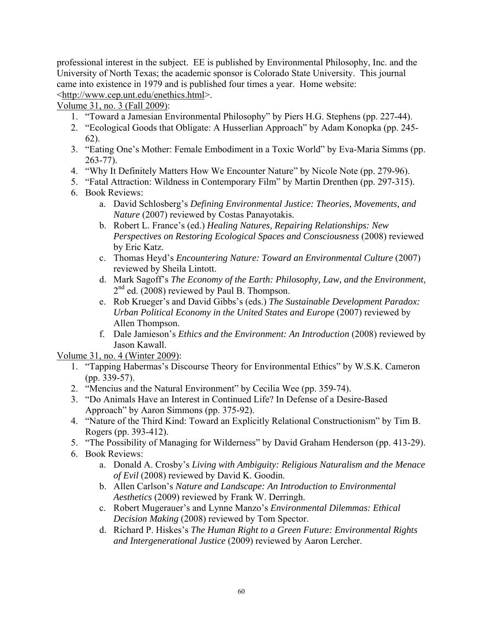professional interest in the subject. EE is published by Environmental Philosophy, Inc. and the University of North Texas; the academic sponsor is Colorado State University. This journal came into existence in 1979 and is published four times a year. Home website: <http://www.cep.unt.edu/enethics.html>.

Volume 31, no. 3 (Fall 2009):

- 1. "Toward a Jamesian Environmental Philosophy" by Piers H.G. Stephens (pp. 227-44).
- 2. "Ecological Goods that Obligate: A Husserlian Approach" by Adam Konopka (pp. 245- 62).
- 3. "Eating One's Mother: Female Embodiment in a Toxic World" by Eva-Maria Simms (pp. 263-77).
- 4. "Why It Definitely Matters How We Encounter Nature" by Nicole Note (pp. 279-96).
- 5. "Fatal Attraction: Wildness in Contemporary Film" by Martin Drenthen (pp. 297-315).
- 6. Book Reviews:
	- a. David Schlosberg's *Defining Environmental Justice: Theories, Movements, and Nature* (2007) reviewed by Costas Panayotakis.
	- b. Robert L. France's (ed.) *Healing Natures, Repairing Relationships: New Perspectives on Restoring Ecological Spaces and Consciousness* (2008) reviewed by Eric Katz.
	- c. Thomas Heyd's *Encountering Nature: Toward an Environmental Culture* (2007) reviewed by Sheila Lintott.
	- d. Mark Sagoff's *The Economy of the Earth: Philosophy, Law, and the Environment*, 2<sup>nd</sup> ed. (2008) reviewed by Paul B. Thompson.
	- e. Rob Krueger's and David Gibbs's (eds.) *The Sustainable Development Paradox: Urban Political Economy in the United States and Europe* (2007) reviewed by Allen Thompson.
	- f. Dale Jamieson's *Ethics and the Environment: An Introduction* (2008) reviewed by Jason Kawall.

Volume 31, no. 4 (Winter 2009):

- 1. "Tapping Habermas's Discourse Theory for Environmental Ethics" by W.S.K. Cameron (pp. 339-57).
- 2. "Mencius and the Natural Environment" by Cecilia Wee (pp. 359-74).
- 3. "Do Animals Have an Interest in Continued Life? In Defense of a Desire-Based Approach" by Aaron Simmons (pp. 375-92).
- 4. "Nature of the Third Kind: Toward an Explicitly Relational Constructionism" by Tim B. Rogers (pp. 393-412).
- 5. "The Possibility of Managing for Wilderness" by David Graham Henderson (pp. 413-29).
- 6. Book Reviews:
	- a. Donald A. Crosby's *Living with Ambiguity: Religious Naturalism and the Menace of Evil* (2008) reviewed by David K. Goodin.
	- b. Allen Carlson's *Nature and Landscape: An Introduction to Environmental Aesthetics* (2009) reviewed by Frank W. Derringh.
	- c. Robert Mugerauer's and Lynne Manzo's *Environmental Dilemmas: Ethical Decision Making* (2008) reviewed by Tom Spector.
	- d. Richard P. Hiskes's *The Human Right to a Green Future: Environmental Rights and Intergenerational Justice* (2009) reviewed by Aaron Lercher.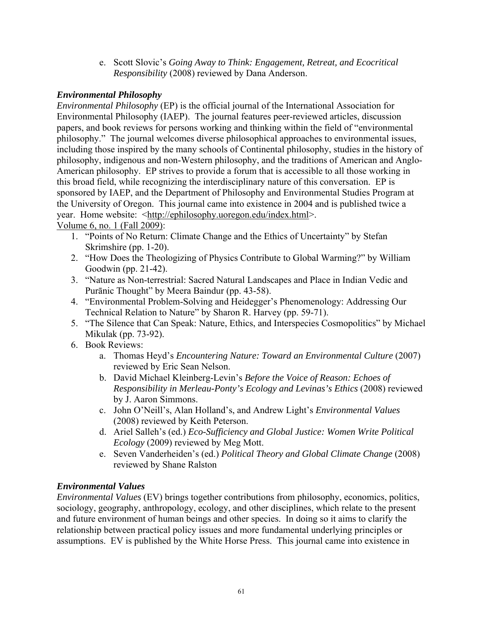e. Scott Slovic's *Going Away to Think: Engagement, Retreat, and Ecocritical Responsibility* (2008) reviewed by Dana Anderson.

#### *Environmental Philosophy*

*Environmental Philosophy* (EP) is the official journal of the International Association for Environmental Philosophy (IAEP). The journal features peer-reviewed articles, discussion papers, and book reviews for persons working and thinking within the field of "environmental philosophy." The journal welcomes diverse philosophical approaches to environmental issues, including those inspired by the many schools of Continental philosophy, studies in the history of philosophy, indigenous and non-Western philosophy, and the traditions of American and Anglo-American philosophy. EP strives to provide a forum that is accessible to all those working in this broad field, while recognizing the interdisciplinary nature of this conversation. EP is sponsored by IAEP, and the Department of Philosophy and Environmental Studies Program at the University of Oregon. This journal came into existence in 2004 and is published twice a year. Home website: <http://ephilosophy.uoregon.edu/index.html>.

Volume 6, no. 1 (Fall 2009):

- 1. "Points of No Return: Climate Change and the Ethics of Uncertainty" by Stefan Skrimshire (pp. 1-20).
- 2. "How Does the Theologizing of Physics Contribute to Global Warming?" by William Goodwin (pp. 21-42).
- 3. "Nature as Non-terrestrial: Sacred Natural Landscapes and Place in Indian Vedic and Purānic Thought" by Meera Baindur (pp. 43-58).
- 4. "Environmental Problem-Solving and Heidegger's Phenomenology: Addressing Our Technical Relation to Nature" by Sharon R. Harvey (pp. 59-71).
- 5. "The Silence that Can Speak: Nature, Ethics, and Interspecies Cosmopolitics" by Michael Mikulak (pp. 73-92).
- 6. Book Reviews:
	- a. Thomas Heyd's *Encountering Nature: Toward an Environmental Culture* (2007) reviewed by Eric Sean Nelson.
	- b. David Michael Kleinberg-Levin's *Before the Voice of Reason: Echoes of Responsibility in Merleau-Ponty's Ecology and Levinas's Ethics* (2008) reviewed by J. Aaron Simmons.
	- c. John O'Neill's, Alan Holland's, and Andrew Light's *Environmental Values* (2008) reviewed by Keith Peterson.
	- d. Ariel Salleh's (ed.) *Eco-Sufficiency and Global Justice: Women Write Political Ecology* (2009) reviewed by Meg Mott.
	- e. Seven Vanderheiden's (ed.) *Political Theory and Global Climate Change* (2008) reviewed by Shane Ralston

### *Environmental Values*

*Environmental Values* (EV) brings together contributions from philosophy, economics, politics, sociology, geography, anthropology, ecology, and other disciplines, which relate to the present and future environment of human beings and other species. In doing so it aims to clarify the relationship between practical policy issues and more fundamental underlying principles or assumptions. EV is published by the White Horse Press. This journal came into existence in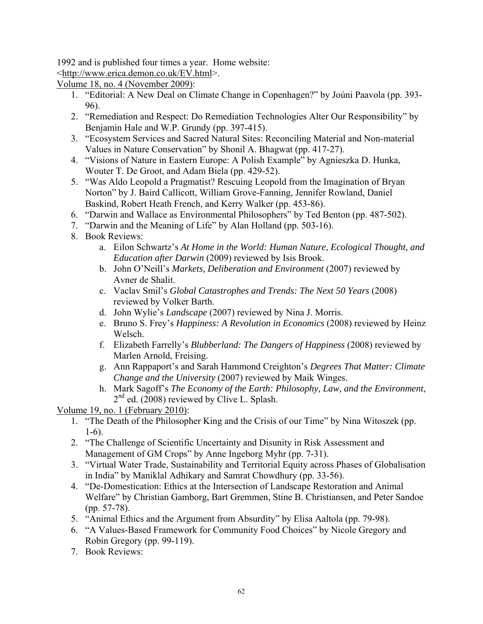1992 and is published four times a year. Home website:

<http://www.erica.demon.co.uk/EV.html>.

Volume 18, no. 4 (November 2009):

- 1. "Editorial: A New Deal on Climate Change in Copenhagen?" by Joúni Paavola (pp. 393- 96).
- 2. "Remediation and Respect: Do Remediation Technologies Alter Our Responsibility" by Benjamin Hale and W.P. Grundy (pp. 397-415).
- 3. "Ecosystem Services and Sacred Natural Sites: Reconciling Material and Non-material Values in Nature Conservation" by Shonil A. Bhagwat (pp. 417-27).
- 4. "Visions of Nature in Eastern Europe: A Polish Example" by Agnieszka D. Hunka, Wouter T. De Groot, and Adam Biela (pp. 429-52).
- 5. "Was Aldo Leopold a Pragmatist? Rescuing Leopold from the Imagination of Bryan Norton" by J. Baird Callicott, William Grove-Fanning, Jennifer Rowland, Daniel Baskind, Robert Heath French, and Kerry Walker (pp. 453-86).
- 6. "Darwin and Wallace as Environmental Philosophers" by Ted Benton (pp. 487-502).
- 7. "Darwin and the Meaning of Life" by Alan Holland (pp. 503-16).
- 8. Book Reviews:
	- a. Eilon Schwartz's *At Home in the World: Human Nature, Ecological Thought, and Education after Darwin* (2009) reviewed by Isis Brook.
	- b. John O'Neill's *Markets, Deliberation and Environment* (2007) reviewed by Avner de Shalit.
	- c. Vaclav Smil's *Global Catastrophes and Trends: The Next 50 Years* (2008) reviewed by Volker Barth.
	- d. John Wylie's *Landscape* (2007) reviewed by Nina J. Morris.
	- e. Bruno S. Frey's *Happiness: A Revolution in Economics* (2008) reviewed by Heinz Welsch.
	- f. Elizabeth Farrelly's *Blubberland: The Dangers of Happiness* (2008) reviewed by Marlen Arnold, Freising.
	- g. Ann Rappaport's and Sarah Hammond Creighton's *Degrees That Matter: Climate Change and the University* (2007) reviewed by Maik Winges.
	- h. Mark Sagoff's *The Economy of the Earth: Philosophy, Law, and the Environment*,  $2<sup>nd</sup>$  ed. (2008) reviewed by Clive L. Splash.

Volume 19, no. 1 (February 2010):

- 1. "The Death of the Philosopher King and the Crisis of our Time" by Nina Witoszek (pp. 1-6).
- 2. "The Challenge of Scientific Uncertainty and Disunity in Risk Assessment and Management of GM Crops" by Anne Ingeborg Myhr (pp. 7-31).
- 3. "Virtual Water Trade, Sustainability and Territorial Equity across Phases of Globalisation in India" by Maniklal Adhikary and Samrat Chowdhury (pp. 33-56).
- 4. "De-Domestication: Ethics at the Intersection of Landscape Restoration and Animal Welfare" by Christian Gamborg, Bart Gremmen, Stine B. Christiansen, and Peter Sandoe (pp. 57-78).
- 5. "Animal Ethics and the Argument from Absurdity" by Elisa Aaltola (pp. 79-98).
- 6. "A Values-Based Framework for Community Food Choices" by Nicole Gregory and Robin Gregory (pp. 99-119).
- 7. Book Reviews: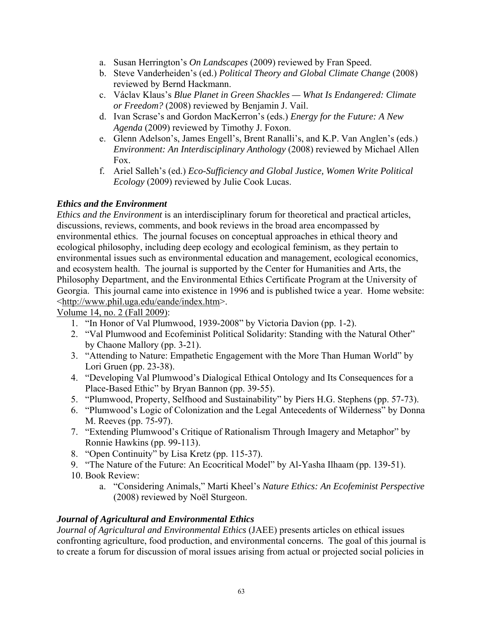- a. Susan Herrington's *On Landscapes* (2009) reviewed by Fran Speed.
- b. Steve Vanderheiden's (ed.) *Political Theory and Global Climate Change* (2008) reviewed by Bernd Hackmann.
- c. Václav Klaus's *Blue Planet in Green Shackles What Is Endangered: Climate or Freedom?* (2008) reviewed by Benjamin J. Vail.
- d. Ivan Scrase's and Gordon MacKerron's (eds.) *Energy for the Future: A New Agenda* (2009) reviewed by Timothy J. Foxon.
- e. Glenn Adelson's, James Engell's, Brent Ranalli's, and K.P. Van Anglen's (eds.) *Environment: An Interdisciplinary Anthology* (2008) reviewed by Michael Allen Fox.
- f. Ariel Salleh's (ed.) *Eco-Sufficiency and Global Justice, Women Write Political Ecology* (2009) reviewed by Julie Cook Lucas.

#### *Ethics and the Environment*

*Ethics and the Environment* is an interdisciplinary forum for theoretical and practical articles, discussions, reviews, comments, and book reviews in the broad area encompassed by environmental ethics. The journal focuses on conceptual approaches in ethical theory and ecological philosophy, including deep ecology and ecological feminism, as they pertain to environmental issues such as environmental education and management, ecological economics, and ecosystem health. The journal is supported by the Center for Humanities and Arts, the Philosophy Department, and the Environmental Ethics Certificate Program at the University of Georgia. This journal came into existence in 1996 and is published twice a year. Home website: <http://www.phil.uga.edu/eande/index.htm>.

Volume 14, no. 2 (Fall 2009):

- 1. "In Honor of Val Plumwood, 1939-2008" by Victoria Davion (pp. 1-2).
- 2. "Val Plumwood and Ecofeminist Political Solidarity: Standing with the Natural Other" by Chaone Mallory (pp. 3-21).
- 3. "Attending to Nature: Empathetic Engagement with the More Than Human World" by Lori Gruen (pp. 23-38).
- 4. "Developing Val Plumwood's Dialogical Ethical Ontology and Its Consequences for a Place-Based Ethic" by Bryan Bannon (pp. 39-55).
- 5. "Plumwood, Property, Selfhood and Sustainability" by Piers H.G. Stephens (pp. 57-73).
- 6. "Plumwood's Logic of Colonization and the Legal Antecedents of Wilderness" by Donna M. Reeves (pp. 75-97).
- 7. "Extending Plumwood's Critique of Rationalism Through Imagery and Metaphor" by Ronnie Hawkins (pp. 99-113).
- 8. "Open Continuity" by Lisa Kretz (pp. 115-37).
- 9. "The Nature of the Future: An Ecocritical Model" by Al-Yasha Ilhaam (pp. 139-51).
- 10. Book Review:
	- a. "Considering Animals," Marti Kheel's *Nature Ethics: An Ecofeminist Perspective* (2008) reviewed by Noël Sturgeon.

### *Journal of Agricultural and Environmental Ethics*

*Journal of Agricultural and Environmental Ethics* (JAEE) presents articles on ethical issues confronting agriculture, food production, and environmental concerns. The goal of this journal is to create a forum for discussion of moral issues arising from actual or projected social policies in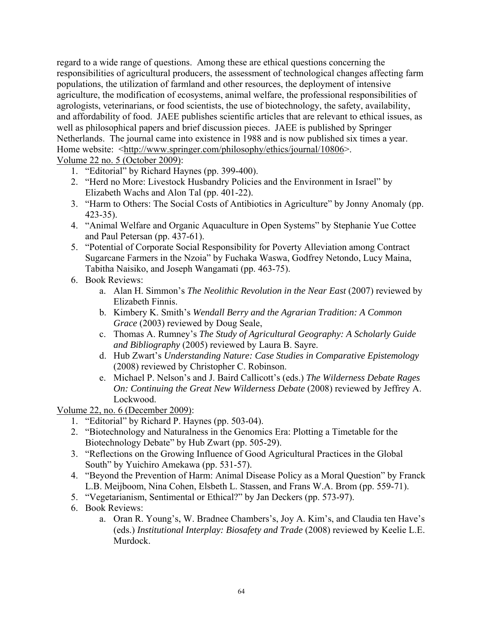regard to a wide range of questions. Among these are ethical questions concerning the responsibilities of agricultural producers, the assessment of technological changes affecting farm populations, the utilization of farmland and other resources, the deployment of intensive agriculture, the modification of ecosystems, animal welfare, the professional responsibilities of agrologists, veterinarians, or food scientists, the use of biotechnology, the safety, availability, and affordability of food. JAEE publishes scientific articles that are relevant to ethical issues, as well as philosophical papers and brief discussion pieces. JAEE is published by Springer Netherlands. The journal came into existence in 1988 and is now published six times a year. Home website: <http://www.springer.com/philosophy/ethics/journal/10806>.

Volume 22 no. 5 (October 2009):

- 1. "Editorial" by Richard Haynes (pp. 399-400).
- 2. "Herd no More: Livestock Husbandry Policies and the Environment in Israel" by Elizabeth Wachs and Alon Tal (pp. 401-22).
- 3. "Harm to Others: The Social Costs of Antibiotics in Agriculture" by Jonny Anomaly (pp. 423-35).
- 4. "Animal Welfare and Organic Aquaculture in Open Systems" by Stephanie Yue Cottee and Paul Petersan (pp. 437-61).
- 5. "Potential of Corporate Social Responsibility for Poverty Alleviation among Contract Sugarcane Farmers in the Nzoia" by Fuchaka Waswa, Godfrey Netondo, Lucy Maina, Tabitha Naisiko, and Joseph Wangamati (pp. 463-75).
- 6. Book Reviews:
	- a. Alan H. Simmon's *The Neolithic Revolution in the Near East* (2007) reviewed by Elizabeth Finnis.
	- b. Kimbery K. Smith's *Wendall Berry and the Agrarian Tradition: A Common Grace* (2003) reviewed by Doug Seale,
	- c. Thomas A. Rumney's *The Study of Agricultural Geography: A Scholarly Guide and Bibliography* (2005) reviewed by Laura B. Sayre.
	- d. Hub Zwart's *Understanding Nature: Case Studies in Comparative Epistemology* (2008) reviewed by Christopher C. Robinson.
	- e. Michael P. Nelson's and J. Baird Callicott's (eds.) *The Wilderness Debate Rages On: Continuing the Great New Wilderness Debate* (2008) reviewed by Jeffrey A. Lockwood.

Volume 22, no. 6 (December 2009):

- 1. "Editorial" by Richard P. Haynes (pp. 503-04).
- 2. "Biotechnology and Naturalness in the Genomics Era: Plotting a Timetable for the Biotechnology Debate" by Hub Zwart (pp. 505-29).
- 3. "Reflections on the Growing Influence of Good Agricultural Practices in the Global South" by Yuichiro Amekawa (pp. 531-57).
- 4. "Beyond the Prevention of Harm: Animal Disease Policy as a Moral Question" by Franck L.B. Meijboom, Nina Cohen, Elsbeth L. Stassen, and Frans W.A. Brom (pp. 559-71).
- 5. "Vegetarianism, Sentimental or Ethical?" by Jan Deckers (pp. 573-97).
- 6. Book Reviews:
	- a. Oran R. Young's, W. Bradnee Chambers's, Joy A. Kim's, and Claudia ten Have's (eds.) *Institutional Interplay: Biosafety and Trade* (2008) reviewed by Keelie L.E. Murdock.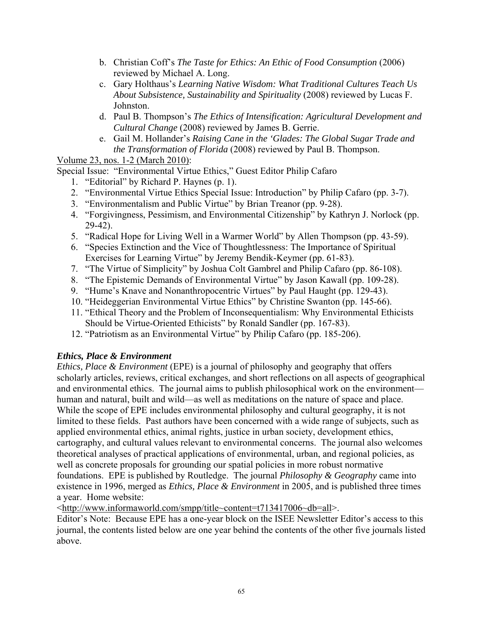- b. Christian Coff's *The Taste for Ethics: An Ethic of Food Consumption* (2006) reviewed by Michael A. Long.
- c. Gary Holthaus's *Learning Native Wisdom: What Traditional Cultures Teach Us About Subsistence, Sustainability and Spirituality* (2008) reviewed by Lucas F. Johnston.
- d. Paul B. Thompson's *The Ethics of Intensification: Agricultural Development and Cultural Change* (2008) reviewed by James B. Gerrie.
- e. Gail M. Hollander's *Raising Cane in the 'Glades: The Global Sugar Trade and the Transformation of Florida* (2008) reviewed by Paul B. Thompson.

Volume 23, nos. 1-2 (March 2010):

Special Issue: "Environmental Virtue Ethics," Guest Editor Philip Cafaro

- 1. "Editorial" by Richard P. Haynes (p. 1).
- 2. "Environmental Virtue Ethics Special Issue: Introduction" by Philip Cafaro (pp. 3-7).
- 3. "Environmentalism and Public Virtue" by Brian Treanor (pp. 9-28).
- 4. "Forgivingness, Pessimism, and Environmental Citizenship" by Kathryn J. Norlock (pp. 29-42).
- 5. "Radical Hope for Living Well in a Warmer World" by Allen Thompson (pp. 43-59).
- 6. "Species Extinction and the Vice of Thoughtlessness: The Importance of Spiritual Exercises for Learning Virtue" by Jeremy Bendik-Keymer (pp. 61-83).
- 7. "The Virtue of Simplicity" by Joshua Colt Gambrel and Philip Cafaro (pp. 86-108).
- 8. "The Epistemic Demands of Environmental Virtue" by Jason Kawall (pp. 109-28).
- 9. "Hume's Knave and Nonanthropocentric Virtues" by Paul Haught (pp. 129-43).
- 10. "Heideggerian Environmental Virtue Ethics" by Christine Swanton (pp. 145-66).
- 11. "Ethical Theory and the Problem of Inconsequentialism: Why Environmental Ethicists Should be Virtue-Oriented Ethicists" by Ronald Sandler (pp. 167-83).
- 12. "Patriotism as an Environmental Virtue" by Philip Cafaro (pp. 185-206).

### *Ethics, Place & Environment*

*Ethics, Place & Environment* (EPE) is a journal of philosophy and geography that offers scholarly articles, reviews, critical exchanges, and short reflections on all aspects of geographical and environmental ethics. The journal aims to publish philosophical work on the environment human and natural, built and wild—as well as meditations on the nature of space and place. While the scope of EPE includes environmental philosophy and cultural geography, it is not limited to these fields. Past authors have been concerned with a wide range of subjects, such as applied environmental ethics, animal rights, justice in urban society, development ethics, cartography, and cultural values relevant to environmental concerns. The journal also welcomes theoretical analyses of practical applications of environmental, urban, and regional policies, as well as concrete proposals for grounding our spatial policies in more robust normative foundations. EPE is published by Routledge. The journal *Philosophy & Geography* came into existence in 1996, merged as *Ethics, Place & Environment* in 2005, and is published three times a year. Home website:

<http://www.informaworld.com/smpp/title~content=t713417006~db=all>.

Editor's Note: Because EPE has a one-year block on the ISEE Newsletter Editor's access to this journal, the contents listed below are one year behind the contents of the other five journals listed above.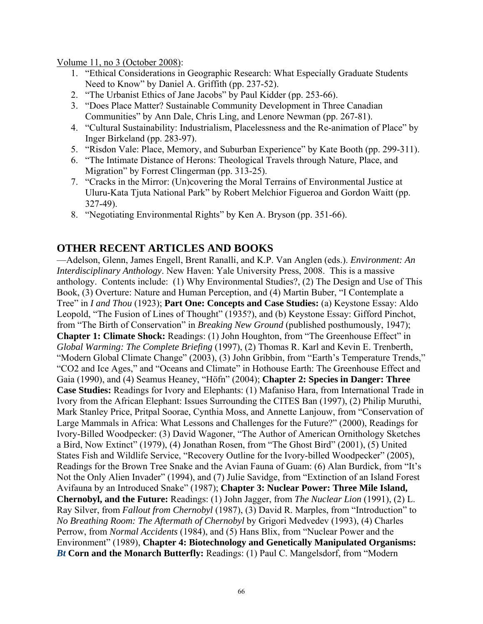Volume 11, no 3 (October 2008):

- 1. "Ethical Considerations in Geographic Research: What Especially Graduate Students Need to Know" by Daniel A. Griffith (pp. 237-52).
- 2. "The Urbanist Ethics of Jane Jacobs" by Paul Kidder (pp. 253-66).
- 3. "Does Place Matter? Sustainable Community Development in Three Canadian Communities" by Ann Dale, Chris Ling, and Lenore Newman (pp. 267-81).
- 4. "Cultural Sustainability: Industrialism, Placelessness and the Re-animation of Place" by Inger Birkeland (pp. 283-97).
- 5. "Risdon Vale: Place, Memory, and Suburban Experience" by Kate Booth (pp. 299-311).
- 6. "The Intimate Distance of Herons: Theological Travels through Nature, Place, and Migration" by Forrest Clingerman (pp. 313-25).
- 7. "Cracks in the Mirror: (Un)covering the Moral Terrains of Environmental Justice at Uluru-Kata Tjuta National Park" by Robert Melchior Figueroa and Gordon Waitt (pp. 327-49).
- 8. "Negotiating Environmental Rights" by Ken A. Bryson (pp. 351-66).

# **OTHER RECENT ARTICLES AND BOOKS**

—Adelson, Glenn, James Engell, Brent Ranalli, and K.P. Van Anglen (eds.). *Environment: An Interdisciplinary Anthology*. New Haven: Yale University Press, 2008. This is a massive anthology. Contents include: (1) Why Environmental Studies?, (2) The Design and Use of This Book, (3) Overture: Nature and Human Perception, and (4) Martin Buber, "I Contemplate a Tree" in *I and Thou* (1923); **Part One: Concepts and Case Studies:** (a) Keystone Essay: Aldo Leopold, "The Fusion of Lines of Thought" (1935?), and (b) Keystone Essay: Gifford Pinchot, from "The Birth of Conservation" in *Breaking New Ground* (published posthumously, 1947); **Chapter 1: Climate Shock:** Readings: (1) John Houghton, from "The Greenhouse Effect" in *Global Warming: The Complete Briefing* (1997), (2) Thomas R. Karl and Kevin E. Trenberth, "Modern Global Climate Change" (2003), (3) John Gribbin, from "Earth's Temperature Trends," "CO2 and Ice Ages," and "Oceans and Climate" in Hothouse Earth: The Greenhouse Effect and Gaia (1990), and (4) Seamus Heaney, "Höfn" (2004); **Chapter 2: Species in Danger: Three Case Studies:** Readings for Ivory and Elephants: (1) Mafaniso Hara, from International Trade in Ivory from the African Elephant: Issues Surrounding the CITES Ban (1997), (2) Philip Muruthi, Mark Stanley Price, Pritpal Soorae, Cynthia Moss, and Annette Lanjouw, from "Conservation of Large Mammals in Africa: What Lessons and Challenges for the Future?" (2000), Readings for Ivory-Billed Woodpecker: (3) David Wagoner, "The Author of American Ornithology Sketches a Bird, Now Extinct" (1979), (4) Jonathan Rosen, from "The Ghost Bird" (2001), (5) United States Fish and Wildlife Service, "Recovery Outline for the Ivory-billed Woodpecker" (2005), Readings for the Brown Tree Snake and the Avian Fauna of Guam: (6) Alan Burdick, from "It's Not the Only Alien Invader" (1994), and (7) Julie Savidge, from "Extinction of an Island Forest Avifauna by an Introduced Snake" (1987); **Chapter 3: Nuclear Power: Three Mile Island, Chernobyl, and the Future:** Readings: (1) John Jagger, from *The Nuclear Lion* (1991), (2) L. Ray Silver, from *Fallout from Chernobyl* (1987), (3) David R. Marples, from "Introduction" to *No Breathing Room: The Aftermath of Chernobyl* by Grigori Medvedev (1993), (4) Charles Perrow, from *Normal Accidents* (1984), and (5) Hans Blix, from "Nuclear Power and the Environment" (1989), **Chapter 4: Biotechnology and Genetically Manipulated Organisms:**  *Bt* **Corn and the Monarch Butterfly:** Readings: (1) Paul C. Mangelsdorf, from "Modern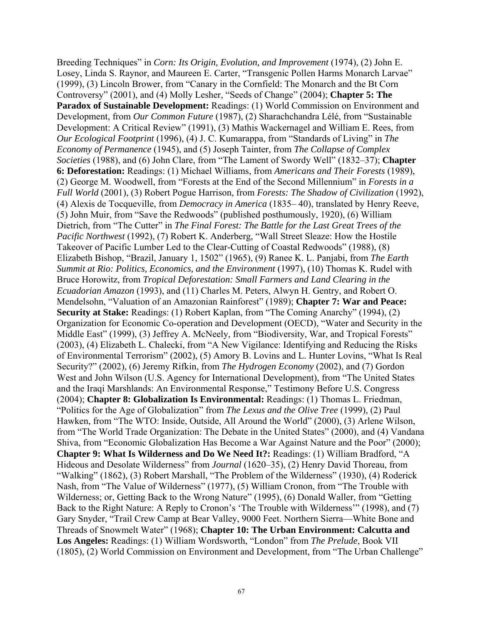Breeding Techniques" in *Corn: Its Origin, Evolution, and Improvement* (1974), (2) John E. Losey, Linda S. Raynor, and Maureen E. Carter, "Transgenic Pollen Harms Monarch Larvae" (1999), (3) Lincoln Brower, from "Canary in the Cornfield: The Monarch and the Bt Corn Controversy" (2001), and (4) Molly Lesher, "Seeds of Change" (2004); **Chapter 5: The Paradox of Sustainable Development:** Readings: (1) World Commission on Environment and Development, from *Our Common Future* (1987), (2) Sharachchandra Lélé, from "Sustainable Development: A Critical Review" (1991), (3) Mathis Wackernagel and William E. Rees, from *Our Ecological Footprint* (1996), (4) J. C. Kumarappa, from "Standards of Living" in *The Economy of Permanence* (1945), and (5) Joseph Tainter, from *The Collapse of Complex Societies* (1988), and (6) John Clare, from "The Lament of Swordy Well" (1832–37); **Chapter 6: Deforestation:** Readings: (1) Michael Williams, from *Americans and Their Forests* (1989), (2) George M. Woodwell, from "Forests at the End of the Second Millennium" in *Forests in a Full World* (2001), (3) Robert Pogue Harrison, from *Forests: The Shadow of Civilization* (1992), (4) Alexis de Tocqueville, from *Democracy in America* (1835– 40), translated by Henry Reeve, (5) John Muir, from "Save the Redwoods" (published posthumously, 1920), (6) William Dietrich, from "The Cutter" in *The Final Forest: The Battle for the Last Great Trees of the Pacific Northwest* (1992), (7) Robert K. Anderberg, "Wall Street Sleaze: How the Hostile Takeover of Pacific Lumber Led to the Clear-Cutting of Coastal Redwoods" (1988), (8) Elizabeth Bishop, "Brazil, January 1, 1502" (1965), (9) Ranee K. L. Panjabi, from *The Earth Summit at Rio: Politics, Economics, and the Environment* (1997), (10) Thomas K. Rudel with Bruce Horowitz, from *Tropical Deforestation: Small Farmers and Land Clearing in the Ecuadorian Amazon* (1993), and (11) Charles M. Peters, Alwyn H. Gentry, and Robert O. Mendelsohn, "Valuation of an Amazonian Rainforest" (1989); **Chapter 7: War and Peace: Security at Stake:** Readings: (1) Robert Kaplan, from "The Coming Anarchy" (1994), (2) Organization for Economic Co-operation and Development (OECD), "Water and Security in the Middle East" (1999), (3) Jeffrey A. McNeely, from "Biodiversity, War, and Tropical Forests" (2003), (4) Elizabeth L. Chalecki, from "A New Vigilance: Identifying and Reducing the Risks of Environmental Terrorism" (2002), (5) Amory B. Lovins and L. Hunter Lovins, "What Is Real Security?" (2002), (6) Jeremy Rifkin, from *The Hydrogen Economy* (2002), and (7) Gordon West and John Wilson (U.S. Agency for International Development), from "The United States and the Iraqi Marshlands: An Environmental Response," Testimony Before U.S. Congress (2004); **Chapter 8: Globalization Is Environmental:** Readings: (1) Thomas L. Friedman, "Politics for the Age of Globalization" from *The Lexus and the Olive Tree* (1999), (2) Paul Hawken, from "The WTO: Inside, Outside, All Around the World" (2000), (3) Arlene Wilson, from "The World Trade Organization: The Debate in the United States" (2000), and (4) Vandana Shiva, from "Economic Globalization Has Become a War Against Nature and the Poor" (2000); **Chapter 9: What Is Wilderness and Do We Need It?:** Readings: (1) William Bradford, "A Hideous and Desolate Wilderness" from *Journal* (1620–35), (2) Henry David Thoreau, from "Walking" (1862), (3) Robert Marshall, "The Problem of the Wilderness" (1930), (4) Roderick Nash, from "The Value of Wilderness" (1977), (5) William Cronon, from "The Trouble with Wilderness; or, Getting Back to the Wrong Nature" (1995), (6) Donald Waller, from "Getting Back to the Right Nature: A Reply to Cronon's 'The Trouble with Wilderness'" (1998), and (7) Gary Snyder, "Trail Crew Camp at Bear Valley, 9000 Feet. Northern Sierra—White Bone and Threads of Snowmelt Water" (1968); **Chapter 10: The Urban Environment: Calcutta and Los Angeles:** Readings: (1) William Wordsworth, "London" from *The Prelude*, Book VII (1805), (2) World Commission on Environment and Development, from "The Urban Challenge"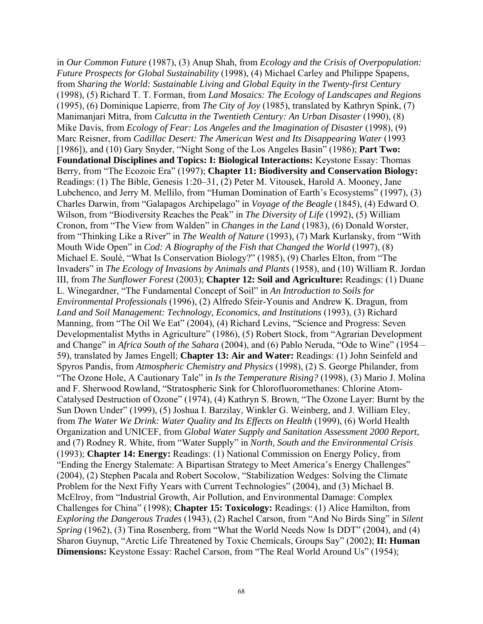in *Our Common Future* (1987), (3) Anup Shah, from *Ecology and the Crisis of Overpopulation: Future Prospects for Global Sustainability* (1998), (4) Michael Carley and Philippe Spapens, from *Sharing the World: Sustainable Living and Global Equity in the Twenty-first Century* (1998), (5) Richard T. T. Forman, from *Land Mosaics: The Ecology of Landscapes and Regions* (1995), (6) Dominique Lapierre, from *The City of Joy* (1985), translated by Kathryn Spink, (7) Manimanjari Mitra, from *Calcutta in the Twentieth Century: An Urban Disaster* (1990), (8) Mike Davis, from *Ecology of Fear: Los Angeles and the Imagination of Disaster* (1998), (9) Marc Reisner, from *Cadillac Desert: The American West and Its Disappearing Water* (1993 [1986]), and (10) Gary Snyder, "Night Song of the Los Angeles Basin" (1986); **Part Two: Foundational Disciplines and Topics: I: Biological Interactions:** Keystone Essay: Thomas Berry, from "The Ecozoic Era" (1997); **Chapter 11: Biodiversity and Conservation Biology:**  Readings: (1) The Bible, Genesis 1:20–31, (2) Peter M. Vitousek, Harold A. Mooney, Jane Lubchenco, and Jerry M. Mellilo, from "Human Domination of Earth's Ecosystems" (1997), (3) Charles Darwin, from "Galapagos Archipelago" in *Voyage of the Beagle* (1845), (4) Edward O. Wilson, from "Biodiversity Reaches the Peak" in *The Diversity of Life* (1992), (5) William Cronon, from "The View from Walden" in *Changes in the Land* (1983), (6) Donald Worster, from "Thinking Like a River" in *The Wealth of Nature* (1993), (7) Mark Kurlansky, from "With Mouth Wide Open" in *Cod: A Biography of the Fish that Changed the World* (1997), (8) Michael E. Soulé, "What Is Conservation Biology?" (1985), (9) Charles Elton, from "The Invaders" in *The Ecology of Invasions by Animals and Plants* (1958), and (10) William R. Jordan III, from *The Sunflower Forest* (2003); **Chapter 12: Soil and Agriculture:** Readings: (1) Duane L. Winegardner, "The Fundamental Concept of Soil" in *An Introduction to Soils for Environmental Professionals* (1996), (2) Alfredo Sfeir-Younis and Andrew K. Dragun, from *Land and Soil Management: Technology, Economics, and Institutions* (1993), (3) Richard Manning, from "The Oil We Eat" (2004), (4) Richard Levins, "Science and Progress: Seven Developmentalist Myths in Agriculture" (1986), (5) Robert Stock, from "Agrarian Development and Change" in *Africa South of the Sahara* (2004), and (6) Pablo Neruda, "Ode to Wine" (1954 – 59), translated by James Engell; **Chapter 13: Air and Water:** Readings: (1) John Seinfeld and Spyros Pandis, from *Atmospheric Chemistry and Physics* (1998), (2) S. George Philander, from "The Ozone Hole, A Cautionary Tale" in *Is the Temperature Rising?* (1998), (3) Mario J. Molina and F. Sherwood Rowland, "Stratospheric Sink for Chlorofluoromethanes: Chlorine Atom-Catalysed Destruction of Ozone" (1974), (4) Kathryn S. Brown, "The Ozone Layer: Burnt by the Sun Down Under" (1999), (5) Joshua I. Barzilay, Winkler G. Weinberg, and J. William Eley, from *The Water We Drink: Water Quality and Its Effects on Health* (1999), (6) World Health Organization and UNICEF, from *Global Water Supply and Sanitation Assessment 2000 Report*, and (7) Rodney R. White, from "Water Supply" in *North, South and the Environmental Crisis* (1993); **Chapter 14: Energy:** Readings: (1) National Commission on Energy Policy, from "Ending the Energy Stalemate: A Bipartisan Strategy to Meet America's Energy Challenges" (2004), (2) Stephen Pacala and Robert Socolow, "Stabilization Wedges: Solving the Climate Problem for the Next Fifty Years with Current Technologies" (2004), and (3) Michael B. McElroy, from "Industrial Growth, Air Pollution, and Environmental Damage: Complex Challenges for China" (1998); **Chapter 15: Toxicology:** Readings: (1) Alice Hamilton, from *Exploring the Dangerous Trades* (1943), (2) Rachel Carson, from "And No Birds Sing" in *Silent Spring* (1962), (3) Tina Rosenberg, from "What the World Needs Now Is DDT" (2004), and (4) Sharon Guynup, "Arctic Life Threatened by Toxic Chemicals, Groups Say" (2002); **II: Human Dimensions:** Keystone Essay: Rachel Carson, from "The Real World Around Us" (1954);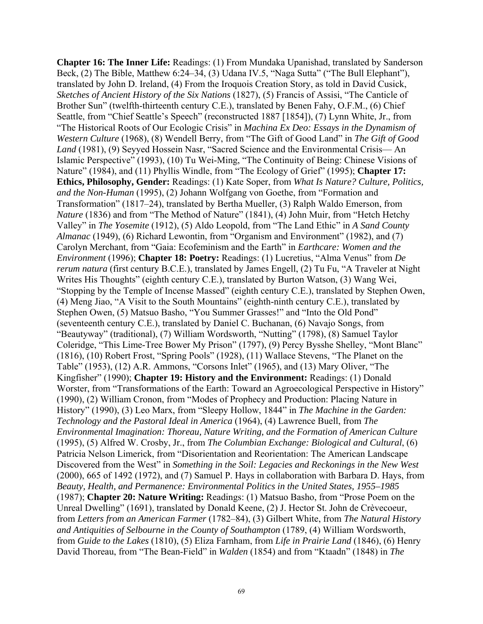**Chapter 16: The Inner Life:** Readings: (1) From Mundaka Upanishad, translated by Sanderson Beck, (2) The Bible, Matthew 6:24–34, (3) Udana IV.5, "Naga Sutta" ("The Bull Elephant"), translated by John D. Ireland, (4) From the Iroquois Creation Story, as told in David Cusick, *Sketches of Ancient History of the Six Nations* (1827), (5) Francis of Assisi, "The Canticle of Brother Sun" (twelfth-thirteenth century C.E.), translated by Benen Fahy, O.F.M., (6) Chief Seattle, from "Chief Seattle's Speech" (reconstructed 1887 [1854]), (7) Lynn White, Jr., from "The Historical Roots of Our Ecologic Crisis" in *Machina Ex Deo: Essays in the Dynamism of Western Culture* (1968), (8) Wendell Berry, from "The Gift of Good Land" in *The Gift of Good Land* (1981), (9) Seyyed Hossein Nasr, "Sacred Science and the Environmental Crisis— An Islamic Perspective" (1993), (10) Tu Wei-Ming, "The Continuity of Being: Chinese Visions of Nature" (1984), and (11) Phyllis Windle, from "The Ecology of Grief" (1995); **Chapter 17: Ethics, Philosophy, Gender:** Readings: (1) Kate Soper, from *What Is Nature? Culture, Politics, and the Non-Human* (1995), (2) Johann Wolfgang von Goethe, from "Formation and Transformation" (1817–24), translated by Bertha Mueller, (3) Ralph Waldo Emerson, from *Nature* (1836) and from "The Method of Nature" (1841), (4) John Muir, from "Hetch Hetchy Valley" in *The Yosemite* (1912), (5) Aldo Leopold, from "The Land Ethic" in *A Sand County Almanac* (1949), (6) Richard Lewontin, from "Organism and Environment" (1982), and (7) Carolyn Merchant, from "Gaia: Ecofeminism and the Earth" in *Earthcare: Women and the Environment* (1996); **Chapter 18: Poetry:** Readings: (1) Lucretius, "Alma Venus" from *De rerum natura* (first century B.C.E.), translated by James Engell, (2) Tu Fu, "A Traveler at Night Writes His Thoughts" (eighth century C.E.), translated by Burton Watson, (3) Wang Wei, "Stopping by the Temple of Incense Massed" (eighth century C.E.), translated by Stephen Owen, (4) Meng Jiao, "A Visit to the South Mountains" (eighth-ninth century C.E.), translated by Stephen Owen, (5) Matsuo Basho, "You Summer Grasses!" and "Into the Old Pond" (seventeenth century C.E.), translated by Daniel C. Buchanan, (6) Navajo Songs, from "Beautyway" (traditional), (7) William Wordsworth, "Nutting" (1798), (8) Samuel Taylor Coleridge, "This Lime-Tree Bower My Prison" (1797), (9) Percy Bysshe Shelley, "Mont Blanc" (1816), (10) Robert Frost, "Spring Pools" (1928), (11) Wallace Stevens, "The Planet on the Table" (1953), (12) A.R. Ammons, "Corsons Inlet" (1965), and (13) Mary Oliver, "The Kingfisher" (1990); **Chapter 19: History and the Environment:** Readings: (1) Donald Worster, from "Transformations of the Earth: Toward an Agroecological Perspective in History" (1990), (2) William Cronon, from "Modes of Prophecy and Production: Placing Nature in History" (1990), (3) Leo Marx, from "Sleepy Hollow, 1844" in *The Machine in the Garden: Technology and the Pastoral Ideal in America* (1964), (4) Lawrence Buell, from *The Environmental Imagination: Thoreau, Nature Writing, and the Formation of American Culture* (1995), (5) Alfred W. Crosby, Jr., from *The Columbian Exchange: Biological and Cultural*, (6) Patricia Nelson Limerick, from "Disorientation and Reorientation: The American Landscape Discovered from the West" in *Something in the Soil: Legacies and Reckonings in the New West* (2000), 665 of 1492 (1972), and (7) Samuel P. Hays in collaboration with Barbara D. Hays, from *Beauty, Health, and Permanence: Environmental Politics in the United States, 1955–1985* (1987); **Chapter 20: Nature Writing:** Readings: (1) Matsuo Basho, from "Prose Poem on the Unreal Dwelling" (1691), translated by Donald Keene, (2) J. Hector St. John de Crèvecoeur, from *Letters from an American Farmer* (1782–84), (3) Gilbert White, from *The Natural History and Antiquities of Selbourne in the County of Southampton* (1789, (4) William Wordsworth, from *Guide to the Lakes* (1810), (5) Eliza Farnham, from *Life in Prairie Land* (1846), (6) Henry David Thoreau, from "The Bean-Field" in *Walden* (1854) and from "Ktaadn" (1848) in *The*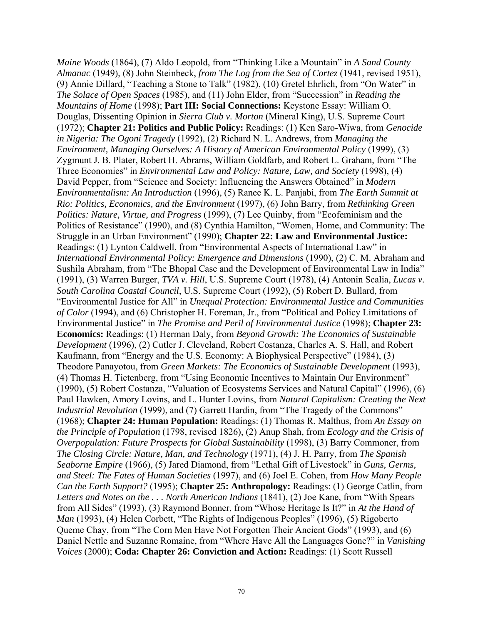*Maine Woods* (1864), (7) Aldo Leopold, from "Thinking Like a Mountain" in *A Sand County Almanac* (1949), (8) John Steinbeck, *from The Log from the Sea of Cortez* (1941, revised 1951), (9) Annie Dillard, "Teaching a Stone to Talk" (1982), (10) Gretel Ehrlich, from "On Water" in *The Solace of Open Spaces* (1985), and (11) John Elder, from "Succession" in *Reading the Mountains of Home* (1998); **Part III: Social Connections:** Keystone Essay: William O. Douglas, Dissenting Opinion in *Sierra Club v. Morton* (Mineral King), U.S. Supreme Court (1972); **Chapter 21: Politics and Public Policy:** Readings: (1) Ken Saro-Wiwa, from *Genocide in Nigeria: The Ogoni Tragedy* (1992), (2) Richard N. L. Andrews, from *Managing the Environment, Managing Ourselves: A History of American Environmental Policy* (1999), (3) Zygmunt J. B. Plater, Robert H. Abrams, William Goldfarb, and Robert L. Graham, from "The Three Economies" in *Environmental Law and Policy: Nature, Law, and Society* (1998), (4) David Pepper, from "Science and Society: Influencing the Answers Obtained" in *Modern Environmentalism: An Introduction* (1996), (5) Ranee K. L. Panjabi, from *The Earth Summit at Rio: Politics, Economics, and the Environment* (1997), (6) John Barry, from *Rethinking Green Politics: Nature, Virtue, and Progress* (1999), (7) Lee Quinby, from "Ecofeminism and the Politics of Resistance" (1990), and (8) Cynthia Hamilton, "Women, Home, and Community: The Struggle in an Urban Environment" (1990); **Chapter 22: Law and Environmental Justice:**  Readings: (1) Lynton Caldwell, from "Environmental Aspects of International Law" in *International Environmental Policy: Emergence and Dimensions* (1990), (2) C. M. Abraham and Sushila Abraham, from "The Bhopal Case and the Development of Environmental Law in India" (1991), (3) Warren Burger, *TVA v. Hill*, U.S. Supreme Court (1978), (4) Antonin Scalia, *Lucas v. South Carolina Coastal Council*, U.S. Supreme Court (1992), (5) Robert D. Bullard, from "Environmental Justice for All" in *Unequal Protection: Environmental Justice and Communities of Color* (1994), and (6) Christopher H. Foreman, Jr., from "Political and Policy Limitations of Environmental Justice" in *The Promise and Peril of Environmental Justice* (1998); **Chapter 23: Economics:** Readings: (1) Herman Daly, from *Beyond Growth: The Economics of Sustainable Development* (1996), (2) Cutler J. Cleveland, Robert Costanza, Charles A. S. Hall, and Robert Kaufmann, from "Energy and the U.S. Economy: A Biophysical Perspective" (1984), (3) Theodore Panayotou, from *Green Markets: The Economics of Sustainable Development* (1993), (4) Thomas H. Tietenberg, from "Using Economic Incentives to Maintain Our Environment" (1990), (5) Robert Costanza, "Valuation of Ecosystems Services and Natural Capital" (1996), (6) Paul Hawken, Amory Lovins, and L. Hunter Lovins, from *Natural Capitalism: Creating the Next Industrial Revolution* (1999), and (7) Garrett Hardin, from "The Tragedy of the Commons" (1968); **Chapter 24: Human Population:** Readings: (1) Thomas R. Malthus, from *An Essay on the Principle of Population* (1798, revised 1826), (2) Anup Shah, from *Ecology and the Crisis of Overpopulation: Future Prospects for Global Sustainability* (1998), (3) Barry Commoner, from *The Closing Circle: Nature, Man, and Technology* (1971), (4) J. H. Parry, from *The Spanish Seaborne Empire* (1966), (5) Jared Diamond, from "Lethal Gift of Livestock" in *Guns, Germs, and Steel: The Fates of Human Societies* (1997), and (6) Joel E. Cohen, from *How Many People Can the Earth Support?* (1995); **Chapter 25: Anthropology:** Readings: (1) George Catlin, from *Letters and Notes on the . . . North American Indians* (1841), (2) Joe Kane, from "With Spears from All Sides" (1993), (3) Raymond Bonner, from "Whose Heritage Is It?" in *At the Hand of Man* (1993), (4) Helen Corbett, "The Rights of Indigenous Peoples" (1996), (5) Rigoberto Queme Chay, from "The Corn Men Have Not Forgotten Their Ancient Gods" (1993), and (6) Daniel Nettle and Suzanne Romaine, from "Where Have All the Languages Gone?" in *Vanishing Voices* (2000); **Coda: Chapter 26: Conviction and Action:** Readings: (1) Scott Russell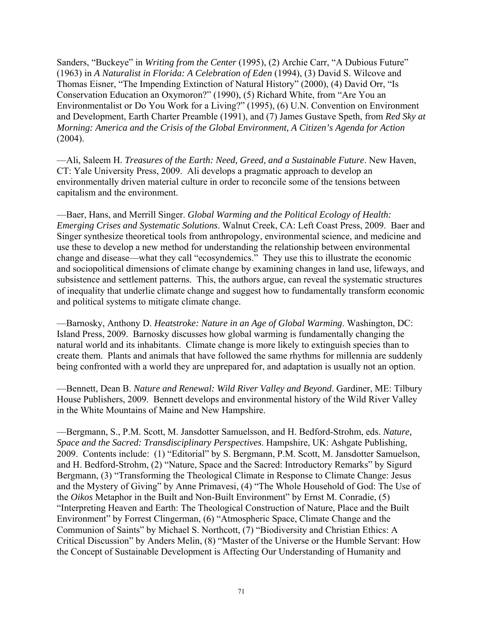Sanders, "Buckeye" in *Writing from the Center* (1995), (2) Archie Carr, "A Dubious Future" (1963) in *A Naturalist in Florida: A Celebration of Eden* (1994), (3) David S. Wilcove and Thomas Eisner, "The Impending Extinction of Natural History" (2000), (4) David Orr, "Is Conservation Education an Oxymoron?" (1990), (5) Richard White, from "Are You an Environmentalist or Do You Work for a Living?" (1995), (6) U.N. Convention on Environment and Development, Earth Charter Preamble (1991), and (7) James Gustave Speth, from *Red Sky at Morning: America and the Crisis of the Global Environment, A Citizen's Agenda for Action*  $(2004)$ .

—Ali, Saleem H. *Treasures of the Earth: Need, Greed, and a Sustainable Future*. New Haven, CT: Yale University Press, 2009. Ali develops a pragmatic approach to develop an environmentally driven material culture in order to reconcile some of the tensions between capitalism and the environment.

—Baer, Hans, and Merrill Singer. *Global Warming and the Political Ecology of Health: Emerging Crises and Systematic Solutions*. Walnut Creek, CA: Left Coast Press, 2009. Baer and Singer synthesize theoretical tools from anthropology, environmental science, and medicine and use these to develop a new method for understanding the relationship between environmental change and disease—what they call "ecosyndemics." They use this to illustrate the economic and sociopolitical dimensions of climate change by examining changes in land use, lifeways, and subsistence and settlement patterns. This, the authors argue, can reveal the systematic structures of inequality that underlie climate change and suggest how to fundamentally transform economic and political systems to mitigate climate change.

—Barnosky, Anthony D. *Heatstroke: Nature in an Age of Global Warming*. Washington, DC: Island Press, 2009. Barnosky discusses how global warming is fundamentally changing the natural world and its inhabitants. Climate change is more likely to extinguish species than to create them. Plants and animals that have followed the same rhythms for millennia are suddenly being confronted with a world they are unprepared for, and adaptation is usually not an option.

—Bennett, Dean B. *Nature and Renewal: Wild River Valley and Beyond*. Gardiner, ME: Tilbury House Publishers, 2009. Bennett develops and environmental history of the Wild River Valley in the White Mountains of Maine and New Hampshire.

—Bergmann, S., P.M. Scott, M. Jansdotter Samuelsson, and H. Bedford-Strohm, eds. *Nature, Space and the Sacred: Transdisciplinary Perspectives*. Hampshire, UK: Ashgate Publishing, 2009. Contents include: (1) "Editorial" by S. Bergmann, P.M. Scott, M. Jansdotter Samuelson, and H. Bedford-Strohm, (2) "Nature, Space and the Sacred: Introductory Remarks" by Sigurd Bergmann, (3) "Transforming the Theological Climate in Response to Climate Change: Jesus and the Mystery of Giving" by Anne Primavesi, (4) "The Whole Household of God: The Use of the *Oikos* Metaphor in the Built and Non-Built Environment" by Ernst M. Conradie, (5) "Interpreting Heaven and Earth: The Theological Construction of Nature, Place and the Built Environment" by Forrest Clingerman, (6) "Atmospheric Space, Climate Change and the Communion of Saints" by Michael S. Northcott, (7) "Biodiversity and Christian Ethics: A Critical Discussion" by Anders Melin, (8) "Master of the Universe or the Humble Servant: How the Concept of Sustainable Development is Affecting Our Understanding of Humanity and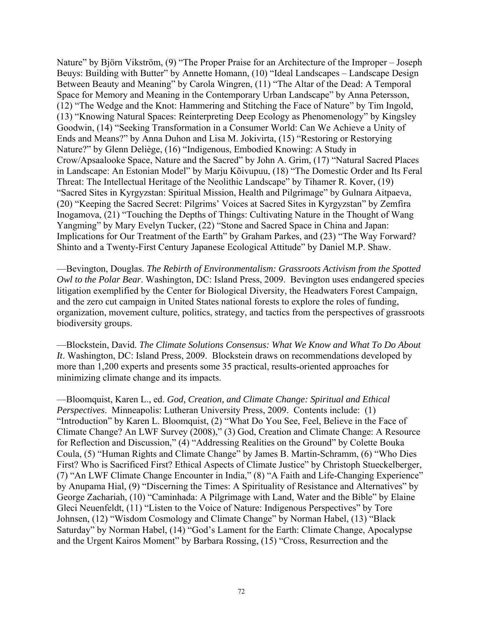Nature" by Björn Vikström, (9) "The Proper Praise for an Architecture of the Improper – Joseph Beuys: Building with Butter" by Annette Homann, (10) "Ideal Landscapes – Landscape Design Between Beauty and Meaning" by Carola Wingren, (11) "The Altar of the Dead: A Temporal Space for Memory and Meaning in the Contemporary Urban Landscape" by Anna Petersson, (12) "The Wedge and the Knot: Hammering and Stitching the Face of Nature" by Tim Ingold, (13) "Knowing Natural Spaces: Reinterpreting Deep Ecology as Phenomenology" by Kingsley Goodwin, (14) "Seeking Transformation in a Consumer World: Can We Achieve a Unity of Ends and Means?" by Anna Duhon and Lisa M. Jokivirta, (15) "Restoring or Restorying Nature?" by Glenn Deliège, (16) "Indigenous, Embodied Knowing: A Study in Crow/Apsaalooke Space, Nature and the Sacred" by John A. Grim, (17) "Natural Sacred Places in Landscape: An Estonian Model" by Marju Kõivupuu, (18) "The Domestic Order and Its Feral Threat: The Intellectual Heritage of the Neolithic Landscape" by Tihamer R. Kover, (19) "Sacred Sites in Kyrgyzstan: Spiritual Mission, Health and Pilgrimage" by Gulnara Aitpaeva, (20) "Keeping the Sacred Secret: Pilgrims' Voices at Sacred Sites in Kyrgyzstan" by Zemfira Inogamova, (21) "Touching the Depths of Things: Cultivating Nature in the Thought of Wang Yangming" by Mary Evelyn Tucker, (22) "Stone and Sacred Space in China and Japan: Implications for Our Treatment of the Earth" by Graham Parkes, and (23) "The Way Forward? Shinto and a Twenty-First Century Japanese Ecological Attitude" by Daniel M.P. Shaw.

—Bevington, Douglas. *The Rebirth of Environmentalism: Grassroots Activism from the Spotted Owl to the Polar Bear*. Washington, DC: Island Press, 2009. Bevington uses endangered species litigation exemplified by the Center for Biological Diversity, the Headwaters Forest Campaign, and the zero cut campaign in United States national forests to explore the roles of funding, organization, movement culture, politics, strategy, and tactics from the perspectives of grassroots biodiversity groups.

—Blockstein, David. *The Climate Solutions Consensus: What We Know and What To Do About It*. Washington, DC: Island Press, 2009. Blockstein draws on recommendations developed by more than 1,200 experts and presents some 35 practical, results-oriented approaches for minimizing climate change and its impacts.

—Bloomquist, Karen L., ed. *God, Creation, and Climate Change: Spiritual and Ethical Perspectives*. Minneapolis: Lutheran University Press, 2009. Contents include: (1) "Introduction" by Karen L. Bloomquist, (2) "What Do You See, Feel, Believe in the Face of Climate Change? An LWF Survey (2008)," (3) God, Creation and Climate Change: A Resource for Reflection and Discussion," (4) "Addressing Realities on the Ground" by Colette Bouka Coula, (5) "Human Rights and Climate Change" by James B. Martin-Schramm, (6) "Who Dies First? Who is Sacrificed First? Ethical Aspects of Climate Justice" by Christoph Stueckelberger, (7) "An LWF Climate Change Encounter in India," (8) "A Faith and Life-Changing Experience" by Anupama Hial, (9) "Discerning the Times: A Spirituality of Resistance and Alternatives" by George Zachariah, (10) "Caminhada: A Pilgrimage with Land, Water and the Bible" by Elaine Gleci Neuenfeldt, (11) "Listen to the Voice of Nature: Indigenous Perspectives" by Tore Johnsen, (12) "Wisdom Cosmology and Climate Change" by Norman Habel, (13) "Black Saturday" by Norman Habel, (14) "God's Lament for the Earth: Climate Change, Apocalypse and the Urgent Kairos Moment" by Barbara Rossing, (15) "Cross, Resurrection and the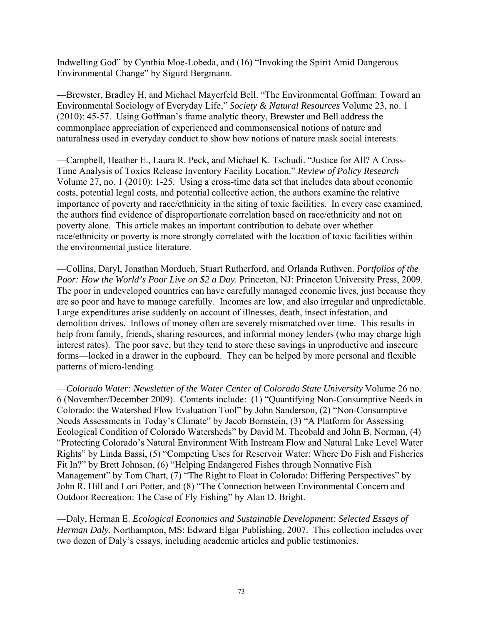Indwelling God" by Cynthia Moe-Lobeda, and (16) "Invoking the Spirit Amid Dangerous Environmental Change" by Sigurd Bergmann.

—Brewster, Bradley H, and Michael Mayerfeld Bell. "The Environmental Goffman: Toward an Environmental Sociology of Everyday Life," *Society & Natural Resources* Volume 23, no. 1 (2010): 45-57. Using Goffman's frame analytic theory, Brewster and Bell address the commonplace appreciation of experienced and commonsensical notions of nature and naturalness used in everyday conduct to show how notions of nature mask social interests.

—Campbell, Heather E., Laura R. Peck, and Michael K. Tschudi. "Justice for All? A Cross-Time Analysis of Toxics Release Inventory Facility Location." *Review of Policy Research* Volume 27, no. 1 (2010): 1-25. Using a cross-time data set that includes data about economic costs, potential legal costs, and potential collective action, the authors examine the relative importance of poverty and race/ethnicity in the siting of toxic facilities. In every case examined, the authors find evidence of disproportionate correlation based on race/ethnicity and not on poverty alone. This article makes an important contribution to debate over whether race/ethnicity or poverty is more strongly correlated with the location of toxic facilities within the environmental justice literature.

—Collins, Daryl, Jonathan Morduch, Stuart Rutherford, and Orlanda Ruthven. *Portfolios of the Poor: How the World's Poor Live on \$2 a Day*. Princeton, NJ: Princeton University Press, 2009. The poor in undeveloped countries can have carefully managed economic lives, just because they are so poor and have to manage carefully. Incomes are low, and also irregular and unpredictable. Large expenditures arise suddenly on account of illnesses, death, insect infestation, and demolition drives. Inflows of money often are severely mismatched over time. This results in help from family, friends, sharing resources, and informal money lenders (who may charge high interest rates). The poor save, but they tend to store these savings in unproductive and insecure forms—locked in a drawer in the cupboard. They can be helped by more personal and flexible patterns of micro-lending.

—*Colorado Water: Newsletter of the Water Center of Colorado State University* Volume 26 no. 6 (November/December 2009). Contents include: (1) "Quantifying Non-Consumptive Needs in Colorado: the Watershed Flow Evaluation Tool" by John Sanderson, (2) "Non-Consumptive Needs Assessments in Today's Climate" by Jacob Bornstein, (3) "A Platform for Assessing Ecological Condition of Colorado Watersheds" by David M. Theobald and John B. Norman, (4) "Protecting Colorado's Natural Environment With Instream Flow and Natural Lake Level Water Rights" by Linda Bassi, (5) "Competing Uses for Reservoir Water: Where Do Fish and Fisheries Fit In?" by Brett Johnson, (6) "Helping Endangered Fishes through Nonnative Fish Management" by Tom Chart, (7) "The Right to Float in Colorado: Differing Perspectives" by John R. Hill and Lori Potter, and (8) "The Connection between Environmental Concern and Outdoor Recreation: The Case of Fly Fishing" by Alan D. Bright.

—Daly, Herman E. *Ecological Economics and Sustainable Development: Selected Essays of Herman Daly*. Northampton, MS: Edward Elgar Publishing, 2007. This collection includes over two dozen of Daly's essays, including academic articles and public testimonies.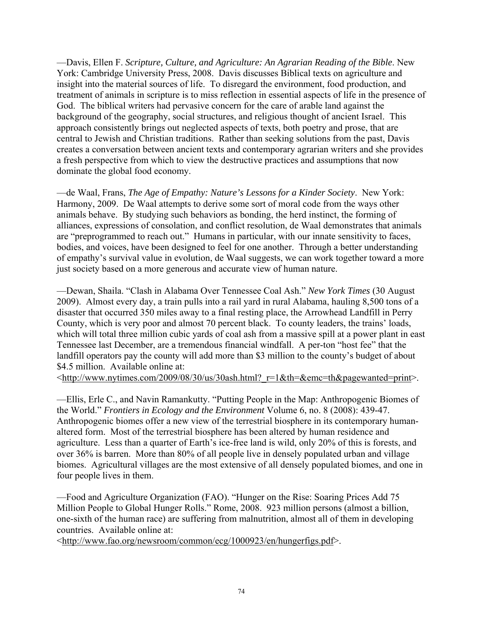—Davis, Ellen F. *Scripture, Culture, and Agriculture: An Agrarian Reading of the Bible*. New York: Cambridge University Press, 2008. Davis discusses Biblical texts on agriculture and insight into the material sources of life. To disregard the environment, food production, and treatment of animals in scripture is to miss reflection in essential aspects of life in the presence of God. The biblical writers had pervasive concern for the care of arable land against the background of the geography, social structures, and religious thought of ancient Israel. This approach consistently brings out neglected aspects of texts, both poetry and prose, that are central to Jewish and Christian traditions. Rather than seeking solutions from the past, Davis creates a conversation between ancient texts and contemporary agrarian writers and she provides a fresh perspective from which to view the destructive practices and assumptions that now dominate the global food economy.

—de Waal, Frans, *The Age of Empathy: Nature's Lessons for a Kinder Society*. New York: Harmony, 2009. De Waal attempts to derive some sort of moral code from the ways other animals behave. By studying such behaviors as bonding, the herd instinct, the forming of alliances, expressions of consolation, and conflict resolution, de Waal demonstrates that animals are "preprogrammed to reach out." Humans in particular, with our innate sensitivity to faces, bodies, and voices, have been designed to feel for one another. Through a better understanding of empathy's survival value in evolution, de Waal suggests, we can work together toward a more just society based on a more generous and accurate view of human nature.

—Dewan, Shaila. "Clash in Alabama Over Tennessee Coal Ash." *New York Times* (30 August 2009). Almost every day, a train pulls into a rail yard in rural Alabama, hauling 8,500 tons of a disaster that occurred 350 miles away to a final resting place, the Arrowhead Landfill in Perry County, which is very poor and almost 70 percent black. To county leaders, the trains' loads, which will total three million cubic yards of coal ash from a massive spill at a power plant in east Tennessee last December, are a tremendous financial windfall. A per-ton "host fee" that the landfill operators pay the county will add more than \$3 million to the county's budget of about \$4.5 million. Available online at:

<http://www.nytimes.com/2009/08/30/us/30ash.html?\_r=1&th=&emc=th&pagewanted=print>.

—Ellis, Erle C., and Navin Ramankutty. "Putting People in the Map: Anthropogenic Biomes of the World." *Frontiers in Ecology and the Environment* Volume 6, no. 8 (2008): 439-47. Anthropogenic biomes offer a new view of the terrestrial biosphere in its contemporary humanaltered form. Most of the terrestrial biosphere has been altered by human residence and agriculture. Less than a quarter of Earth's ice-free land is wild, only 20% of this is forests, and over 36% is barren. More than 80% of all people live in densely populated urban and village biomes. Agricultural villages are the most extensive of all densely populated biomes, and one in four people lives in them.

—Food and Agriculture Organization (FAO). "Hunger on the Rise: Soaring Prices Add 75 Million People to Global Hunger Rolls." Rome, 2008. 923 million persons (almost a billion, one-sixth of the human race) are suffering from malnutrition, almost all of them in developing countries. Available online at:

<http://www.fao.org/newsroom/common/ecg/1000923/en/hungerfigs.pdf>.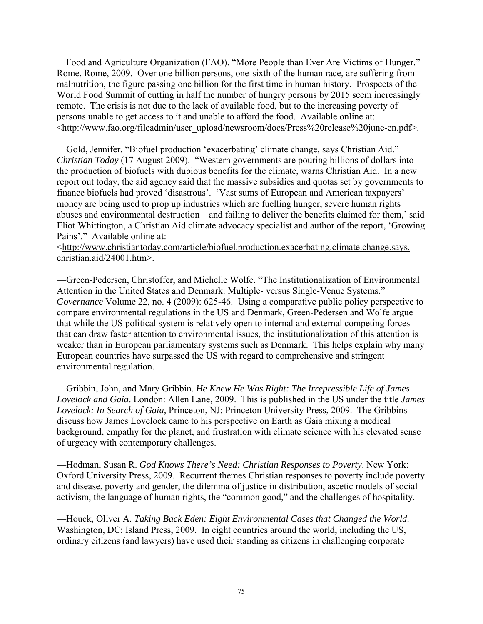—Food and Agriculture Organization (FAO). "More People than Ever Are Victims of Hunger." Rome, Rome, 2009. Over one billion persons, one-sixth of the human race, are suffering from malnutrition, the figure passing one billion for the first time in human history. Prospects of the World Food Summit of cutting in half the number of hungry persons by 2015 seem increasingly remote. The crisis is not due to the lack of available food, but to the increasing poverty of persons unable to get access to it and unable to afford the food. Available online at: <http://www.fao.org/fileadmin/user\_upload/newsroom/docs/Press%20release%20june-en.pdf>.

—Gold, Jennifer. "Biofuel production 'exacerbating' climate change, says Christian Aid." *Christian Today* (17 August 2009). "Western governments are pouring billions of dollars into the production of biofuels with dubious benefits for the climate, warns Christian Aid. In a new report out today, the aid agency said that the massive subsidies and quotas set by governments to finance biofuels had proved 'disastrous'. 'Vast sums of European and American taxpayers' money are being used to prop up industries which are fuelling hunger, severe human rights abuses and environmental destruction—and failing to deliver the benefits claimed for them,' said Eliot Whittington, a Christian Aid climate advocacy specialist and author of the report, 'Growing Pains'." Available online at:

<http://www.christiantoday.com/article/biofuel.production.exacerbating.climate.change.says. christian.aid/24001.htm>.

—Green-Pedersen, Christoffer, and Michelle Wolfe. "The Institutionalization of Environmental Attention in the United States and Denmark: Multiple- versus Single-Venue Systems." *Governance* Volume 22, no. 4 (2009): 625-46. Using a comparative public policy perspective to compare environmental regulations in the US and Denmark, Green-Pedersen and Wolfe argue that while the US political system is relatively open to internal and external competing forces that can draw faster attention to environmental issues, the institutionalization of this attention is weaker than in European parliamentary systems such as Denmark. This helps explain why many European countries have surpassed the US with regard to comprehensive and stringent environmental regulation.

—Gribbin, John, and Mary Gribbin. *He Knew He Was Right: The Irrepressible Life of James Lovelock and Gaia*. London: Allen Lane, 2009. This is published in the US under the title *James Lovelock: In Search of Gaia*, Princeton, NJ: Princeton University Press, 2009. The Gribbins discuss how James Lovelock came to his perspective on Earth as Gaia mixing a medical background, empathy for the planet, and frustration with climate science with his elevated sense of urgency with contemporary challenges.

—Hodman, Susan R. *God Knows There's Need: Christian Responses to Poverty*. New York: Oxford University Press, 2009. Recurrent themes Christian responses to poverty include poverty and disease, poverty and gender, the dilemma of justice in distribution, ascetic models of social activism, the language of human rights, the "common good," and the challenges of hospitality.

—Houck, Oliver A. *Taking Back Eden: Eight Environmental Cases that Changed the World*. Washington, DC: Island Press, 2009. In eight countries around the world, including the US, ordinary citizens (and lawyers) have used their standing as citizens in challenging corporate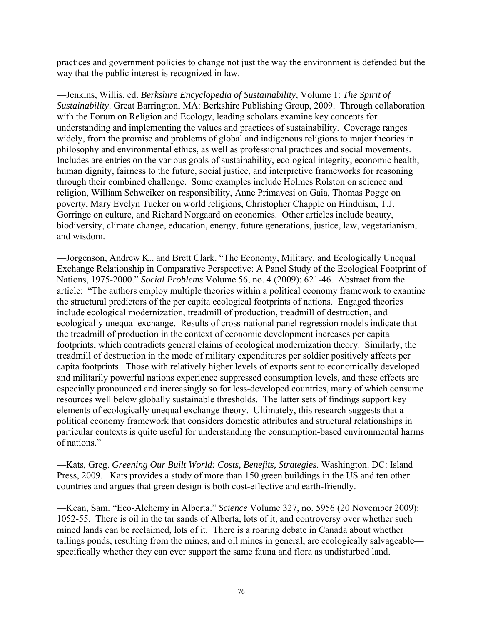practices and government policies to change not just the way the environment is defended but the way that the public interest is recognized in law.

—Jenkins, Willis, ed. *Berkshire Encyclopedia of Sustainability*, Volume 1: *The Spirit of Sustainability*. Great Barrington, MA: Berkshire Publishing Group, 2009. Through collaboration with the Forum on Religion and Ecology, leading scholars examine key concepts for understanding and implementing the values and practices of sustainability. Coverage ranges widely, from the promise and problems of global and indigenous religions to major theories in philosophy and environmental ethics, as well as professional practices and social movements. Includes are entries on the various goals of sustainability, ecological integrity, economic health, human dignity, fairness to the future, social justice, and interpretive frameworks for reasoning through their combined challenge. Some examples include Holmes Rolston on science and religion, William Schweiker on responsibility, Anne Primavesi on Gaia, Thomas Pogge on poverty, Mary Evelyn Tucker on world religions, Christopher Chapple on Hinduism, T.J. Gorringe on culture, and Richard Norgaard on economics. Other articles include beauty, biodiversity, climate change, education, energy, future generations, justice, law, vegetarianism, and wisdom.

—Jorgenson, Andrew K., and Brett Clark. "The Economy, Military, and Ecologically Unequal Exchange Relationship in Comparative Perspective: A Panel Study of the Ecological Footprint of Nations, 1975-2000." *Social Problems* Volume 56, no. 4 (2009): 621-46. Abstract from the article: "The authors employ multiple theories within a political economy framework to examine the structural predictors of the per capita ecological footprints of nations. Engaged theories include ecological modernization, treadmill of production, treadmill of destruction, and ecologically unequal exchange. Results of cross-national panel regression models indicate that the treadmill of production in the context of economic development increases per capita footprints, which contradicts general claims of ecological modernization theory. Similarly, the treadmill of destruction in the mode of military expenditures per soldier positively affects per capita footprints. Those with relatively higher levels of exports sent to economically developed and militarily powerful nations experience suppressed consumption levels, and these effects are especially pronounced and increasingly so for less-developed countries, many of which consume resources well below globally sustainable thresholds. The latter sets of findings support key elements of ecologically unequal exchange theory. Ultimately, this research suggests that a political economy framework that considers domestic attributes and structural relationships in particular contexts is quite useful for understanding the consumption-based environmental harms of nations."

—Kats, Greg. *Greening Our Built World: Costs, Benefits, Strategies*. Washington. DC: Island Press, 2009. Kats provides a study of more than 150 green buildings in the US and ten other countries and argues that green design is both cost-effective and earth-friendly.

—Kean, Sam. "Eco-Alchemy in Alberta." *Science* Volume 327, no. 5956 (20 November 2009): 1052-55. There is oil in the tar sands of Alberta, lots of it, and controversy over whether such mined lands can be reclaimed, lots of it. There is a roaring debate in Canada about whether tailings ponds, resulting from the mines, and oil mines in general, are ecologically salvageable specifically whether they can ever support the same fauna and flora as undisturbed land.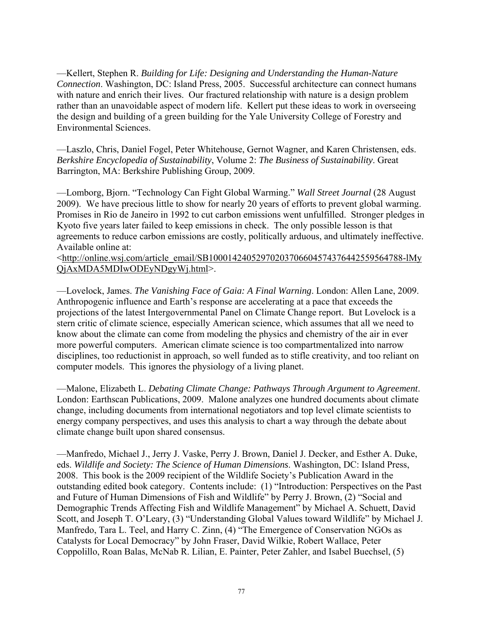—Kellert, Stephen R. *Building for Life: Designing and Understanding the Human-Nature Connection*. Washington, DC: Island Press, 2005. Successful architecture can connect humans with nature and enrich their lives. Our fractured relationship with nature is a design problem rather than an unavoidable aspect of modern life. Kellert put these ideas to work in overseeing the design and building of a green building for the Yale University College of Forestry and Environmental Sciences.

—Laszlo, Chris, Daniel Fogel, Peter Whitehouse, Gernot Wagner, and Karen Christensen, eds. *Berkshire Encyclopedia of Sustainability*, Volume 2: *The Business of Sustainability*. Great Barrington, MA: Berkshire Publishing Group, 2009.

—Lomborg, Bjorn. "Technology Can Fight Global Warming." *Wall Street Journal* (28 August 2009). We have precious little to show for nearly 20 years of efforts to prevent global warming. Promises in Rio de Janeiro in 1992 to cut carbon emissions went unfulfilled. Stronger pledges in Kyoto five years later failed to keep emissions in check. The only possible lesson is that agreements to reduce carbon emissions are costly, politically arduous, and ultimately ineffective. Available online at:

<http://online.wsj.com/article\_email/SB10001424052970203706604574376442559564788-lMy QjAxMDA5MDIwODEyNDgyWj.html>.

—Lovelock, James. *The Vanishing Face of Gaia: A Final Warning*. London: Allen Lane, 2009. Anthropogenic influence and Earth's response are accelerating at a pace that exceeds the projections of the latest Intergovernmental Panel on Climate Change report. But Lovelock is a stern critic of climate science, especially American science, which assumes that all we need to know about the climate can come from modeling the physics and chemistry of the air in ever more powerful computers. American climate science is too compartmentalized into narrow disciplines, too reductionist in approach, so well funded as to stifle creativity, and too reliant on computer models. This ignores the physiology of a living planet.

—Malone, Elizabeth L. *Debating Climate Change: Pathways Through Argument to Agreement*. London: Earthscan Publications, 2009. Malone analyzes one hundred documents about climate change, including documents from international negotiators and top level climate scientists to energy company perspectives, and uses this analysis to chart a way through the debate about climate change built upon shared consensus.

—Manfredo, Michael J., Jerry J. Vaske, Perry J. Brown, Daniel J. Decker, and Esther A. Duke, eds. *Wildlife and Society: The Science of Human Dimensions*. Washington, DC: Island Press, 2008. This book is the 2009 recipient of the Wildlife Society's Publication Award in the outstanding edited book category. Contents include: (1) "Introduction: Perspectives on the Past and Future of Human Dimensions of Fish and Wildlife" by Perry J. Brown, (2) "Social and Demographic Trends Affecting Fish and Wildlife Management" by Michael A. Schuett, David Scott, and Joseph T. O'Leary, (3) "Understanding Global Values toward Wildlife" by Michael J. Manfredo, Tara L. Teel, and Harry C. Zinn, (4) "The Emergence of Conservation NGOs as Catalysts for Local Democracy" by John Fraser, David Wilkie, Robert Wallace, Peter Coppolillo, Roan Balas, McNab R. Lilian, E. Painter, Peter Zahler, and Isabel Buechsel, (5)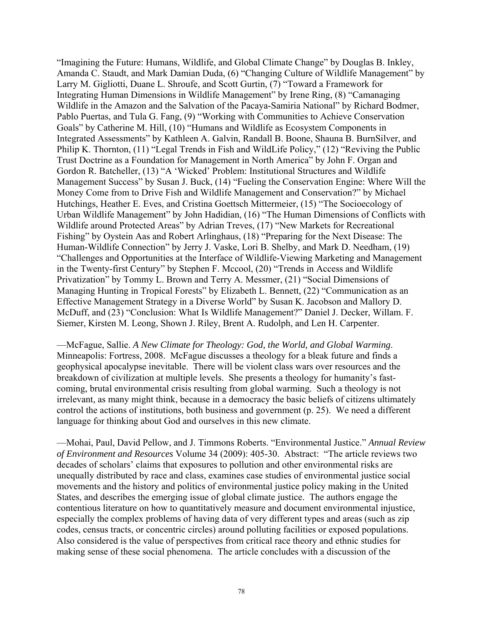"Imagining the Future: Humans, Wildlife, and Global Climate Change" by Douglas B. Inkley, Amanda C. Staudt, and Mark Damian Duda, (6) "Changing Culture of Wildlife Management" by Larry M. Gigliotti, Duane L. Shroufe, and Scott Gurtin, (7) "Toward a Framework for Integrating Human Dimensions in Wildlife Management" by Irene Ring, (8) "Camanaging Wildlife in the Amazon and the Salvation of the Pacaya-Samiria National" by Richard Bodmer, Pablo Puertas, and Tula G. Fang, (9) "Working with Communities to Achieve Conservation Goals" by Catherine M. Hill, (10) "Humans and Wildlife as Ecosystem Components in Integrated Assessments" by Kathleen A. Galvin, Randall B. Boone, Shauna B. BurnSilver, and Philip K. Thornton, (11) "Legal Trends in Fish and WildLife Policy," (12) "Reviving the Public Trust Doctrine as a Foundation for Management in North America" by John F. Organ and Gordon R. Batcheller, (13) "A 'Wicked' Problem: Institutional Structures and Wildlife Management Success" by Susan J. Buck, (14) "Fueling the Conservation Engine: Where Will the Money Come from to Drive Fish and Wildlife Management and Conservation?" by Michael Hutchings, Heather E. Eves, and Cristina Goettsch Mittermeier, (15) "The Socioecology of Urban Wildlife Management" by John Hadidian, (16) "The Human Dimensions of Conflicts with Wildlife around Protected Areas" by Adrian Treves, (17) "New Markets for Recreational Fishing" by Oystein Aas and Robert Arlinghaus, (18) "Preparing for the Next Disease: The Human-Wildlife Connection" by Jerry J. Vaske, Lori B. Shelby, and Mark D. Needham, (19) "Challenges and Opportunities at the Interface of Wildlife-Viewing Marketing and Management in the Twenty-first Century" by Stephen F. Mccool, (20) "Trends in Access and Wildlife Privatization" by Tommy L. Brown and Terry A. Messmer, (21) "Social Dimensions of Managing Hunting in Tropical Forests" by Elizabeth L. Bennett, (22) "Communication as an Effective Management Strategy in a Diverse World" by Susan K. Jacobson and Mallory D. McDuff, and (23) "Conclusion: What Is Wildlife Management?" Daniel J. Decker, Willam. F. Siemer, Kirsten M. Leong, Shown J. Riley, Brent A. Rudolph, and Len H. Carpenter.

—McFague, Sallie. *A New Climate for Theology: God, the World, and Global Warming*. Minneapolis: Fortress, 2008. McFague discusses a theology for a bleak future and finds a geophysical apocalypse inevitable. There will be violent class wars over resources and the breakdown of civilization at multiple levels. She presents a theology for humanity's fastcoming, brutal environmental crisis resulting from global warming. Such a theology is not irrelevant, as many might think, because in a democracy the basic beliefs of citizens ultimately control the actions of institutions, both business and government (p. 25). We need a different language for thinking about God and ourselves in this new climate.

—Mohai, Paul, David Pellow, and J. Timmons Roberts. "Environmental Justice." *Annual Review of Environment and Resources* Volume 34 (2009): 405-30. Abstract: "The article reviews two decades of scholars' claims that exposures to pollution and other environmental risks are unequally distributed by race and class, examines case studies of environmental justice social movements and the history and politics of environmental justice policy making in the United States, and describes the emerging issue of global climate justice. The authors engage the contentious literature on how to quantitatively measure and document environmental injustice, especially the complex problems of having data of very different types and areas (such as zip codes, census tracts, or concentric circles) around polluting facilities or exposed populations. Also considered is the value of perspectives from critical race theory and ethnic studies for making sense of these social phenomena. The article concludes with a discussion of the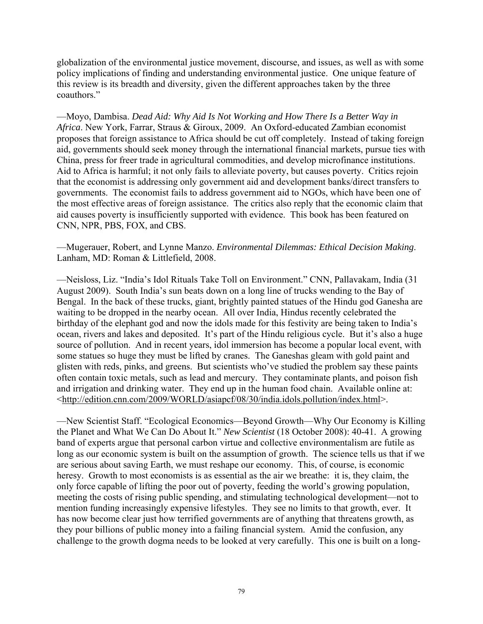globalization of the environmental justice movement, discourse, and issues, as well as with some policy implications of finding and understanding environmental justice. One unique feature of this review is its breadth and diversity, given the different approaches taken by the three coauthors."

—Moyo, Dambisa. *Dead Aid: Why Aid Is Not Working and How There Is a Better Way in Africa*. New York, Farrar, Straus & Giroux, 2009. An Oxford-educated Zambian economist proposes that foreign assistance to Africa should be cut off completely. Instead of taking foreign aid, governments should seek money through the international financial markets, pursue ties with China, press for freer trade in agricultural commodities, and develop microfinance institutions. Aid to Africa is harmful; it not only fails to alleviate poverty, but causes poverty. Critics rejoin that the economist is addressing only government aid and development banks/direct transfers to governments. The economist fails to address government aid to NGOs, which have been one of the most effective areas of foreign assistance. The critics also reply that the economic claim that aid causes poverty is insufficiently supported with evidence. This book has been featured on CNN, NPR, PBS, FOX, and CBS.

—Mugerauer, Robert, and Lynne Manzo. *Environmental Dilemmas: Ethical Decision Making*. Lanham, MD: Roman & Littlefield, 2008.

—Neisloss, Liz. "India's Idol Rituals Take Toll on Environment." CNN, Pallavakam, India (31 August 2009). South India's sun beats down on a long line of trucks wending to the Bay of Bengal. In the back of these trucks, giant, brightly painted statues of the Hindu god Ganesha are waiting to be dropped in the nearby ocean. All over India, Hindus recently celebrated the birthday of the elephant god and now the idols made for this festivity are being taken to India's ocean, rivers and lakes and deposited. It's part of the Hindu religious cycle. But it's also a huge source of pollution. And in recent years, idol immersion has become a popular local event, with some statues so huge they must be lifted by cranes. The Ganeshas gleam with gold paint and glisten with reds, pinks, and greens. But scientists who've studied the problem say these paints often contain toxic metals, such as lead and mercury. They contaminate plants, and poison fish and irrigation and drinking water. They end up in the human food chain. Available online at: <http://edition.cnn.com/2009/WORLD/asiapcf/08/30/india.idols.pollution/index.html>.

—New Scientist Staff. "Ecological Economics—Beyond Growth—Why Our Economy is Killing the Planet and What We Can Do About It." *New Scientist* (18 October 2008): 40-41. A growing band of experts argue that personal carbon virtue and collective environmentalism are futile as long as our economic system is built on the assumption of growth. The science tells us that if we are serious about saving Earth, we must reshape our economy. This, of course, is economic heresy. Growth to most economists is as essential as the air we breathe: it is, they claim, the only force capable of lifting the poor out of poverty, feeding the world's growing population, meeting the costs of rising public spending, and stimulating technological development—not to mention funding increasingly expensive lifestyles. They see no limits to that growth, ever. It has now become clear just how terrified governments are of anything that threatens growth, as they pour billions of public money into a failing financial system. Amid the confusion, any challenge to the growth dogma needs to be looked at very carefully. This one is built on a long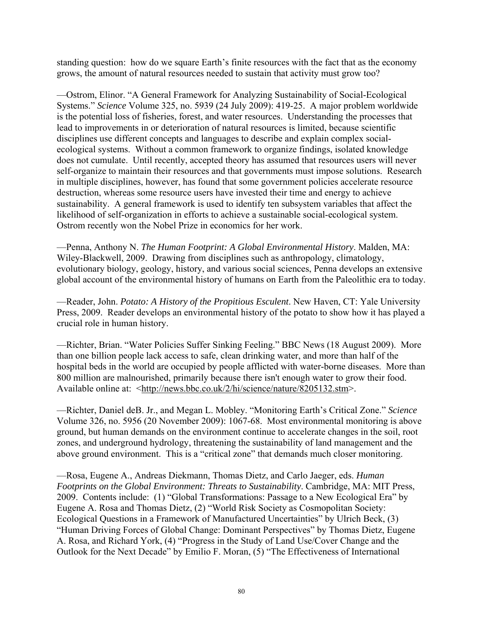standing question: how do we square Earth's finite resources with the fact that as the economy grows, the amount of natural resources needed to sustain that activity must grow too?

—Ostrom, Elinor. "A General Framework for Analyzing Sustainability of Social-Ecological Systems." *Science* Volume 325, no. 5939 (24 July 2009): 419-25. A major problem worldwide is the potential loss of fisheries, forest, and water resources. Understanding the processes that lead to improvements in or deterioration of natural resources is limited, because scientific disciplines use different concepts and languages to describe and explain complex socialecological systems. Without a common framework to organize findings, isolated knowledge does not cumulate. Until recently, accepted theory has assumed that resources users will never self-organize to maintain their resources and that governments must impose solutions. Research in multiple disciplines, however, has found that some government policies accelerate resource destruction, whereas some resource users have invested their time and energy to achieve sustainability. A general framework is used to identify ten subsystem variables that affect the likelihood of self-organization in efforts to achieve a sustainable social-ecological system. Ostrom recently won the Nobel Prize in economics for her work.

—Penna, Anthony N. *The Human Footprint: A Global Environmental History*. Malden, MA: Wiley-Blackwell, 2009. Drawing from disciplines such as anthropology, climatology, evolutionary biology, geology, history, and various social sciences, Penna develops an extensive global account of the environmental history of humans on Earth from the Paleolithic era to today.

—Reader, John. *Potato: A History of the Propitious Esculent*. New Haven, CT: Yale University Press, 2009. Reader develops an environmental history of the potato to show how it has played a crucial role in human history.

—Richter, Brian. "Water Policies Suffer Sinking Feeling." BBC News (18 August 2009). More than one billion people lack access to safe, clean drinking water, and more than half of the hospital beds in the world are occupied by people afflicted with water-borne diseases. More than 800 million are malnourished, primarily because there isn't enough water to grow their food. Available online at: <http://news.bbc.co.uk/2/hi/science/nature/8205132.stm>.

—Richter, Daniel deB. Jr., and Megan L. Mobley. "Monitoring Earth's Critical Zone." *Science* Volume 326, no. 5956 (20 November 2009): 1067-68. Most environmental monitoring is above ground, but human demands on the environment continue to accelerate changes in the soil, root zones, and underground hydrology, threatening the sustainability of land management and the above ground environment. This is a "critical zone" that demands much closer monitoring.

—Rosa, Eugene A., Andreas Diekmann, Thomas Dietz, and Carlo Jaeger, eds. *Human Footprints on the Global Environment: Threats to Sustainability*. Cambridge, MA: MIT Press, 2009. Contents include: (1) "Global Transformations: Passage to a New Ecological Era" by Eugene A. Rosa and Thomas Dietz, (2) "World Risk Society as Cosmopolitan Society: Ecological Questions in a Framework of Manufactured Uncertainties" by Ulrich Beck, (3) "Human Driving Forces of Global Change: Dominant Perspectives" by Thomas Dietz, Eugene A. Rosa, and Richard York, (4) "Progress in the Study of Land Use/Cover Change and the Outlook for the Next Decade" by Emilio F. Moran, (5) "The Effectiveness of International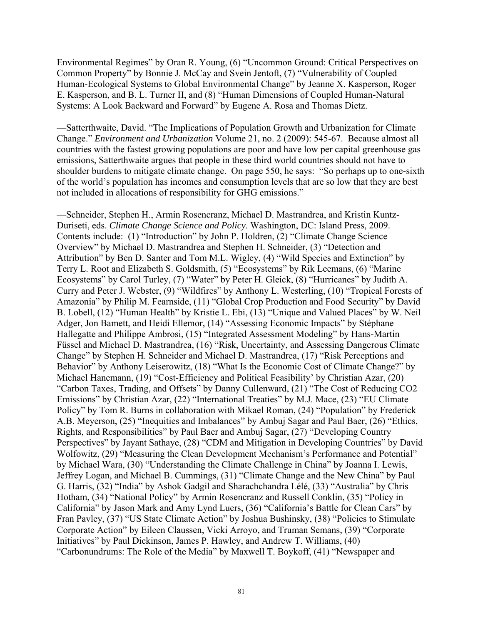Environmental Regimes" by Oran R. Young, (6) "Uncommon Ground: Critical Perspectives on Common Property" by Bonnie J. McCay and Svein Jentoft, (7) "Vulnerability of Coupled Human-Ecological Systems to Global Environmental Change" by Jeanne X. Kasperson, Roger E. Kasperson, and B. L. Turner II, and (8) "Human Dimensions of Coupled Human-Natural Systems: A Look Backward and Forward" by Eugene A. Rosa and Thomas Dietz.

—Satterthwaite, David. "The Implications of Population Growth and Urbanization for Climate Change." *Environment and Urbanization* Volume 21, no. 2 (2009): 545-67. Because almost all countries with the fastest growing populations are poor and have low per capital greenhouse gas emissions, Satterthwaite argues that people in these third world countries should not have to shoulder burdens to mitigate climate change. On page 550, he says: "So perhaps up to one-sixth of the world's population has incomes and consumption levels that are so low that they are best not included in allocations of responsibility for GHG emissions."

—Schneider, Stephen H., Armin Rosencranz, Michael D. Mastrandrea, and Kristin Kuntz-Duriseti, eds. *Climate Change Science and Policy*. Washington, DC: Island Press, 2009. Contents include: (1) "Introduction" by John P. Holdren, (2) "Climate Change Science Overview" by Michael D. Mastrandrea and Stephen H. Schneider, (3) "Detection and Attribution" by Ben D. Santer and Tom M.L. Wigley, (4) "Wild Species and Extinction" by Terry L. Root and Elizabeth S. Goldsmith, (5) "Ecosystems" by Rik Leemans, (6) "Marine Ecosystems" by Carol Turley, (7) "Water" by Peter H. Gleick, (8) "Hurricanes" by Judith A. Curry and Peter J. Webster, (9) "Wildfires" by Anthony L. Westerling, (10) "Tropical Forests of Amazonia" by Philip M. Fearnside, (11) "Global Crop Production and Food Security" by David B. Lobell, (12) "Human Health" by Kristie L. Ebi, (13) "Unique and Valued Places" by W. Neil Adger, Jon Bamett, and Heidi Ellemor, (14) "Assessing Economic Impacts" by Stéphane Hallegatte and Philippe Ambrosi, (15) "Integrated Assessment Modeling" by Hans-Martin Füssel and Michael D. Mastrandrea, (16) "Risk, Uncertainty, and Assessing Dangerous Climate Change" by Stephen H. Schneider and Michael D. Mastrandrea, (17) "Risk Perceptions and Behavior" by Anthony Leiserowitz, (18) "What Is the Economic Cost of Climate Change?" by Michael Hanemann, (19) "Cost-Efficiency and Political Feasibility' by Christian Azar, (20) "Carbon Taxes, Trading, and Offsets" by Danny Cullenward, (21) "The Cost of Reducing CO2 Emissions" by Christian Azar, (22) "International Treaties" by M.J. Mace, (23) "EU Climate Policy" by Tom R. Burns in collaboration with Mikael Roman, (24) "Population" by Frederick A.B. Meyerson, (25) "Inequities and Imbalances" by Ambuj Sagar and Paul Baer, (26) "Ethics, Rights, and Responsibilities" by Paul Baer and Ambuj Sagar, (27) "Developing Country Perspectives" by Jayant Sathaye, (28) "CDM and Mitigation in Developing Countries" by David Wolfowitz, (29) "Measuring the Clean Development Mechanism's Performance and Potential" by Michael Wara, (30) "Understanding the Climate Challenge in China" by Joanna I. Lewis, Jeffrey Logan, and Michael B. Cummings, (31) "Climate Change and the New China" by Paul G. Harris, (32) "India" by Ashok Gadgil and Sharachchandra Lélé, (33) "Australia" by Chris Hotham, (34) "National Policy" by Armin Rosencranz and Russell Conklin, (35) "Policy in California" by Jason Mark and Amy Lynd Luers, (36) "California's Battle for Clean Cars" by Fran Pavley, (37) "US State Climate Action" by Joshua Bushinsky, (38) "Policies to Stimulate Corporate Action" by Eileen Claussen, Vicki Arroyo, and Truman Semans, (39) "Corporate Initiatives" by Paul Dickinson, James P. Hawley, and Andrew T. Williams, (40) "Carbonundrums: The Role of the Media" by Maxwell T. Boykoff, (41) "Newspaper and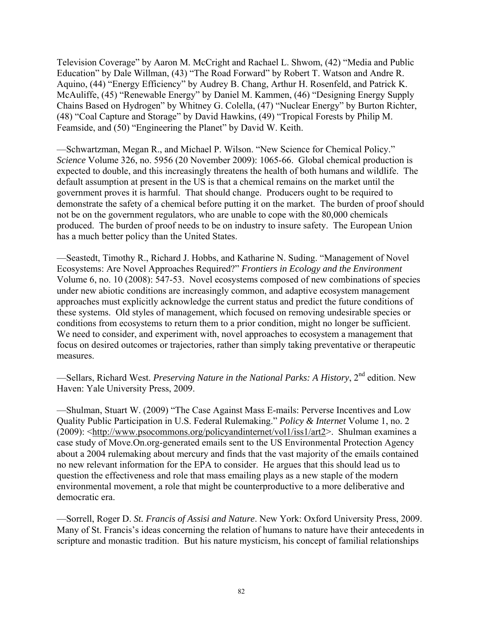Television Coverage" by Aaron M. McCright and Rachael L. Shwom, (42) "Media and Public Education" by Dale Willman, (43) "The Road Forward" by Robert T. Watson and Andre R. Aquino, (44) "Energy Efficiency" by Audrey B. Chang, Arthur H. Rosenfeld, and Patrick K. McAuliffe, (45) "Renewable Energy" by Daniel M. Kammen, (46) "Designing Energy Supply Chains Based on Hydrogen" by Whitney G. Colella, (47) "Nuclear Energy" by Burton Richter, (48) "Coal Capture and Storage" by David Hawkins, (49) "Tropical Forests by Philip M. Feamside, and (50) "Engineering the Planet" by David W. Keith.

—Schwartzman, Megan R., and Michael P. Wilson. "New Science for Chemical Policy." *Science* Volume 326, no. 5956 (20 November 2009): 1065-66. Global chemical production is expected to double, and this increasingly threatens the health of both humans and wildlife. The default assumption at present in the US is that a chemical remains on the market until the government proves it is harmful. That should change. Producers ought to be required to demonstrate the safety of a chemical before putting it on the market. The burden of proof should not be on the government regulators, who are unable to cope with the 80,000 chemicals produced. The burden of proof needs to be on industry to insure safety. The European Union has a much better policy than the United States.

—Seastedt, Timothy R., Richard J. Hobbs, and Katharine N. Suding. "Management of Novel Ecosystems: Are Novel Approaches Required?" *Frontiers in Ecology and the Environment* Volume 6, no. 10 (2008): 547-53. Novel ecosystems composed of new combinations of species under new abiotic conditions are increasingly common, and adaptive ecosystem management approaches must explicitly acknowledge the current status and predict the future conditions of these systems. Old styles of management, which focused on removing undesirable species or conditions from ecosystems to return them to a prior condition, might no longer be sufficient. We need to consider, and experiment with, novel approaches to ecosystem a management that focus on desired outcomes or trajectories, rather than simply taking preventative or therapeutic measures.

—Sellars, Richard West. *Preserving Nature in the National Parks: A History*, 2nd edition. New Haven: Yale University Press, 2009.

—Shulman, Stuart W. (2009) "The Case Against Mass E-mails: Perverse Incentives and Low Quality Public Participation in U.S. Federal Rulemaking." *Policy & Internet* Volume 1, no. 2 (2009): <http://www.psocommons.org/policyandinternet/vol1/iss1/art2>. Shulman examines a case study of Move.On.org-generated emails sent to the US Environmental Protection Agency about a 2004 rulemaking about mercury and finds that the vast majority of the emails contained no new relevant information for the EPA to consider. He argues that this should lead us to question the effectiveness and role that mass emailing plays as a new staple of the modern environmental movement, a role that might be counterproductive to a more deliberative and democratic era.

—Sorrell, Roger D. *St. Francis of Assisi and Nature*. New York: Oxford University Press, 2009. Many of St. Francis's ideas concerning the relation of humans to nature have their antecedents in scripture and monastic tradition. But his nature mysticism, his concept of familial relationships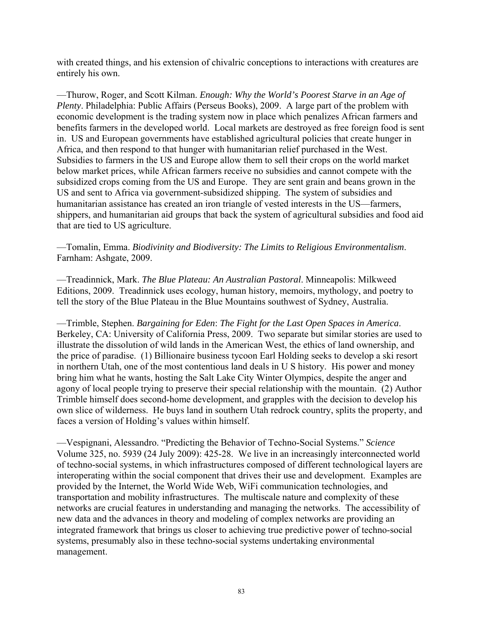with created things, and his extension of chivalric conceptions to interactions with creatures are entirely his own.

—Thurow, Roger, and Scott Kilman. *Enough: Why the World's Poorest Starve in an Age of Plenty*. Philadelphia: Public Affairs (Perseus Books), 2009. A large part of the problem with economic development is the trading system now in place which penalizes African farmers and benefits farmers in the developed world. Local markets are destroyed as free foreign food is sent in. US and European governments have established agricultural policies that create hunger in Africa, and then respond to that hunger with humanitarian relief purchased in the West. Subsidies to farmers in the US and Europe allow them to sell their crops on the world market below market prices, while African farmers receive no subsidies and cannot compete with the subsidized crops coming from the US and Europe. They are sent grain and beans grown in the US and sent to Africa via government-subsidized shipping. The system of subsidies and humanitarian assistance has created an iron triangle of vested interests in the US—farmers, shippers, and humanitarian aid groups that back the system of agricultural subsidies and food aid that are tied to US agriculture.

—Tomalin, Emma. *Biodivinity and Biodiversity: The Limits to Religious Environmentalism*. Farnham: Ashgate, 2009.

—Treadinnick, Mark. *The Blue Plateau: An Australian Pastoral*. Minneapolis: Milkweed Editions, 2009. Treadinnick uses ecology, human history, memoirs, mythology, and poetry to tell the story of the Blue Plateau in the Blue Mountains southwest of Sydney, Australia.

—Trimble, Stephen. *Bargaining for Eden*: *The Fight for the Last Open Spaces in America*. Berkeley, CA: University of California Press, 2009. Two separate but similar stories are used to illustrate the dissolution of wild lands in the American West, the ethics of land ownership, and the price of paradise. (1) Billionaire business tycoon Earl Holding seeks to develop a ski resort in northern Utah, one of the most contentious land deals in U S history. His power and money bring him what he wants, hosting the Salt Lake City Winter Olympics, despite the anger and agony of local people trying to preserve their special relationship with the mountain. (2) Author Trimble himself does second-home development, and grapples with the decision to develop his own slice of wilderness. He buys land in southern Utah redrock country, splits the property, and faces a version of Holding's values within himself.

—Vespignani, Alessandro. "Predicting the Behavior of Techno-Social Systems." *Science* Volume 325, no. 5939 (24 July 2009): 425-28. We live in an increasingly interconnected world of techno-social systems, in which infrastructures composed of different technological layers are interoperating within the social component that drives their use and development. Examples are provided by the Internet, the World Wide Web, WiFi communication technologies, and transportation and mobility infrastructures. The multiscale nature and complexity of these networks are crucial features in understanding and managing the networks. The accessibility of new data and the advances in theory and modeling of complex networks are providing an integrated framework that brings us closer to achieving true predictive power of techno-social systems, presumably also in these techno-social systems undertaking environmental management.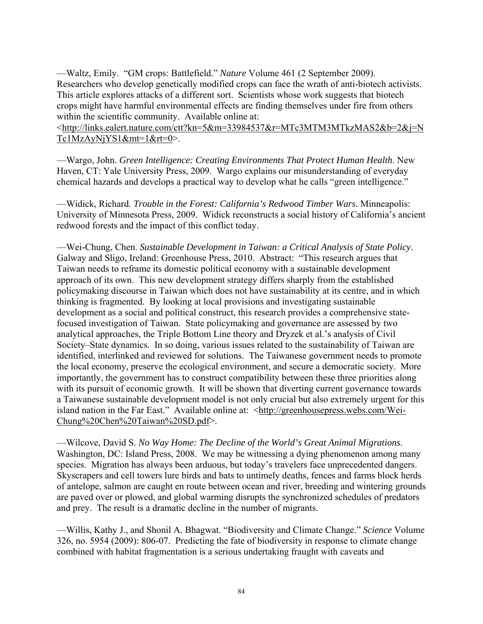—Waltz, Emily. "GM crops: Battlefield." *Nature* Volume 461 (2 September 2009). Researchers who develop genetically modified crops can face the wrath of anti-biotech activists. This article explores attacks of a different sort. Scientists whose work suggests that biotech crops might have harmful environmental effects are finding themselves under fire from others within the scientific community. Available online at:

<http://links.ealert.nature.com/ctt?kn=5&m=33984537&r=MTc3MTM3MTkzMAS2&b=2&j=N Tc1MzAyNjYS1&mt=1&rt=0>.

—Wargo, John. *Green Intelligence: Creating Environments That Protect Human Health*. New Haven, CT: Yale University Press, 2009. Wargo explains our misunderstanding of everyday chemical hazards and develops a practical way to develop what he calls "green intelligence."

—Widick, Richard. *Trouble in the Forest: California's Redwood Timber Wars*. Minneapolis: University of Minnesota Press, 2009. Widick reconstructs a social history of California's ancient redwood forests and the impact of this conflict today.

—Wei-Chung, Chen. *Sustainable Development in Taiwan: a Critical Analysis of State Policy*. Galway and Sligo, Ireland: Greenhouse Press, 2010. Abstract: "This research argues that Taiwan needs to reframe its domestic political economy with a sustainable development approach of its own. This new development strategy differs sharply from the established policymaking discourse in Taiwan which does not have sustainability at its centre, and in which thinking is fragmented. By looking at local provisions and investigating sustainable development as a social and political construct, this research provides a comprehensive statefocused investigation of Taiwan. State policymaking and governance are assessed by two analytical approaches, the Triple Bottom Line theory and Dryzek et al.'s analysis of Civil Society–State dynamics. In so doing, various issues related to the sustainability of Taiwan are identified, interlinked and reviewed for solutions. The Taiwanese government needs to promote the local economy, preserve the ecological environment, and secure a democratic society. More importantly, the government has to construct compatibility between these three priorities along with its pursuit of economic growth. It will be shown that diverting current governance towards a Taiwanese sustainable development model is not only crucial but also extremely urgent for this island nation in the Far East." Available online at: <http://greenhousepress.webs.com/Wei-Chung%20Chen%20Taiwan%20SD.pdf>.

—Wilcove, David S. *No Way Home: The Decline of the World's Great Animal Migrations*. Washington, DC: Island Press, 2008. We may be witnessing a dying phenomenon among many species. Migration has always been arduous, but today's travelers face unprecedented dangers. Skyscrapers and cell towers lure birds and bats to untimely deaths, fences and farms block herds of antelope, salmon are caught en route between ocean and river, breeding and wintering grounds are paved over or plowed, and global warming disrupts the synchronized schedules of predators and prey. The result is a dramatic decline in the number of migrants.

—Willis, Kathy J., and Shonil A. Bhagwat. "Biodiversity and Climate Change." *Science* Volume 326, no. 5954 (2009): 806-07. Predicting the fate of biodiversity in response to climate change combined with habitat fragmentation is a serious undertaking fraught with caveats and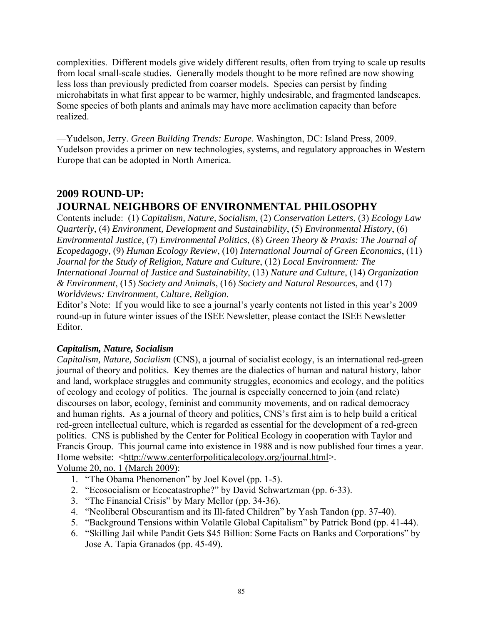complexities. Different models give widely different results, often from trying to scale up results from local small-scale studies. Generally models thought to be more refined are now showing less loss than previously predicted from coarser models. Species can persist by finding microhabitats in what first appear to be warmer, highly undesirable, and fragmented landscapes. Some species of both plants and animals may have more acclimation capacity than before realized.

—Yudelson, Jerry. *Green Building Trends: Europe*. Washington, DC: Island Press, 2009. Yudelson provides a primer on new technologies, systems, and regulatory approaches in Western Europe that can be adopted in North America.

# **2009 ROUND-UP: JOURNAL NEIGHBORS OF ENVIRONMENTAL PHILOSOPHY**

Contents include: (1) *Capitalism, Nature, Socialism*, (2) *Conservation Letters*, (3) *Ecology Law Quarterly*, (4) *Environment, Development and Sustainability*, (5) *Environmental History*, (6) *Environmental Justice*, (7) *Environmental Politics*, (8) *Green Theory & Praxis: The Journal of Ecopedagogy*, (9) *Human Ecology Review*, (10) *International Journal of Green Economics*, (11) *Journal for the Study of Religion, Nature and Culture*, (12) *Local Environment: The International Journal of Justice and Sustainability*, (13) *Nature and Culture*, (14) *Organization & Environment*, (15) *Society and Animals*, (16) *Society and Natural Resources*, and (17) *Worldviews: Environment, Culture, Religion*.

Editor's Note: If you would like to see a journal's yearly contents not listed in this year's 2009 round-up in future winter issues of the ISEE Newsletter, please contact the ISEE Newsletter Editor.

#### *Capitalism, Nature, Socialism*

*Capitalism, Nature, Socialism* (CNS), a journal of socialist ecology, is an international red-green journal of theory and politics. Key themes are the dialectics of human and natural history, labor and land, workplace struggles and community struggles, economics and ecology, and the politics of ecology and ecology of politics. The journal is especially concerned to join (and relate) discourses on labor, ecology, feminist and community movements, and on radical democracy and human rights. As a journal of theory and politics, CNS's first aim is to help build a critical red-green intellectual culture, which is regarded as essential for the development of a red-green politics. CNS is published by the Center for Political Ecology in cooperation with Taylor and Francis Group. This journal came into existence in 1988 and is now published four times a year. Home website:  $\langle \text{http://www.centerforpoliticalecology.org/journal.html} \rangle$ .

Volume 20, no. 1 (March 2009):

- 1. "The Obama Phenomenon" by Joel Kovel (pp. 1-5).
- 2. "Ecosocialism or Ecocatastrophe?" by David Schwartzman (pp. 6-33).
- 3. "The Financial Crisis" by Mary Mellor (pp. 34-36).
- 4. "Neoliberal Obscurantism and its Ill-fated Children" by Yash Tandon (pp. 37-40).
- 5. "Background Tensions within Volatile Global Capitalism" by Patrick Bond (pp. 41-44).
- 6. "Skilling Jail while Pandit Gets \$45 Billion: Some Facts on Banks and Corporations" by Jose A. Tapia Granados (pp. 45-49).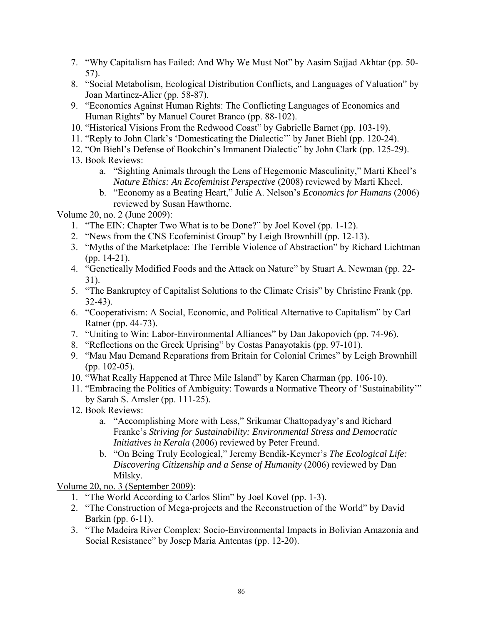- 7. "Why Capitalism has Failed: And Why We Must Not" by Aasim Sajjad Akhtar (pp. 50- 57).
- 8. "Social Metabolism, Ecological Distribution Conflicts, and Languages of Valuation" by Joan Martinez-Alier (pp. 58-87).
- 9. "Economics Against Human Rights: The Conflicting Languages of Economics and Human Rights" by Manuel Couret Branco (pp. 88-102).
- 10. "Historical Visions From the Redwood Coast" by Gabrielle Barnet (pp. 103-19).
- 11. "Reply to John Clark's 'Domesticating the Dialectic'" by Janet Biehl (pp. 120-24).
- 12. "On Biehl's Defense of Bookchin's Immanent Dialectic" by John Clark (pp. 125-29).
- 13. Book Reviews:
	- a. "Sighting Animals through the Lens of Hegemonic Masculinity," Marti Kheel's *Nature Ethics: An Ecofeminist Perspective* (2008) reviewed by Marti Kheel.
	- b. "Economy as a Beating Heart," Julie A. Nelson's *Economics for Humans* (2006) reviewed by Susan Hawthorne.

Volume 20, no. 2 (June 2009):

- 1. "The EIN: Chapter Two What is to be Done?" by Joel Kovel (pp. 1-12).
- 2. "News from the CNS Ecofeminist Group" by Leigh Brownhill (pp. 12-13).
- 3. "Myths of the Marketplace: The Terrible Violence of Abstraction" by Richard Lichtman (pp. 14-21).
- 4. "Genetically Modified Foods and the Attack on Nature" by Stuart A. Newman (pp. 22- 31).
- 5. "The Bankruptcy of Capitalist Solutions to the Climate Crisis" by Christine Frank (pp. 32-43).
- 6. "Cooperativism: A Social, Economic, and Political Alternative to Capitalism" by Carl Ratner (pp. 44-73).
- 7. "Uniting to Win: Labor-Environmental Alliances" by Dan Jakopovich (pp. 74-96).
- 8. "Reflections on the Greek Uprising" by Costas Panayotakis (pp. 97-101).
- 9. "Mau Mau Demand Reparations from Britain for Colonial Crimes" by Leigh Brownhill (pp. 102-05).
- 10. "What Really Happened at Three Mile Island" by Karen Charman (pp. 106-10).
- 11. "Embracing the Politics of Ambiguity: Towards a Normative Theory of 'Sustainability'" by Sarah S. Amsler (pp. 111-25).
- 12. Book Reviews:
	- a. "Accomplishing More with Less," Srikumar Chattopadyay's and Richard Franke's *Striving for Sustainability: Environmental Stress and Democratic Initiatives in Kerala* (2006) reviewed by Peter Freund.
	- b. "On Being Truly Ecological," Jeremy Bendik-Keymer's *The Ecological Life: Discovering Citizenship and a Sense of Humanity* (2006) reviewed by Dan Milsky.

Volume 20, no. 3 (September 2009):

- 1. "The World According to Carlos Slim" by Joel Kovel (pp. 1-3).
- 2. "The Construction of Mega-projects and the Reconstruction of the World" by David Barkin (pp. 6-11).
- 3. "The Madeira River Complex: Socio-Environmental Impacts in Bolivian Amazonia and Social Resistance" by Josep Maria Antentas (pp. 12-20).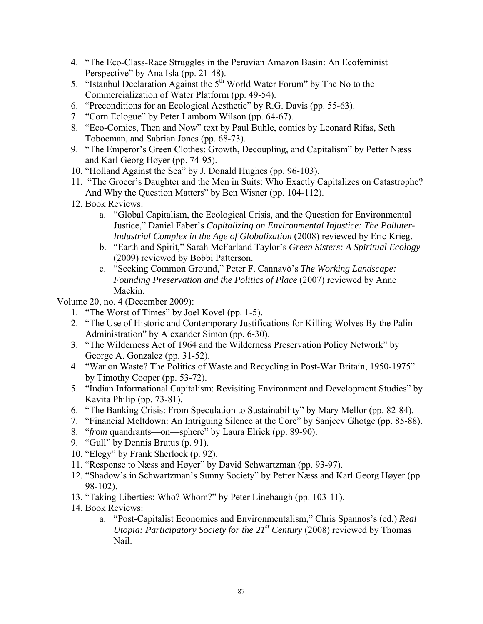- 4. "The Eco-Class-Race Struggles in the Peruvian Amazon Basin: An Ecofeminist Perspective" by Ana Isla (pp. 21-48).
- 5. "Istanbul Declaration Against the  $5<sup>th</sup>$  World Water Forum" by The No to the Commercialization of Water Platform (pp. 49-54).
- 6. "Preconditions for an Ecological Aesthetic" by R.G. Davis (pp. 55-63).
- 7. "Corn Eclogue" by Peter Lamborn Wilson (pp. 64-67).
- 8. "Eco-Comics, Then and Now" text by Paul Buhle, comics by Leonard Rifas, Seth Tobocman, and Sabrian Jones (pp. 68-73).
- 9. "The Emperor's Green Clothes: Growth, Decoupling, and Capitalism" by Petter Næss and Karl Georg Høyer (pp. 74-95).
- 10. "Holland Against the Sea" by J. Donald Hughes (pp. 96-103).
- 11. "The Grocer's Daughter and the Men in Suits: Who Exactly Capitalizes on Catastrophe? And Why the Question Matters" by Ben Wisner (pp. 104-112).
- 12. Book Reviews:
	- a. "Global Capitalism, the Ecological Crisis, and the Question for Environmental Justice," Daniel Faber's *Capitalizing on Environmental Injustice: The Polluter-Industrial Complex in the Age of Globalization* (2008) reviewed by Eric Krieg.
	- b. "Earth and Spirit," Sarah McFarland Taylor's *Green Sisters: A Spiritual Ecology* (2009) reviewed by Bobbi Patterson.
	- c. "Seeking Common Ground," Peter F. Cannavò's *The Working Landscape: Founding Preservation and the Politics of Place* (2007) reviewed by Anne Mackin.

Volume 20, no. 4 (December 2009):

- 1. "The Worst of Times" by Joel Kovel (pp. 1-5).
- 2. "The Use of Historic and Contemporary Justifications for Killing Wolves By the Palin Administration" by Alexander Simon (pp. 6-30).
- 3. "The Wilderness Act of 1964 and the Wilderness Preservation Policy Network" by George A. Gonzalez (pp. 31-52).
- 4. "War on Waste? The Politics of Waste and Recycling in Post-War Britain, 1950-1975" by Timothy Cooper (pp. 53-72).
- 5. "Indian Informational Capitalism: Revisiting Environment and Development Studies" by Kavita Philip (pp. 73-81).
- 6. "The Banking Crisis: From Speculation to Sustainability" by Mary Mellor (pp. 82-84).
- 7. "Financial Meltdown: An Intriguing Silence at the Core" by Sanjeev Ghotge (pp. 85-88).
- 8. "*from* quandrants—on—sphere" by Laura Elrick (pp. 89-90).
- 9. "Gull" by Dennis Brutus (p. 91).
- 10. "Elegy" by Frank Sherlock (p. 92).
- 11. "Response to Næss and Høyer" by David Schwartzman (pp. 93-97).
- 12. "Shadow's in Schwartzman's Sunny Society" by Petter Næss and Karl Georg Høyer (pp. 98-102).
- 13. "Taking Liberties: Who? Whom?" by Peter Linebaugh (pp. 103-11).
- 14. Book Reviews:
	- a. "Post-Capitalist Economics and Environmentalism," Chris Spannos's (ed.) *Real Utopia: Participatory Society for the 21<sup>st</sup> Century* (2008) reviewed by Thomas Nail.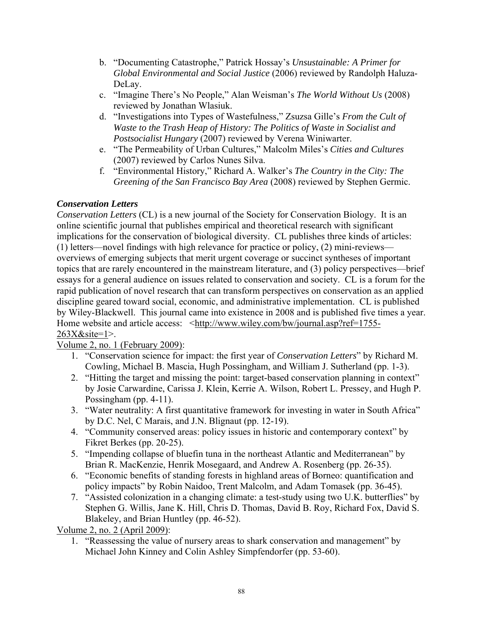- b. "Documenting Catastrophe," Patrick Hossay's *Unsustainable: A Primer for Global Environmental and Social Justice* (2006) reviewed by Randolph Haluza-DeLay.
- c. "Imagine There's No People," Alan Weisman's *The World Without Us* (2008) reviewed by Jonathan Wlasiuk.
- d. "Investigations into Types of Wastefulness," Zsuzsa Gille's *From the Cult of Waste to the Trash Heap of History: The Politics of Waste in Socialist and Postsocialist Hungary* (2007) reviewed by Verena Winiwarter.
- e. "The Permeability of Urban Cultures," Malcolm Miles's *Cities and Cultures*  (2007) reviewed by Carlos Nunes Silva.
- f. "Environmental History," Richard A. Walker's *The Country in the City: The Greening of the San Francisco Bay Area* (2008) reviewed by Stephen Germic.

## *Conservation Letters*

*Conservation Letters* (CL) is a new journal of the Society for Conservation Biology. It is an online scientific journal that publishes empirical and theoretical research with significant implications for the conservation of biological diversity. CL publishes three kinds of articles: (1) letters—novel findings with high relevance for practice or policy, (2) mini-reviews overviews of emerging subjects that merit urgent coverage or succinct syntheses of important topics that are rarely encountered in the mainstream literature, and (3) policy perspectives—brief essays for a general audience on issues related to conservation and society. CL is a forum for the rapid publication of novel research that can transform perspectives on conservation as an applied discipline geared toward social, economic, and administrative implementation. CL is published by Wiley-Blackwell. This journal came into existence in 2008 and is published five times a year. Home website and article access: <http://www.wiley.com/bw/journal.asp?ref=1755-263X&site=1>.

Volume 2, no. 1 (February 2009):

- 1. "Conservation science for impact: the first year of *Conservation Letters*" by Richard M. Cowling, Michael B. Mascia, Hugh Possingham, and William J. Sutherland (pp. 1-3).
- 2. "Hitting the target and missing the point: target-based conservation planning in context" by Josie Carwardine, Carissa J. Klein, Kerrie A. Wilson, Robert L. Pressey, and Hugh P. Possingham (pp. 4-11).
- 3. "Water neutrality: A first quantitative framework for investing in water in South Africa" by D.C. Nel, C Marais, and J.N. Blignaut (pp. 12-19).
- 4. "Community conserved areas: policy issues in historic and contemporary context" by Fikret Berkes (pp. 20-25).
- 5. "Impending collapse of bluefin tuna in the northeast Atlantic and Mediterranean" by Brian R. MacKenzie, Henrik Mosegaard, and Andrew A. Rosenberg (pp. 26-35).
- 6. "Economic benefits of standing forests in highland areas of Borneo: quantification and policy impacts" by Robin Naidoo, Trent Malcolm, and Adam Tomasek (pp. 36-45).
- 7. "Assisted colonization in a changing climate: a test-study using two U.K. butterflies" by Stephen G. Willis, Jane K. Hill, Chris D. Thomas, David B. Roy, Richard Fox, David S. Blakeley, and Brian Huntley (pp. 46-52).

Volume 2, no. 2 (April 2009):

1. "Reassessing the value of nursery areas to shark conservation and management" by Michael John Kinney and Colin Ashley Simpfendorfer (pp. 53-60).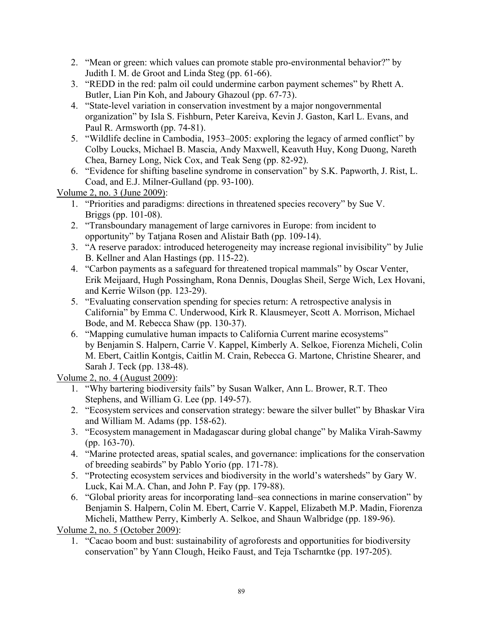- 2. "Mean or green: which values can promote stable pro-environmental behavior?" by Judith I. M. de Groot and Linda Steg (pp. 61-66).
- 3. "REDD in the red: palm oil could undermine carbon payment schemes" by Rhett A. Butler, Lian Pin Koh, and Jaboury Ghazoul (pp. 67-73).
- 4. "State-level variation in conservation investment by a major nongovernmental organization" by Isla S. Fishburn, Peter Kareiva, Kevin J. Gaston, Karl L. Evans, and Paul R. Armsworth (pp. 74-81).
- 5. "Wildlife decline in Cambodia, 1953–2005: exploring the legacy of armed conflict" by Colby Loucks, Michael B. Mascia, Andy Maxwell, Keavuth Huy, Kong Duong, Nareth Chea, Barney Long, Nick Cox, and Teak Seng (pp. 82-92).
- 6. "Evidence for shifting baseline syndrome in conservation" by S.K. Papworth, J. Rist, L. Coad, and E.J. Milner-Gulland (pp. 93-100).

Volume 2, no. 3 (June 2009):

- 1. "Priorities and paradigms: directions in threatened species recovery" by Sue V. Briggs (pp. 101-08).
- 2. "Transboundary management of large carnivores in Europe: from incident to opportunity" by Tatjana Rosen and Alistair Bath (pp. 109-14).
- 3. "A reserve paradox: introduced heterogeneity may increase regional invisibility" by Julie B. Kellner and Alan Hastings (pp. 115-22).
- 4. "Carbon payments as a safeguard for threatened tropical mammals" by Oscar Venter, Erik Meijaard, Hugh Possingham, Rona Dennis, Douglas Sheil, Serge Wich, Lex Hovani, and Kerrie Wilson (pp. 123-29).
- 5. "Evaluating conservation spending for species return: A retrospective analysis in California" by Emma C. Underwood, Kirk R. Klausmeyer, Scott A. Morrison, Michael Bode, and M. Rebecca Shaw (pp. 130-37).
- 6. "Mapping cumulative human impacts to California Current marine ecosystems" by Benjamin S. Halpern, Carrie V. Kappel, Kimberly A. Selkoe, Fiorenza Micheli, Colin M. Ebert, Caitlin Kontgis, Caitlin M. Crain, Rebecca G. Martone, Christine Shearer, and Sarah J. Teck (pp. 138-48).

Volume 2, no. 4 (August 2009):

- 1. "Why bartering biodiversity fails" by Susan Walker, Ann L. Brower, R.T. Theo Stephens, and William G. Lee (pp. 149-57).
- 2. "Ecosystem services and conservation strategy: beware the silver bullet" by Bhaskar Vira and William M. Adams (pp. 158-62).
- 3. "Ecosystem management in Madagascar during global change" by Malika Virah-Sawmy (pp. 163-70).
- 4. "Marine protected areas, spatial scales, and governance: implications for the conservation of breeding seabirds" by Pablo Yorio (pp. 171-78).
- 5. "Protecting ecosystem services and biodiversity in the world's watersheds" by Gary W. Luck, Kai M.A. Chan, and John P. Fay (pp. 179-88).
- 6. "Global priority areas for incorporating land–sea connections in marine conservation" by Benjamin S. Halpern, Colin M. Ebert, Carrie V. Kappel, Elizabeth M.P. Madin, Fiorenza Micheli, Matthew Perry, Kimberly A. Selkoe, and Shaun Walbridge (pp. 189-96).

Volume 2, no. 5 (October 2009):

1. "Cacao boom and bust: sustainability of agroforests and opportunities for biodiversity conservation" by Yann Clough, Heiko Faust, and Teja Tscharntke (pp. 197-205).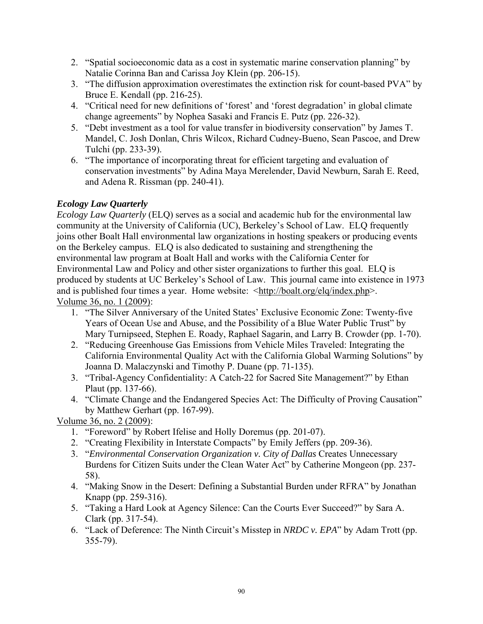- 2. "Spatial socioeconomic data as a cost in systematic marine conservation planning" by Natalie Corinna Ban and Carissa Joy Klein (pp. 206-15).
- 3. "The diffusion approximation overestimates the extinction risk for count-based PVA" by Bruce E. Kendall (pp. 216-25).
- 4. "Critical need for new definitions of 'forest' and 'forest degradation' in global climate change agreements" by Nophea Sasaki and Francis E. Putz (pp. 226-32).
- 5. "Debt investment as a tool for value transfer in biodiversity conservation" by James T. Mandel, C. Josh Donlan, Chris Wilcox, Richard Cudney-Bueno, Sean Pascoe, and Drew Tulchi (pp. 233-39).
- 6. "The importance of incorporating threat for efficient targeting and evaluation of conservation investments" by Adina Maya Merelender, David Newburn, Sarah E. Reed, and Adena R. Rissman (pp. 240-41).

## *Ecology Law Quarterly*

*Ecology Law Quarterly* (ELQ) serves as a social and academic hub for the environmental law community at the University of California (UC), Berkeley's School of Law. ELQ frequently joins other Boalt Hall environmental law organizations in hosting speakers or producing events on the Berkeley campus. ELQ is also dedicated to sustaining and strengthening the environmental law program at Boalt Hall and works with the California Center for Environmental Law and Policy and other sister organizations to further this goal. ELQ is produced by students at UC Berkeley's School of Law. This journal came into existence in 1973 and is published four times a year. Home website: <http://boalt.org/elq/index.php>. Volume 36, no. 1 (2009):

- 1. "The Silver Anniversary of the United States' Exclusive Economic Zone: Twenty-five Years of Ocean Use and Abuse, and the Possibility of a Blue Water Public Trust" by Mary Turnipseed, Stephen E. Roady, Raphael Sagarin, and Larry B. Crowder (pp. 1-70).
- 2. "Reducing Greenhouse Gas Emissions from Vehicle Miles Traveled: Integrating the California Environmental Quality Act with the California Global Warming Solutions" by Joanna D. Malaczynski and Timothy P. Duane (pp. 71-135).
- 3. "Tribal-Agency Confidentiality: A Catch-22 for Sacred Site Management?" by Ethan Plaut (pp. 137-66).
- 4. "Climate Change and the Endangered Species Act: The Difficulty of Proving Causation" by Matthew Gerhart (pp. 167-99).

Volume 36, no. 2 (2009):

- 1. "Foreword" by Robert Ifelise and Holly Doremus (pp. 201-07).
- 2. "Creating Flexibility in Interstate Compacts" by Emily Jeffers (pp. 209-36).
- 3. "*Environmental Conservation Organization v. City of Dallas* Creates Unnecessary Burdens for Citizen Suits under the Clean Water Act" by Catherine Mongeon (pp. 237- 58).
- 4. "Making Snow in the Desert: Defining a Substantial Burden under RFRA" by Jonathan Knapp (pp. 259-316).
- 5. "Taking a Hard Look at Agency Silence: Can the Courts Ever Succeed?" by Sara A. Clark (pp. 317-54).
- 6. "Lack of Deference: The Ninth Circuit's Misstep in *NRDC v. EPA*" by Adam Trott (pp. 355-79).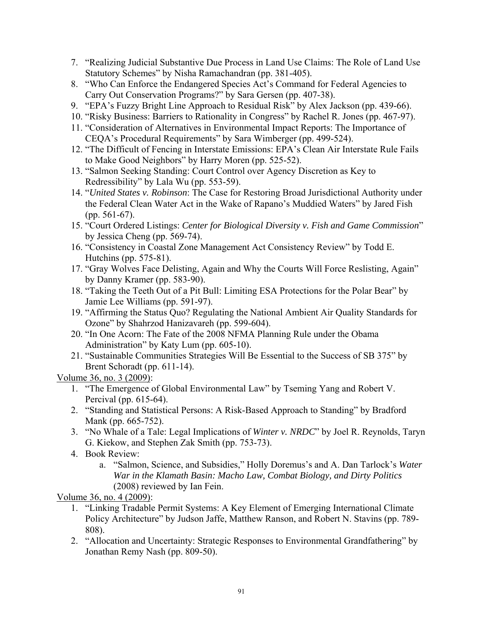- 7. "Realizing Judicial Substantive Due Process in Land Use Claims: The Role of Land Use Statutory Schemes" by Nisha Ramachandran (pp. 381-405).
- 8. "Who Can Enforce the Endangered Species Act's Command for Federal Agencies to Carry Out Conservation Programs?" by Sara Gersen (pp. 407-38).
- 9. "EPA's Fuzzy Bright Line Approach to Residual Risk" by Alex Jackson (pp. 439-66).
- 10. "Risky Business: Barriers to Rationality in Congress" by Rachel R. Jones (pp. 467-97).
- 11. "Consideration of Alternatives in Environmental Impact Reports: The Importance of CEQA's Procedural Requirements" by Sara Wimberger (pp. 499-524).
- 12. "The Difficult of Fencing in Interstate Emissions: EPA's Clean Air Interstate Rule Fails to Make Good Neighbors" by Harry Moren (pp. 525-52).
- 13. "Salmon Seeking Standing: Court Control over Agency Discretion as Key to Redressibility" by Lala Wu (pp. 553-59).
- 14. "*United States v. Robinson*: The Case for Restoring Broad Jurisdictional Authority under the Federal Clean Water Act in the Wake of Rapano's Muddied Waters" by Jared Fish (pp. 561-67).
- 15. "Court Ordered Listings: *Center for Biological Diversity v. Fish and Game Commission*" by Jessica Cheng (pp. 569-74).
- 16. "Consistency in Coastal Zone Management Act Consistency Review" by Todd E. Hutchins (pp. 575-81).
- 17. "Gray Wolves Face Delisting, Again and Why the Courts Will Force Reslisting, Again" by Danny Kramer (pp. 583-90).
- 18. "Taking the Teeth Out of a Pit Bull: Limiting ESA Protections for the Polar Bear" by Jamie Lee Williams (pp. 591-97).
- 19. "Affirming the Status Quo? Regulating the National Ambient Air Quality Standards for Ozone" by Shahrzod Hanizavareh (pp. 599-604).
- 20. "In One Acorn: The Fate of the 2008 NFMA Planning Rule under the Obama Administration" by Katy Lum (pp. 605-10).
- 21. "Sustainable Communities Strategies Will Be Essential to the Success of SB 375" by Brent Schoradt (pp. 611-14).

Volume 36, no. 3 (2009):

- 1. "The Emergence of Global Environmental Law" by Tseming Yang and Robert V. Percival (pp. 615-64).
- 2. "Standing and Statistical Persons: A Risk-Based Approach to Standing" by Bradford Mank (pp. 665-752).
- 3. "No Whale of a Tale: Legal Implications of *Winter v. NRDC*" by Joel R. Reynolds, Taryn G. Kiekow, and Stephen Zak Smith (pp. 753-73).
- 4. Book Review:
	- a. "Salmon, Science, and Subsidies," Holly Doremus's and A. Dan Tarlock's *Water War in the Klamath Basin: Macho Law, Combat Biology, and Dirty Politics* (2008) reviewed by Ian Fein.

Volume 36, no. 4 (2009):

- 1. "Linking Tradable Permit Systems: A Key Element of Emerging International Climate Policy Architecture" by Judson Jaffe, Matthew Ranson, and Robert N. Stavins (pp. 789- 808).
- 2. "Allocation and Uncertainty: Strategic Responses to Environmental Grandfathering" by Jonathan Remy Nash (pp. 809-50).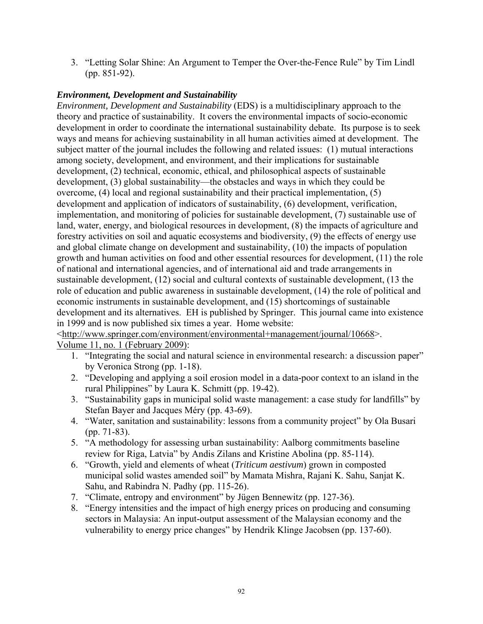3. "Letting Solar Shine: An Argument to Temper the Over-the-Fence Rule" by Tim Lindl (pp. 851-92).

#### *Environment, Development and Sustainability*

*Environment, Development and Sustainability* (EDS) is a multidisciplinary approach to the theory and practice of sustainability. It covers the environmental impacts of socio-economic development in order to coordinate the international sustainability debate. Its purpose is to seek ways and means for achieving sustainability in all human activities aimed at development. The subject matter of the journal includes the following and related issues: (1) mutual interactions among society, development, and environment, and their implications for sustainable development, (2) technical, economic, ethical, and philosophical aspects of sustainable development, (3) global sustainability—the obstacles and ways in which they could be overcome, (4) local and regional sustainability and their practical implementation, (5) development and application of indicators of sustainability, (6) development, verification, implementation, and monitoring of policies for sustainable development, (7) sustainable use of land, water, energy, and biological resources in development, (8) the impacts of agriculture and forestry activities on soil and aquatic ecosystems and biodiversity, (9) the effects of energy use and global climate change on development and sustainability, (10) the impacts of population growth and human activities on food and other essential resources for development, (11) the role of national and international agencies, and of international aid and trade arrangements in sustainable development, (12) social and cultural contexts of sustainable development, (13 the role of education and public awareness in sustainable development, (14) the role of political and economic instruments in sustainable development, and (15) shortcomings of sustainable development and its alternatives. EH is published by Springer. This journal came into existence in 1999 and is now published six times a year. Home website:

<http://www.springer.com/environment/environmental+management/journal/10668>.

Volume 11, no. 1 (February 2009):

- 1. "Integrating the social and natural science in environmental research: a discussion paper" by Veronica Strong (pp. 1-18).
- 2. "Developing and applying a soil erosion model in a data-poor context to an island in the rural Philippines" by Laura K. Schmitt (pp. 19-42).
- 3. "Sustainability gaps in municipal solid waste management: a case study for landfills" by Stefan Bayer and Jacques Méry (pp. 43-69).
- 4. "Water, sanitation and sustainability: lessons from a community project" by Ola Busari (pp. 71-83).
- 5. "A methodology for assessing urban sustainability: Aalborg commitments baseline review for Riga, Latvia" by Andis Zilans and Kristine Abolina (pp. 85-114).
- 6. "Growth, yield and elements of wheat (*Triticum aestivum*) grown in composted municipal solid wastes amended soil" by Mamata Mishra, Rajani K. Sahu, Sanjat K. Sahu, and Rabindra N. Padhy (pp. 115-26).
- 7. "Climate, entropy and environment" by Jügen Bennewitz (pp. 127-36).
- 8. "Energy intensities and the impact of high energy prices on producing and consuming sectors in Malaysia: An input-output assessment of the Malaysian economy and the vulnerability to energy price changes" by Hendrik Klinge Jacobsen (pp. 137-60).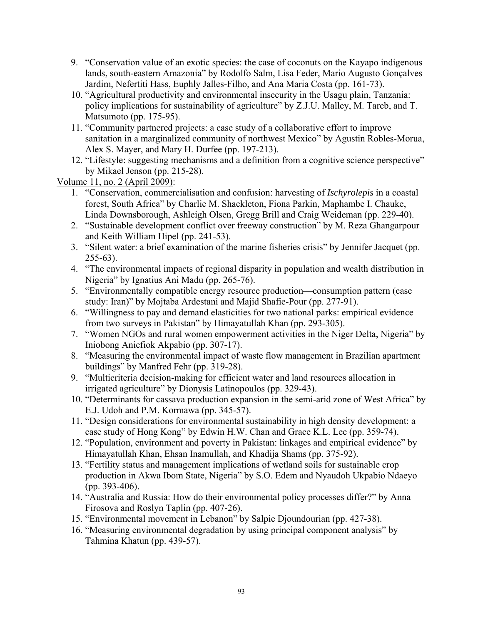- 9. "Conservation value of an exotic species: the case of coconuts on the Kayapo indigenous lands, south-eastern Amazonia" by Rodolfo Salm, Lisa Feder, Mario Augusto Gonçalves Jardim, Nefertiti Hass, Euphly Jalles-Filho, and Ana Maria Costa (pp. 161-73).
- 10. "Agricultural productivity and environmental insecurity in the Usagu plain, Tanzania: policy implications for sustainability of agriculture" by Z.J.U. Malley, M. Tareb, and T. Matsumoto (pp. 175-95).
- 11. "Community partnered projects: a case study of a collaborative effort to improve sanitation in a marginalized community of northwest Mexico" by Agustin Robles-Morua, Alex S. Mayer, and Mary H. Durfee (pp. 197-213).
- 12. "Lifestyle: suggesting mechanisms and a definition from a cognitive science perspective" by Mikael Jenson (pp. 215-28).

Volume 11, no. 2 (April 2009):

- 1. "Conservation, commercialisation and confusion: harvesting of *Ischyrolepis* in a coastal forest, South Africa" by Charlie M. Shackleton, Fiona Parkin, Maphambe I. Chauke, Linda Downsborough, Ashleigh Olsen, Gregg Brill and Craig Weideman (pp. 229-40).
- 2. "Sustainable development conflict over freeway construction" by M. Reza Ghangarpour and Keith William Hipel (pp. 241-53).
- 3. "Silent water: a brief examination of the marine fisheries crisis" by Jennifer Jacquet (pp. 255-63).
- 4. "The environmental impacts of regional disparity in population and wealth distribution in Nigeria" by Ignatius Ani Madu (pp. 265-76).
- 5. "Environmentally compatible energy resource production—consumption pattern (case study: Iran)" by Mojtaba Ardestani and Majid Shafie-Pour (pp. 277-91).
- 6. "Willingness to pay and demand elasticities for two national parks: empirical evidence from two surveys in Pakistan" by Himayatullah Khan (pp. 293-305).
- 7. "Women NGOs and rural women empowerment activities in the Niger Delta, Nigeria" by Iniobong Aniefiok Akpabio (pp. 307-17).
- 8. "Measuring the environmental impact of waste flow management in Brazilian apartment buildings" by Manfred Fehr (pp. 319-28).
- 9. "Multicriteria decision-making for efficient water and land resources allocation in irrigated agriculture" by Dionysis Latinopoulos (pp. 329-43).
- 10. "Determinants for cassava production expansion in the semi-arid zone of West Africa" by E.J. Udoh and P.M. Kormawa (pp. 345-57).
- 11. "Design considerations for environmental sustainability in high density development: a case study of Hong Kong" by Edwin H.W. Chan and Grace K.L. Lee (pp. 359-74).
- 12. "Population, environment and poverty in Pakistan: linkages and empirical evidence" by Himayatullah Khan, Ehsan Inamullah, and Khadija Shams (pp. 375-92).
- 13. "Fertility status and management implications of wetland soils for sustainable crop production in Akwa Ibom State, Nigeria" by S.O. Edem and Nyaudoh Ukpabio Ndaeyo (pp. 393-406).
- 14. "Australia and Russia: How do their environmental policy processes differ?" by Anna Firosova and Roslyn Taplin (pp. 407-26).
- 15. "Environmental movement in Lebanon" by Salpie Djoundourian (pp. 427-38).
- 16. "Measuring environmental degradation by using principal component analysis" by Tahmina Khatun (pp. 439-57).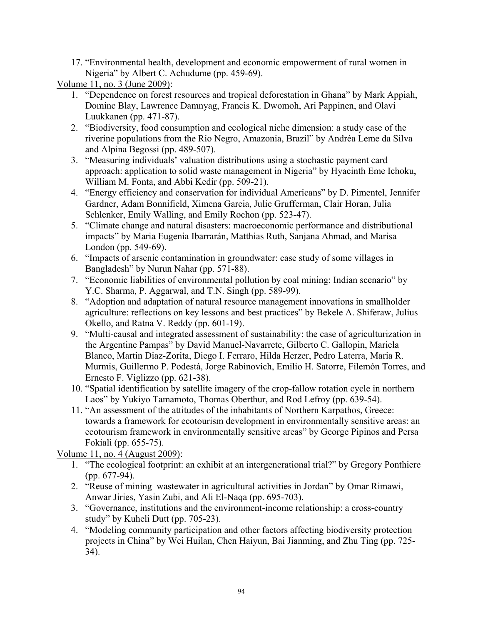17. "Environmental health, development and economic empowerment of rural women in Nigeria" by Albert C. Achudume (pp. 459-69).

Volume 11, no. 3 (June 2009):

- 1. "Dependence on forest resources and tropical deforestation in Ghana" by Mark Appiah, Dominc Blay, Lawrence Damnyag, Francis K. Dwomoh, Ari Pappinen, and Olavi Luukkanen (pp. 471-87).
- 2. "Biodiversity, food consumption and ecological niche dimension: a study case of the riverine populations from the Rio Negro, Amazonia, Brazil" by Andréa Leme da Silva and Alpina Begossi (pp. 489-507).
- 3. "Measuring individuals' valuation distributions using a stochastic payment card approach: application to solid waste management in Nigeria" by Hyacinth Eme Ichoku, William M. Fonta, and Abbi Kedir (pp. 509-21).
- 4. "Energy efficiency and conservation for individual Americans" by D. Pimentel, Jennifer Gardner, Adam Bonnifield, Ximena Garcia, Julie Grufferman, Clair Horan, Julia Schlenker, Emily Walling, and Emily Rochon (pp. 523-47).
- 5. "Climate change and natural disasters: macroeconomic performance and distributional impacts" by Maria Eugenia Ibarrarán, Matthias Ruth, Sanjana Ahmad, and Marisa London (pp. 549-69).
- 6. "Impacts of arsenic contamination in groundwater: case study of some villages in Bangladesh" by Nurun Nahar (pp. 571-88).
- 7. "Economic liabilities of environmental pollution by coal mining: Indian scenario" by Y.C. Sharma, P. Aggarwal, and T.N. Singh (pp. 589-99).
- 8. "Adoption and adaptation of natural resource management innovations in smallholder agriculture: reflections on key lessons and best practices" by Bekele A. Shiferaw, Julius Okello, and Ratna V. Reddy (pp. 601-19).
- 9. "Multi-causal and integrated assessment of sustainability: the case of agriculturization in the Argentine Pampas" by David Manuel-Navarrete, Gilberto C. Gallopin, Mariela Blanco, Martin Diaz-Zorita, Diego I. Ferraro, Hilda Herzer, Pedro Laterra, Maria R. Murmis, Guillermo P. Podestá, Jorge Rabinovich, Emilio H. Satorre, Filemón Torres, and Ernesto F. Viglizzo (pp. 621-38).
- 10. "Spatial identification by satellite imagery of the crop-fallow rotation cycle in northern Laos" by Yukiyo Tamamoto, Thomas Oberthur, and Rod Lefroy (pp. 639-54).
- 11. "An assessment of the attitudes of the inhabitants of Northern Karpathos, Greece: towards a framework for ecotourism development in environmentally sensitive areas: an ecotourism framework in environmentally sensitive areas" by George Pipinos and Persa Fokiali (pp. 655-75).

Volume 11, no. 4 (August 2009):

- 1. "The ecological footprint: an exhibit at an intergenerational trial?" by Gregory Ponthiere (pp. 677-94).
- 2. "Reuse of mining wastewater in agricultural activities in Jordan" by Omar Rimawi, Anwar Jiries, Yasin Zubi, and Ali El-Naqa (pp. 695-703).
- 3. "Governance, institutions and the environment-income relationship: a cross-country study" by Kuheli Dutt (pp. 705-23).
- 4. "Modeling community participation and other factors affecting biodiversity protection projects in China" by Wei Huilan, Chen Haiyun, Bai Jianming, and Zhu Ting (pp. 725- 34).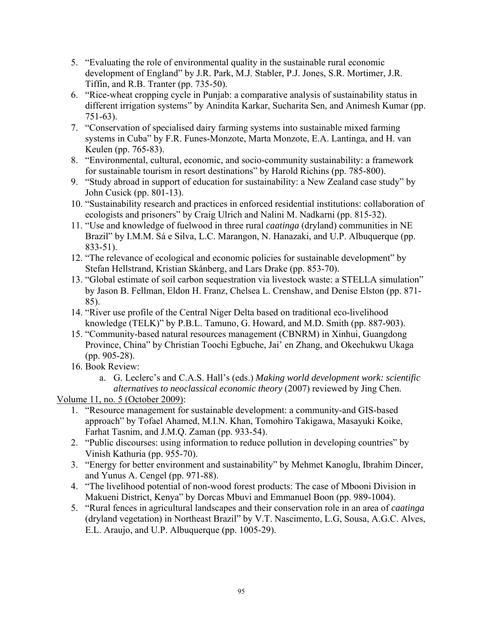- 5. "Evaluating the role of environmental quality in the sustainable rural economic development of England" by J.R. Park, M.J. Stabler, P.J. Jones, S.R. Mortimer, J.R. Tiffin, and R.B. Tranter (pp. 735-50).
- 6. "Rice-wheat cropping cycle in Punjab: a comparative analysis of sustainability status in different irrigation systems" by Anindita Karkar, Sucharita Sen, and Animesh Kumar (pp. 751-63).
- 7. "Conservation of specialised dairy farming systems into sustainable mixed farming systems in Cuba" by F.R. Funes-Monzote, Marta Monzote, E.A. Lantinga, and H. van Keulen (pp. 765-83).
- 8. "Environmental, cultural, economic, and socio-community sustainability: a framework for sustainable tourism in resort destinations" by Harold Richins (pp. 785-800).
- 9. "Study abroad in support of education for sustainability: a New Zealand case study" by John Cusick (pp. 801-13).
- 10. "Sustainability research and practices in enforced residential institutions: collaboration of ecologists and prisoners" by Craig Ulrich and Nalini M. Nadkarni (pp. 815-32).
- 11. "Use and knowledge of fuelwood in three rural *caatinga* (dryland) communities in NE Brazil" by I.M.M. Sá e Silva, L.C. Marangon, N. Hanazaki, and U.P. Albuquerque (pp. 833-51).
- 12. "The relevance of ecological and economic policies for sustainable development" by Stefan Hellstrand, Kristian Skånberg, and Lars Drake (pp. 853-70).
- 13. "Global estimate of soil carbon sequestration via livestock waste: a STELLA simulation" by Jason B. Fellman, Eldon H. Franz, Chelsea L. Crenshaw, and Denise Elston (pp. 871- 85).
- 14. "River use profile of the Central Niger Delta based on traditional eco-livelihood knowledge (TELK)" by P.B.L. Tamuno, G. Howard, and M.D. Smith (pp. 887-903).
- 15. "Community-based natural resources management (CBNRM) in Xinhui, Guangdong Province, China" by Christian Toochi Egbuche, Jai' en Zhang, and Okechukwu Ukaga (pp. 905-28).
- 16. Book Review:
	- a. G. Leclerc's and C.A.S. Hall's (eds.) *Making world development work: scientific alternatives to neoclassical economic theory* (2007) reviewed by Jing Chen.

# Volume 11, no. 5 (October 2009):

- 1. "Resource management for sustainable development: a community-and GIS-based approach" by Tofael Ahamed, M.I.N. Khan, Tomohiro Takigawa, Masayuki Koike, Farhat Tasnim, and J.M.Q. Zaman (pp. 933-54).
- 2. "Public discourses: using information to reduce pollution in developing countries" by Vinish Kathuria (pp. 955-70).
- 3. "Energy for better environment and sustainability" by Mehmet Kanoglu, Ibrahim Dincer, and Yunus A. Cengel (pp. 971-88).
- 4. "The livelihood potential of non-wood forest products: The case of Mbooni Division in Makueni District, Kenya" by Dorcas Mbuvi and Emmanuel Boon (pp. 989-1004).
- 5. "Rural fences in agricultural landscapes and their conservation role in an area of *caatinga* (dryland vegetation) in Northeast Brazil" by V.T. Nascimento, L.G, Sousa, A.G.C. Alves, E.L. Araujo, and U.P. Albuquerque (pp. 1005-29).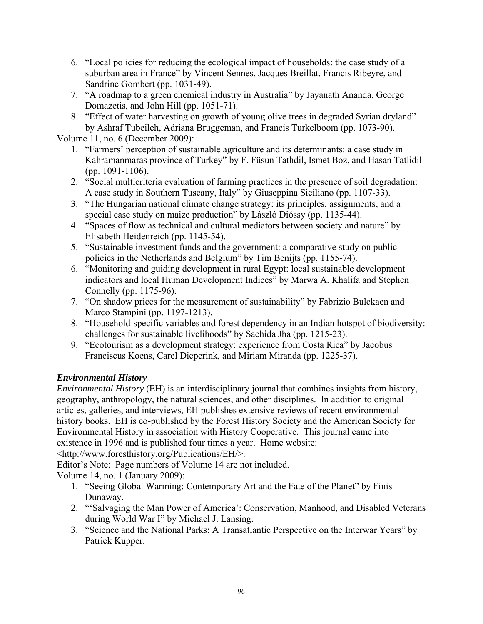- 6. "Local policies for reducing the ecological impact of households: the case study of a suburban area in France" by Vincent Sennes, Jacques Breillat, Francis Ribeyre, and Sandrine Gombert (pp. 1031-49).
- 7. "A roadmap to a green chemical industry in Australia" by Jayanath Ananda, George Domazetis, and John Hill (pp. 1051-71).
- 8. "Effect of water harvesting on growth of young olive trees in degraded Syrian dryland" by Ashraf Tubeileh, Adriana Bruggeman, and Francis Turkelboom (pp. 1073-90).

Volume 11, no. 6 (December 2009):

- 1. "Farmers' perception of sustainable agriculture and its determinants: a case study in Kahramanmaras province of Turkey" by F. Füsun Tathdil, Ismet Boz, and Hasan Tatlidil (pp. 1091-1106).
- 2. "Social multicriteria evaluation of farming practices in the presence of soil degradation: A case study in Southern Tuscany, Italy" by Giuseppina Siciliano (pp. 1107-33).
- 3. "The Hungarian national climate change strategy: its principles, assignments, and a special case study on maize production" by László Dióssy (pp. 1135-44).
- 4. "Spaces of flow as technical and cultural mediators between society and nature" by Elisabeth Heidenreich (pp. 1145-54).
- 5. "Sustainable investment funds and the government: a comparative study on public policies in the Netherlands and Belgium" by Tim Benijts (pp. 1155-74).
- 6. "Monitoring and guiding development in rural Egypt: local sustainable development indicators and local Human Development Indices" by Marwa A. Khalifa and Stephen Connelly (pp. 1175-96).
- 7. "On shadow prices for the measurement of sustainability" by Fabrizio Bulckaen and Marco Stampini (pp. 1197-1213).
- 8. "Household-specific variables and forest dependency in an Indian hotspot of biodiversity: challenges for sustainable livelihoods" by Sachida Jha (pp. 1215-23).
- 9. "Ecotourism as a development strategy: experience from Costa Rica" by Jacobus Franciscus Koens, Carel Dieperink, and Miriam Miranda (pp. 1225-37).

### *Environmental History*

*Environmental History* (EH) is an interdisciplinary journal that combines insights from history, geography, anthropology, the natural sciences, and other disciplines. In addition to original articles, galleries, and interviews, EH publishes extensive reviews of recent environmental history books. EH is co-published by the Forest History Society and the American Society for Environmental History in association with History Cooperative. This journal came into existence in 1996 and is published four times a year. Home website:

<http://www.foresthistory.org/Publications/EH/>.

Editor's Note: Page numbers of Volume 14 are not included.

Volume 14, no. 1 (January 2009):

- 1. "Seeing Global Warming: Contemporary Art and the Fate of the Planet" by Finis Dunaway.
- 2. "'Salvaging the Man Power of America': Conservation, Manhood, and Disabled Veterans during World War I" by Michael J. Lansing.
- 3. "Science and the National Parks: A Transatlantic Perspective on the Interwar Years" by Patrick Kupper.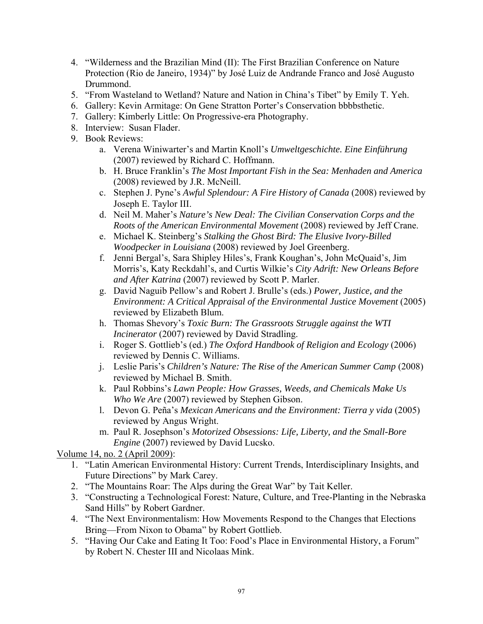- 4. "Wilderness and the Brazilian Mind (II): The First Brazilian Conference on Nature Protection (Rio de Janeiro, 1934)" by José Luiz de Andrande Franco and José Augusto Drummond.
- 5. "From Wasteland to Wetland? Nature and Nation in China's Tibet" by Emily T. Yeh.
- 6. Gallery: Kevin Armitage: On Gene Stratton Porter's Conservation bbbbsthetic.
- 7. Gallery: Kimberly Little: On Progressive-era Photography.
- 8. Interview: Susan Flader.
- 9. Book Reviews:
	- a. Verena Winiwarter's and Martin Knoll's *Umweltgeschichte. Eine Einführung* (2007) reviewed by Richard C. Hoffmann.
	- b. H. Bruce Franklin's *The Most Important Fish in the Sea: Menhaden and America* (2008) reviewed by J.R. McNeill.
	- c. Stephen J. Pyne's *Awful Splendour: A Fire History of Canada* (2008) reviewed by Joseph E. Taylor III.
	- d. Neil M. Maher's *Nature's New Deal: The Civilian Conservation Corps and the Roots of the American Environmental Movement* (2008) reviewed by Jeff Crane.
	- e. Michael K. Steinberg's *Stalking the Ghost Bird: The Elusive Ivory-Billed Woodpecker in Louisiana* (2008) reviewed by Joel Greenberg.
	- f. Jenni Bergal's, Sara Shipley Hiles's, Frank Koughan's, John McQuaid's, Jim Morris's, Katy Reckdahl's, and Curtis Wilkie's *City Adrift: New Orleans Before and After Katrina* (2007) reviewed by Scott P. Marler.
	- g. David Naguib Pellow's and Robert J. Brulle's (eds.) *Power, Justice, and the Environment: A Critical Appraisal of the Environmental Justice Movement* (2005) reviewed by Elizabeth Blum.
	- h. Thomas Shevory's *Toxic Burn: The Grassroots Struggle against the WTI Incinerator* (2007) reviewed by David Stradling.
	- i. Roger S. Gottlieb's (ed.) *The Oxford Handbook of Religion and Ecology* (2006) reviewed by Dennis C. Williams.
	- j. Leslie Paris's *Children's Nature: The Rise of the American Summer Camp* (2008) reviewed by Michael B. Smith.
	- k. Paul Robbins's *Lawn People: How Grasses, Weeds, and Chemicals Make Us Who We Are* (2007) reviewed by Stephen Gibson.
	- l. Devon G. Peña's *Mexican Americans and the Environment: Tierra y vida* (2005) reviewed by Angus Wright.
	- m. Paul R. Josephson's *Motorized Obsessions: Life, Liberty, and the Small-Bore Engine* (2007) reviewed by David Lucsko.

Volume 14, no. 2 (April 2009):

- 1. "Latin American Environmental History: Current Trends, Interdisciplinary Insights, and Future Directions" by Mark Carey.
- 2. "The Mountains Roar: The Alps during the Great War" by Tait Keller.
- 3. "Constructing a Technological Forest: Nature, Culture, and Tree-Planting in the Nebraska Sand Hills" by Robert Gardner.
- 4. "The Next Environmentalism: How Movements Respond to the Changes that Elections Bring—From Nixon to Obama" by Robert Gottlieb.
- 5. "Having Our Cake and Eating It Too: Food's Place in Environmental History, a Forum" by Robert N. Chester III and Nicolaas Mink.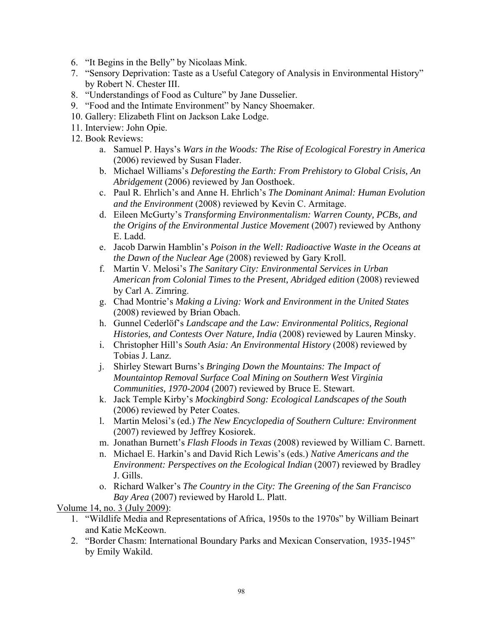- 6. "It Begins in the Belly" by Nicolaas Mink.
- 7. "Sensory Deprivation: Taste as a Useful Category of Analysis in Environmental History" by Robert N. Chester III.
- 8. "Understandings of Food as Culture" by Jane Dusselier.
- 9. "Food and the Intimate Environment" by Nancy Shoemaker.
- 10. Gallery: Elizabeth Flint on Jackson Lake Lodge.
- 11. Interview: John Opie.
- 12. Book Reviews:
	- a. Samuel P. Hays's *Wars in the Woods: The Rise of Ecological Forestry in America*  (2006) reviewed by Susan Flader.
	- b. Michael Williams's *Deforesting the Earth: From Prehistory to Global Crisis, An Abridgement* (2006) reviewed by Jan Oosthoek.
	- c. Paul R. Ehrlich's and Anne H. Ehrlich's *The Dominant Animal: Human Evolution and the Environment* (2008) reviewed by Kevin C. Armitage.
	- d. Eileen McGurty's *Transforming Environmentalism: Warren County, PCBs, and the Origins of the Environmental Justice Movement* (2007) reviewed by Anthony E. Ladd.
	- e. Jacob Darwin Hamblin's *Poison in the Well: Radioactive Waste in the Oceans at the Dawn of the Nuclear Age* (2008) reviewed by Gary Kroll.
	- f. Martin V. Melosi's *The Sanitary City: Environmental Services in Urban American from Colonial Times to the Present, Abridged edition* (2008) reviewed by Carl A. Zimring.
	- g. Chad Montrie's *Making a Living: Work and Environment in the United States* (2008) reviewed by Brian Obach.
	- h. Gunnel Cederlöf's *Landscape and the Law: Environmental Politics, Regional Histories, and Contests Over Nature, India* (2008) reviewed by Lauren Minsky.
	- i. Christopher Hill's *South Asia: An Environmental History* (2008) reviewed by Tobias J. Lanz.
	- j. Shirley Stewart Burns's *Bringing Down the Mountains: The Impact of Mountaintop Removal Surface Coal Mining on Southern West Virginia Communities, 1970-2004* (2007) reviewed by Bruce E. Stewart.
	- k. Jack Temple Kirby's *Mockingbird Song: Ecological Landscapes of the South* (2006) reviewed by Peter Coates.
	- l. Martin Melosi's (ed.) *The New Encyclopedia of Southern Culture: Environment* (2007) reviewed by Jeffrey Kosiorek.
	- m. Jonathan Burnett's *Flash Floods in Texas* (2008) reviewed by William C. Barnett.
	- n. Michael E. Harkin's and David Rich Lewis's (eds.) *Native Americans and the Environment: Perspectives on the Ecological Indian* (2007) reviewed by Bradley J. Gills.
	- o. Richard Walker's *The Country in the City: The Greening of the San Francisco Bay Area* (2007) reviewed by Harold L. Platt.

Volume 14, no. 3 (July 2009):

- 1. "Wildlife Media and Representations of Africa, 1950s to the 1970s" by William Beinart and Katie McKeown.
- 2. "Border Chasm: International Boundary Parks and Mexican Conservation, 1935-1945" by Emily Wakild.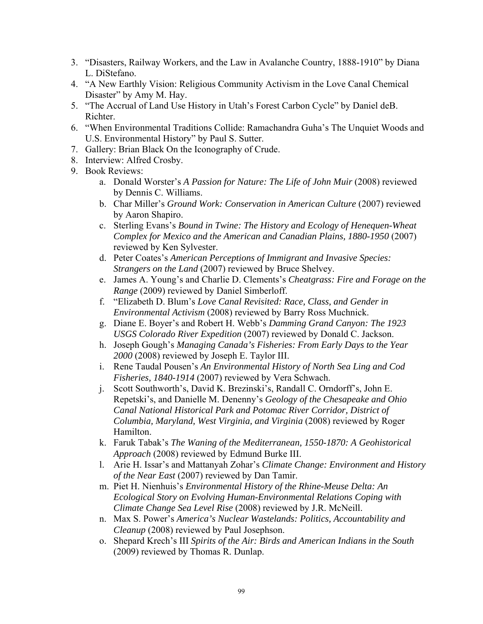- 3. "Disasters, Railway Workers, and the Law in Avalanche Country, 1888-1910" by Diana L. DiStefano.
- 4. "A New Earthly Vision: Religious Community Activism in the Love Canal Chemical Disaster" by Amy M. Hay.
- 5. "The Accrual of Land Use History in Utah's Forest Carbon Cycle" by Daniel deB. Richter.
- 6. "When Environmental Traditions Collide: Ramachandra Guha's The Unquiet Woods and U.S. Environmental History" by Paul S. Sutter.
- 7. Gallery: Brian Black On the Iconography of Crude.
- 8. Interview: Alfred Crosby.
- 9. Book Reviews:
	- a. Donald Worster's *A Passion for Nature: The Life of John Muir* (2008) reviewed by Dennis C. Williams.
	- b. Char Miller's *Ground Work: Conservation in American Culture* (2007) reviewed by Aaron Shapiro.
	- c. Sterling Evans's *Bound in Twine: The History and Ecology of Henequen-Wheat Complex for Mexico and the American and Canadian Plains, 1880-1950* (2007) reviewed by Ken Sylvester.
	- d. Peter Coates's *American Perceptions of Immigrant and Invasive Species: Strangers on the Land* (2007) reviewed by Bruce Shelvey.
	- e. James A. Young's and Charlie D. Clements's *Cheatgrass: Fire and Forage on the Range* (2009) reviewed by Daniel Simberloff.
	- f. "Elizabeth D. Blum's *Love Canal Revisited: Race, Class, and Gender in Environmental Activism* (2008) reviewed by Barry Ross Muchnick.
	- g. Diane E. Boyer's and Robert H. Webb's *Damming Grand Canyon: The 1923 USGS Colorado River Expedition* (2007) reviewed by Donald C. Jackson.
	- h. Joseph Gough's *Managing Canada's Fisheries: From Early Days to the Year 2000* (2008) reviewed by Joseph E. Taylor III.
	- i. Rene Taudal Pousen's *An Environmental History of North Sea Ling and Cod Fisheries, 1840-1914* (2007) reviewed by Vera Schwach.
	- j. Scott Southworth's, David K. Brezinski's, Randall C. Orndorff's, John E. Repetski's, and Danielle M. Denenny's *Geology of the Chesapeake and Ohio Canal National Historical Park and Potomac River Corridor, District of Columbia, Maryland, West Virginia, and Virginia* (2008) reviewed by Roger Hamilton.
	- k. Faruk Tabak's *The Waning of the Mediterranean, 1550-1870: A Geohistorical Approach* (2008) reviewed by Edmund Burke III.
	- l. Arie H. Issar's and Mattanyah Zohar's *Climate Change: Environment and History of the Near East* (2007) reviewed by Dan Tamir.
	- m. Piet H. Nienhuis's *Environmental History of the Rhine-Meuse Delta: An Ecological Story on Evolving Human-Environmental Relations Coping with Climate Change Sea Level Rise* (2008) reviewed by J.R. McNeill.
	- n. Max S. Power's *America's Nuclear Wastelands: Politics, Accountability and Cleanup* (2008) reviewed by Paul Josephson.
	- o. Shepard Krech's III *Spirits of the Air: Birds and American Indians in the South* (2009) reviewed by Thomas R. Dunlap.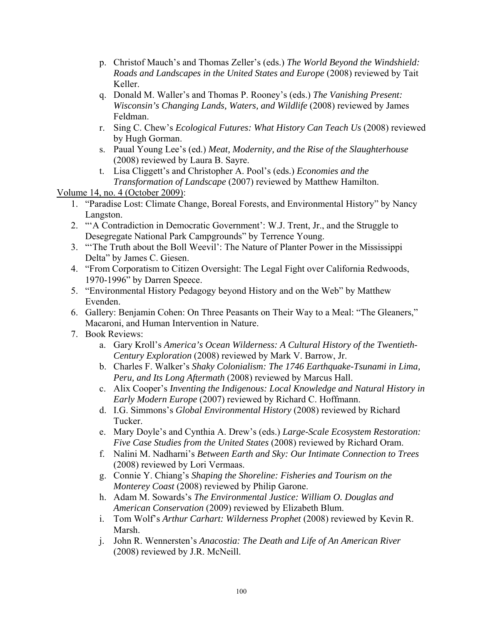- p. Christof Mauch's and Thomas Zeller's (eds.) *The World Beyond the Windshield: Roads and Landscapes in the United States and Europe* (2008) reviewed by Tait Keller.
- q. Donald M. Waller's and Thomas P. Rooney's (eds.) *The Vanishing Present: Wisconsin's Changing Lands, Waters, and Wildlife* (2008) reviewed by James Feldman.
- r. Sing C. Chew's *Ecological Futures: What History Can Teach Us* (2008) reviewed by Hugh Gorman.
- s. Paual Young Lee's (ed.) *Meat, Modernity, and the Rise of the Slaughterhouse*  (2008) reviewed by Laura B. Sayre.
- t. Lisa Cliggett's and Christopher A. Pool's (eds.) *Economies and the Transformation of Landscape* (2007) reviewed by Matthew Hamilton.

Volume 14, no. 4 (October 2009):

- 1. "Paradise Lost: Climate Change, Boreal Forests, and Environmental History" by Nancy Langston.
- 2. "'A Contradiction in Democratic Government': W.J. Trent, Jr., and the Struggle to Desegregate National Park Campgrounds" by Terrence Young.
- 3. "'The Truth about the Boll Weevil': The Nature of Planter Power in the Mississippi Delta" by James C. Giesen.
- 4. "From Corporatism to Citizen Oversight: The Legal Fight over California Redwoods, 1970-1996" by Darren Speece.
- 5. "Environmental History Pedagogy beyond History and on the Web" by Matthew Evenden.
- 6. Gallery: Benjamin Cohen: On Three Peasants on Their Way to a Meal: "The Gleaners," Macaroni, and Human Intervention in Nature.
- 7. Book Reviews:
	- a. Gary Kroll's *America's Ocean Wilderness: A Cultural History of the Twentieth-Century Exploration* (2008) reviewed by Mark V. Barrow, Jr.
	- b. Charles F. Walker's *Shaky Colonialism: The 1746 Earthquake-Tsunami in Lima, Peru, and Its Long Aftermath* (2008) reviewed by Marcus Hall.
	- c. Alix Cooper's *Inventing the Indigenous: Local Knowledge and Natural History in Early Modern Europe* (2007) reviewed by Richard C. Hoffmann.
	- d. I.G. Simmons's *Global Environmental History* (2008) reviewed by Richard Tucker.
	- e. Mary Doyle's and Cynthia A. Drew's (eds.) *Large-Scale Ecosystem Restoration: Five Case Studies from the United States* (2008) reviewed by Richard Oram.
	- f. Nalini M. Nadharni's *Between Earth and Sky: Our Intimate Connection to Trees* (2008) reviewed by Lori Vermaas.
	- g. Connie Y. Chiang's *Shaping the Shoreline: Fisheries and Tourism on the Monterey Coast* (2008) reviewed by Philip Garone.
	- h. Adam M. Sowards's *The Environmental Justice: William O. Douglas and American Conservation* (2009) reviewed by Elizabeth Blum.
	- i. Tom Wolf's *Arthur Carhart: Wilderness Prophet* (2008) reviewed by Kevin R. Marsh.
	- j. John R. Wennersten's *Anacostia: The Death and Life of An American River* (2008) reviewed by J.R. McNeill.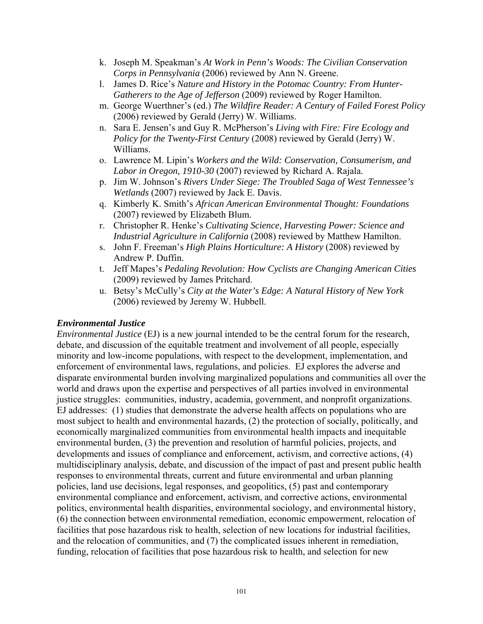- k. Joseph M. Speakman's *At Work in Penn's Woods: The Civilian Conservation Corps in Pennsylvania* (2006) reviewed by Ann N. Greene.
- l. James D. Rice's *Nature and History in the Potomac Country: From Hunter-Gatherers to the Age of Jefferson* (2009) reviewed by Roger Hamilton.
- m. George Wuerthner's (ed.) *The Wildfire Reader: A Century of Failed Forest Policy* (2006) reviewed by Gerald (Jerry) W. Williams.
- n. Sara E. Jensen's and Guy R. McPherson's *Living with Fire: Fire Ecology and Policy for the Twenty-First Century* (2008) reviewed by Gerald (Jerry) W. Williams.
- o. Lawrence M. Lipin's *Workers and the Wild: Conservation, Consumerism, and Labor in Oregon, 1910-30* (2007) reviewed by Richard A. Rajala.
- p. Jim W. Johnson's *Rivers Under Siege: The Troubled Saga of West Tennessee's Wetlands* (2007) reviewed by Jack E. Davis.
- q. Kimberly K. Smith's *African American Environmental Thought: Foundations* (2007) reviewed by Elizabeth Blum.
- r. Christopher R. Henke's *Cultivating Science, Harvesting Power: Science and Industrial Agriculture in California* (2008) reviewed by Matthew Hamilton.
- s. John F. Freeman's *High Plains Horticulture: A History* (2008) reviewed by Andrew P. Duffin.
- t. Jeff Mapes's *Pedaling Revolution: How Cyclists are Changing American Cities* (2009) reviewed by James Pritchard.
- u. Betsy's McCully's *City at the Water's Edge: A Natural History of New York* (2006) reviewed by Jeremy W. Hubbell.

#### *Environmental Justice*

*Environmental Justice* (EJ) is a new journal intended to be the central forum for the research, debate, and discussion of the equitable treatment and involvement of all people, especially minority and low-income populations, with respect to the development, implementation, and enforcement of environmental laws, regulations, and policies. EJ explores the adverse and disparate environmental burden involving marginalized populations and communities all over the world and draws upon the expertise and perspectives of all parties involved in environmental justice struggles: communities, industry, academia, government, and nonprofit organizations. EJ addresses: (1) studies that demonstrate the adverse health affects on populations who are most subject to health and environmental hazards, (2) the protection of socially, politically, and economically marginalized communities from environmental health impacts and inequitable environmental burden, (3) the prevention and resolution of harmful policies, projects, and developments and issues of compliance and enforcement, activism, and corrective actions, (4) multidisciplinary analysis, debate, and discussion of the impact of past and present public health responses to environmental threats, current and future environmental and urban planning policies, land use decisions, legal responses, and geopolitics, (5) past and contemporary environmental compliance and enforcement, activism, and corrective actions, environmental politics, environmental health disparities, environmental sociology, and environmental history, (6) the connection between environmental remediation, economic empowerment, relocation of facilities that pose hazardous risk to health, selection of new locations for industrial facilities, and the relocation of communities, and (7) the complicated issues inherent in remediation, funding, relocation of facilities that pose hazardous risk to health, and selection for new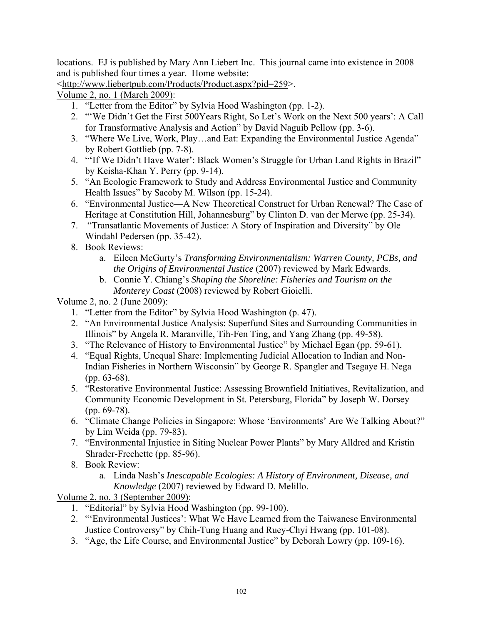locations. EJ is published by Mary Ann Liebert Inc. This journal came into existence in 2008 and is published four times a year. Home website:

<http://www.liebertpub.com/Products/Product.aspx?pid=259>.

Volume 2, no. 1 (March 2009):

- 1. "Letter from the Editor" by Sylvia Hood Washington (pp. 1-2).
- 2. "'We Didn't Get the First 500Years Right, So Let's Work on the Next 500 years': A Call for Transformative Analysis and Action" by David Naguib Pellow (pp. 3-6).
- 3. "Where We Live, Work, Play…and Eat: Expanding the Environmental Justice Agenda" by Robert Gottlieb (pp. 7-8).
- 4. "'If We Didn't Have Water': Black Women's Struggle for Urban Land Rights in Brazil" by Keisha-Khan Y. Perry (pp. 9-14).
- 5. "An Ecologic Framework to Study and Address Environmental Justice and Community Health Issues" by Sacoby M. Wilson (pp. 15-24).
- 6. "Environmental Justice—A New Theoretical Construct for Urban Renewal? The Case of Heritage at Constitution Hill, Johannesburg" by Clinton D. van der Merwe (pp. 25-34).
- 7. "Transatlantic Movements of Justice: A Story of Inspiration and Diversity" by Ole Windahl Pedersen (pp. 35-42).
- 8. Book Reviews:
	- a. Eileen McGurty's *Transforming Environmentalism: Warren County, PCBs, and the Origins of Environmental Justice* (2007) reviewed by Mark Edwards.
	- b. Connie Y. Chiang's *Shaping the Shoreline: Fisheries and Tourism on the Monterey Coast* (2008) reviewed by Robert Gioielli.

Volume 2, no. 2 (June 2009):

- 1. "Letter from the Editor" by Sylvia Hood Washington (p. 47).
- 2. "An Environmental Justice Analysis: Superfund Sites and Surrounding Communities in Illinois" by Angela R. Maranville, Tih-Fen Ting, and Yang Zhang (pp. 49-58).
- 3. "The Relevance of History to Environmental Justice" by Michael Egan (pp. 59-61).
- 4. "Equal Rights, Unequal Share: Implementing Judicial Allocation to Indian and Non-Indian Fisheries in Northern Wisconsin" by George R. Spangler and Tsegaye H. Nega (pp. 63-68).
- 5. "Restorative Environmental Justice: Assessing Brownfield Initiatives, Revitalization, and Community Economic Development in St. Petersburg, Florida" by Joseph W. Dorsey (pp. 69-78).
- 6. "Climate Change Policies in Singapore: Whose 'Environments' Are We Talking About?" by Lim Weida (pp. 79-83).
- 7. "Environmental Injustice in Siting Nuclear Power Plants" by Mary Alldred and Kristin Shrader-Frechette (pp. 85-96).
- 8. Book Review:
	- a. Linda Nash's *Inescapable Ecologies: A History of Environment, Disease, and Knowledge* (2007) reviewed by Edward D. Melillo.

Volume 2, no. 3 (September 2009):

- 1. "Editorial" by Sylvia Hood Washington (pp. 99-100).
- 2. "'Environmental Justices': What We Have Learned from the Taiwanese Environmental Justice Controversy" by Chih-Tung Huang and Ruey-Chyi Hwang (pp. 101-08).
- 3. "Age, the Life Course, and Environmental Justice" by Deborah Lowry (pp. 109-16).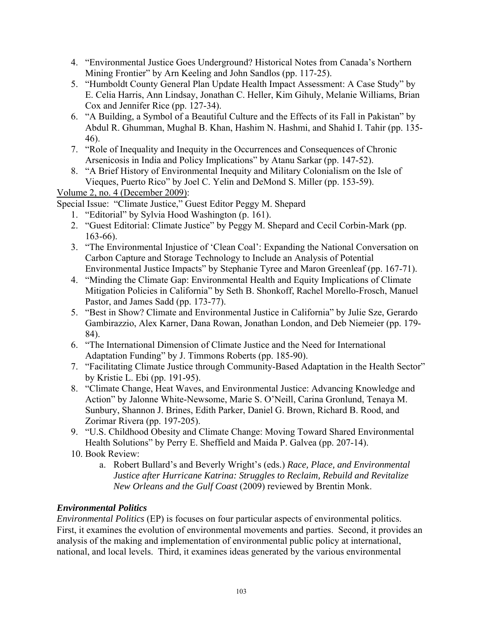- 4. "Environmental Justice Goes Underground? Historical Notes from Canada's Northern Mining Frontier" by Arn Keeling and John Sandlos (pp. 117-25).
- 5. "Humboldt County General Plan Update Health Impact Assessment: A Case Study" by E. Celia Harris, Ann Lindsay, Jonathan C. Heller, Kim Gihuly, Melanie Williams, Brian Cox and Jennifer Rice (pp. 127-34).
- 6. "A Building, a Symbol of a Beautiful Culture and the Effects of its Fall in Pakistan" by Abdul R. Ghumman, Mughal B. Khan, Hashim N. Hashmi, and Shahid I. Tahir (pp. 135- 46).
- 7. "Role of Inequality and Inequity in the Occurrences and Consequences of Chronic Arsenicosis in India and Policy Implications" by Atanu Sarkar (pp. 147-52).
- 8. "A Brief History of Environmental Inequity and Military Colonialism on the Isle of Vieques, Puerto Rico" by Joel C. Yelin and DeMond S. Miller (pp. 153-59).

Volume 2, no. 4 (December 2009):

Special Issue: "Climate Justice," Guest Editor Peggy M. Shepard

- 1. "Editorial" by Sylvia Hood Washington (p. 161).
- 2. "Guest Editorial: Climate Justice" by Peggy M. Shepard and Cecil Corbin-Mark (pp. 163-66).
- 3. "The Environmental Injustice of 'Clean Coal': Expanding the National Conversation on Carbon Capture and Storage Technology to Include an Analysis of Potential Environmental Justice Impacts" by Stephanie Tyree and Maron Greenleaf (pp. 167-71).
- 4. "Minding the Climate Gap: Environmental Health and Equity Implications of Climate Mitigation Policies in California" by Seth B. Shonkoff, Rachel Morello-Frosch, Manuel Pastor, and James Sadd (pp. 173-77).
- 5. "Best in Show? Climate and Environmental Justice in California" by Julie Sze, Gerardo Gambirazzio, Alex Karner, Dana Rowan, Jonathan London, and Deb Niemeier (pp. 179- 84).
- 6. "The International Dimension of Climate Justice and the Need for International Adaptation Funding" by J. Timmons Roberts (pp. 185-90).
- 7. "Facilitating Climate Justice through Community-Based Adaptation in the Health Sector" by Kristie L. Ebi (pp. 191-95).
- 8. "Climate Change, Heat Waves, and Environmental Justice: Advancing Knowledge and Action" by Jalonne White-Newsome, Marie S. O'Neill, Carina Gronlund, Tenaya M. Sunbury, Shannon J. Brines, Edith Parker, Daniel G. Brown, Richard B. Rood, and Zorimar Rivera (pp. 197-205).
- 9. "U.S. Childhood Obesity and Climate Change: Moving Toward Shared Environmental Health Solutions" by Perry E. Sheffield and Maida P. Galvea (pp. 207-14).
- 10. Book Review:
	- a. Robert Bullard's and Beverly Wright's (eds.) *Race, Place, and Environmental Justice after Hurricane Katrina: Struggles to Reclaim, Rebuild and Revitalize New Orleans and the Gulf Coast* (2009) reviewed by Brentin Monk.

# *Environmental Politics*

*Environmental Politics* (EP) is focuses on four particular aspects of environmental politics. First, it examines the evolution of environmental movements and parties. Second, it provides an analysis of the making and implementation of environmental public policy at international, national, and local levels. Third, it examines ideas generated by the various environmental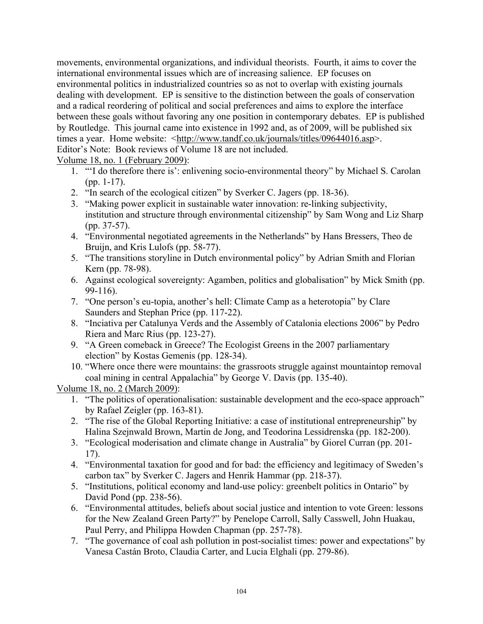movements, environmental organizations, and individual theorists. Fourth, it aims to cover the international environmental issues which are of increasing salience. EP focuses on environmental politics in industrialized countries so as not to overlap with existing journals dealing with development. EP is sensitive to the distinction between the goals of conservation and a radical reordering of political and social preferences and aims to explore the interface between these goals without favoring any one position in contemporary debates. EP is published by Routledge. This journal came into existence in 1992 and, as of 2009, will be published six times a year. Home website: <http://www.tandf.co.uk/journals/titles/09644016.asp>. Editor's Note: Book reviews of Volume 18 are not included.

#### Volume 18, no. 1 (February 2009):

- 1. "'I do therefore there is': enlivening socio-environmental theory" by Michael S. Carolan (pp. 1-17).
- 2. "In search of the ecological citizen" by Sverker C. Jagers (pp. 18-36).
- 3. "Making power explicit in sustainable water innovation: re-linking subjectivity, institution and structure through environmental citizenship" by Sam Wong and Liz Sharp (pp. 37-57).
- 4. "Environmental negotiated agreements in the Netherlands" by Hans Bressers, Theo de Bruijn, and Kris Lulofs (pp. 58-77).
- 5. "The transitions storyline in Dutch environmental policy" by Adrian Smith and Florian Kern (pp. 78-98).
- 6. Against ecological sovereignty: Agamben, politics and globalisation" by Mick Smith (pp. 99-116).
- 7. "One person's eu-topia, another's hell: Climate Camp as a heterotopia" by Clare Saunders and Stephan Price (pp. 117-22).
- 8. "Inciativa per Catalunya Verds and the Assembly of Catalonia elections 2006" by Pedro Riera and Marc Rius (pp. 123-27).
- 9. "A Green comeback in Greece? The Ecologist Greens in the 2007 parliamentary election" by Kostas Gemenis (pp. 128-34).
- 10. "Where once there were mountains: the grassroots struggle against mountaintop removal coal mining in central Appalachia" by George V. Davis (pp. 135-40).

Volume 18, no. 2 (March 2009):

- 1. "The politics of operationalisation: sustainable development and the eco-space approach" by Rafael Zeigler (pp. 163-81).
- 2. "The rise of the Global Reporting Initiative: a case of institutional entrepreneurship" by Halina Szejnwald Brown, Martin de Jong, and Teodorina Lessidrenska (pp. 182-200).
- 3. "Ecological moderisation and climate change in Australia" by Giorel Curran (pp. 201- 17).
- 4. "Environmental taxation for good and for bad: the efficiency and legitimacy of Sweden's carbon tax" by Sverker C. Jagers and Henrik Hammar (pp. 218-37).
- 5. "Institutions, political economy and land-use policy: greenbelt politics in Ontario" by David Pond (pp. 238-56).
- 6. "Environmental attitudes, beliefs about social justice and intention to vote Green: lessons for the New Zealand Green Party?" by Penelope Carroll, Sally Casswell, John Huakau, Paul Perry, and Philippa Howden Chapman (pp. 257-78).
- 7. "The governance of coal ash pollution in post-socialist times: power and expectations" by Vanesa Castán Broto, Claudia Carter, and Lucia Elghali (pp. 279-86).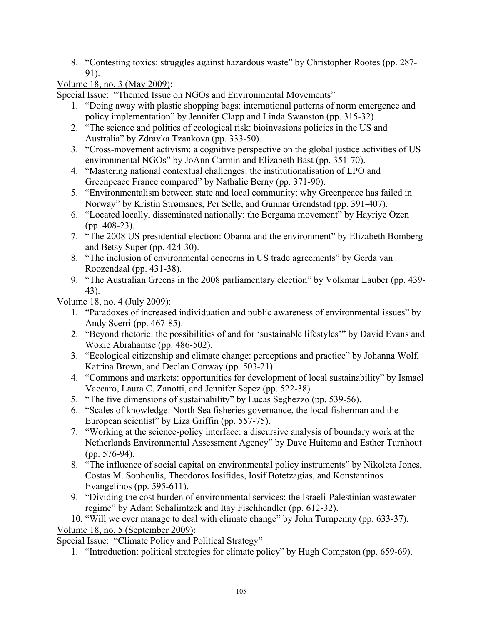8. "Contesting toxics: struggles against hazardous waste" by Christopher Rootes (pp. 287- 91).

## Volume 18, no. 3 (May 2009):

Special Issue: "Themed Issue on NGOs and Environmental Movements"

- 1. "Doing away with plastic shopping bags: international patterns of norm emergence and policy implementation" by Jennifer Clapp and Linda Swanston (pp. 315-32).
- 2. "The science and politics of ecological risk: bioinvasions policies in the US and Australia" by Zdravka Tzankova (pp. 333-50).
- 3. "Cross-movement activism: a cognitive perspective on the global justice activities of US environmental NGOs" by JoAnn Carmin and Elizabeth Bast (pp. 351-70).
- 4. "Mastering national contextual challenges: the institutionalisation of LPO and Greenpeace France compared" by Nathalie Berny (pp. 371-90).
- 5. "Environmentalism between state and local community: why Greenpeace has failed in Norway" by Kristin Strømsnes, Per Selle, and Gunnar Grendstad (pp. 391-407).
- 6. "Located locally, disseminated nationally: the Bergama movement" by Hayriye Özen (pp. 408-23).
- 7. "The 2008 US presidential election: Obama and the environment" by Elizabeth Bomberg and Betsy Super (pp. 424-30).
- 8. "The inclusion of environmental concerns in US trade agreements" by Gerda van Roozendaal (pp. 431-38).
- 9. "The Australian Greens in the 2008 parliamentary election" by Volkmar Lauber (pp. 439- 43).

Volume 18, no. 4 (July 2009):

- 1. "Paradoxes of increased individuation and public awareness of environmental issues" by Andy Scerri (pp. 467-85).
- 2. "Beyond rhetoric: the possibilities of and for 'sustainable lifestyles'" by David Evans and Wokie Abrahamse (pp. 486-502).
- 3. "Ecological citizenship and climate change: perceptions and practice" by Johanna Wolf, Katrina Brown, and Declan Conway (pp. 503-21).
- 4. "Commons and markets: opportunities for development of local sustainability" by Ismael Vaccaro, Laura C. Zanotti, and Jennifer Sepez (pp. 522-38).
- 5. "The five dimensions of sustainability" by Lucas Seghezzo (pp. 539-56).
- 6. "Scales of knowledge: North Sea fisheries governance, the local fisherman and the European scientist" by Liza Griffin (pp. 557-75).
- 7. "Working at the science-policy interface: a discursive analysis of boundary work at the Netherlands Environmental Assessment Agency" by Dave Huitema and Esther Turnhout (pp. 576-94).
- 8. "The influence of social capital on environmental policy instruments" by Nikoleta Jones, Costas M. Sophoulis, Theodoros Iosifides, Iosif Botetzagias, and Konstantinos Evangelinos (pp. 595-611).
- 9. "Dividing the cost burden of environmental services: the Israeli-Palestinian wastewater regime" by Adam Schalimtzek and Itay Fischhendler (pp. 612-32).

10. "Will we ever manage to deal with climate change" by John Turnpenny (pp. 633-37).

Volume 18, no. 5 (September 2009):

Special Issue: "Climate Policy and Political Strategy"

1. "Introduction: political strategies for climate policy" by Hugh Compston (pp. 659-69).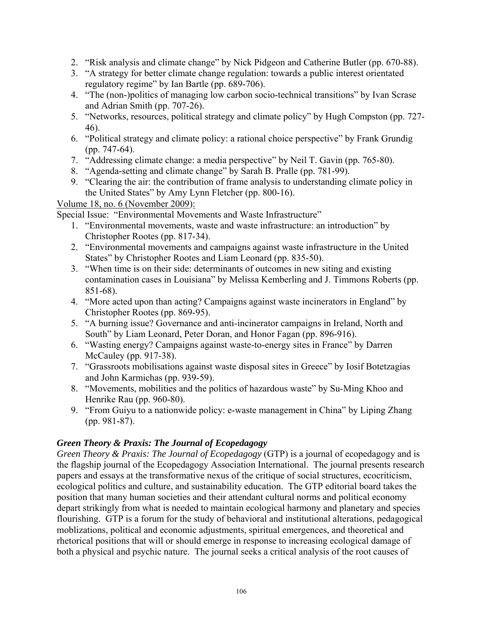- 2. "Risk analysis and climate change" by Nick Pidgeon and Catherine Butler (pp. 670-88).
- 3. "A strategy for better climate change regulation: towards a public interest orientated regulatory regime" by Ian Bartle (pp. 689-706).
- 4. "The (non-)politics of managing low carbon socio-technical transitions" by Ivan Scrase and Adrian Smith (pp. 707-26).
- 5. "Networks, resources, political strategy and climate policy" by Hugh Compston (pp. 727- 46).
- 6. "Political strategy and climate policy: a rational choice perspective" by Frank Grundig (pp. 747-64).
- 7. "Addressing climate change: a media perspective" by Neil T. Gavin (pp. 765-80).
- 8. "Agenda-setting and climate change" by Sarah B. Pralle (pp. 781-99).
- 9. "Clearing the air: the contribution of frame analysis to understanding climate policy in the United States" by Amy Lynn Fletcher (pp. 800-16).

Volume 18, no. 6 (November 2009):

Special Issue: "Environmental Movements and Waste Infrastructure"

- 1. "Environmental movements, waste and waste infrastructure: an introduction" by Christopher Rootes (pp. 817-34).
- 2. "Environmental movements and campaigns against waste infrastructure in the United States" by Christopher Rootes and Liam Leonard (pp. 835-50).
- 3. "When time is on their side: determinants of outcomes in new siting and existing contamination cases in Louisiana" by Melissa Kemberling and J. Timmons Roberts (pp. 851-68).
- 4. "More acted upon than acting? Campaigns against waste incinerators in England" by Christopher Rootes (pp. 869-95).
- 5. "A burning issue? Governance and anti-incinerator campaigns in Ireland, North and South" by Liam Leonard, Peter Doran, and Honor Fagan (pp. 896-916).
- 6. "Wasting energy? Campaigns against waste-to-energy sites in France" by Darren McCauley (pp. 917-38).
- 7. "Grassroots mobilisations against waste disposal sites in Greece" by Iosif Botetzagias and John Karmichas (pp. 939-59).
- 8. "Movements, mobilities and the politics of hazardous waste" by Su-Ming Khoo and Henrike Rau (pp. 960-80).
- 9. "From Guiyu to a nationwide policy: e-waste management in China" by Liping Zhang (pp. 981-87).

### *Green Theory & Praxis: The Journal of Ecopedagogy*

*Green Theory & Praxis: The Journal of Ecopedagogy* (GTP) is a journal of ecopedagogy and is the flagship journal of the Ecopedagogy Association International. The journal presents research papers and essays at the transformative nexus of the critique of social structures, ecocriticism, ecological politics and culture, and sustainability education. The GTP editorial board takes the position that many human societies and their attendant cultural norms and political economy depart strikingly from what is needed to maintain ecological harmony and planetary and species flourishing. GTP is a forum for the study of behavioral and institutional alterations, pedagogical moblizations, political and economic adjustments, spiritual emergences, and theoretical and rhetorical positions that will or should emerge in response to increasing ecological damage of both a physical and psychic nature. The journal seeks a critical analysis of the root causes of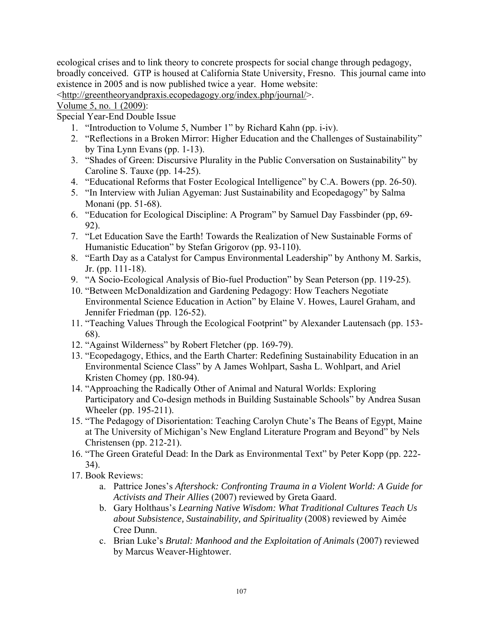ecological crises and to link theory to concrete prospects for social change through pedagogy, broadly conceived. GTP is housed at California State University, Fresno. This journal came into existence in 2005 and is now published twice a year. Home website:

<http://greentheoryandpraxis.ecopedagogy.org/index.php/journal/>.

### Volume 5, no. 1 (2009):

Special Year-End Double Issue

- 1. "Introduction to Volume 5, Number 1" by Richard Kahn (pp. i-iv).
- 2. "Reflections in a Broken Mirror: Higher Education and the Challenges of Sustainability" by Tina Lynn Evans (pp. 1-13).
- 3. "Shades of Green: Discursive Plurality in the Public Conversation on Sustainability" by Caroline S. Tauxe (pp. 14-25).
- 4. "Educational Reforms that Foster Ecological Intelligence" by C.A. Bowers (pp. 26-50).
- 5. "In Interview with Julian Agyeman: Just Sustainability and Ecopedagogy" by Salma Monani (pp. 51-68).
- 6. "Education for Ecological Discipline: A Program" by Samuel Day Fassbinder (pp, 69- 92).
- 7. "Let Education Save the Earth! Towards the Realization of New Sustainable Forms of Humanistic Education" by Stefan Grigorov (pp. 93-110).
- 8. "Earth Day as a Catalyst for Campus Environmental Leadership" by Anthony M. Sarkis, Jr. (pp. 111-18).
- 9. "A Socio-Ecological Analysis of Bio-fuel Production" by Sean Peterson (pp. 119-25).
- 10. "Between McDonaldization and Gardening Pedagogy: How Teachers Negotiate Environmental Science Education in Action" by Elaine V. Howes, Laurel Graham, and Jennifer Friedman (pp. 126-52).
- 11. "Teaching Values Through the Ecological Footprint" by Alexander Lautensach (pp. 153- 68).
- 12. "Against Wilderness" by Robert Fletcher (pp. 169-79).
- 13. "Ecopedagogy, Ethics, and the Earth Charter: Redefining Sustainability Education in an Environmental Science Class" by A James Wohlpart, Sasha L. Wohlpart, and Ariel Kristen Chomey (pp. 180-94).
- 14. "Approaching the Radically Other of Animal and Natural Worlds: Exploring Participatory and Co-design methods in Building Sustainable Schools" by Andrea Susan Wheeler (pp. 195-211).
- 15. "The Pedagogy of Disorientation: Teaching Carolyn Chute's The Beans of Egypt, Maine at The University of Michigan's New England Literature Program and Beyond" by Nels Christensen (pp. 212-21).
- 16. "The Green Grateful Dead: In the Dark as Environmental Text" by Peter Kopp (pp. 222- 34).
- 17. Book Reviews:
	- a. Pattrice Jones's *Aftershock: Confronting Trauma in a Violent World: A Guide for Activists and Their Allies* (2007) reviewed by Greta Gaard.
	- b. Gary Holthaus's *Learning Native Wisdom: What Traditional Cultures Teach Us about Subsistence, Sustainability, and Spirituality* (2008) reviewed by Aimée Cree Dunn.
	- c. Brian Luke's *Brutal: Manhood and the Exploitation of Animals* (2007) reviewed by Marcus Weaver-Hightower.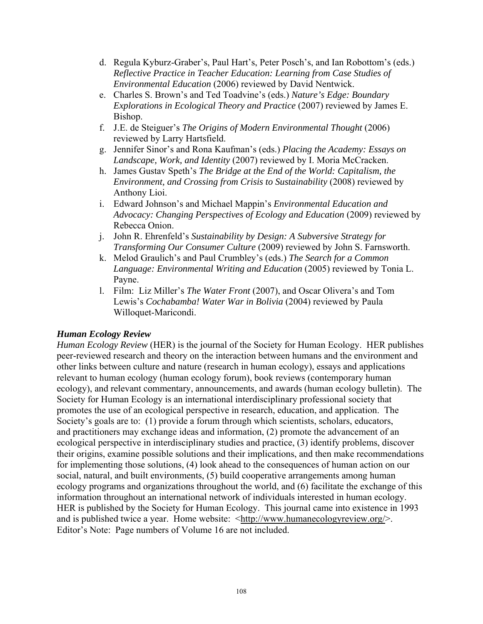- d. Regula Kyburz-Graber's, Paul Hart's, Peter Posch's, and Ian Robottom's (eds.) *Reflective Practice in Teacher Education: Learning from Case Studies of Environmental Education* (2006) reviewed by David Nentwick.
- e. Charles S. Brown's and Ted Toadvine's (eds.) *Nature's Edge: Boundary Explorations in Ecological Theory and Practice* (2007) reviewed by James E. Bishop.
- f. J.E. de Steiguer's *The Origins of Modern Environmental Thought* (2006) reviewed by Larry Hartsfield.
- g. Jennifer Sinor's and Rona Kaufman's (eds.) *Placing the Academy: Essays on Landscape, Work, and Identity* (2007) reviewed by I. Moria McCracken.
- h. James Gustav Speth's *The Bridge at the End of the World: Capitalism, the Environment, and Crossing from Crisis to Sustainability* (2008) reviewed by Anthony Lioi.
- i. Edward Johnson's and Michael Mappin's *Environmental Education and Advocacy: Changing Perspectives of Ecology and Education* (2009) reviewed by Rebecca Onion.
- j. John R. Ehrenfeld's *Sustainability by Design: A Subversive Strategy for Transforming Our Consumer Culture* (2009) reviewed by John S. Farnsworth.
- k. Melod Graulich's and Paul Crumbley's (eds.) *The Search for a Common Language: Environmental Writing and Education* (2005) reviewed by Tonia L. Payne.
- l. Film: Liz Miller's *The Water Front* (2007), and Oscar Olivera's and Tom Lewis's *Cochabamba! Water War in Bolivia* (2004) reviewed by Paula Willoquet-Maricondi.

#### *Human Ecology Review*

*Human Ecology Review* (HER) is the journal of the Society for Human Ecology. HER publishes peer-reviewed research and theory on the interaction between humans and the environment and other links between culture and nature (research in human ecology), essays and applications relevant to human ecology (human ecology forum), book reviews (contemporary human ecology), and relevant commentary, announcements, and awards (human ecology bulletin). The Society for Human Ecology is an international interdisciplinary professional society that promotes the use of an ecological perspective in research, education, and application. The Society's goals are to: (1) provide a forum through which scientists, scholars, educators, and practitioners may exchange ideas and information, (2) promote the advancement of an ecological perspective in interdisciplinary studies and practice, (3) identify problems, discover their origins, examine possible solutions and their implications, and then make recommendations for implementing those solutions, (4) look ahead to the consequences of human action on our social, natural, and built environments, (5) build cooperative arrangements among human ecology programs and organizations throughout the world, and (6) facilitate the exchange of this information throughout an international network of individuals interested in human ecology. HER is published by the Society for Human Ecology. This journal came into existence in 1993 and is published twice a year. Home website:  $\langle \text{http://www.humanecologyreview.org/>.}$ Editor's Note: Page numbers of Volume 16 are not included.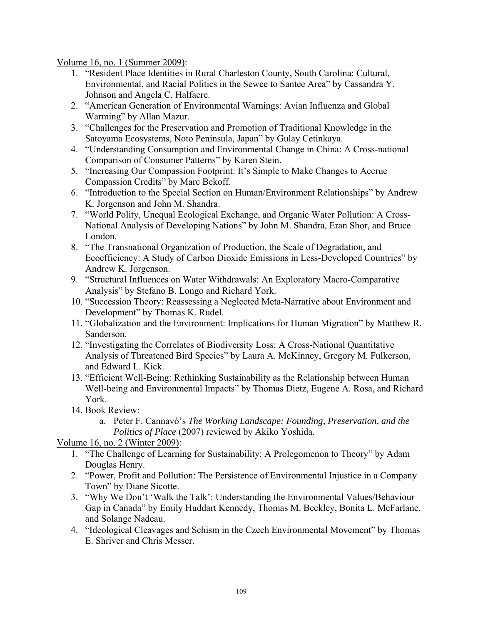Volume 16, no. 1 (Summer 2009):

- 1. "Resident Place Identities in Rural Charleston County, South Carolina: Cultural, Environmental, and Racial Politics in the Sewee to Santee Area" by Cassandra Y. Johnson and Angela C. Halfacre.
- 2. "American Generation of Environmental Warnings: Avian Influenza and Global Warming" by Allan Mazur.
- 3. "Challenges for the Preservation and Promotion of Traditional Knowledge in the Satoyama Ecosystems, Noto Peninsula, Japan" by Gulay Cetinkaya.
- 4. "Understanding Consumption and Environmental Change in China: A Cross-national Comparison of Consumer Patterns" by Karen Stein.
- 5. "Increasing Our Compassion Footprint: It's Simple to Make Changes to Accrue Compassion Credits" by Marc Bekoff.
- 6. "Introduction to the Special Section on Human/Environment Relationships" by Andrew K. Jorgenson and John M. Shandra.
- 7. "World Polity, Unequal Ecological Exchange, and Organic Water Pollution: A Cross-National Analysis of Developing Nations" by John M. Shandra, Eran Shor, and Bruce London.
- 8. "The Transnational Organization of Production, the Scale of Degradation, and Ecoefficiency: A Study of Carbon Dioxide Emissions in Less-Developed Countries" by Andrew K. Jorgenson.
- 9. "Structural Influences on Water Withdrawals: An Exploratory Macro-Comparative Analysis" by Stefano B. Longo and Richard York.
- 10. "Succession Theory: Reassessing a Neglected Meta-Narrative about Environment and Development" by Thomas K. Rudel.
- 11. "Globalization and the Environment: Implications for Human Migration" by Matthew R. Sanderson.
- 12. "Investigating the Correlates of Biodiversity Loss: A Cross-National Quantitative Analysis of Threatened Bird Species" by Laura A. McKinney, Gregory M. Fulkerson, and Edward L. Kick.
- 13. "Efficient Well-Being: Rethinking Sustainability as the Relationship between Human Well-being and Environmental Impacts" by Thomas Dietz, Eugene A. Rosa, and Richard York.
- 14. Book Review:
	- a. Peter F. Cannavò's *The Working Landscape: Founding, Preservation, and the Politics of Place* (2007) reviewed by Akiko Yoshida.

Volume 16, no. 2 (Winter 2009):

- 1. "The Challenge of Learning for Sustainability: A Prolegomenon to Theory" by Adam Douglas Henry.
- 2. "Power, Profit and Pollution: The Persistence of Environmental Injustice in a Company Town" by Diane Sicotte.
- 3. "Why We Don't 'Walk the Talk': Understanding the Environmental Values/Behaviour Gap in Canada" by Emily Huddart Kennedy, Thomas M. Beckley, Bonita L. McFarlane, and Solange Nadeau.
- 4. "Ideological Cleavages and Schism in the Czech Environmental Movement" by Thomas E. Shriver and Chris Messer.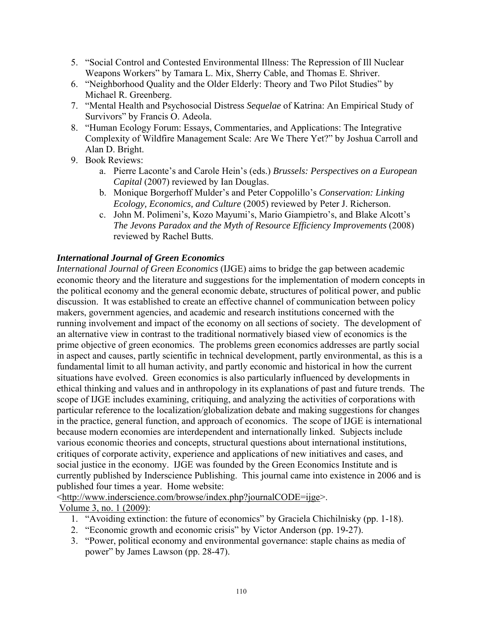- 5. "Social Control and Contested Environmental Illness: The Repression of Ill Nuclear Weapons Workers" by Tamara L. Mix, Sherry Cable, and Thomas E. Shriver.
- 6. "Neighborhood Quality and the Older Elderly: Theory and Two Pilot Studies" by Michael R. Greenberg.
- 7. "Mental Health and Psychosocial Distress *Sequelae* of Katrina: An Empirical Study of Survivors" by Francis O. Adeola.
- 8. "Human Ecology Forum: Essays, Commentaries, and Applications: The Integrative Complexity of Wildfire Management Scale: Are We There Yet?" by Joshua Carroll and Alan D. Bright.
- 9. Book Reviews:
	- a. Pierre Laconte's and Carole Hein's (eds.) *Brussels: Perspectives on a European Capital* (2007) reviewed by Ian Douglas.
	- b. Monique Borgerhoff Mulder's and Peter Coppolillo's *Conservation: Linking Ecology, Economics, and Culture* (2005) reviewed by Peter J. Richerson.
	- c. John M. Polimeni's, Kozo Mayumi's, Mario Giampietro's, and Blake Alcott's *The Jevons Paradox and the Myth of Resource Efficiency Improvements* (2008) reviewed by Rachel Butts.

## *International Journal of Green Economics*

*International Journal of Green Economics* (IJGE) aims to bridge the gap between academic economic theory and the literature and suggestions for the implementation of modern concepts in the political economy and the general economic debate, structures of political power, and public discussion. It was established to create an effective channel of communication between policy makers, government agencies, and academic and research institutions concerned with the running involvement and impact of the economy on all sections of society. The development of an alternative view in contrast to the traditional normatively biased view of economics is the prime objective of green economics. The problems green economics addresses are partly social in aspect and causes, partly scientific in technical development, partly environmental, as this is a fundamental limit to all human activity, and partly economic and historical in how the current situations have evolved. Green economics is also particularly influenced by developments in ethical thinking and values and in anthropology in its explanations of past and future trends. The scope of IJGE includes examining, critiquing, and analyzing the activities of corporations with particular reference to the localization/globalization debate and making suggestions for changes in the practice, general function, and approach of economics. The scope of IJGE is international because modern economies are interdependent and internationally linked. Subjects include various economic theories and concepts, structural questions about international institutions, critiques of corporate activity, experience and applications of new initiatives and cases, and social justice in the economy. IJGE was founded by the Green Economics Institute and is currently published by Inderscience Publishing. This journal came into existence in 2006 and is published four times a year. Home website:

<http://www.inderscience.com/browse/index.php?journalCODE=ijge>.

Volume 3, no. 1 (2009):

- 1. "Avoiding extinction: the future of economics" by Graciela Chichilnisky (pp. 1-18).
- 2. "Economic growth and economic crisis" by Victor Anderson (pp. 19-27).
- 3. "Power, political economy and environmental governance: staple chains as media of power" by James Lawson (pp. 28-47).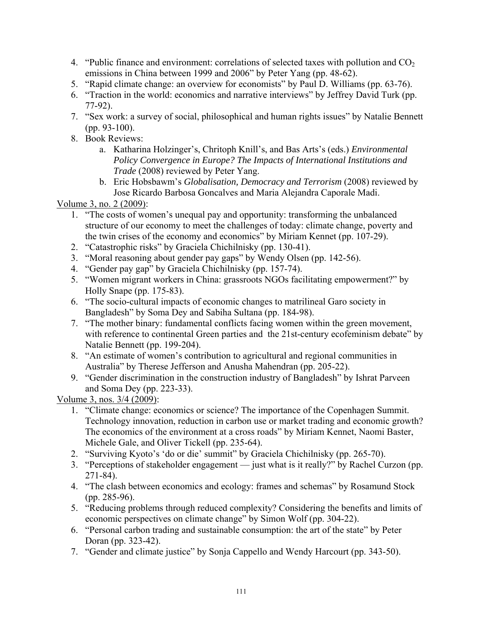- 4. "Public finance and environment: correlations of selected taxes with pollution and  $CO<sub>2</sub>$ emissions in China between 1999 and 2006" by Peter Yang (pp. 48-62).
- 5. "Rapid climate change: an overview for economists" by Paul D. Williams (pp. 63-76).
- 6. "Traction in the world: economics and narrative interviews" by Jeffrey David Turk (pp. 77-92).
- 7. "Sex work: a survey of social, philosophical and human rights issues" by Natalie Bennett (pp. 93-100).
- 8. Book Reviews:
	- a. Katharina Holzinger's, Chritoph Knill's, and Bas Arts's (eds.) *Environmental Policy Convergence in Europe? The Impacts of International Institutions and Trade* (2008) reviewed by Peter Yang.
	- b. Eric Hobsbawm's *Globalisation, Democracy and Terrorism* (2008) reviewed by Jose Ricardo Barbosa Goncalves and Maria Alejandra Caporale Madi.

Volume 3, no. 2 (2009):

- 1. "The costs of women's unequal pay and opportunity: transforming the unbalanced structure of our economy to meet the challenges of today: climate change, poverty and the twin crises of the economy and economics" by Miriam Kennet (pp. 107-29).
- 2. "Catastrophic risks" by Graciela Chichilnisky (pp. 130-41).
- 3. "Moral reasoning about gender pay gaps" by Wendy Olsen (pp. 142-56).
- 4. "Gender pay gap" by Graciela Chichilnisky (pp. 157-74).
- 5. "Women migrant workers in China: grassroots NGOs facilitating empowerment?" by Holly Snape (pp. 175-83).
- 6. "The socio-cultural impacts of economic changes to matrilineal Garo society in Bangladesh" by Soma Dey and Sabiha Sultana (pp. 184-98).
- 7. "The mother binary: fundamental conflicts facing women within the green movement, with reference to continental Green parties and the 21st-century ecofeminism debate" by Natalie Bennett (pp. 199-204).
- 8. "An estimate of women's contribution to agricultural and regional communities in Australia" by Therese Jefferson and Anusha Mahendran (pp. 205-22).
- 9. "Gender discrimination in the construction industry of Bangladesh" by Ishrat Parveen and Soma Dey (pp. 223-33).

Volume 3, nos. 3/4 (2009):

- 1. "Climate change: economics or science? The importance of the Copenhagen Summit. Technology innovation, reduction in carbon use or market trading and economic growth? The economics of the environment at a cross roads" by Miriam Kennet, Naomi Baster, Michele Gale, and Oliver Tickell (pp. 235-64).
- 2. "Surviving Kyoto's 'do or die' summit" by Graciela Chichilnisky (pp. 265-70).
- 3. "Perceptions of stakeholder engagement just what is it really?" by Rachel Curzon (pp. 271-84).
- 4. "The clash between economics and ecology: frames and schemas" by Rosamund Stock (pp. 285-96).
- 5. "Reducing problems through reduced complexity? Considering the benefits and limits of economic perspectives on climate change" by Simon Wolf (pp. 304-22).
- 6. "Personal carbon trading and sustainable consumption: the art of the state" by Peter Doran (pp. 323-42).
- 7. "Gender and climate justice" by Sonja Cappello and Wendy Harcourt (pp. 343-50).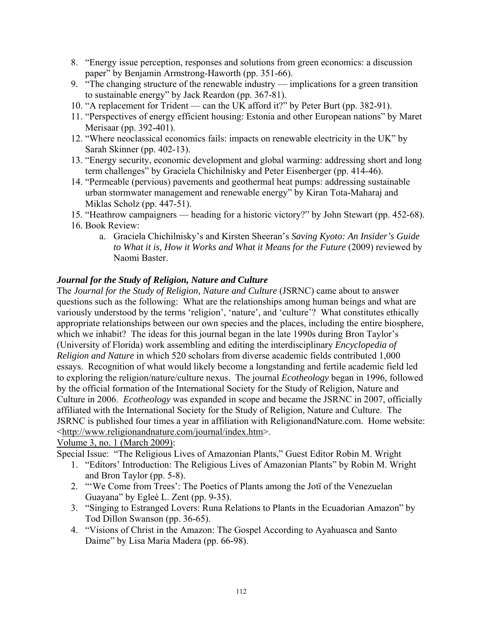- 8. "Energy issue perception, responses and solutions from green economics: a discussion paper" by Benjamin Armstrong-Haworth (pp. 351-66).
- 9. "The changing structure of the renewable industry implications for a green transition to sustainable energy" by Jack Reardon (pp. 367-81).
- 10. "A replacement for Trident can the UK afford it?" by Peter Burt (pp. 382-91).
- 11. "Perspectives of energy efficient housing: Estonia and other European nations" by Maret Merisaar (pp. 392-401).
- 12. "Where neoclassical economics fails: impacts on renewable electricity in the UK" by Sarah Skinner (pp. 402-13).
- 13. "Energy security, economic development and global warming: addressing short and long term challenges" by Graciela Chichilnisky and Peter Eisenberger (pp. 414-46).
- 14. "Permeable (pervious) pavements and geothermal heat pumps: addressing sustainable urban stormwater management and renewable energy" by Kiran Tota-Maharaj and Miklas Scholz (pp. 447-51).
- 15. "Heathrow campaigners heading for a historic victory?" by John Stewart (pp. 452-68).
- 16. Book Review:
	- a. Graciela Chichilnisky's and Kirsten Sheeran's *Saving Kyoto: An Insider's Guide to What it is, How it Works and What it Means for the Future* (2009) reviewed by Naomi Baster.

#### *Journal for the Study of Religion, Nature and Culture*

The *Journal for the Study of Religion, Nature and Culture* (JSRNC) came about to answer questions such as the following: What are the relationships among human beings and what are variously understood by the terms 'religion', 'nature', and 'culture'? What constitutes ethically appropriate relationships between our own species and the places, including the entire biosphere, which we inhabit? The ideas for this journal began in the late 1990s during Bron Taylor's (University of Florida) work assembling and editing the interdisciplinary *Encyclopedia of Religion and Nature* in which 520 scholars from diverse academic fields contributed 1,000 essays. Recognition of what would likely become a longstanding and fertile academic field led to exploring the religion/nature/culture nexus. The journal *Ecotheology* began in 1996, followed by the official formation of the International Society for the Study of Religion, Nature and Culture in 2006. *Ecotheology* was expanded in scope and became the JSRNC in 2007, officially affiliated with the International Society for the Study of Religion, Nature and Culture. The JSRNC is published four times a year in affiliation with ReligionandNature.com. Home website: <http://www.religionandnature.com/journal/index.htm>.

Volume 3, no. 1 (March 2009):

Special Issue: "The Religious Lives of Amazonian Plants," Guest Editor Robin M. Wright

- 1. "Editors' Introduction: The Religious Lives of Amazonian Plants" by Robin M. Wright and Bron Taylor (pp. 5-8).
- 2. "'We Come from Trees': The Poetics of Plants among the Jotï of the Venezuelan Guayana" by Egleé L. Zent (pp. 9-35).
- 3. "Singing to Estranged Lovers: Runa Relations to Plants in the Ecuadorian Amazon" by Tod Dillon Swanson (pp. 36-65).
- 4. "Visions of Christ in the Amazon: The Gospel According to Ayahuasca and Santo Daime" by Lisa Maria Madera (pp. 66-98).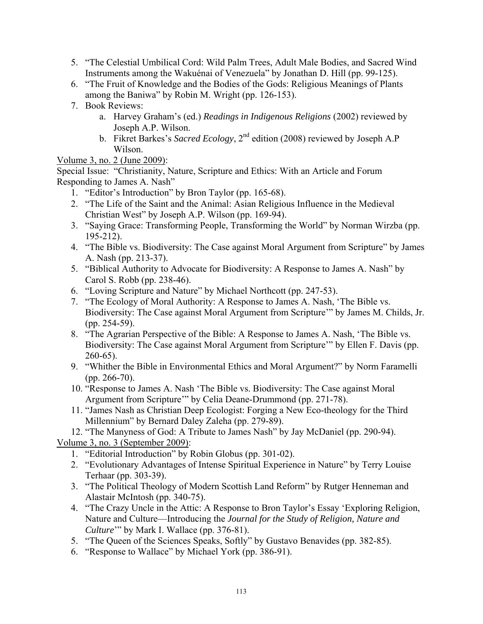- 5. "The Celestial Umbilical Cord: Wild Palm Trees, Adult Male Bodies, and Sacred Wind Instruments among the Wakuénai of Venezuela" by Jonathan D. Hill (pp. 99-125).
- 6. "The Fruit of Knowledge and the Bodies of the Gods: Religious Meanings of Plants among the Baniwa" by Robin M. Wright (pp. 126-153).
- 7. Book Reviews:
	- a. Harvey Graham's (ed.) *Readings in Indigenous Religions* (2002) reviewed by Joseph A.P. Wilson.
	- b. Fikret Barkes's *Sacred Ecology*, 2nd edition (2008) reviewed by Joseph A.P Wilson.

### Volume 3, no. 2 (June 2009):

Special Issue: "Christianity, Nature, Scripture and Ethics: With an Article and Forum Responding to James A. Nash"

- 1. "Editor's Introduction" by Bron Taylor (pp. 165-68).
- 2. "The Life of the Saint and the Animal: Asian Religious Influence in the Medieval Christian West" by Joseph A.P. Wilson (pp. 169-94).
- 3. "Saying Grace: Transforming People, Transforming the World" by Norman Wirzba (pp. 195-212).
- 4. "The Bible vs. Biodiversity: The Case against Moral Argument from Scripture" by James A. Nash (pp. 213-37).
- 5. "Biblical Authority to Advocate for Biodiversity: A Response to James A. Nash" by Carol S. Robb (pp. 238-46).
- 6. "Loving Scripture and Nature" by Michael Northcott (pp. 247-53).
- 7. "The Ecology of Moral Authority: A Response to James A. Nash, 'The Bible vs. Biodiversity: The Case against Moral Argument from Scripture'" by James M. Childs, Jr. (pp. 254-59).
- 8. "The Agrarian Perspective of the Bible: A Response to James A. Nash, 'The Bible vs. Biodiversity: The Case against Moral Argument from Scripture'" by Ellen F. Davis (pp.  $260-65$ ).
- 9. "Whither the Bible in Environmental Ethics and Moral Argument?" by Norm Faramelli (pp. 266-70).
- 10. "Response to James A. Nash 'The Bible vs. Biodiversity: The Case against Moral Argument from Scripture'" by Celia Deane-Drummond (pp. 271-78).
- 11. "James Nash as Christian Deep Ecologist: Forging a New Eco-theology for the Third Millennium" by Bernard Daley Zaleha (pp. 279-89).
- 12. "The Manyness of God: A Tribute to James Nash" by Jay McDaniel (pp. 290-94).

Volume 3, no. 3 (September 2009):

- 1. "Editorial Introduction" by Robin Globus (pp. 301-02).
- 2. "Evolutionary Advantages of Intense Spiritual Experience in Nature" by Terry Louise Terhaar (pp. 303-39).
- 3. "The Political Theology of Modern Scottish Land Reform" by Rutger Henneman and Alastair McIntosh (pp. 340-75).
- 4. "The Crazy Uncle in the Attic: A Response to Bron Taylor's Essay 'Exploring Religion, Nature and Culture—Introducing the *Journal for the Study of Religion, Nature and Culture*'" by Mark I. Wallace (pp. 376-81).
- 5. "The Queen of the Sciences Speaks, Softly" by Gustavo Benavides (pp. 382-85).
- 6. "Response to Wallace" by Michael York (pp. 386-91).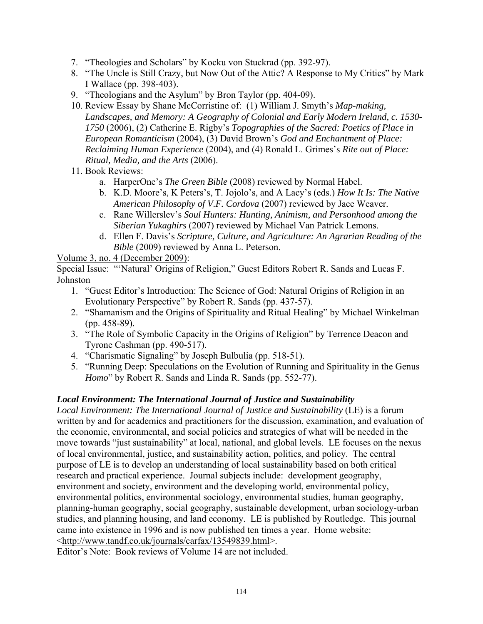- 7. "Theologies and Scholars" by Kocku von Stuckrad (pp. 392-97).
- 8. "The Uncle is Still Crazy, but Now Out of the Attic? A Response to My Critics" by Mark I Wallace (pp. 398-403).
- 9. "Theologians and the Asylum" by Bron Taylor (pp. 404-09).
- 10. Review Essay by Shane McCorristine of: (1) William J. Smyth's *Map-making, Landscapes, and Memory: A Geography of Colonial and Early Modern Ireland, c. 1530- 1750* (2006), (2) Catherine E. Rigby's *Topographies of the Sacred: Poetics of Place in European Romanticism* (2004), (3) David Brown's *God and Enchantment of Place: Reclaiming Human Experience* (2004), and (4) Ronald L. Grimes's *Rite out of Place: Ritual, Media, and the Arts* (2006).
- 11. Book Reviews:
	- a. HarperOne's *The Green Bible* (2008) reviewed by Normal Habel.
	- b. K.D. Moore's, K Peters's, T. Jojolo's, and A Lacy's (eds.) *How It Is: The Native American Philosophy of V.F. Cordova* (2007) reviewed by Jace Weaver.
	- c. Rane Willerslev's *Soul Hunters: Hunting, Animism, and Personhood among the Siberian Yukaghirs* (2007) reviewed by Michael Van Patrick Lemons.
	- d. Ellen F. Davis's *Scripture, Culture, and Agriculture: An Agrarian Reading of the Bible* (2009) reviewed by Anna L. Peterson.

#### Volume 3, no. 4 (December 2009):

Special Issue: "'Natural' Origins of Religion," Guest Editors Robert R. Sands and Lucas F. Johnston

- 1. "Guest Editor's Introduction: The Science of God: Natural Origins of Religion in an Evolutionary Perspective" by Robert R. Sands (pp. 437-57).
- 2. "Shamanism and the Origins of Spirituality and Ritual Healing" by Michael Winkelman (pp. 458-89).
- 3. "The Role of Symbolic Capacity in the Origins of Religion" by Terrence Deacon and Tyrone Cashman (pp. 490-517).
- 4. "Charismatic Signaling" by Joseph Bulbulia (pp. 518-51).
- 5. "Running Deep: Speculations on the Evolution of Running and Spirituality in the Genus *Homo*" by Robert R. Sands and Linda R. Sands (pp. 552-77).

#### *Local Environment: The International Journal of Justice and Sustainability*

*Local Environment: The International Journal of Justice and Sustainability* (LE) is a forum written by and for academics and practitioners for the discussion, examination, and evaluation of the economic, environmental, and social policies and strategies of what will be needed in the move towards "just sustainability" at local, national, and global levels. LE focuses on the nexus of local environmental, justice, and sustainability action, politics, and policy. The central purpose of LE is to develop an understanding of local sustainability based on both critical research and practical experience. Journal subjects include: development geography, environment and society, environment and the developing world, environmental policy, environmental politics, environmental sociology, environmental studies, human geography, planning-human geography, social geography, sustainable development, urban sociology-urban studies, and planning housing, and land economy. LE is published by Routledge. This journal came into existence in 1996 and is now published ten times a year. Home website: <http://www.tandf.co.uk/journals/carfax/13549839.html>.

Editor's Note: Book reviews of Volume 14 are not included.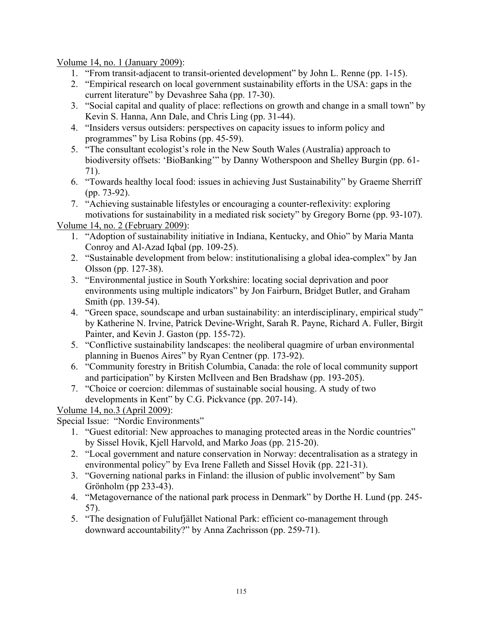Volume 14, no. 1 (January 2009):

- 1. "From transit-adjacent to transit-oriented development" by John L. Renne (pp. 1-15).
- 2. "Empirical research on local government sustainability efforts in the USA: gaps in the current literature" by Devashree Saha (pp. 17-30).
- 3. "Social capital and quality of place: reflections on growth and change in a small town" by Kevin S. Hanna, Ann Dale, and Chris Ling (pp. 31-44).
- 4. "Insiders versus outsiders: perspectives on capacity issues to inform policy and programmes" by Lisa Robins (pp. 45-59).
- 5. "The consultant ecologist's role in the New South Wales (Australia) approach to biodiversity offsets: 'BioBanking'" by Danny Wotherspoon and Shelley Burgin (pp. 61- 71).
- 6. "Towards healthy local food: issues in achieving Just Sustainability" by Graeme Sherriff (pp. 73-92).
- 7. "Achieving sustainable lifestyles or encouraging a counter-reflexivity: exploring motivations for sustainability in a mediated risk society" by Gregory Borne (pp. 93-107).

Volume 14, no. 2 (February 2009):

- 1. "Adoption of sustainability initiative in Indiana, Kentucky, and Ohio" by Maria Manta Conroy and Al-Azad Iqbal (pp. 109-25).
- 2. "Sustainable development from below: institutionalising a global idea-complex" by Jan Olsson (pp. 127-38).
- 3. "Environmental justice in South Yorkshire: locating social deprivation and poor environments using multiple indicators" by Jon Fairburn, Bridget Butler, and Graham Smith (pp. 139-54).
- 4. "Green space, soundscape and urban sustainability: an interdisciplinary, empirical study" by Katherine N. Irvine, Patrick Devine-Wright, Sarah R. Payne, Richard A. Fuller, Birgit Painter, and Kevin J. Gaston (pp. 155-72).
- 5. "Conflictive sustainability landscapes: the neoliberal quagmire of urban environmental planning in Buenos Aires" by Ryan Centner (pp. 173-92).
- 6. "Community forestry in British Columbia, Canada: the role of local community support and participation" by Kirsten McIlveen and Ben Bradshaw (pp. 193-205).
- 7. "Choice or coercion: dilemmas of sustainable social housing. A study of two developments in Kent" by C.G. Pickvance (pp. 207-14).

Volume 14, no.3 (April 2009):

Special Issue: "Nordic Environments"

- 1. "Guest editorial: New approaches to managing protected areas in the Nordic countries" by Sissel Hovik, Kjell Harvold, and Marko Joas (pp. 215-20).
- 2. "Local government and nature conservation in Norway: decentralisation as a strategy in environmental policy" by Eva Irene Falleth and Sissel Hovik (pp. 221-31).
- 3. "Governing national parks in Finland: the illusion of public involvement" by Sam Grönholm (pp 233-43).
- 4. "Metagovernance of the national park process in Denmark" by Dorthe H. Lund (pp. 245- 57).
- 5. "The designation of Fulufjället National Park: efficient co-management through downward accountability?" by Anna Zachrisson (pp. 259-71).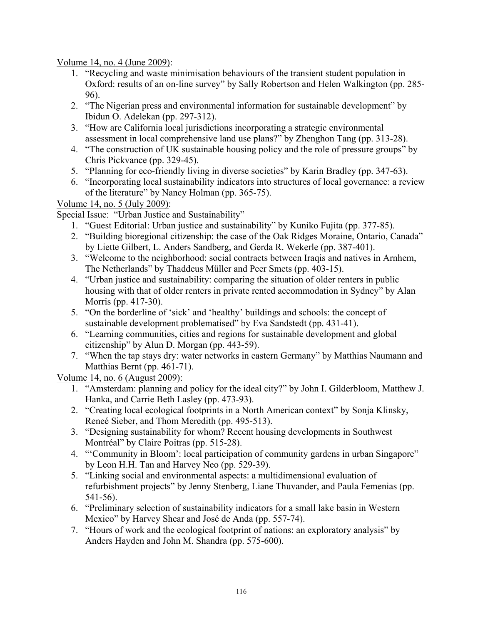Volume 14, no. 4 (June 2009):

- 1. "Recycling and waste minimisation behaviours of the transient student population in Oxford: results of an on-line survey" by Sally Robertson and Helen Walkington (pp. 285- 96).
- 2. "The Nigerian press and environmental information for sustainable development" by Ibidun O. Adelekan (pp. 297-312).
- 3. "How are California local jurisdictions incorporating a strategic environmental assessment in local comprehensive land use plans?" by Zhenghon Tang (pp. 313-28).
- 4. "The construction of UK sustainable housing policy and the role of pressure groups" by Chris Pickvance (pp. 329-45).
- 5. "Planning for eco-friendly living in diverse societies" by Karin Bradley (pp. 347-63).
- 6. "Incorporating local sustainability indicators into structures of local governance: a review of the literature" by Nancy Holman (pp. 365-75).

Volume 14, no. 5 (July 2009):

Special Issue: "Urban Justice and Sustainability"

- 1. "Guest Editorial: Urban justice and sustainability" by Kuniko Fujita (pp. 377-85).
- 2. "Building bioregional citizenship: the case of the Oak Ridges Moraine, Ontario, Canada" by Liette Gilbert, L. Anders Sandberg, and Gerda R. Wekerle (pp. 387-401).
- 3. "Welcome to the neighborhood: social contracts between Iraqis and natives in Arnhem, The Netherlands" by Thaddeus Müller and Peer Smets (pp. 403-15).
- 4. "Urban justice and sustainability: comparing the situation of older renters in public housing with that of older renters in private rented accommodation in Sydney" by Alan Morris (pp. 417-30).
- 5. "On the borderline of 'sick' and 'healthy' buildings and schools: the concept of sustainable development problematised" by Eva Sandstedt (pp. 431-41).
- 6. "Learning communities, cities and regions for sustainable development and global citizenship" by Alun D. Morgan (pp. 443-59).
- 7. "When the tap stays dry: water networks in eastern Germany" by Matthias Naumann and Matthias Bernt (pp. 461-71).

Volume 14, no. 6 (August 2009):

- 1. "Amsterdam: planning and policy for the ideal city?" by John I. Gilderbloom, Matthew J. Hanka, and Carrie Beth Lasley (pp. 473-93).
- 2. "Creating local ecological footprints in a North American context" by Sonja Klinsky, Reneé Sieber, and Thom Meredith (pp. 495-513).
- 3. "Designing sustainability for whom? Recent housing developments in Southwest Montréal" by Claire Poitras (pp. 515-28).
- 4. "'Community in Bloom': local participation of community gardens in urban Singapore" by Leon H.H. Tan and Harvey Neo (pp. 529-39).
- 5. "Linking social and environmental aspects: a multidimensional evaluation of refurbishment projects" by Jenny Stenberg, Liane Thuvander, and Paula Femenias (pp. 541-56).
- 6. "Preliminary selection of sustainability indicators for a small lake basin in Western Mexico" by Harvey Shear and José de Anda (pp. 557-74).
- 7. "Hours of work and the ecological footprint of nations: an exploratory analysis" by Anders Hayden and John M. Shandra (pp. 575-600).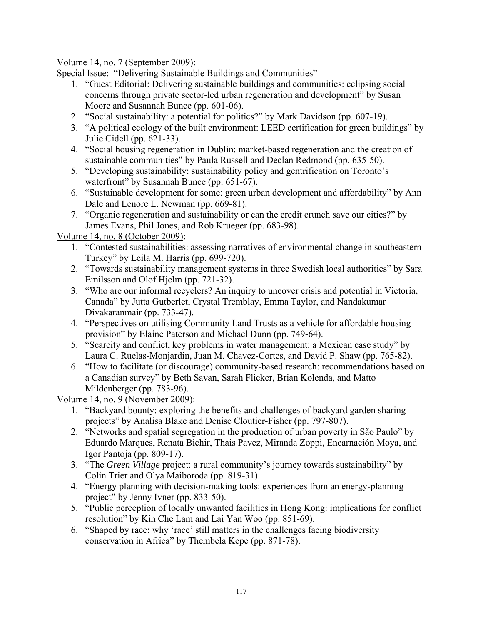Volume 14, no. 7 (September 2009):

Special Issue: "Delivering Sustainable Buildings and Communities"

- 1. "Guest Editorial: Delivering sustainable buildings and communities: eclipsing social concerns through private sector-led urban regeneration and development" by Susan Moore and Susannah Bunce (pp. 601-06).
- 2. "Social sustainability: a potential for politics?" by Mark Davidson (pp. 607-19).
- 3. "A political ecology of the built environment: LEED certification for green buildings" by Julie Cidell (pp. 621-33).
- 4. "Social housing regeneration in Dublin: market-based regeneration and the creation of sustainable communities" by Paula Russell and Declan Redmond (pp. 635-50).
- 5. "Developing sustainability: sustainability policy and gentrification on Toronto's waterfront" by Susannah Bunce (pp. 651-67).
- 6. "Sustainable development for some: green urban development and affordability" by Ann Dale and Lenore L. Newman (pp. 669-81).
- 7. "Organic regeneration and sustainability or can the credit crunch save our cities?" by James Evans, Phil Jones, and Rob Krueger (pp. 683-98).

Volume 14, no. 8 (October 2009):

- 1. "Contested sustainabilities: assessing narratives of environmental change in southeastern Turkey" by Leila M. Harris (pp. 699-720).
- 2. "Towards sustainability management systems in three Swedish local authorities" by Sara Emilsson and Olof Hjelm (pp. 721-32).
- 3. "Who are our informal recyclers? An inquiry to uncover crisis and potential in Victoria, Canada" by Jutta Gutberlet, Crystal Tremblay, Emma Taylor, and Nandakumar Divakaranmair (pp. 733-47).
- 4. "Perspectives on utilising Community Land Trusts as a vehicle for affordable housing provision" by Elaine Paterson and Michael Dunn (pp. 749-64).
- 5. "Scarcity and conflict, key problems in water management: a Mexican case study" by Laura C. Ruelas-Monjardin, Juan M. Chavez-Cortes, and David P. Shaw (pp. 765-82).
- 6. "How to facilitate (or discourage) community-based research: recommendations based on a Canadian survey" by Beth Savan, Sarah Flicker, Brian Kolenda, and Matto Mildenberger (pp. 783-96).

Volume 14, no. 9 (November 2009):

- 1. "Backyard bounty: exploring the benefits and challenges of backyard garden sharing projects" by Analisa Blake and Denise Cloutier-Fisher (pp. 797-807).
- 2. "Networks and spatial segregation in the production of urban poverty in São Paulo" by Eduardo Marques, Renata Bichir, Thais Pavez, Miranda Zoppi, Encarnación Moya, and Igor Pantoja (pp. 809-17).
- 3. "The *Green Village* project: a rural community's journey towards sustainability" by Colin Trier and Olya Maiboroda (pp. 819-31).
- 4. "Energy planning with decision-making tools: experiences from an energy-planning project" by Jenny Ivner (pp. 833-50).
- 5. "Public perception of locally unwanted facilities in Hong Kong: implications for conflict resolution" by Kin Che Lam and Lai Yan Woo (pp. 851-69).
- 6. "Shaped by race: why 'race' still matters in the challenges facing biodiversity conservation in Africa" by Thembela Kepe (pp. 871-78).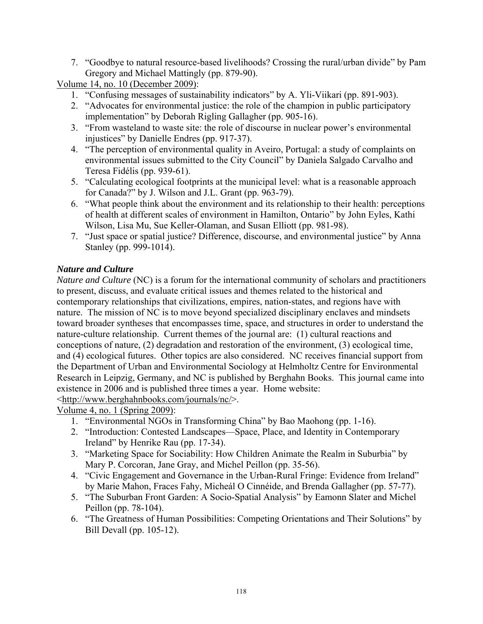7. "Goodbye to natural resource-based livelihoods? Crossing the rural/urban divide" by Pam Gregory and Michael Mattingly (pp. 879-90).

Volume 14, no. 10 (December 2009):

- 1. "Confusing messages of sustainability indicators" by A. Yli-Viikari (pp. 891-903).
- 2. "Advocates for environmental justice: the role of the champion in public participatory implementation" by Deborah Rigling Gallagher (pp. 905-16).
- 3. "From wasteland to waste site: the role of discourse in nuclear power's environmental injustices" by Danielle Endres (pp. 917-37).
- 4. "The perception of environmental quality in Aveiro, Portugal: a study of complaints on environmental issues submitted to the City Council" by Daniela Salgado Carvalho and Teresa Fidélis (pp. 939-61).
- 5. "Calculating ecological footprints at the municipal level: what is a reasonable approach for Canada?" by J. Wilson and J.L. Grant (pp. 963-79).
- 6. "What people think about the environment and its relationship to their health: perceptions of health at different scales of environment in Hamilton, Ontario" by John Eyles, Kathi Wilson, Lisa Mu, Sue Keller-Olaman, and Susan Elliott (pp. 981-98).
- 7. "Just space or spatial justice? Difference, discourse, and environmental justice" by Anna Stanley (pp. 999-1014).

## *Nature and Culture*

*Nature and Culture* (NC) is a forum for the international community of scholars and practitioners to present, discuss, and evaluate critical issues and themes related to the historical and contemporary relationships that civilizations, empires, nation-states, and regions have with nature. The mission of NC is to move beyond specialized disciplinary enclaves and mindsets toward broader syntheses that encompasses time, space, and structures in order to understand the nature-culture relationship. Current themes of the journal are: (1) cultural reactions and conceptions of nature, (2) degradation and restoration of the environment, (3) ecological time, and (4) ecological futures. Other topics are also considered. NC receives financial support from the Department of Urban and Environmental Sociology at Helmholtz Centre for Environmental Research in Leipzig, Germany, and NC is published by Berghahn Books. This journal came into existence in 2006 and is published three times a year. Home website:

<http://www.berghahnbooks.com/journals/nc/>.

Volume 4, no. 1 (Spring 2009):

- 1. "Environmental NGOs in Transforming China" by Bao Maohong (pp. 1-16).
- 2. "Introduction: Contested Landscapes—Space, Place, and Identity in Contemporary Ireland" by Henrike Rau (pp. 17-34).
- 3. "Marketing Space for Sociability: How Children Animate the Realm in Suburbia" by Mary P. Corcoran, Jane Gray, and Michel Peillon (pp. 35-56).
- 4. "Civic Engagement and Governance in the Urban-Rural Fringe: Evidence from Ireland" by Marie Mahon, Fraces Fahy, Micheál O Cinnéide, and Brenda Gallagher (pp. 57-77).
- 5. "The Suburban Front Garden: A Socio-Spatial Analysis" by Eamonn Slater and Michel Peillon (pp. 78-104).
- 6. "The Greatness of Human Possibilities: Competing Orientations and Their Solutions" by Bill Devall (pp. 105-12).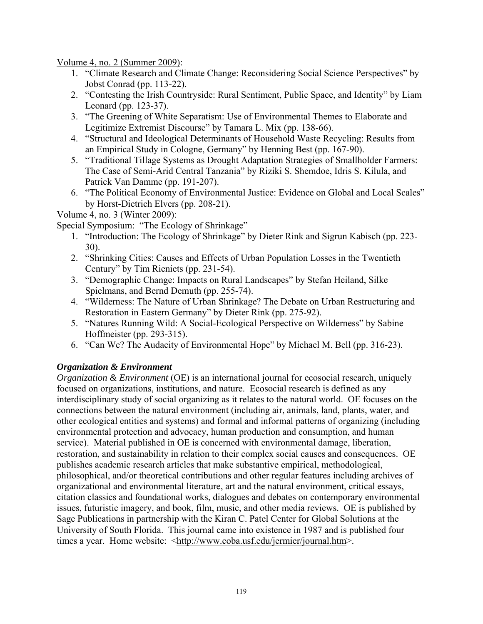Volume 4, no. 2 (Summer 2009):

- 1. "Climate Research and Climate Change: Reconsidering Social Science Perspectives" by Jobst Conrad (pp. 113-22).
- 2. "Contesting the Irish Countryside: Rural Sentiment, Public Space, and Identity" by Liam Leonard (pp. 123-37).
- 3. "The Greening of White Separatism: Use of Environmental Themes to Elaborate and Legitimize Extremist Discourse" by Tamara L. Mix (pp. 138-66).
- 4. "Structural and Ideological Determinants of Household Waste Recycling: Results from an Empirical Study in Cologne, Germany" by Henning Best (pp. 167-90).
- 5. "Traditional Tillage Systems as Drought Adaptation Strategies of Smallholder Farmers: The Case of Semi-Arid Central Tanzania" by Riziki S. Shemdoe, Idris S. Kilula, and Patrick Van Damme (pp. 191-207).
- 6. "The Political Economy of Environmental Justice: Evidence on Global and Local Scales" by Horst-Dietrich Elvers (pp. 208-21).

### Volume 4, no. 3 (Winter 2009):

Special Symposium: "The Ecology of Shrinkage"

- 1. "Introduction: The Ecology of Shrinkage" by Dieter Rink and Sigrun Kabisch (pp. 223- 30).
- 2. "Shrinking Cities: Causes and Effects of Urban Population Losses in the Twentieth Century" by Tim Rieniets (pp. 231-54).
- 3. "Demographic Change: Impacts on Rural Landscapes" by Stefan Heiland, Silke Spielmans, and Bernd Demuth (pp. 255-74).
- 4. "Wilderness: The Nature of Urban Shrinkage? The Debate on Urban Restructuring and Restoration in Eastern Germany" by Dieter Rink (pp. 275-92).
- 5. "Natures Running Wild: A Social-Ecological Perspective on Wilderness" by Sabine Hoffmeister (pp. 293-315).
- 6. "Can We? The Audacity of Environmental Hope" by Michael M. Bell (pp. 316-23).

## *Organization & Environment*

*Organization & Environment* (OE) is an international journal for ecosocial research, uniquely focused on organizations, institutions, and nature. Ecosocial research is defined as any interdisciplinary study of social organizing as it relates to the natural world. OE focuses on the connections between the natural environment (including air, animals, land, plants, water, and other ecological entities and systems) and formal and informal patterns of organizing (including environmental protection and advocacy, human production and consumption, and human service). Material published in OE is concerned with environmental damage, liberation, restoration, and sustainability in relation to their complex social causes and consequences. OE publishes academic research articles that make substantive empirical, methodological, philosophical, and/or theoretical contributions and other regular features including archives of organizational and environmental literature, art and the natural environment, critical essays, citation classics and foundational works, dialogues and debates on contemporary environmental issues, futuristic imagery, and book, film, music, and other media reviews. OE is published by Sage Publications in partnership with the Kiran C. Patel Center for Global Solutions at the University of South Florida. This journal came into existence in 1987 and is published four times a year. Home website: <http://www.coba.usf.edu/jermier/journal.htm>.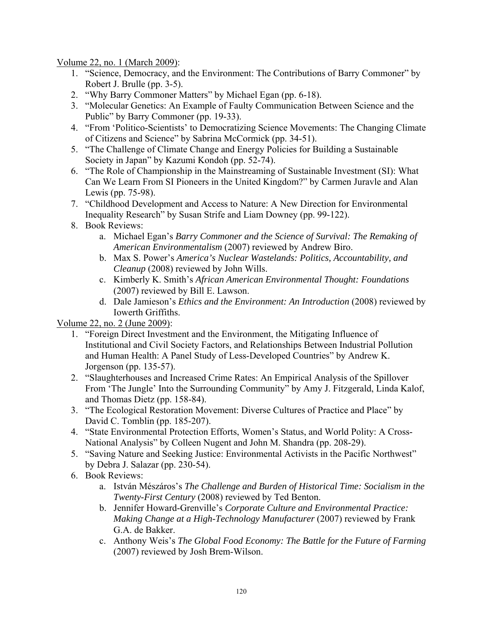Volume 22, no. 1 (March 2009):

- 1. "Science, Democracy, and the Environment: The Contributions of Barry Commoner" by Robert J. Brulle (pp. 3-5).
- 2. "Why Barry Commoner Matters" by Michael Egan (pp. 6-18).
- 3. "Molecular Genetics: An Example of Faulty Communication Between Science and the Public" by Barry Commoner (pp. 19-33).
- 4. "From 'Politico-Scientists' to Democratizing Science Movements: The Changing Climate of Citizens and Science" by Sabrina McCormick (pp. 34-51).
- 5. "The Challenge of Climate Change and Energy Policies for Building a Sustainable Society in Japan" by Kazumi Kondoh (pp. 52-74).
- 6. "The Role of Championship in the Mainstreaming of Sustainable Investment (SI): What Can We Learn From SI Pioneers in the United Kingdom?" by Carmen Juravle and Alan Lewis (pp. 75-98).
- 7. "Childhood Development and Access to Nature: A New Direction for Environmental Inequality Research" by Susan Strife and Liam Downey (pp. 99-122).
- 8. Book Reviews:
	- a. Michael Egan's *Barry Commoner and the Science of Survival: The Remaking of American Environmentalism* (2007) reviewed by Andrew Biro.
	- b. Max S. Power's *America's Nuclear Wastelands: Politics, Accountability, and Cleanup* (2008) reviewed by John Wills.
	- c. Kimberly K. Smith's *African American Environmental Thought: Foundations* (2007) reviewed by Bill E. Lawson.
	- d. Dale Jamieson's *Ethics and the Environment: An Introduction* (2008) reviewed by Iowerth Griffiths.

Volume 22, no. 2 (June 2009):

- 1. "Foreign Direct Investment and the Environment, the Mitigating Influence of Institutional and Civil Society Factors, and Relationships Between Industrial Pollution and Human Health: A Panel Study of Less-Developed Countries" by Andrew K. Jorgenson (pp. 135-57).
- 2. "Slaughterhouses and Increased Crime Rates: An Empirical Analysis of the Spillover From 'The Jungle' Into the Surrounding Community" by Amy J. Fitzgerald, Linda Kalof, and Thomas Dietz (pp. 158-84).
- 3. "The Ecological Restoration Movement: Diverse Cultures of Practice and Place" by David C. Tomblin (pp. 185-207).
- 4. "State Environmental Protection Efforts, Women's Status, and World Polity: A Cross-National Analysis" by Colleen Nugent and John M. Shandra (pp. 208-29).
- 5. "Saving Nature and Seeking Justice: Environmental Activists in the Pacific Northwest" by Debra J. Salazar (pp. 230-54).
- 6. Book Reviews:
	- a. István Mészáros's *The Challenge and Burden of Historical Time: Socialism in the Twenty-First Century* (2008) reviewed by Ted Benton.
	- b. Jennifer Howard-Grenville's *Corporate Culture and Environmental Practice: Making Change at a High-Technology Manufacturer* (2007) reviewed by Frank G.A. de Bakker.
	- c. Anthony Weis's *The Global Food Economy: The Battle for the Future of Farming* (2007) reviewed by Josh Brem-Wilson.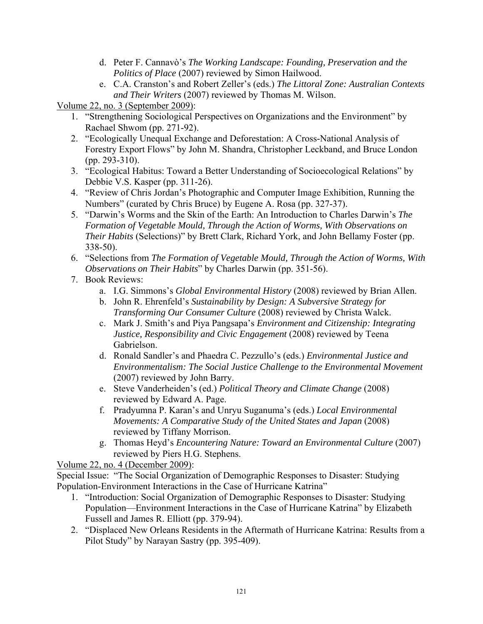- d. Peter F. Cannavò's *The Working Landscape: Founding, Preservation and the Politics of Place* (2007) reviewed by Simon Hailwood.
- e. C.A. Cranston's and Robert Zeller's (eds.) *The Littoral Zone: Australian Contexts and Their Writers* (2007) reviewed by Thomas M. Wilson.

Volume 22, no. 3 (September 2009):

- 1. "Strengthening Sociological Perspectives on Organizations and the Environment" by Rachael Shwom (pp. 271-92).
- 2. "Ecologically Unequal Exchange and Deforestation: A Cross-National Analysis of Forestry Export Flows" by John M. Shandra, Christopher Leckband, and Bruce London (pp. 293-310).
- 3. "Ecological Habitus: Toward a Better Understanding of Socioecological Relations" by Debbie V.S. Kasper (pp. 311-26).
- 4. "Review of Chris Jordan's Photographic and Computer Image Exhibition, Running the Numbers" (curated by Chris Bruce) by Eugene A. Rosa (pp. 327-37).
- 5. "Darwin's Worms and the Skin of the Earth: An Introduction to Charles Darwin's *The Formation of Vegetable Mould, Through the Action of Worms, With Observations on Their Habits* (Selections)" by Brett Clark, Richard York, and John Bellamy Foster (pp. 338-50).
- 6. "Selections from *The Formation of Vegetable Mould, Through the Action of Worms, With Observations on Their Habits*" by Charles Darwin (pp. 351-56).
- 7. Book Reviews:
	- a. I.G. Simmons's *Global Environmental History* (2008) reviewed by Brian Allen.
	- b. John R. Ehrenfeld's *Sustainability by Design: A Subversive Strategy for Transforming Our Consumer Culture* (2008) reviewed by Christa Walck.
	- c. Mark J. Smith's and Piya Pangsapa's *Environment and Citizenship: Integrating Justice, Responsibility and Civic Engagement* (2008) reviewed by Teena Gabrielson.
	- d. Ronald Sandler's and Phaedra C. Pezzullo's (eds.) *Environmental Justice and Environmentalism: The Social Justice Challenge to the Environmental Movement* (2007) reviewed by John Barry.
	- e. Steve Vanderheiden's (ed.) *Political Theory and Climate Change* (2008) reviewed by Edward A. Page.
	- f. Pradyumna P. Karan's and Unryu Suganuma's (eds.) *Local Environmental Movements: A Comparative Study of the United States and Japan* (2008) reviewed by Tiffany Morrison.
	- g. Thomas Heyd's *Encountering Nature: Toward an Environmental Culture* (2007) reviewed by Piers H.G. Stephens.

Volume 22, no. 4 (December 2009):

Special Issue: "The Social Organization of Demographic Responses to Disaster: Studying Population-Environment Interactions in the Case of Hurricane Katrina"

- 1. "Introduction: Social Organization of Demographic Responses to Disaster: Studying Population—Environment Interactions in the Case of Hurricane Katrina" by Elizabeth Fussell and James R. Elliott (pp. 379-94).
- 2. "Displaced New Orleans Residents in the Aftermath of Hurricane Katrina: Results from a Pilot Study" by Narayan Sastry (pp. 395-409).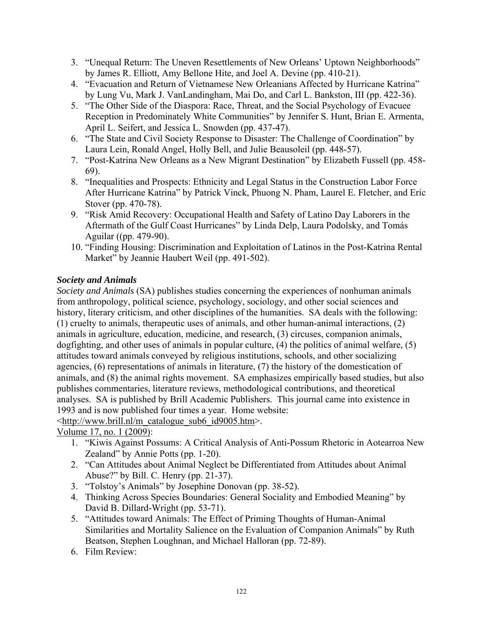- 3. "Unequal Return: The Uneven Resettlements of New Orleans' Uptown Neighborhoods" by James R. Elliott, Amy Bellone Hite, and Joel A. Devine (pp. 410-21).
- 4. "Evacuation and Return of Vietnamese New Orleanians Affected by Hurricane Katrina" by Lung Vu, Mark J. VanLandingham, Mai Do, and Carl L. Bankston, III (pp. 422-36).
- 5. "The Other Side of the Diaspora: Race, Threat, and the Social Psychology of Evacuee Reception in Predominately White Communities" by Jennifer S. Hunt, Brian E. Armenta, April L. Seifert, and Jessica L. Snowden (pp. 437-47).
- 6. "The State and Civil Society Response to Disaster: The Challenge of Coordination" by Laura Lein, Ronald Angel, Holly Bell, and Julie Beausoleil (pp. 448-57).
- 7. "Post-Katrina New Orleans as a New Migrant Destination" by Elizabeth Fussell (pp. 458- 69).
- 8. "Inequalities and Prospects: Ethnicity and Legal Status in the Construction Labor Force After Hurricane Katrina" by Patrick Vinck, Phuong N. Pham, Laurel E. Fletcher, and Eric Stover (pp. 470-78).
- 9. "Risk Amid Recovery: Occupational Health and Safety of Latino Day Laborers in the Aftermath of the Gulf Coast Hurricanes" by Linda Delp, Laura Podolsky, and Tomás Aguilar ((pp. 479-90).
- 10. "Finding Housing: Discrimination and Exploitation of Latinos in the Post-Katrina Rental Market" by Jeannie Haubert Weil (pp. 491-502).

## *Society and Animals*

*Society and Animals* (SA) publishes studies concerning the experiences of nonhuman animals from anthropology, political science, psychology, sociology, and other social sciences and history, literary criticism, and other disciplines of the humanities. SA deals with the following: (1) cruelty to animals, therapeutic uses of animals, and other human-animal interactions, (2) animals in agriculture, education, medicine, and research, (3) circuses, companion animals, dogfighting, and other uses of animals in popular culture, (4) the politics of animal welfare, (5) attitudes toward animals conveyed by religious institutions, schools, and other socializing agencies, (6) representations of animals in literature, (7) the history of the domestication of animals, and (8) the animal rights movement. SA emphasizes empirically based studies, but also publishes commentaries, literature reviews, methodological contributions, and theoretical analyses. SA is published by Brill Academic Publishers. This journal came into existence in 1993 and is now published four times a year. Home website:

<http://www.brill.nl/m\_catalogue\_sub6\_id9005.htm>.

Volume 17, no. 1 (2009):

- 1. "Kiwis Against Possums: A Critical Analysis of Anti-Possum Rhetoric in Aotearroa New Zealand" by Annie Potts (pp. 1-20).
- 2. "Can Attitudes about Animal Neglect be Differentiated from Attitudes about Animal Abuse?" by Bill. C. Henry (pp. 21-37).
- 3. "Tolstoy's Animals" by Josephine Donovan (pp. 38-52).
- 4. Thinking Across Species Boundaries: General Sociality and Embodied Meaning" by David B. Dillard-Wright (pp. 53-71).
- 5. "Attitudes toward Animals: The Effect of Priming Thoughts of Human-Animal Similarities and Mortality Salience on the Evaluation of Companion Animals" by Ruth Beatson, Stephen Loughnan, and Michael Halloran (pp. 72-89).
- 6. Film Review: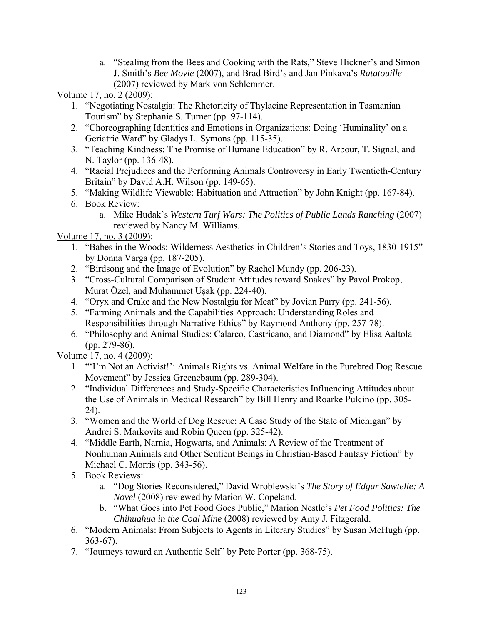a. "Stealing from the Bees and Cooking with the Rats," Steve Hickner's and Simon J. Smith's *Bee Movie* (2007), and Brad Bird's and Jan Pinkava's *Ratatouille* (2007) reviewed by Mark von Schlemmer.

Volume 17, no. 2 (2009):

- 1. "Negotiating Nostalgia: The Rhetoricity of Thylacine Representation in Tasmanian Tourism" by Stephanie S. Turner (pp. 97-114).
- 2. "Choreographing Identities and Emotions in Organizations: Doing 'Huminality' on a Geriatric Ward" by Gladys L. Symons (pp. 115-35).
- 3. "Teaching Kindness: The Promise of Humane Education" by R. Arbour, T. Signal, and N. Taylor (pp. 136-48).
- 4. "Racial Prejudices and the Performing Animals Controversy in Early Twentieth-Century Britain" by David A.H. Wilson (pp. 149-65).
- 5. "Making Wildlife Viewable: Habituation and Attraction" by John Knight (pp. 167-84).
- 6. Book Review:
	- a. Mike Hudak's *Western Turf Wars: The Politics of Public Lands Ranching* (2007) reviewed by Nancy M. Williams.

Volume 17, no. 3 (2009):

- 1. "Babes in the Woods: Wilderness Aesthetics in Children's Stories and Toys, 1830-1915" by Donna Varga (pp. 187-205).
- 2. "Birdsong and the Image of Evolution" by Rachel Mundy (pp. 206-23).
- 3. "Cross-Cultural Comparison of Student Attitudes toward Snakes" by Pavol Prokop, Murat Özel, and Muhammet Uşak (pp. 224-40).
- 4. "Oryx and Crake and the New Nostalgia for Meat" by Jovian Parry (pp. 241-56).
- 5. "Farming Animals and the Capabilities Approach: Understanding Roles and Responsibilities through Narrative Ethics" by Raymond Anthony (pp. 257-78).
- 6. "Philosophy and Animal Studies: Calarco, Castricano, and Diamond" by Elisa Aaltola (pp. 279-86).

Volume 17, no. 4 (2009):

- 1. "'I'm Not an Activist!': Animals Rights vs. Animal Welfare in the Purebred Dog Rescue Movement" by Jessica Greenebaum (pp. 289-304).
- 2. "Individual Differences and Study-Specific Characteristics Influencing Attitudes about the Use of Animals in Medical Research" by Bill Henry and Roarke Pulcino (pp. 305- 24).
- 3. "Women and the World of Dog Rescue: A Case Study of the State of Michigan" by Andrei S. Markovits and Robin Queen (pp. 325-42).
- 4. "Middle Earth, Narnia, Hogwarts, and Animals: A Review of the Treatment of Nonhuman Animals and Other Sentient Beings in Christian-Based Fantasy Fiction" by Michael C. Morris (pp. 343-56).
- 5. Book Reviews:
	- a. "Dog Stories Reconsidered," David Wroblewski's *The Story of Edgar Sawtelle: A Novel* (2008) reviewed by Marion W. Copeland.
	- b. "What Goes into Pet Food Goes Public," Marion Nestle's *Pet Food Politics: The Chihuahua in the Coal Mine* (2008) reviewed by Amy J. Fitzgerald.
- 6. "Modern Animals: From Subjects to Agents in Literary Studies" by Susan McHugh (pp. 363-67).
- 7. "Journeys toward an Authentic Self" by Pete Porter (pp. 368-75).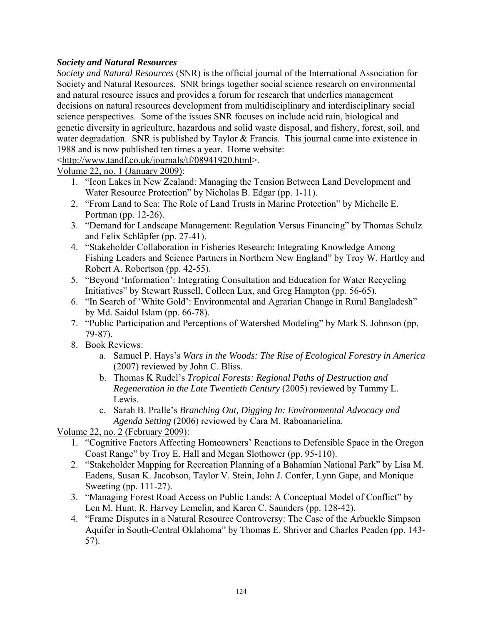#### *Society and Natural Resources*

*Society and Natural Resources* (SNR) is the official journal of the International Association for Society and Natural Resources. SNR brings together social science research on environmental and natural resource issues and provides a forum for research that underlies management decisions on natural resources development from multidisciplinary and interdisciplinary social science perspectives. Some of the issues SNR focuses on include acid rain, biological and genetic diversity in agriculture, hazardous and solid waste disposal, and fishery, forest, soil, and water degradation. SNR is published by Taylor & Francis. This journal came into existence in 1988 and is now published ten times a year. Home website:

<http://www.tandf.co.uk/journals/tf/08941920.html>.

Volume 22, no. 1 (January 2009):

- 1. "Icon Lakes in New Zealand: Managing the Tension Between Land Development and Water Resource Protection" by Nicholas B. Edgar (pp. 1-11).
- 2. "From Land to Sea: The Role of Land Trusts in Marine Protection" by Michelle E. Portman (pp. 12-26).
- 3. "Demand for Landscape Management: Regulation Versus Financing" by Thomas Schulz and Felix Schläpfer (pp. 27-41).
- 4. "Stakeholder Collaboration in Fisheries Research: Integrating Knowledge Among Fishing Leaders and Science Partners in Northern New England" by Troy W. Hartley and Robert A. Robertson (pp. 42-55).
- 5. "Beyond 'Information': Integrating Consultation and Education for Water Recycling Initiatives" by Stewart Russell, Colleen Lux, and Greg Hampton (pp. 56-65).
- 6. "In Search of 'White Gold': Environmental and Agrarian Change in Rural Bangladesh" by Md. Saidul Islam (pp. 66-78).
- 7. "Public Participation and Perceptions of Watershed Modeling" by Mark S. Johnson (pp, 79-87).
- 8. Book Reviews:
	- a. Samuel P. Hays's *Wars in the Woods: The Rise of Ecological Forestry in America* (2007) reviewed by John C. Bliss.
	- b. Thomas K Rudel's *Tropical Forests: Regional Paths of Destruction and Regeneration in the Late Twentieth Century* (2005) reviewed by Tammy L. Lewis.
	- c. Sarah B. Pralle's *Branching Out, Digging In: Environmental Advocacy and Agenda Setting* (2006) reviewed by Cara M. Raboanarielina.

Volume 22, no. 2 (February 2009):

- 1. "Cognitive Factors Affecting Homeowners' Reactions to Defensible Space in the Oregon Coast Range" by Troy E. Hall and Megan Slothower (pp. 95-110).
- 2. "Stakeholder Mapping for Recreation Planning of a Bahamian National Park" by Lisa M. Eadens, Susan K. Jacobson, Taylor V. Stein, John J. Confer, Lynn Gape, and Monique Sweeting (pp. 111-27).
- 3. "Managing Forest Road Access on Public Lands: A Conceptual Model of Conflict" by Len M. Hunt, R. Harvey Lemelin, and Karen C. Saunders (pp. 128-42).
- 4. "Frame Disputes in a Natural Resource Controversy: The Case of the Arbuckle Simpson Aquifer in South-Central Oklahoma" by Thomas E. Shriver and Charles Peaden (pp. 143- 57).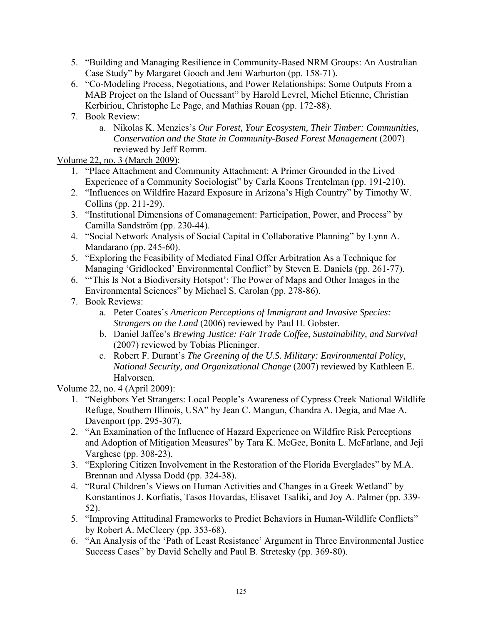- 5. "Building and Managing Resilience in Community-Based NRM Groups: An Australian Case Study" by Margaret Gooch and Jeni Warburton (pp. 158-71).
- 6. "Co-Modeling Process, Negotiations, and Power Relationships: Some Outputs From a MAB Project on the Island of Ouessant" by Harold Levrel, Michel Etienne, Christian Kerbiriou, Christophe Le Page, and Mathias Rouan (pp. 172-88).
- 7. Book Review:
	- a. Nikolas K. Menzies's *Our Forest, Your Ecosystem, Their Timber: Communities, Conservation and the State in Community-Based Forest Management* (2007) reviewed by Jeff Romm.

Volume 22, no. 3 (March 2009):

- 1. "Place Attachment and Community Attachment: A Primer Grounded in the Lived Experience of a Community Sociologist" by Carla Koons Trentelman (pp. 191-210).
- 2. "Influences on Wildfire Hazard Exposure in Arizona's High Country" by Timothy W. Collins (pp. 211-29).
- 3. "Institutional Dimensions of Comanagement: Participation, Power, and Process" by Camilla Sandström (pp. 230-44).
- 4. "Social Network Analysis of Social Capital in Collaborative Planning" by Lynn A. Mandarano (pp. 245-60).
- 5. "Exploring the Feasibility of Mediated Final Offer Arbitration As a Technique for Managing 'Gridlocked' Environmental Conflict" by Steven E. Daniels (pp. 261-77).
- 6. "'This Is Not a Biodiversity Hotspot': The Power of Maps and Other Images in the Environmental Sciences" by Michael S. Carolan (pp. 278-86).
- 7. Book Reviews:
	- a. Peter Coates's *American Perceptions of Immigrant and Invasive Species: Strangers on the Land* (2006) reviewed by Paul H. Gobster.
	- b. Daniel Jaffee's *Brewing Justice: Fair Trade Coffee, Sustainability, and Survival* (2007) reviewed by Tobias Plieninger.
	- c. Robert F. Durant's *The Greening of the U.S. Military: Environmental Policy, National Security, and Organizational Change* (2007) reviewed by Kathleen E. Halvorsen.

Volume 22, no. 4 (April 2009):

- 1. "Neighbors Yet Strangers: Local People's Awareness of Cypress Creek National Wildlife Refuge, Southern Illinois, USA" by Jean C. Mangun, Chandra A. Degia, and Mae A. Davenport (pp. 295-307).
- 2. "An Examination of the Influence of Hazard Experience on Wildfire Risk Perceptions and Adoption of Mitigation Measures" by Tara K. McGee, Bonita L. McFarlane, and Jeji Varghese (pp. 308-23).
- 3. "Exploring Citizen Involvement in the Restoration of the Florida Everglades" by M.A. Brennan and Alyssa Dodd (pp. 324-38).
- 4. "Rural Children's Views on Human Activities and Changes in a Greek Wetland" by Konstantinos J. Korfiatis, Tasos Hovardas, Elisavet Tsaliki, and Joy A. Palmer (pp. 339- 52).
- 5. "Improving Attitudinal Frameworks to Predict Behaviors in Human-Wildlife Conflicts" by Robert A. McCleery (pp. 353-68).
- 6. "An Analysis of the 'Path of Least Resistance' Argument in Three Environmental Justice Success Cases" by David Schelly and Paul B. Stretesky (pp. 369-80).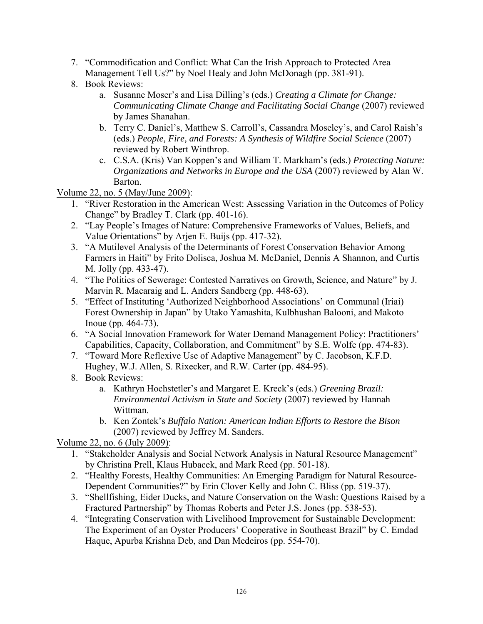- 7. "Commodification and Conflict: What Can the Irish Approach to Protected Area Management Tell Us?" by Noel Healy and John McDonagh (pp. 381-91).
- 8. Book Reviews:
	- a. Susanne Moser's and Lisa Dilling's (eds.) *Creating a Climate for Change: Communicating Climate Change and Facilitating Social Change* (2007) reviewed by James Shanahan.
	- b. Terry C. Daniel's, Matthew S. Carroll's, Cassandra Moseley's, and Carol Raish's (eds.) *People, Fire, and Forests: A Synthesis of Wildfire Social Science* (2007) reviewed by Robert Winthrop.
	- c. C.S.A. (Kris) Van Koppen's and William T. Markham's (eds.) *Protecting Nature: Organizations and Networks in Europe and the USA* (2007) reviewed by Alan W. Barton.

Volume 22, no. 5 (May/June 2009):

- 1. "River Restoration in the American West: Assessing Variation in the Outcomes of Policy Change" by Bradley T. Clark (pp. 401-16).
- 2. "Lay People's Images of Nature: Comprehensive Frameworks of Values, Beliefs, and Value Orientations" by Arjen E. Buijs (pp. 417-32).
- 3. "A Mutilevel Analysis of the Determinants of Forest Conservation Behavior Among Farmers in Haiti" by Frito Dolisca, Joshua M. McDaniel, Dennis A Shannon, and Curtis M. Jolly (pp. 433-47).
- 4. "The Politics of Sewerage: Contested Narratives on Growth, Science, and Nature" by J. Marvin R. Macaraig and L. Anders Sandberg (pp. 448-63).
- 5. "Effect of Instituting 'Authorized Neighborhood Associations' on Communal (Iriai) Forest Ownership in Japan" by Utako Yamashita, Kulbhushan Balooni, and Makoto Inoue (pp. 464-73).
- 6. "A Social Innovation Framework for Water Demand Management Policy: Practitioners' Capabilities, Capacity, Collaboration, and Commitment" by S.E. Wolfe (pp. 474-83).
- 7. "Toward More Reflexive Use of Adaptive Management" by C. Jacobson, K.F.D. Hughey, W.J. Allen, S. Rixecker, and R.W. Carter (pp. 484-95).
- 8. Book Reviews:
	- a. Kathryn Hochstetler's and Margaret E. Kreck's (eds.) *Greening Brazil: Environmental Activism in State and Society* (2007) reviewed by Hannah Wittman.
	- b. Ken Zontek's *Buffalo Nation: American Indian Efforts to Restore the Bison* (2007) reviewed by Jeffrey M. Sanders.

Volume 22, no. 6 (July 2009):

- 1. "Stakeholder Analysis and Social Network Analysis in Natural Resource Management" by Christina Prell, Klaus Hubacek, and Mark Reed (pp. 501-18).
- 2. "Healthy Forests, Healthy Communities: An Emerging Paradigm for Natural Resource-Dependent Communities?" by Erin Clover Kelly and John C. Bliss (pp. 519-37).
- 3. "Shellfishing, Eider Ducks, and Nature Conservation on the Wash: Questions Raised by a Fractured Partnership" by Thomas Roberts and Peter J.S. Jones (pp. 538-53).
- 4. "Integrating Conservation with Livelihood Improvement for Sustainable Development: The Experiment of an Oyster Producers' Cooperative in Southeast Brazil" by C. Emdad Haque, Apurba Krishna Deb, and Dan Medeiros (pp. 554-70).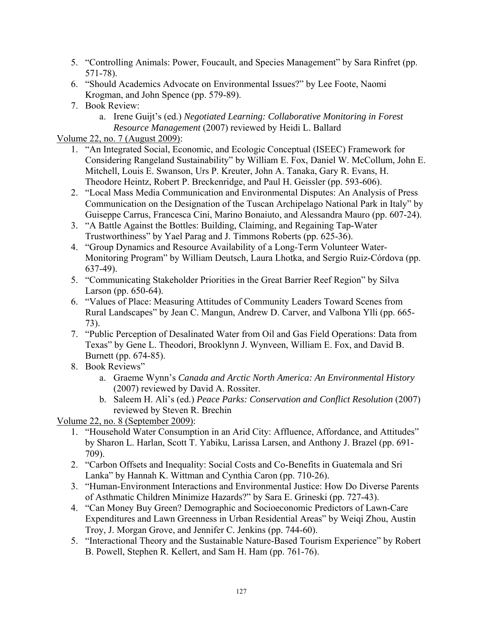- 5. "Controlling Animals: Power, Foucault, and Species Management" by Sara Rinfret (pp. 571-78).
- 6. "Should Academics Advocate on Environmental Issues?" by Lee Foote, Naomi Krogman, and John Spence (pp. 579-89).
- 7. Book Review:
	- a. Irene Guijt's (ed.) *Negotiated Learning: Collaborative Monitoring in Forest Resource Management* (2007) reviewed by Heidi L. Ballard

#### Volume 22, no. 7 (August 2009):

- 1. "An Integrated Social, Economic, and Ecologic Conceptual (ISEEC) Framework for Considering Rangeland Sustainability" by William E. Fox, Daniel W. McCollum, John E. Mitchell, Louis E. Swanson, Urs P. Kreuter, John A. Tanaka, Gary R. Evans, H. Theodore Heintz, Robert P. Breckenridge, and Paul H. Geissler (pp. 593-606).
- 2. "Local Mass Media Communication and Environmental Disputes: An Analysis of Press Communication on the Designation of the Tuscan Archipelago National Park in Italy" by Guiseppe Carrus, Francesca Cini, Marino Bonaiuto, and Alessandra Mauro (pp. 607-24).
- 3. "A Battle Against the Bottles: Building, Claiming, and Regaining Tap-Water Trustworthiness" by Yael Parag and J. Timmons Roberts (pp. 625-36).
- 4. "Group Dynamics and Resource Availability of a Long-Term Volunteer Water-Monitoring Program" by William Deutsch, Laura Lhotka, and Sergio Ruiz-Córdova (pp. 637-49).
- 5. "Communicating Stakeholder Priorities in the Great Barrier Reef Region" by Silva Larson (pp. 650-64).
- 6. "Values of Place: Measuring Attitudes of Community Leaders Toward Scenes from Rural Landscapes" by Jean C. Mangun, Andrew D. Carver, and Valbona Ylli (pp. 665- 73).
- 7. "Public Perception of Desalinated Water from Oil and Gas Field Operations: Data from Texas" by Gene L. Theodori, Brooklynn J. Wynveen, William E. Fox, and David B. Burnett (pp. 674-85).
- 8. Book Reviews"
	- a. Graeme Wynn's *Canada and Arctic North America: An Environmental History* (2007) reviewed by David A. Rossiter.
	- b. Saleem H. Ali's (ed.) *Peace Parks: Conservation and Conflict Resolution* (2007) reviewed by Steven R. Brechin

Volume 22, no. 8 (September 2009):

- 1. "Household Water Consumption in an Arid City: Affluence, Affordance, and Attitudes" by Sharon L. Harlan, Scott T. Yabiku, Larissa Larsen, and Anthony J. Brazel (pp. 691- 709).
- 2. "Carbon Offsets and Inequality: Social Costs and Co-Benefits in Guatemala and Sri Lanka" by Hannah K. Wittman and Cynthia Caron (pp. 710-26).
- 3. "Human-Environment Interactions and Environmental Justice: How Do Diverse Parents of Asthmatic Children Minimize Hazards?" by Sara E. Grineski (pp. 727-43).
- 4. "Can Money Buy Green? Demographic and Socioeconomic Predictors of Lawn-Care Expenditures and Lawn Greenness in Urban Residential Areas" by Weiqi Zhou, Austin Troy, J. Morgan Grove, and Jennifer C. Jenkins (pp. 744-60).
- 5. "Interactional Theory and the Sustainable Nature-Based Tourism Experience" by Robert B. Powell, Stephen R. Kellert, and Sam H. Ham (pp. 761-76).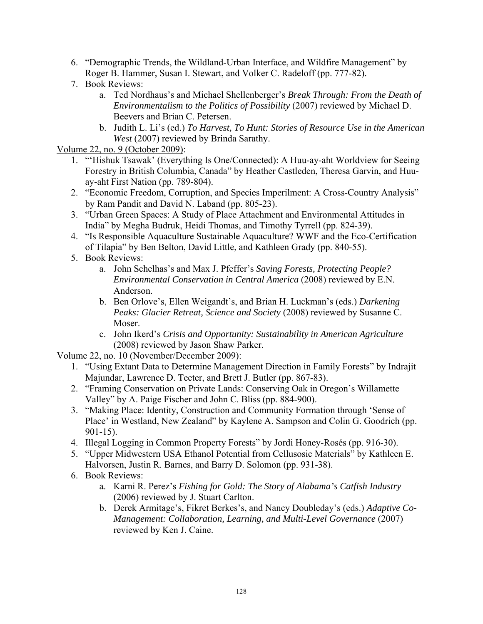- 6. "Demographic Trends, the Wildland-Urban Interface, and Wildfire Management" by Roger B. Hammer, Susan I. Stewart, and Volker C. Radeloff (pp. 777-82).
- 7. Book Reviews:
	- a. Ted Nordhaus's and Michael Shellenberger's *Break Through: From the Death of Environmentalism to the Politics of Possibility* (2007) reviewed by Michael D. Beevers and Brian C. Petersen.
	- b. Judith L. Li's (ed.) *To Harvest, To Hunt: Stories of Resource Use in the American West* (2007) reviewed by Brinda Sarathy.

### Volume 22, no. 9 (October 2009):

- 1. "'Hishuk Tsawak' (Everything Is One/Connected): A Huu-ay-aht Worldview for Seeing Forestry in British Columbia, Canada" by Heather Castleden, Theresa Garvin, and Huuay-aht First Nation (pp. 789-804).
- 2. "Economic Freedom, Corruption, and Species Imperilment: A Cross-Country Analysis" by Ram Pandit and David N. Laband (pp. 805-23).
- 3. "Urban Green Spaces: A Study of Place Attachment and Environmental Attitudes in India" by Megha Budruk, Heidi Thomas, and Timothy Tyrrell (pp. 824-39).
- 4. "Is Responsible Aquaculture Sustainable Aquaculture? WWF and the Eco-Certification of Tilapia" by Ben Belton, David Little, and Kathleen Grady (pp. 840-55).
- 5. Book Reviews:
	- a. John Schelhas's and Max J. Pfeffer's *Saving Forests, Protecting People? Environmental Conservation in Central America* (2008) reviewed by E.N. Anderson.
	- b. Ben Orlove's, Ellen Weigandt's, and Brian H. Luckman's (eds.) *Darkening Peaks: Glacier Retreat, Science and Society* (2008) reviewed by Susanne C. Moser.
	- c. John Ikerd's *Crisis and Opportunity: Sustainability in American Agriculture* (2008) reviewed by Jason Shaw Parker.

Volume 22, no. 10 (November/December 2009):

- 1. "Using Extant Data to Determine Management Direction in Family Forests" by Indrajit Majundar, Lawrence D. Teeter, and Brett J. Butler (pp. 867-83).
- 2. "Framing Conservation on Private Lands: Conserving Oak in Oregon's Willamette Valley" by A. Paige Fischer and John C. Bliss (pp. 884-900).
- 3. "Making Place: Identity, Construction and Community Formation through 'Sense of Place' in Westland, New Zealand" by Kaylene A. Sampson and Colin G. Goodrich (pp. 901-15).
- 4. Illegal Logging in Common Property Forests" by Jordi Honey-Rosés (pp. 916-30).
- 5. "Upper Midwestern USA Ethanol Potential from Cellusosic Materials" by Kathleen E. Halvorsen, Justin R. Barnes, and Barry D. Solomon (pp. 931-38).
- 6. Book Reviews:
	- a. Karni R. Perez's *Fishing for Gold: The Story of Alabama's Catfish Industry* (2006) reviewed by J. Stuart Carlton.
	- b. Derek Armitage's, Fikret Berkes's, and Nancy Doubleday's (eds.) *Adaptive Co-Management: Collaboration, Learning, and Multi-Level Governance* (2007) reviewed by Ken J. Caine.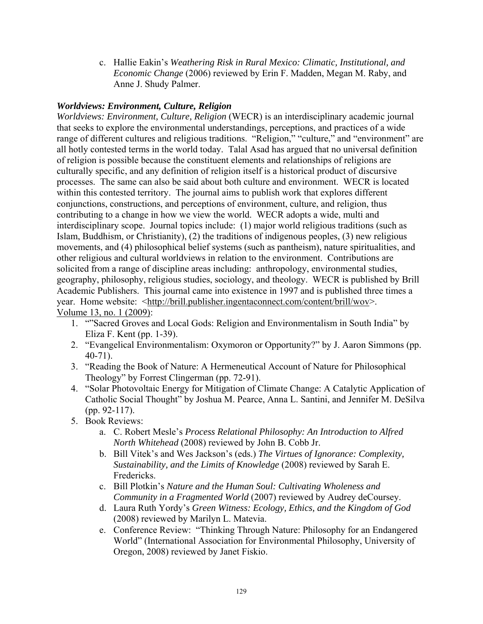c. Hallie Eakin's *Weathering Risk in Rural Mexico: Climatic, Institutional, and Economic Change* (2006) reviewed by Erin F. Madden, Megan M. Raby, and Anne J. Shudy Palmer.

#### *Worldviews: Environment, Culture, Religion*

*Worldviews: Environment, Culture, Religion* (WECR) is an interdisciplinary academic journal that seeks to explore the environmental understandings, perceptions, and practices of a wide range of different cultures and religious traditions. "Religion," "culture," and "environment" are all hotly contested terms in the world today. Talal Asad has argued that no universal definition of religion is possible because the constituent elements and relationships of religions are culturally specific, and any definition of religion itself is a historical product of discursive processes. The same can also be said about both culture and environment. WECR is located within this contested territory. The journal aims to publish work that explores different conjunctions, constructions, and perceptions of environment, culture, and religion, thus contributing to a change in how we view the world. WECR adopts a wide, multi and interdisciplinary scope. Journal topics include: (1) major world religious traditions (such as Islam, Buddhism, or Christianity), (2) the traditions of indigenous peoples, (3) new religious movements, and (4) philosophical belief systems (such as pantheism), nature spiritualities, and other religious and cultural worldviews in relation to the environment. Contributions are solicited from a range of discipline areas including: anthropology, environmental studies, geography, philosophy, religious studies, sociology, and theology. WECR is published by Brill Academic Publishers. This journal came into existence in 1997 and is published three times a year. Home website: <http://brill.publisher.ingentaconnect.com/content/brill/wov>. Volume 13, no. 1 (2009):

- 1. ""Sacred Groves and Local Gods: Religion and Environmentalism in South India" by Eliza F. Kent (pp. 1-39).
- 2. "Evangelical Environmentalism: Oxymoron or Opportunity?" by J. Aaron Simmons (pp. 40-71).
- 3. "Reading the Book of Nature: A Hermeneutical Account of Nature for Philosophical Theology" by Forrest Clingerman (pp. 72-91).
- 4. "Solar Photovoltaic Energy for Mitigation of Climate Change: A Catalytic Application of Catholic Social Thought" by Joshua M. Pearce, Anna L. Santini, and Jennifer M. DeSilva (pp. 92-117).
- 5. Book Reviews:
	- a. C. Robert Mesle's *Process Relational Philosophy: An Introduction to Alfred North Whitehead* (2008) reviewed by John B. Cobb Jr.
	- b. Bill Vitek's and Wes Jackson's (eds.) *The Virtues of Ignorance: Complexity, Sustainability, and the Limits of Knowledge* (2008) reviewed by Sarah E. Fredericks.
	- c. Bill Plotkin's *Nature and the Human Soul: Cultivating Wholeness and Community in a Fragmented World* (2007) reviewed by Audrey deCoursey.
	- d. Laura Ruth Yordy's *Green Witness: Ecology, Ethics, and the Kingdom of God* (2008) reviewed by Marilyn L. Matevia.
	- e. Conference Review: "Thinking Through Nature: Philosophy for an Endangered World" (International Association for Environmental Philosophy, University of Oregon, 2008) reviewed by Janet Fiskio.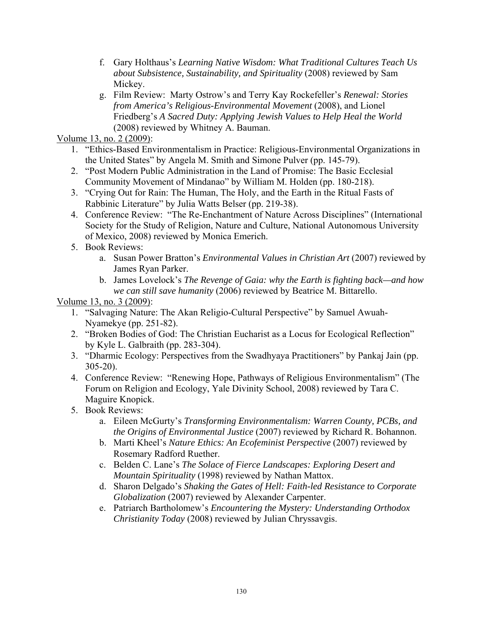- f. Gary Holthaus's *Learning Native Wisdom: What Traditional Cultures Teach Us about Subsistence, Sustainability, and Spirituality* (2008) reviewed by Sam Mickey.
- g. Film Review: Marty Ostrow's and Terry Kay Rockefeller's *Renewal: Stories from America's Religious-Environmental Movement* (2008), and Lionel Friedberg's *A Sacred Duty: Applying Jewish Values to Help Heal the World* (2008) reviewed by Whitney A. Bauman.

Volume 13, no. 2 (2009):

- 1. "Ethics-Based Environmentalism in Practice: Religious-Environmental Organizations in the United States" by Angela M. Smith and Simone Pulver (pp. 145-79).
- 2. "Post Modern Public Administration in the Land of Promise: The Basic Ecclesial Community Movement of Mindanao" by William M. Holden (pp. 180-218).
- 3. "Crying Out for Rain: The Human, The Holy, and the Earth in the Ritual Fasts of Rabbinic Literature" by Julia Watts Belser (pp. 219-38).
- 4. Conference Review: "The Re-Enchantment of Nature Across Disciplines" (International Society for the Study of Religion, Nature and Culture, National Autonomous University of Mexico, 2008) reviewed by Monica Emerich.
- 5. Book Reviews:
	- a. Susan Power Bratton's *Environmental Values in Christian Art* (2007) reviewed by James Ryan Parker.
	- b. James Lovelock's *The Revenge of Gaia: why the Earth is fighting back—and how we can still save humanity* (2006) reviewed by Beatrice M. Bittarello.

Volume 13, no. 3 (2009):

- 1. "Salvaging Nature: The Akan Religio-Cultural Perspective" by Samuel Awuah-Nyamekye (pp. 251-82).
- 2. "Broken Bodies of God: The Christian Eucharist as a Locus for Ecological Reflection" by Kyle L. Galbraith (pp. 283-304).
- 3. "Dharmic Ecology: Perspectives from the Swadhyaya Practitioners" by Pankaj Jain (pp. 305-20).
- 4. Conference Review: "Renewing Hope, Pathways of Religious Environmentalism" (The Forum on Religion and Ecology, Yale Divinity School, 2008) reviewed by Tara C. Maguire Knopick.
- 5. Book Reviews:
	- a. Eileen McGurty's *Transforming Environmentalism: Warren County, PCBs, and the Origins of Environmental Justice* (2007) reviewed by Richard R. Bohannon.
	- b. Marti Kheel's *Nature Ethics: An Ecofeminist Perspective* (2007) reviewed by Rosemary Radford Ruether.
	- c. Belden C. Lane's *The Solace of Fierce Landscapes: Exploring Desert and Mountain Spirituality* (1998) reviewed by Nathan Mattox.
	- d. Sharon Delgado's *Shaking the Gates of Hell: Faith-led Resistance to Corporate Globalization* (2007) reviewed by Alexander Carpenter.
	- e. Patriarch Bartholomew's *Encountering the Mystery: Understanding Orthodox Christianity Today* (2008) reviewed by Julian Chryssavgis.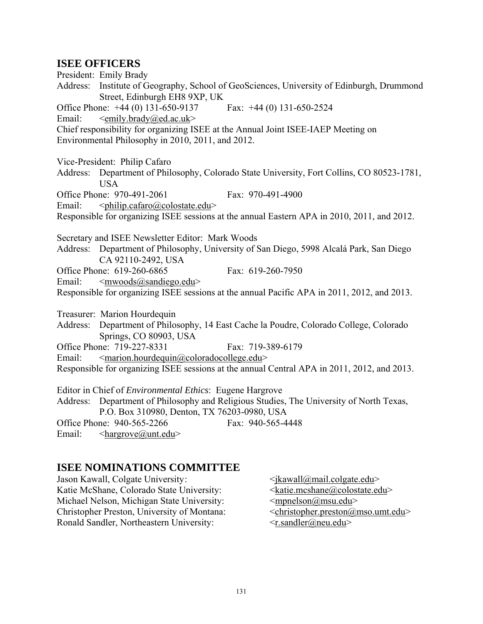## **ISEE OFFICERS**

President: Emily Brady Address: Institute of Geography, School of GeoSciences, University of Edinburgh, Drummond Street, Edinburgh EH8 9XP, UK Office Phone: +44 (0) 131-650-9137 Fax: +44 (0) 131-650-2524 Email:  $\leq$   $\leq$   $\leq$   $\leq$   $\leq$   $\leq$   $\leq$   $\leq$   $\leq$   $\leq$   $\leq$   $\leq$   $\leq$   $\leq$   $\leq$   $\leq$   $\leq$   $\leq$   $\leq$   $\leq$   $\leq$   $\leq$   $\leq$   $\leq$   $\leq$   $\leq$   $\leq$   $\leq$   $\leq$   $\leq$   $\leq$   $\leq$   $\leq$   $\leq$   $\leq$   $\leq$ Chief responsibility for organizing ISEE at the Annual Joint ISEE-IAEP Meeting on Environmental Philosophy in 2010, 2011, and 2012. Vice-President: Philip Cafaro Address: Department of Philosophy, Colorado State University, Fort Collins, CO 80523-1781, USA Office Phone: 970-491-2061 Fax: 970-491-4900 Email:  $\langle \phi \rangle$   $\langle \phi \rangle$   $\langle \phi \rangle$   $\langle \phi \rangle$ Responsible for organizing ISEE sessions at the annual Eastern APA in 2010, 2011, and 2012. Secretary and ISEE Newsletter Editor: Mark Woods Address: Department of Philosophy, University of San Diego, 5998 Alcalá Park, San Diego CA 92110-2492, USA Office Phone: 619-260-6865 Fax: 619-260-7950 Email:  $\langle mwoods@sandiego.edu\rangle$ Responsible for organizing ISEE sessions at the annual Pacific APA in 2011, 2012, and 2013. Treasurer: Marion Hourdequin Address: Department of Philosophy, 14 East Cache la Poudre, Colorado College, Colorado Springs, CO 80903, USA Office Phone: 719-227-8331 Fax: 719-389-6179 Email:  $\leq$  marion.hourdequin@coloradocollege.edu> Responsible for organizing ISEE sessions at the annual Central APA in 2011, 2012, and 2013. Editor in Chief of *Environmental Ethics*: Eugene Hargrove Address: Department of Philosophy and Religious Studies, The University of North Texas, P.O. Box 310980, Denton, TX 76203-0980, USA Office Phone: 940-565-2266 Fax: 940-565-4448 Email: <hargrove@unt.edu>

## **ISEE NOMINATIONS COMMITTEE**

Jason Kawall, Colgate University:  $\langle$  \the state \times\$\bigare\equipment} \end{mail.colgate.edu> Katie McShane, Colorado State University: <katie.mcshane@colostate.edu> Michael Nelson, Michigan State University:  $\langle m \rangle$   $\langle m \rangle$   $\langle m \rangle$ Christopher Preston, University of Montana:  $\langle$ christopher.preston@mso.umt.edu> Ronald Sandler, Northeastern University:  $\langle$ r.sandler@neu.edu>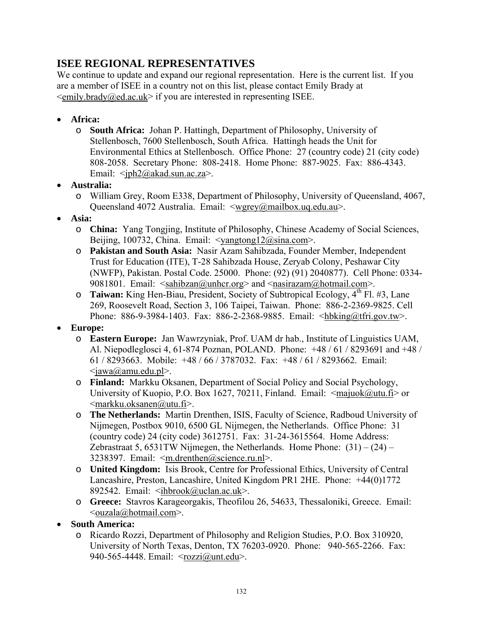# **ISEE REGIONAL REPRESENTATIVES**

We continue to update and expand our regional representation. Here is the current list. If you are a member of ISEE in a country not on this list, please contact Emily Brady at  $\le$ emily.brady@ed.ac.uk> if you are interested in representing ISEE.

- **Africa:**
	- o **South Africa:** Johan P. Hattingh, Department of Philosophy, University of Stellenbosch, 7600 Stellenbosch, South Africa. Hattingh heads the Unit for Environmental Ethics at Stellenbosch. Office Phone: 27 (country code) 21 (city code) 808-2058. Secretary Phone: 808-2418. Home Phone: 887-9025. Fax: 886-4343. Email:  $\langle \text{iph2}\rightangle$ @akad.sun.ac.za>.
- **Australia:**
	- o William Grey, Room E338, Department of Philosophy, University of Queensland, 4067, Queensland 4072 Australia. Email: <wgrey@mailbox.uq.edu.au>.
- **Asia:**
	- o **China:** Yang Tongjing, Institute of Philosophy, Chinese Academy of Social Sciences, Beijing, 100732, China. Email:  $\langle \text{vangtong12} \rangle \langle \text{wgaugtong12} \rangle$ .
	- o **Pakistan and South Asia:** Nasir Azam Sahibzada, Founder Member, Independent Trust for Education (ITE), T-28 Sahibzada House, Zeryab Colony, Peshawar City (NWFP), Pakistan. Postal Code. 25000. Phone: (92) (91) 2040877). Cell Phone: 0334- 9081801. Email:  $\langle$ sahibzan@unhcr.org> and  $\langle$ nasirazam@hotmail.com>.
	- o **Taiwan:** King Hen-Biau, President, Society of Subtropical Ecology, 4<sup>th</sup> Fl. #3, Lane 269, Roosevelt Road, Section 3, 106 Taipei, Taiwan. Phone: 886-2-2369-9825. Cell Phone: 886-9-3984-1403. Fax: 886-2-2368-9885. Email: <hbking@tfri.gov.tw>.
- **Europe:**
	- o **Eastern Europe:** Jan Wawrzyniak, Prof. UAM dr hab., Institute of Linguistics UAM, Al. Niepodleglosci 4, 61-874 Poznan, POLAND. Phone: +48 / 61 / 8293691 and +48 / 61 / 8293663. Mobile: +48 / 66 / 3787032. Fax: +48 / 61 / 8293662. Email:  $\langle$ jawa@amu.edu.pl>.
	- o **Finland:** Markku Oksanen, Department of Social Policy and Social Psychology, University of Kuopio, P.O. Box 1627, 70211, Finland. Email:  $\leq$ majuok@utu.fi> or <markku.oksanen@utu.fi>.
	- o **The Netherlands:** Martin Drenthen, ISIS, Faculty of Science, Radboud University of Nijmegen, Postbox 9010, 6500 GL Nijmegen, the Netherlands. Office Phone: 31 (country code) 24 (city code) 3612751. Fax: 31-24-3615564. Home Address: Zebrastraat 5, 6531TW Nijmegen, the Netherlands. Home Phone:  $(31) - (24)$ 3238397. Email: <m.drenthen@science.ru.nl>.
	- o **United Kingdom:** Isis Brook, Centre for Professional Ethics, University of Central Lancashire, Preston, Lancashire, United Kingdom PR1 2HE. Phone: +44(0)1772 892542. Email: <ihbrook@uclan.ac.uk>.
	- o **Greece:** Stavros Karageorgakis, Theofilou 26, 54633, Thessaloniki, Greece. Email: <ouzala@hotmail.com>.
- **South America:**
	- o Ricardo Rozzi, Department of Philosophy and Religion Studies, P.O. Box 310920, University of North Texas, Denton, TX 76203-0920. Phone: 940-565-2266. Fax: 940-565-4448. Email: <rozzi@unt.edu>.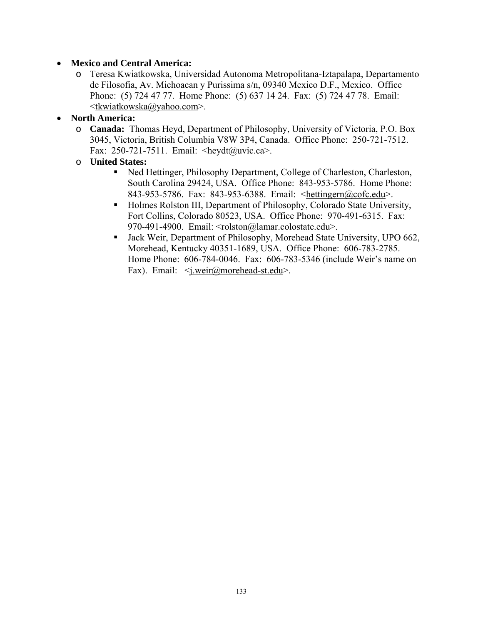#### • **Mexico and Central America:**

o Teresa Kwiatkowska, Universidad Autonoma Metropolitana-Iztapalapa, Departamento de Filosofia, Av. Michoacan y Purissima s/n, 09340 Mexico D.F., Mexico. Office Phone: (5) 724 47 77. Home Phone: (5) 637 14 24. Fax: (5) 724 47 78. Email: <tkwiatkowska@yahoo.com>.

#### • **North America:**

- o **Canada:** Thomas Heyd, Department of Philosophy, University of Victoria, P.O. Box 3045, Victoria, British Columbia V8W 3P4, Canada. Office Phone: 250-721-7512. Fax: 250-721-7511. Email: <heydt@uvic.ca>.
- o **United States:**
	- Ned Hettinger, Philosophy Department, College of Charleston, Charleston, South Carolina 29424, USA. Office Phone: 843-953-5786. Home Phone: 843-953-5786. Fax: 843-953-6388. Email: <hettingern@cofc.edu>.
	- Holmes Rolston III, Department of Philosophy, Colorado State University, Fort Collins, Colorado 80523, USA. Office Phone: 970-491-6315. Fax: 970-491-4900. Email: <rolston@lamar.colostate.edu>.
	- Jack Weir, Department of Philosophy, Morehead State University, UPO 662, Morehead, Kentucky 40351-1689, USA. Office Phone: 606-783-2785. Home Phone: 606-784-0046. Fax: 606-783-5346 (include Weir's name on Fax). Email:  $\leq$ j.weir@morehead-st.edu>.